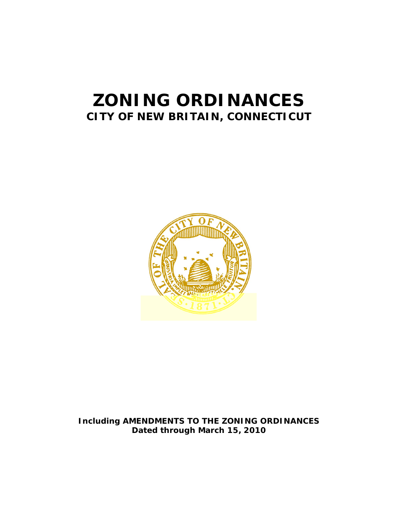# **ZONING ORDINANCES CITY OF NEW BRITAIN, CONNECTICUT**



# **Including AMENDMENTS TO THE ZONING ORDINANCES Dated through March 15, 2010**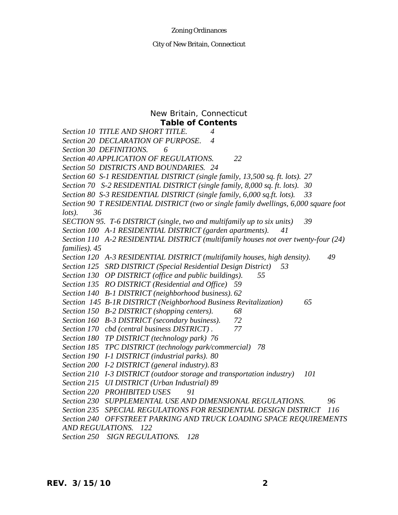## New Britain, Connecticut **Table of Contents**

- *Section 10 TITLE AND SHORT TITLE. 4*
- *Section 20 DECLARATION OF PURPOSE. 4*

*Section 30 DEFINITIONS. 6*

*Section 40 APPLICATION OF REGULATIONS. 22*

*Section 50 DISTRICTS AND BOUNDARIES. 24*

*Section 60 S-1 RESIDENTIAL DISTRICT (single family, 13,500 sq. ft. lots). 27*

*Section 70 S-2 RESIDENTIAL DISTRICT (single family, 8,000 sq. ft. lots). 30*

*Section 80 S-3 RESIDENTIAL DISTRICT (single family, 6,000 sq.ft. lots). 33*

*Section 90 T RESIDENTIAL DISTRICT (two or single family dwellings, 6,000 square foot lots). 36*

*SECTION 95. T-6 DISTRICT (single, two and multifamily up to six units) 39*

*Section 100 A-1 RESIDENTIAL DISTRICT (garden apartments). 41*

*Section 110 A-2 RESIDENTIAL DISTRICT (multifamily houses not over twenty-four (24) families). 45*

*Section 120 A-3 RESIDENTIAL DISTRICT (multifamily houses, high density). 49*

*Section 125 SRD DISTRICT (Special Residential Design District) 53*

*Section 130 OP DISTRICT (office and public buildings). 55*

*Section 135 RO DISTRICT (Residential and Office) 59*

*Section 140 B-1 DISTRICT (neighborhood business). 62*

*Section 145 B-1R DISTRICT (Neighborhood Business Revitalization) 65*

- *Section 150 B-2 DISTRICT (shopping centers). 68*
- *Section 160 B-3 DISTRICT (secondary business). 72*

*Section 170 cbd (central business DISTRICT) . 77*

*Section 180 TP DISTRICT (technology park) 76*

*Section 185 TPC DISTRICT (technology park/commercial) 78*

*Section 190 I-1 DISTRICT (industrial parks). 80*

*Section 200 I-2 DISTRICT (general industry). 83*

*Section 210 I-3 DISTRICT (outdoor storage and transportation industry) 101*

*Section 215 UI DISTRICT (Urban Industrial) 89*

*Section 220 PROHIBITED USES 91*

*Section 230 SUPPLEMENTAL USE AND DIMENSIONAL REGULATIONS. 96*

*Section 235 SPECIAL REGULATIONS FOR RESIDENTIAL DESIGN DISTRICT 116*

*Section 240 OFFSTREET PARKING AND TRUCK LOADING SPACE REQUIREMENTS* 

*AND REGULATIONS. 122*

*Section 250 SIGN REGULATIONS. 128*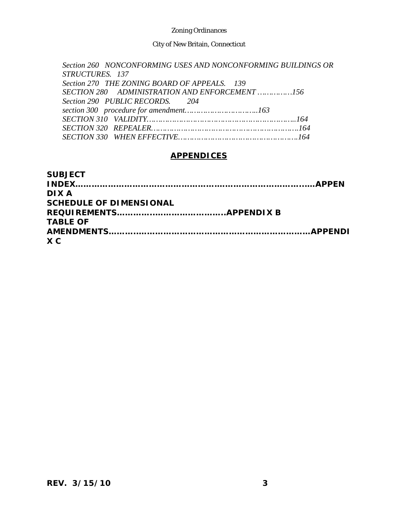City of New Britain, Connecticut

*Section 260 NONCONFORMING USES AND NONCONFORMING BUILDINGS OR STRUCTURES. 137 Section 270 THE ZONING BOARD OF APPEALS. 139 SECTION 280 ADMINISTRATION AND ENFORCEMENT ……………156 Section 290 PUBLIC RECORDS. 204 section 300 procedure for amendment…………………………..163 SECTION 310 VALIDITY………………………………………………………..164 SECTION 320 REPEALER……………………………………………………….164 SECTION 330 WHEN EFFECTIVE…………………………………………….164*

# **APPENDICES**

| <b>SUBJECT</b>                 |  |
|--------------------------------|--|
|                                |  |
| DIX A                          |  |
| <b>SCHEDULE OF DIMENSIONAL</b> |  |
|                                |  |
| <b>TABLE OF</b>                |  |
|                                |  |
| X C                            |  |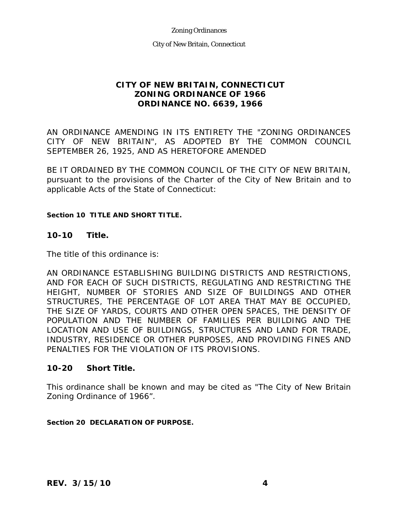City of New Britain, Connecticut

# **CITY OF NEW BRITAIN, CONNECTICUT ZONING ORDINANCE OF 1966 ORDINANCE NO. 6639, 1966**

AN ORDINANCE AMENDING IN ITS ENTIRETY THE "ZONING ORDINANCES CITY OF NEW BRITAIN", AS ADOPTED BY THE COMMON COUNCIL SEPTEMBER 26, 1925, AND AS HERETOFORE AMENDED

BE IT ORDAINED BY THE COMMON COUNCIL OF THE CITY OF NEW BRITAIN, pursuant to the provisions of the Charter of the City of New Britain and to applicable Acts of the State of Connecticut:

## **Section 10 TITLE AND SHORT TITLE.**

## **10-10 Title.**

The title of this ordinance is:

AN ORDINANCE ESTABLISHING BUILDING DISTRICTS AND RESTRICTIONS, AND FOR EACH OF SUCH DISTRICTS, REGULATING AND RESTRICTING THE HEIGHT, NUMBER OF STORIES AND SIZE OF BUILDINGS AND OTHER STRUCTURES, THE PERCENTAGE OF LOT AREA THAT MAY BE OCCUPIED, THE SIZE OF YARDS, COURTS AND OTHER OPEN SPACES, THE DENSITY OF POPULATION AND THE NUMBER OF FAMILIES PER BUILDING AND THE LOCATION AND USE OF BUILDINGS, STRUCTURES AND LAND FOR TRADE, INDUSTRY, RESIDENCE OR OTHER PURPOSES, AND PROVIDING FINES AND PENALTIES FOR THE VIOLATION OF ITS PROVISIONS.

## **10-20 Short Title.**

This ordinance shall be known and may be cited as "The City of New Britain Zoning Ordinance of 1966".

**Section 20 DECLARATION OF PURPOSE.**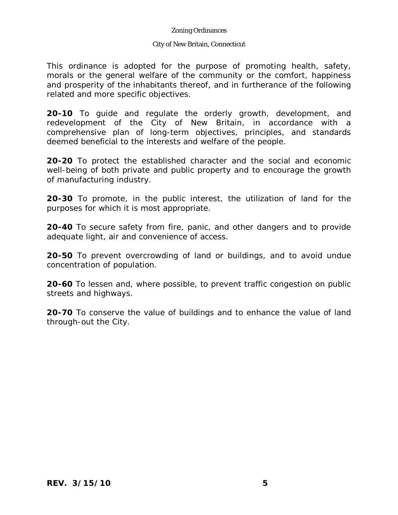## City of New Britain, Connecticut

This ordinance is adopted for the purpose of promoting health, safety, morals or the general welfare of the community or the comfort, happiness and prosperity of the inhabitants thereof, and in furtherance of the following related and more specific objectives.

**20-10** To guide and regulate the orderly growth, development, and redevelopment of the City of New Britain, in accordance with a comprehensive plan of long-term objectives, principles, and standards deemed beneficial to the interests and welfare of the people.

**20-20** To protect the established character and the social and economic well-being of both private and public property and to encourage the growth of manufacturing industry.

**20-30** To promote, in the public interest, the utilization of land for the purposes for which it is most appropriate.

**20-40** To secure safety from fire, panic, and other dangers and to provide adequate light, air and convenience of access.

**20-50** To prevent overcrowding of land or buildings, and to avoid undue concentration of population.

**20-60** To lessen and, where possible, to prevent traffic congestion on public streets and highways.

**20-70** To conserve the value of buildings and to enhance the value of land through-out the City.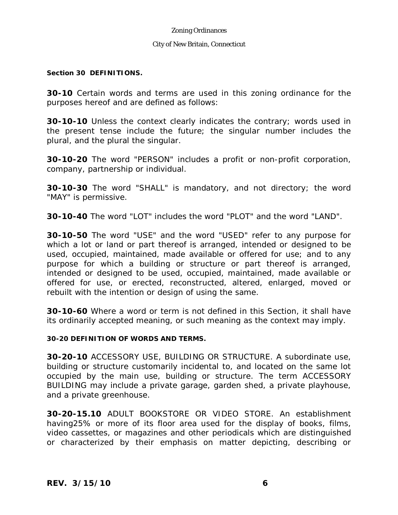## City of New Britain, Connecticut

## **Section 30 DEFINITIONS.**

**30-10** Certain words and terms are used in this zoning ordinance for the purposes hereof and are defined as follows:

**30-10-10** Unless the context clearly indicates the contrary; words used in the present tense include the future; the singular number includes the plural, and the plural the singular.

**30-10-20** The word "PERSON" includes a profit or non-profit corporation, company, partnership or individual.

**30-10-30** The word "SHALL" is mandatory, and not directory; the word "MAY" is permissive.

**30-10-40** The word "LOT" includes the word "PLOT" and the word "LAND".

**30-10-50** The word "USE" and the word "USED" refer to any purpose for which a lot or land or part thereof is arranged, intended or designed to be used, occupied, maintained, made available or offered for use; and to any purpose for which a building or structure or part thereof is arranged, intended or designed to be used, occupied, maintained, made available or offered for use, or erected, reconstructed, altered, enlarged, moved or rebuilt with the intention or design of using the same.

**30-10-60** Where a word or term is not defined in this Section, it shall have its ordinarily accepted meaning, or such meaning as the context may imply.

## **30-20 DEFINITION OF WORDS AND TERMS.**

**30-20-10** ACCESSORY USE, BUILDING OR STRUCTURE. A subordinate use, building or structure customarily incidental to, and located on the same lot occupied by the main use, building or structure. The term ACCESSORY BUILDING may include a private garage, garden shed, a private playhouse, and a private greenhouse.

**30-20-15.10** ADULT BOOKSTORE OR VIDEO STORE. An establishment having25% or more of its floor area used for the display of books, films, video cassettes, or magazines and other periodicals which are distinguished or characterized by their emphasis on matter depicting, describing or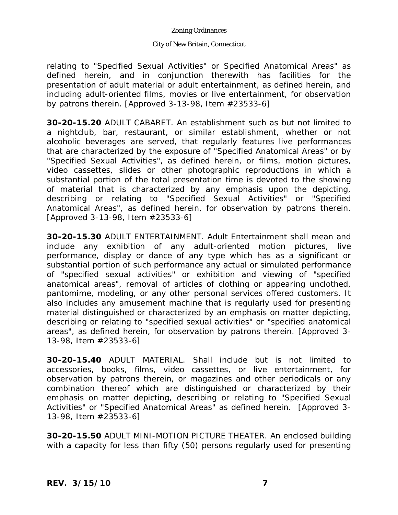## City of New Britain, Connecticut

relating to "Specified Sexual Activities" or Specified Anatomical Areas" as defined herein, and in conjunction therewith has facilities for the presentation of adult material or adult entertainment, as defined herein, and including adult-oriented films, movies or live entertainment, for observation by patrons therein. [Approved 3-13-98, Item #23533-6]

**30-20-15.20** ADULT CABARET. An establishment such as but not limited to a nightclub, bar, restaurant, or similar establishment, whether or not alcoholic beverages are served, that regularly features live performances that are characterized by the exposure of "Specified Anatomical Areas" or by "Specified Sexual Activities", as defined herein, or films, motion pictures, video cassettes, slides or other photographic reproductions in which a substantial portion of the total presentation time is devoted to the showing of material that is characterized by any emphasis upon the depicting, describing or relating to "Specified Sexual Activities" or "Specified Anatomical Areas", as defined herein, for observation by patrons therein. [Approved 3-13-98, Item #23533-6]

**30-20-15.30** ADULT ENTERTAINMENT. Adult Entertainment shall mean and include any exhibition of any adult-oriented motion pictures, live performance, display or dance of any type which has as a significant or substantial portion of such performance any actual or simulated performance of "specified sexual activities" or exhibition and viewing of "specified anatomical areas", removal of articles of clothing or appearing unclothed, pantomime, modeling, or any other personal services offered customers. It also includes any amusement machine that is regularly used for presenting material distinguished or characterized by an emphasis on matter depicting, describing or relating to "specified sexual activities" or "specified anatomical areas", as defined herein, for observation by patrons therein. [Approved 3- 13-98, Item #23533-6]

**30-20-15.40** ADULT MATERIAL. Shall include but is not limited to accessories, books, films, video cassettes, or live entertainment, for observation by patrons therein, or magazines and other periodicals or any combination thereof which are distinguished or characterized by their emphasis on matter depicting, describing or relating to "Specified Sexual Activities" or "Specified Anatomical Areas" as defined herein. [Approved 3- 13-98, Item #23533-6]

**30-20-15.50** ADULT MINI-MOTION PICTURE THEATER. An enclosed building with a capacity for less than fifty (50) persons regularly used for presenting

*REV. 3/15/10* **7**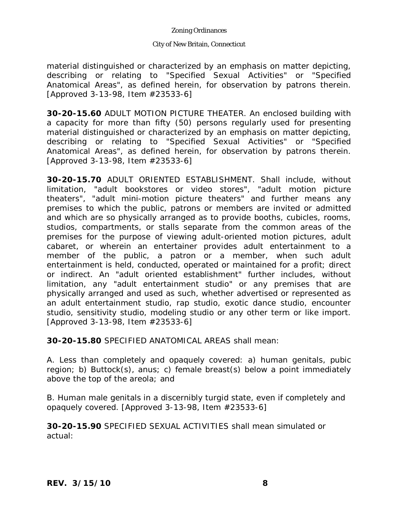## City of New Britain, Connecticut

material distinguished or characterized by an emphasis on matter depicting, describing or relating to "Specified Sexual Activities" or "Specified Anatomical Areas", as defined herein, for observation by patrons therein. [Approved 3-13-98, Item #23533-6]

**30-20-15.60** ADULT MOTION PICTURE THEATER. An enclosed building with a capacity for more than fifty (50) persons regularly used for presenting material distinguished or characterized by an emphasis on matter depicting, describing or relating to "Specified Sexual Activities" or "Specified Anatomical Areas", as defined herein, for observation by patrons therein. [Approved 3-13-98, Item #23533-6]

**30-20-15.70** ADULT ORIENTED ESTABLISHMENT. Shall include, without limitation, "adult bookstores or video stores", "adult motion picture theaters", "adult mini-motion picture theaters" and further means any premises to which the public, patrons or members are invited or admitted and which are so physically arranged as to provide booths, cubicles, rooms, studios, compartments, or stalls separate from the common areas of the premises for the purpose of viewing adult-oriented motion pictures, adult cabaret, or wherein an entertainer provides adult entertainment to a member of the public, a patron or a member, when such adult entertainment is held, conducted, operated or maintained for a profit; direct or indirect. An "adult oriented establishment" further includes, without limitation, any "adult entertainment studio" or any premises that are physically arranged and used as such, whether advertised or represented as an adult entertainment studio, rap studio, exotic dance studio, encounter studio, sensitivity studio, modeling studio or any other term or like import. [Approved 3-13-98, Item #23533-6]

**30-20-15.80** SPECIFIED ANATOMICAL AREAS shall mean:

A. Less than completely and opaquely covered: a) human genitals, pubic region; b) Buttock(s), anus; c) female breast(s) below a point immediately above the top of the areola; and

B. Human male genitals in a discernibly turgid state, even if completely and opaquely covered. [Approved 3-13-98, Item #23533-6]

**30-20-15.90** SPECIFIED SEXUAL ACTIVITIES shall mean simulated or actual: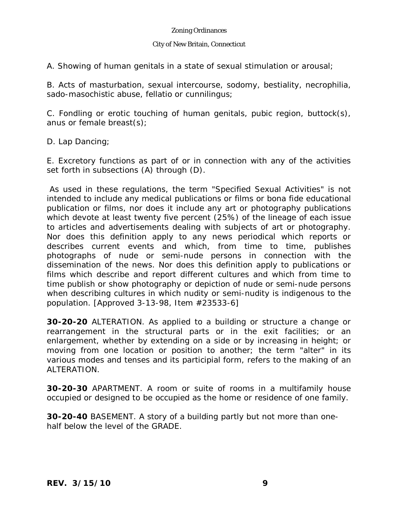## City of New Britain, Connecticut

A. Showing of human genitals in a state of sexual stimulation or arousal;

B. Acts of masturbation, sexual intercourse, sodomy, bestiality, necrophilia, sado-masochistic abuse, fellatio or cunnilingus;

C. Fondling or erotic touching of human genitals, pubic region, buttock(s), anus or female breast(s);

D. Lap Dancing;

E. Excretory functions as part of or in connection with any of the activities set forth in subsections (A) through (D).

As used in these regulations, the term "Specified Sexual Activities" is not intended to include any medical publications or films or bona fide educational publication or films, nor does it include any art or photography publications which devote at least twenty five percent (25%) of the lineage of each issue to articles and advertisements dealing with subjects of art or photography. Nor does this definition apply to any news periodical which reports or describes current events and which, from time to time, publishes photographs of nude or semi-nude persons in connection with the dissemination of the news. Nor does this definition apply to publications or films which describe and report different cultures and which from time to time publish or show photography or depiction of nude or semi-nude persons when describing cultures in which nudity or semi-nudity is indigenous to the population. [Approved 3-13-98, Item #23533-6]

**30-20-20** ALTERATION. As applied to a building or structure a change or rearrangement in the structural parts or in the exit facilities; or an enlargement, whether by extending on a side or by increasing in height; or moving from one location or position to another; the term "alter" in its various modes and tenses and its participial form, refers to the making of an ALTERATION.

**30-20-30** APARTMENT. A room or suite of rooms in a multifamily house occupied or designed to be occupied as the home or residence of one family.

**30-20-40** BASEMENT. A story of a building partly but not more than onehalf below the level of the GRADE.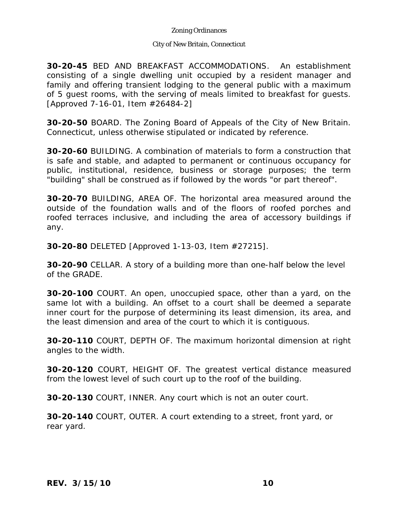## City of New Britain, Connecticut

**30-20-45** BED AND BREAKFAST ACCOMMODATIONS. An establishment consisting of a single dwelling unit occupied by a resident manager and family and offering transient lodging to the general public with a maximum of 5 guest rooms, with the serving of meals limited to breakfast for guests. [Approved 7-16-01, Item #26484-2]

**30-20-50** BOARD. The Zoning Board of Appeals of the City of New Britain. Connecticut, unless otherwise stipulated or indicated by reference.

**30-20-60** BUILDING. A combination of materials to form a construction that is safe and stable, and adapted to permanent or continuous occupancy for public, institutional, residence, business or storage purposes; the term "building" shall be construed as if followed by the words "or part thereof".

**30-20-70** BUILDING, AREA OF. The horizontal area measured around the outside of the foundation walls and of the floors of roofed porches and roofed terraces inclusive, and including the area of accessory buildings if any.

**30-20-80** DELETED [Approved 1-13-03, Item #27215].

**30-20-90** CELLAR. A story of a building more than one-half below the level of the GRADE.

**30-20-100** COURT. An open, unoccupied space, other than a yard, on the same lot with a building. An offset to a court shall be deemed a separate inner court for the purpose of determining its least dimension, its area, and the least dimension and area of the court to which it is contiguous.

**30-20-110** COURT, DEPTH OF. The maximum horizontal dimension at right angles to the width.

**30-20-120** COURT, HEIGHT OF. The greatest vertical distance measured from the lowest level of such court up to the roof of the building.

**30-20-130** COURT, INNER. Any court which is not an outer court.

**30-20-140** COURT, OUTER. A court extending to a street, front yard, or rear yard.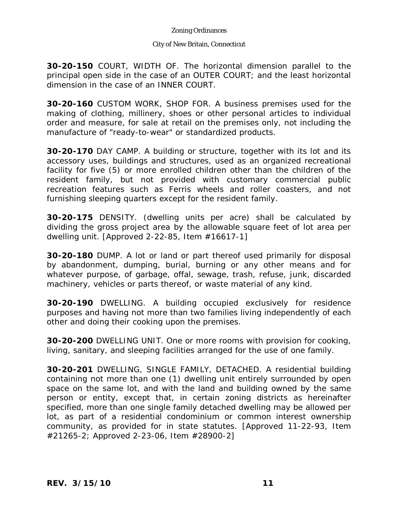## City of New Britain, Connecticut

**30-20-150** COURT, WIDTH OF. The horizontal dimension parallel to the principal open side in the case of an OUTER COURT; and the least horizontal dimension in the case of an INNER COURT.

**30-20-160** CUSTOM WORK, SHOP FOR. A business premises used for the making of clothing, millinery, shoes or other personal articles to individual order and measure, for sale at retail on the premises only, not including the manufacture of "ready-to-wear" or standardized products.

**30-20-170** DAY CAMP. A building or structure, together with its lot and its accessory uses, buildings and structures, used as an organized recreational facility for five (5) or more enrolled children other than the children of the resident family, but not provided with customary commercial public recreation features such as Ferris wheels and roller coasters, and not furnishing sleeping quarters except for the resident family.

**30-20-175** DENSITY. (dwelling units per acre) shall be calculated by dividing the gross project area by the allowable square feet of lot area per dwelling unit. [Approved 2-22-85, Item #16617-1]

**30-20-180** DUMP. A lot or land or part thereof used primarily for disposal by abandonment, dumping, burial, burning or any other means and for whatever purpose, of garbage, offal, sewage, trash, refuse, junk, discarded machinery, vehicles or parts thereof, or waste material of any kind.

**30-20-190** DWELLING. A building occupied exclusively for residence purposes and having not more than two families living independently of each other and doing their cooking upon the premises.

**30-20-200** DWELLING UNIT. One or more rooms with provision for cooking, living, sanitary, and sleeping facilities arranged for the use of one family.

**30-20-201** DWELLING, SINGLE FAMILY, DETACHED. A residential building containing not more than one (1) dwelling unit entirely surrounded by open space on the same lot, and with the land and building owned by the same person or entity, except that, in certain zoning districts as hereinafter specified, more than one single family detached dwelling may be allowed per lot, as part of a residential condominium or common interest ownership community, as provided for in state statutes. [Approved 11-22-93, Item #21265-2; Approved 2-23-06, Item #28900-2]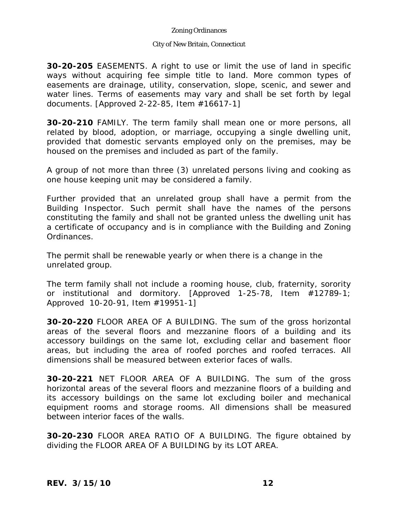## City of New Britain, Connecticut

**30-20-205** EASEMENTS. A right to use or limit the use of land in specific ways without acquiring fee simple title to land. More common types of easements are drainage, utility, conservation, slope, scenic, and sewer and water lines. Terms of easements may vary and shall be set forth by legal documents. [Approved 2-22-85, Item #16617-1]

**30-20-210** FAMILY. The term family shall mean one or more persons, all related by blood, adoption, or marriage, occupying a single dwelling unit, provided that domestic servants employed only on the premises, may be housed on the premises and included as part of the family.

A group of not more than three (3) unrelated persons living and cooking as one house keeping unit may be considered a family.

Further provided that an unrelated group shall have a permit from the Building Inspector. Such permit shall have the names of the persons constituting the family and shall not be granted unless the dwelling unit has a certificate of occupancy and is in compliance with the Building and Zoning Ordinances.

The permit shall be renewable yearly or when there is a change in the unrelated group.

The term family shall not include a rooming house, club, fraternity, sorority or institutional and dormitory. [Approved 1-25-78, Item #12789-1; Approved 10-20-91, Item #19951-1]

**30-20-220** FLOOR AREA OF A BUILDING. The sum of the gross horizontal areas of the several floors and mezzanine floors of a building and its accessory buildings on the same lot, excluding cellar and basement floor areas, but including the area of roofed porches and roofed terraces. All dimensions shall be measured between exterior faces of walls.

**30-20-221** NET FLOOR AREA OF A BUILDING. The sum of the gross horizontal areas of the several floors and mezzanine floors of a building and its accessory buildings on the same lot excluding boiler and mechanical equipment rooms and storage rooms. All dimensions shall be measured between interior faces of the walls.

**30-20-230** FLOOR AREA RATIO OF A BUILDING. The figure obtained by dividing the FLOOR AREA OF A BUILDING by its LOT AREA.

*REV. 3/15/10* **12**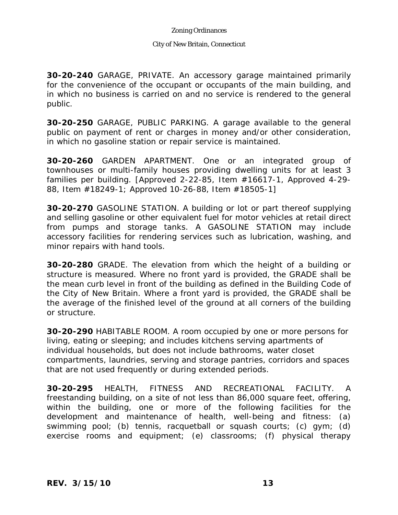## City of New Britain, Connecticut

**30-20-240** GARAGE, PRIVATE. An accessory garage maintained primarily for the convenience of the occupant or occupants of the main building, and in which no business is carried on and no service is rendered to the general public.

**30-20-250** GARAGE, PUBLIC PARKING. A garage available to the general public on payment of rent or charges in money and/or other consideration, in which no gasoline station or repair service is maintained.

**30-20-260** GARDEN APARTMENT. One or an integrated group of townhouses or multi-family houses providing dwelling units for at least 3 families per building. [Approved 2-22-85, Item #16617-1, Approved 4-29- 88, Item #18249-1; Approved 10-26-88, Item #18505-1]

**30-20-270** GASOLINE STATION. A building or lot or part thereof supplying and selling gasoline or other equivalent fuel for motor vehicles at retail direct from pumps and storage tanks. A GASOLINE STATION may include accessory facilities for rendering services such as lubrication, washing, and minor repairs with hand tools.

**30-20-280** GRADE. The elevation from which the height of a building or structure is measured. Where no front yard is provided, the GRADE shall be the mean curb level in front of the building as defined in the Building Code of the City of New Britain. Where a front yard is provided, the GRADE shall be the average of the finished level of the ground at all corners of the building or structure.

**30-20-290** HABITABLE ROOM. A room occupied by one or more persons for living, eating or sleeping; and includes kitchens serving apartments of individual households, but does not include bathrooms, water closet compartments, laundries, serving and storage pantries, corridors and spaces that are not used frequently or during extended periods.

**30-20-295** HEALTH, FITNESS AND RECREATIONAL FACILITY. A freestanding building, on a site of not less than 86,000 square feet, offering, within the building, one or more of the following facilities for the development and maintenance of health, well-being and fitness: (a) swimming pool; (b) tennis, racquetball or squash courts; (c) gym; (d) exercise rooms and equipment; (e) classrooms; (f) physical therapy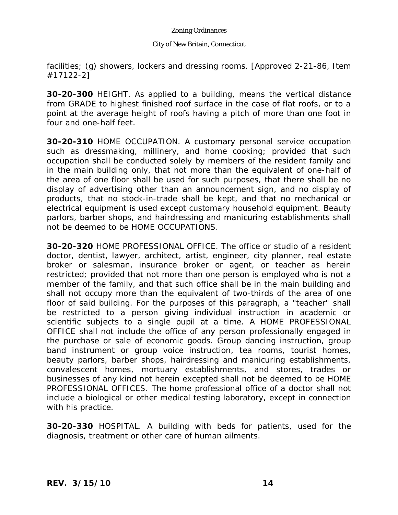## City of New Britain, Connecticut

facilities; (g) showers, lockers and dressing rooms. [Approved 2-21-86, Item #17122-2]

**30-20-300** HEIGHT. As applied to a building, means the vertical distance from GRADE to highest finished roof surface in the case of flat roofs, or to a point at the average height of roofs having a pitch of more than one foot in four and one-half feet.

**30-20-310** HOME OCCUPATION. A customary personal service occupation such as dressmaking, millinery, and home cooking; provided that such occupation shall be conducted solely by members of the resident family and in the main building only, that not more than the equivalent of one-half of the area of one floor shall be used for such purposes, that there shall be no display of advertising other than an announcement sign, and no display of products, that no stock-in-trade shall be kept, and that no mechanical or electrical equipment is used except customary household equipment. Beauty parlors, barber shops, and hairdressing and manicuring establishments shall not be deemed to be HOME OCCUPATIONS.

**30-20-320** HOME PROFESSIONAL OFFICE. The office or studio of a resident doctor, dentist, lawyer, architect, artist, engineer, city planner, real estate broker or salesman, insurance broker or agent, or teacher as herein restricted; provided that not more than one person is employed who is not a member of the family, and that such office shall be in the main building and shall not occupy more than the equivalent of two-thirds of the area of one floor of said building. For the purposes of this paragraph, a "teacher" shall be restricted to a person giving individual instruction in academic or scientific subjects to a single pupil at a time. A HOME PROFESSIONAL OFFICE shall not include the office of any person professionally engaged in the purchase or sale of economic goods. Group dancing instruction, group band instrument or group voice instruction, tea rooms, tourist homes, beauty parlors, barber shops, hairdressing and manicuring establishments, convalescent homes, mortuary establishments, and stores, trades or businesses of any kind not herein excepted shall not be deemed to be HOME PROFESSIONAL OFFICES. The home professional office of a doctor shall not include a biological or other medical testing laboratory, except in connection with his practice.

**30-20-330** HOSPITAL. A building with beds for patients, used for the diagnosis, treatment or other care of human ailments.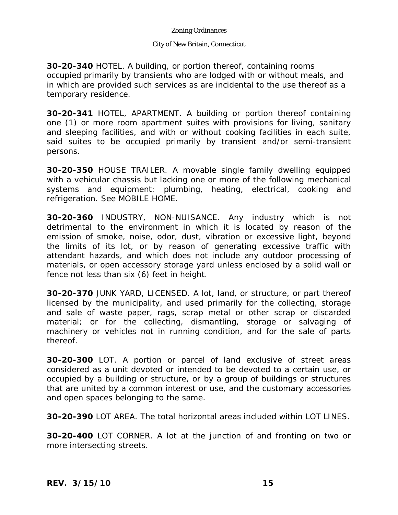## City of New Britain, Connecticut

**30-20-340** HOTEL. A building, or portion thereof, containing rooms occupied primarily by transients who are lodged with or without meals, and in which are provided such services as are incidental to the use thereof as a temporary residence.

**30-20-341** HOTEL, APARTMENT. A building or portion thereof containing one (1) or more room apartment suites with provisions for living, sanitary and sleeping facilities, and with or without cooking facilities in each suite, said suites to be occupied primarily by transient and/or semi-transient persons.

**30-20-350** HOUSE TRAILER. A movable single family dwelling equipped with a vehicular chassis but lacking one or more of the following mechanical systems and equipment: plumbing, heating, electrical, cooking and refrigeration. See MOBILE HOME.

**30-20-360** INDUSTRY, NON-NUISANCE. Any industry which is not detrimental to the environment in which it is located by reason of the emission of smoke, noise, odor, dust, vibration or excessive light, beyond the limits of its lot, or by reason of generating excessive traffic with attendant hazards, and which does not include any outdoor processing of materials, or open accessory storage yard unless enclosed by a solid wall or fence not less than six (6) feet in height.

**30-20-370** JUNK YARD, LICENSED. A lot, land, or structure, or part thereof licensed by the municipality, and used primarily for the collecting, storage and sale of waste paper, rags, scrap metal or other scrap or discarded material; or for the collecting, dismantling, storage or salvaging of machinery or vehicles not in running condition, and for the sale of parts thereof.

**30-20-300** LOT. A portion or parcel of land exclusive of street areas considered as a unit devoted or intended to be devoted to a certain use, or occupied by a building or structure, or by a group of buildings or structures that are united by a common interest or use, and the customary accessories and open spaces belonging to the same.

**30-20-390** LOT AREA. The total horizontal areas included within LOT LINES.

**30-20-400** LOT CORNER. A lot at the junction of and fronting on two or more intersecting streets.

*REV. 3/15/10* **15**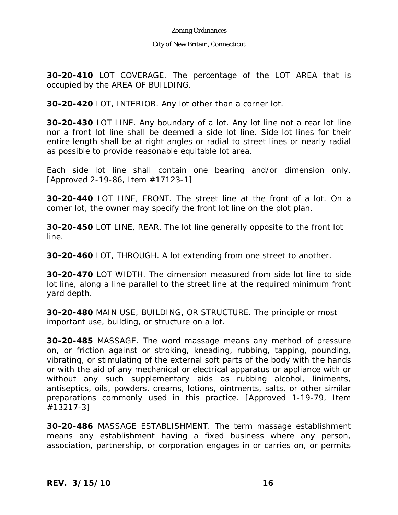## City of New Britain, Connecticut

**30-20-410** LOT COVERAGE. The percentage of the LOT AREA that is occupied by the AREA OF BUILDING.

**30-20-420** LOT, INTERIOR. Any lot other than a corner lot.

**30-20-430** LOT LINE. Any boundary of a lot. Any lot line not a rear lot line nor a front lot line shall be deemed a side lot line. Side lot lines for their entire length shall be at right angles or radial to street lines or nearly radial as possible to provide reasonable equitable lot area.

Each side lot line shall contain one bearing and/or dimension only. [Approved 2-19-86, Item #17123-1]

**30-20-440** LOT LINE, FRONT. The street line at the front of a lot. On a corner lot, the owner may specify the front lot line on the plot plan.

**30-20-450** LOT LINE, REAR. The lot line generally opposite to the front lot line.

**30-20-460** LOT, THROUGH. A lot extending from one street to another.

**30-20-470** LOT WIDTH. The dimension measured from side lot line to side lot line, along a line parallel to the street line at the required minimum front yard depth.

**30-20-480** MAIN USE, BUILDING, OR STRUCTURE. The principle or most important use, building, or structure on a lot.

**30-20-485** MASSAGE. The word massage means any method of pressure on, or friction against or stroking, kneading, rubbing, tapping, pounding, vibrating, or stimulating of the external soft parts of the body with the hands or with the aid of any mechanical or electrical apparatus or appliance with or without any such supplementary aids as rubbing alcohol, liniments, antiseptics, oils, powders, creams, lotions, ointments, salts, or other similar preparations commonly used in this practice. [Approved 1-19-79, Item #13217-3]

**30-20-486** MASSAGE ESTABLISHMENT. The term massage establishment means any establishment having a fixed business where any person, association, partnership, or corporation engages in or carries on, or permits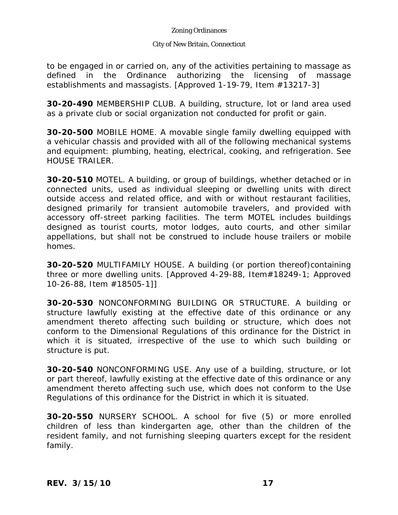## City of New Britain, Connecticut

to be engaged in or carried on, any of the activities pertaining to massage as defined in the Ordinance authorizing the licensing of massage establishments and massagists. [Approved 1-19-79, Item #13217-3]

**30-20-490** MEMBERSHIP CLUB. A building, structure, lot or land area used as a private club or social organization not conducted for profit or gain.

**30-20-500** MOBILE HOME. A movable single family dwelling equipped with a vehicular chassis and provided with all of the following mechanical systems and equipment: plumbing, heating, electrical, cooking, and refrigeration. See HOUSE TRAILER.

**30-20-510** MOTEL. A building, or group of buildings, whether detached or in connected units, used as individual sleeping or dwelling units with direct outside access and related office, and with or without restaurant facilities, designed primarily for transient automobile travelers, and provided with accessory off-street parking facilities. The term MOTEL includes buildings designed as tourist courts, motor lodges, auto courts, and other similar appellations, but shall not be construed to include house trailers or mobile homes.

**30-20-520** MULTIFAMILY HOUSE. A building (or portion thereof)containing three or more dwelling units. [Approved 4-29-88, Item#18249-1; Approved 10-26-88, Item #18505-1]]

**30-20-530** NONCONFORMING BUILDING OR STRUCTURE. A building or structure lawfully existing at the effective date of this ordinance or any amendment thereto affecting such building or structure, which does not conform to the Dimensional Regulations of this ordinance for the District in which it is situated, irrespective of the use to which such building or structure is put.

**30-20-540** NONCONFORMING USE. Any use of a building, structure, or lot or part thereof, lawfully existing at the effective date of this ordinance or any amendment thereto affecting such use, which does not conform to the Use Regulations of this ordinance for the District in which it is situated.

**30-20-550** NURSERY SCHOOL. A school for five (5) or more enrolled children of less than kindergarten age, other than the children of the resident family, and not furnishing sleeping quarters except for the resident family.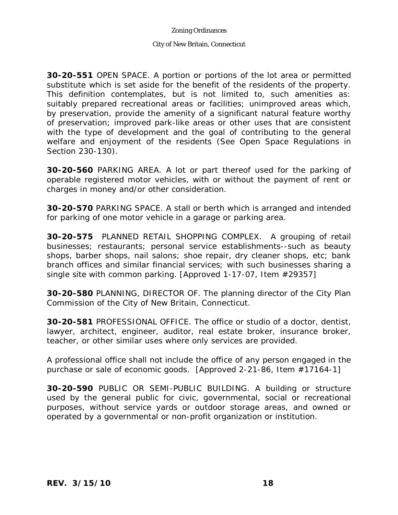## City of New Britain, Connecticut

**30-20-551** OPEN SPACE. A portion or portions of the lot area or permitted substitute which is set aside for the benefit of the residents of the property. This definition contemplates, but is not limited to, such amenities as: suitably prepared recreational areas or facilities; unimproved areas which, by preservation, provide the amenity of a significant natural feature worthy of preservation; improved park-like areas or other uses that are consistent with the type of development and the goal of contributing to the general welfare and enjoyment of the residents (See Open Space Regulations in Section 230-130).

**30-20-560** PARKING AREA. A lot or part thereof used for the parking of operable registered motor vehicles, with or without the payment of rent or charges in money and/or other consideration.

**30-20-570** PARKING SPACE. A stall or berth which is arranged and intended for parking of one motor vehicle in a garage or parking area.

**30-20-575** PLANNED RETAIL SHOPPING COMPLEX. A grouping of retail businesses; restaurants; personal service establishments--such as beauty shops, barber shops, nail salons; shoe repair, dry cleaner shops, etc; bank branch offices and similar financial services; with such businesses sharing a single site with common parking. [Approved 1-17-07, Item #29357]

**30-20-580** PLANNING, DIRECTOR OF. The planning director of the City Plan Commission of the City of New Britain, Connecticut.

**30-20-581** PROFESSIONAL OFFICE. The office or studio of a doctor, dentist, lawyer, architect, engineer, auditor, real estate broker, insurance broker, teacher, or other similar uses where only services are provided.

A professional office shall not include the office of any person engaged in the purchase or sale of economic goods. [Approved 2-21-86, Item #17164-1]

**30-20-590** PUBLIC OR SEMI-PUBLIC BUILDING. A building or structure used by the general public for civic, governmental, social or recreational purposes, without service yards or outdoor storage areas, and owned or operated by a governmental or non-profit organization or institution.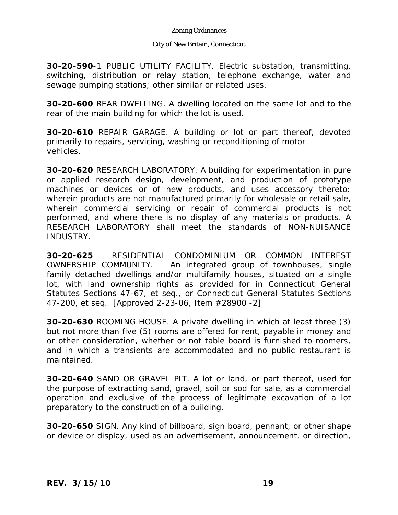## City of New Britain, Connecticut

**30-20-590**-1 PUBLIC UTILITY FACILITY. Electric substation, transmitting, switching, distribution or relay station, telephone exchange, water and sewage pumping stations; other similar or related uses.

**30-20-600** REAR DWELLING. A dwelling located on the same lot and to the rear of the main building for which the lot is used.

**30-20-610** REPAIR GARAGE. A building or lot or part thereof, devoted primarily to repairs, servicing, washing or reconditioning of motor vehicles.

**30-20-620** RESEARCH LABORATORY. A building for experimentation in pure or applied research design, development, and production of prototype machines or devices or of new products, and uses accessory thereto: wherein products are not manufactured primarily for wholesale or retail sale, wherein commercial servicing or repair of commercial products is not performed, and where there is no display of any materials or products. A RESEARCH LABORATORY shall meet the standards of NON-NUISANCE INDUSTRY.

**30-20-625** RESIDENTIAL CONDOMINIUM OR COMMON INTEREST OWNERSHIP COMMUNITY. An integrated group of townhouses, single family detached dwellings and/or multifamily houses, situated on a single lot, with land ownership rights as provided for in Connecticut General Statutes Sections 47-67, et seq., or Connecticut General Statutes Sections 47-200, et seq. [Approved 2-23-06, Item #28900 -2]

**30-20-630** ROOMING HOUSE. A private dwelling in which at least three (3) but not more than five (5) rooms are offered for rent, payable in money and or other consideration, whether or not table board is furnished to roomers, and in which a transients are accommodated and no public restaurant is maintained.

**30-20-640** SAND OR GRAVEL PIT. A lot or land, or part thereof, used for the purpose of extracting sand, gravel, soil or sod for sale, as a commercial operation and exclusive of the process of legitimate excavation of a lot preparatory to the construction of a building.

**30-20-650** SIGN. Any kind of billboard, sign board, pennant, or other shape or device or display, used as an advertisement, announcement, or direction,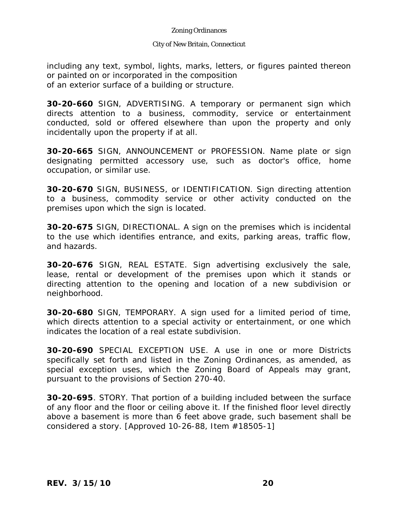## City of New Britain, Connecticut

including any text, symbol, lights, marks, letters, or figures painted thereon or painted on or incorporated in the composition of an exterior surface of a building or structure.

**30-20-660** SIGN, ADVERTISING. A temporary or permanent sign which directs attention to a business, commodity, service or entertainment conducted, sold or offered elsewhere than upon the property and only incidentally upon the property if at all.

**30-20-665** SIGN, ANNOUNCEMENT or PROFESSION. Name plate or sign designating permitted accessory use, such as doctor's office, home occupation, or similar use.

**30-20-670** SIGN, BUSINESS, or IDENTIFICATION. Sign directing attention to a business, commodity service or other activity conducted on the premises upon which the sign is located.

**30-20-675** SIGN, DIRECTIONAL. A sign on the premises which is incidental to the use which identifies entrance, and exits, parking areas, traffic flow, and hazards.

**30-20-676** SIGN, REAL ESTATE. Sign advertising exclusively the sale, lease, rental or development of the premises upon which it stands or directing attention to the opening and location of a new subdivision or neighborhood.

**30-20-680** SIGN, TEMPORARY. A sign used for a limited period of time, which directs attention to a special activity or entertainment, or one which indicates the location of a real estate subdivision.

**30-20-690** SPECIAL EXCEPTION USE. A use in one or more Districts specifically set forth and listed in the Zoning Ordinances, as amended, as special exception uses, which the Zoning Board of Appeals may grant, pursuant to the provisions of Section 270-40.

**30-20-695**. STORY. That portion of a building included between the surface of any floor and the floor or ceiling above it. If the finished floor level directly above a basement is more than 6 feet above grade, such basement shall be considered a story. [Approved 10-26-88, Item #18505-1]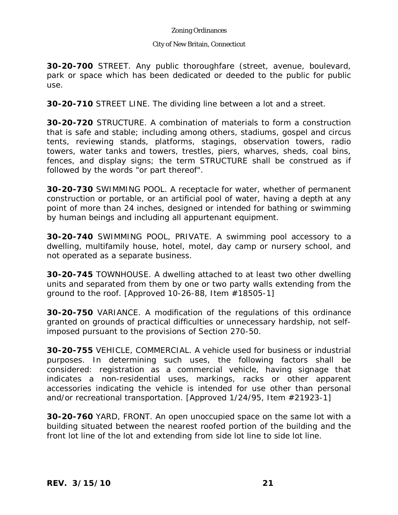## City of New Britain, Connecticut

**30-20-700** STREET. Any public thoroughfare (street, avenue, boulevard, park or space which has been dedicated or deeded to the public for public use.

**30-20-710** STREET LINE. The dividing line between a lot and a street.

**30-20-720** STRUCTURE. A combination of materials to form a construction that is safe and stable; including among others, stadiums, gospel and circus tents, reviewing stands, platforms, stagings, observation towers, radio towers, water tanks and towers, trestles, piers, wharves, sheds, coal bins, fences, and display signs; the term STRUCTURE shall be construed as if followed by the words "or part thereof".

**30-20-730** SWIMMING POOL. A receptacle for water, whether of permanent construction or portable, or an artificial pool of water, having a depth at any point of more than 24 inches, designed or intended for bathing or swimming by human beings and including all appurtenant equipment.

**30-20-740** SWIMMING POOL, PRIVATE. A swimming pool accessory to a dwelling, multifamily house, hotel, motel, day camp or nursery school, and not operated as a separate business.

**30-20-745** TOWNHOUSE. A dwelling attached to at least two other dwelling units and separated from them by one or two party walls extending from the ground to the roof. [Approved 10-26-88, Item #18505-1]

**30-20-750** VARIANCE. A modification of the regulations of this ordinance granted on grounds of practical difficulties or unnecessary hardship, not selfimposed pursuant to the provisions of Section 270-50.

**30-20-755** VEHICLE, COMMERCIAL. A vehicle used for business or industrial purposes. In determining such uses, the following factors shall be considered: registration as a commercial vehicle, having signage that indicates a non-residential uses, markings, racks or other apparent accessories indicating the vehicle is intended for use other than personal and/or recreational transportation. [Approved 1/24/95, Item #21923-1]

**30-20-760** YARD, FRONT. An open unoccupied space on the same lot with a building situated between the nearest roofed portion of the building and the front lot line of the lot and extending from side lot line to side lot line.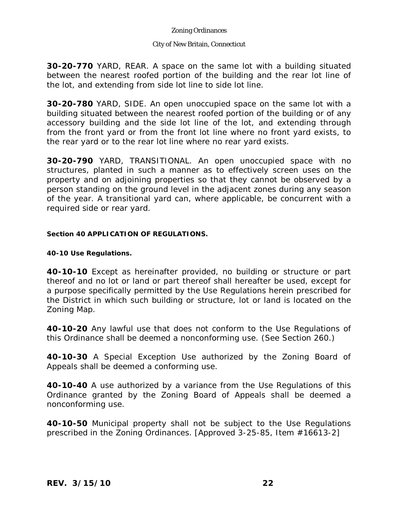## City of New Britain, Connecticut

**30-20-770** YARD, REAR. A space on the same lot with a building situated between the nearest roofed portion of the building and the rear lot line of the lot, and extending from side lot line to side lot line.

**30-20-780** YARD, SIDE. An open unoccupied space on the same lot with a building situated between the nearest roofed portion of the building or of any accessory building and the side lot line of the lot, and extending through from the front yard or from the front lot line where no front yard exists, to the rear yard or to the rear lot line where no rear yard exists.

**30-20-790** YARD, TRANSITIONAL. An open unoccupied space with no structures, planted in such a manner as to effectively screen uses on the property and on adjoining properties so that they cannot be observed by a person standing on the ground level in the adjacent zones during any season of the year. A transitional yard can, where applicable, be concurrent with a required side or rear yard.

## **Section 40 APPLICATION OF REGULATIONS.**

## **40-10 Use Regulations.**

**40-10-10** Except as hereinafter provided, no building or structure or part thereof and no lot or land or part thereof shall hereafter be used, except for a purpose specifically permitted by the Use Regulations herein prescribed for the District in which such building or structure, lot or land is located on the Zoning Map.

**40-10-20** Any lawful use that does not conform to the Use Regulations of this Ordinance shall be deemed a nonconforming use. (See Section 260.)

**40-10-30** A Special Exception Use authorized by the Zoning Board of Appeals shall be deemed a conforming use.

**40-10-40** A use authorized by a variance from the Use Regulations of this Ordinance granted by the Zoning Board of Appeals shall be deemed a nonconforming use.

**40-10-50** Municipal property shall not be subject to the Use Regulations prescribed in the Zoning Ordinances. [Approved 3-25-85, Item #16613-2]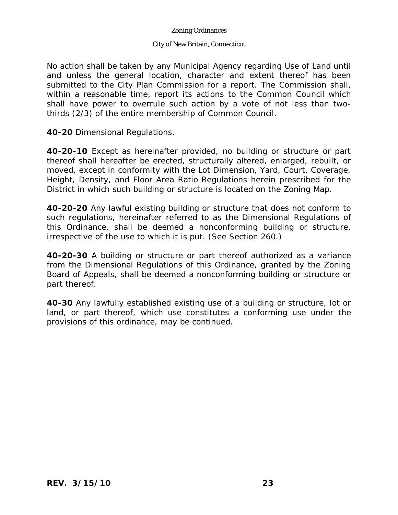## City of New Britain, Connecticut

No action shall be taken by any Municipal Agency regarding Use of Land until and unless the general location, character and extent thereof has been submitted to the City Plan Commission for a report. The Commission shall, within a reasonable time, report its actions to the Common Council which shall have power to overrule such action by a vote of not less than twothirds (2/3) of the entire membership of Common Council.

**40-20** Dimensional Regulations.

**40-20-10** Except as hereinafter provided, no building or structure or part thereof shall hereafter be erected, structurally altered, enlarged, rebuilt, or moved, except in conformity with the Lot Dimension, Yard, Court, Coverage, Height, Density, and Floor Area Ratio Regulations herein prescribed for the District in which such building or structure is located on the Zoning Map.

**40-20-20** Any lawful existing building or structure that does not conform to such regulations, hereinafter referred to as the Dimensional Regulations of this Ordinance, shall be deemed a nonconforming building or structure, irrespective of the use to which it is put. (See Section 260.)

**40-20-30** A building or structure or part thereof authorized as a variance from the Dimensional Regulations of this Ordinance, granted by the Zoning Board of Appeals, shall be deemed a nonconforming building or structure or part thereof.

**40-30** Any lawfully established existing use of a building or structure, lot or land, or part thereof, which use constitutes a conforming use under the provisions of this ordinance, may be continued.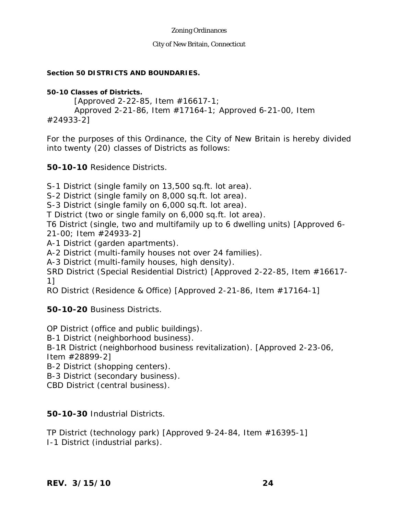## City of New Britain, Connecticut

## **Section 50 DISTRICTS AND BOUNDARIES.**

## **50-10 Classes of Districts.**

 [Approved 2-22-85, Item #16617-1; Approved 2-21-86, Item #17164-1; Approved 6-21-00, Item #24933-2]

For the purposes of this Ordinance, the City of New Britain is hereby divided into twenty (20) classes of Districts as follows:

**50-10-10** Residence Districts.

S-1 District (single family on 13,500 sq.ft. lot area).

S-2 District (single family on 8,000 sq.ft. lot area).

S-3 District (single family on 6,000 sq.ft. lot area).

T District (two or single family on 6,000 sq.ft. lot area).

T6 District (single, two and multifamily up to 6 dwelling units) [Approved 6- 21-00; Item #24933-2]

A-1 District (garden apartments).

A-2 District (multi-family houses not over 24 families).

A-3 District (multi-family houses, high density).

SRD District (Special Residential District) [Approved 2-22-85, Item #16617- 1]

RO District (Residence & Office) [Approved 2-21-86, Item #17164-1]

**50-10-20** Business Districts.

OP District (office and public buildings).

B-1 District (neighborhood business).

B-1R District (neighborhood business revitalization). [Approved 2-23-06, Item #28899-2]

B-2 District (shopping centers).

B-3 District (secondary business).

CBD District (central business).

# **50-10-30** Industrial Districts.

TP District (technology park) [Approved 9-24-84, Item #16395-1] I-1 District (industrial parks).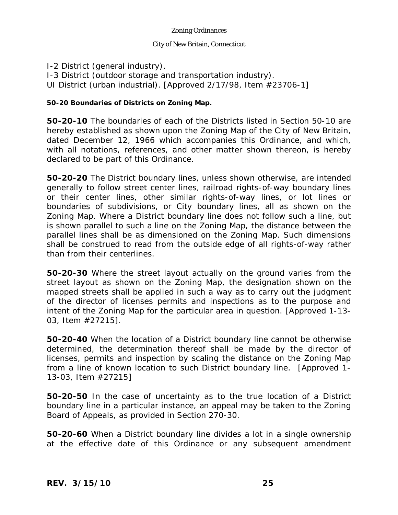## City of New Britain, Connecticut

I-2 District (general industry). I-3 District (outdoor storage and transportation industry). UI District (urban industrial). [Approved 2/17/98, Item #23706-1]

## **50-20 Boundaries of Districts on Zoning Map.**

**50-20-10** The boundaries of each of the Districts listed in Section 50-10 are hereby established as shown upon the Zoning Map of the City of New Britain, dated December 12, 1966 which accompanies this Ordinance, and which, with all notations, references, and other matter shown thereon, is hereby declared to be part of this Ordinance.

**50-20-20** The District boundary lines, unless shown otherwise, are intended generally to follow street center lines, railroad rights-of-way boundary lines or their center lines, other similar rights-of-way lines, or lot lines or boundaries of subdivisions, or City boundary lines, all as shown on the Zoning Map. Where a District boundary line does not follow such a line, but is shown parallel to such a line on the Zoning Map, the distance between the parallel lines shall be as dimensioned on the Zoning Map. Such dimensions shall be construed to read from the outside edge of all rights-of-way rather than from their centerlines.

**50-20-30** Where the street layout actually on the ground varies from the street layout as shown on the Zoning Map, the designation shown on the mapped streets shall be applied in such a way as to carry out the judgment of the director of licenses permits and inspections as to the purpose and intent of the Zoning Map for the particular area in question. [Approved 1-13- 03, Item #27215].

**50-20-40** When the location of a District boundary line cannot be otherwise determined, the determination thereof shall be made by the director of licenses, permits and inspection by scaling the distance on the Zoning Map from a line of known location to such District boundary line. [Approved 1- 13-03, Item #27215]

**50-20-50** In the case of uncertainty as to the true location of a District boundary line in a particular instance, an appeal may be taken to the Zoning Board of Appeals, as provided in Section 270-30.

**50-20-60** When a District boundary line divides a lot in a single ownership at the effective date of this Ordinance or any subsequent amendment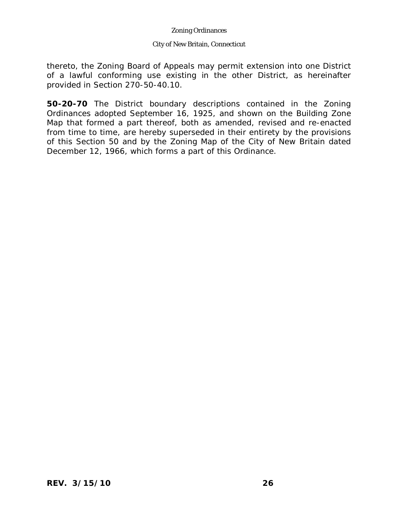## City of New Britain, Connecticut

thereto, the Zoning Board of Appeals may permit extension into one District of a lawful conforming use existing in the other District, as hereinafter provided in Section 270-50-40.10.

**50-20-70** The District boundary descriptions contained in the Zoning Ordinances adopted September 16, 1925, and shown on the Building Zone Map that formed a part thereof, both as amended, revised and re-enacted from time to time, are hereby superseded in their entirety by the provisions of this Section 50 and by the Zoning Map of the City of New Britain dated December 12, 1966, which forms a part of this Ordinance.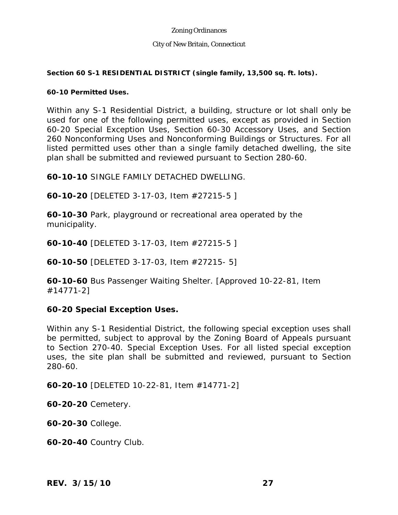## City of New Britain, Connecticut

## **Section 60 S-1 RESIDENTIAL DISTRICT (single family, 13,500 sq. ft. lots).**

## **60-10 Permitted Uses.**

Within any S-1 Residential District, a building, structure or lot shall only be used for one of the following permitted uses, except as provided in Section 60-20 Special Exception Uses, Section 60-30 Accessory Uses, and Section 260 Nonconforming Uses and Nonconforming Buildings or Structures. For all listed permitted uses other than a single family detached dwelling, the site plan shall be submitted and reviewed pursuant to Section 280-60.

**60-10-10** SINGLE FAMILY DETACHED DWELLING.

**60-10-20** [DELETED 3-17-03, Item #27215-5 ]

**60-10-30** Park, playground or recreational area operated by the municipality.

**60-10-40** [DELETED 3-17-03, Item #27215-5 ]

**60-10-50** [DELETED 3-17-03, Item #27215- 5]

**60-10-60** Bus Passenger Waiting Shelter. [Approved 10-22-81, Item #14771-2]

# **60-20 Special Exception Uses.**

Within any S-1 Residential District, the following special exception uses shall be permitted, subject to approval by the Zoning Board of Appeals pursuant to Section 270-40. Special Exception Uses. For all listed special exception uses, the site plan shall be submitted and reviewed, pursuant to Section 280-60.

**60-20-10** [DELETED 10-22-81, Item #14771-2]

**60-20-20** Cemetery.

**60-20-30** College.

**60-20-40** Country Club.

*REV. 3/15/10* **27**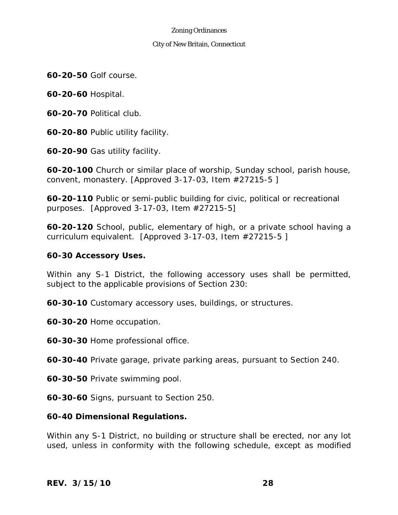## City of New Britain, Connecticut

**60-20-50** Golf course.

**60-20-60** Hospital.

**60-20-70** Political club.

**60-20-80** Public utility facility.

**60-20-90** Gas utility facility.

**60-20-100** Church or similar place of worship, Sunday school, parish house, convent, monastery. [Approved 3-17-03, Item #27215-5 ]

**60-20-110** Public or semi-public building for civic, political or recreational purposes. [Approved 3-17-03, Item #27215-5]

**60-20-120** School, public, elementary of high, or a private school having a curriculum equivalent. [Approved 3-17-03, Item #27215-5 ]

# **60-30 Accessory Uses.**

Within any S-1 District, the following accessory uses shall be permitted, subject to the applicable provisions of Section 230:

**60-30-10** Customary accessory uses, buildings, or structures.

**60-30-20** Home occupation.

**60-30-30** Home professional office.

**60-30-40** Private garage, private parking areas, pursuant to Section 240.

**60-30-50** Private swimming pool.

**60-30-60** Signs, pursuant to Section 250.

## **60-40 Dimensional Regulations.**

Within any S-1 District, no building or structure shall be erected, nor any lot used, unless in conformity with the following schedule, except as modified

*REV. 3/15/10* **28**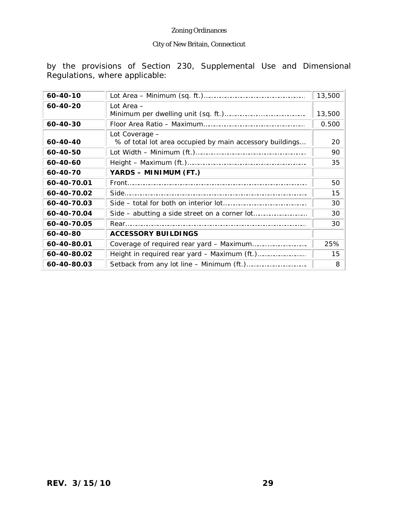# City of New Britain, Connecticut

by the provisions of Section 230, Supplemental Use and Dimensional Regulations, where applicable:

| 60-40-10       |                                                                            | 13,500 |
|----------------|----------------------------------------------------------------------------|--------|
| $60 - 40 - 20$ | Lot Area -                                                                 | 13,500 |
| 60-40-30       |                                                                            | 0.500  |
| 60-40-40       | Lot Coverage -<br>% of total lot area occupied by main accessory buildings | 20     |
| 60-40-50       |                                                                            | 90     |
| 60-40-60       |                                                                            | 35     |
| 60-40-70       | YARDS - MINIMUM (FT.)                                                      |        |
| 60-40-70.01    |                                                                            | 50     |
| 60-40-70.02    |                                                                            | 15     |
| 60-40-70.03    |                                                                            | 30     |
| 60-40-70.04    |                                                                            | 30     |
| 60-40-70.05    |                                                                            | 30     |
| 60-40-80       | <b>ACCESSORY BUILDINGS</b>                                                 |        |
| 60-40-80.01    |                                                                            | 25%    |
| 60-40-80.02    |                                                                            | 15     |
| 60-40-80.03    |                                                                            | 8      |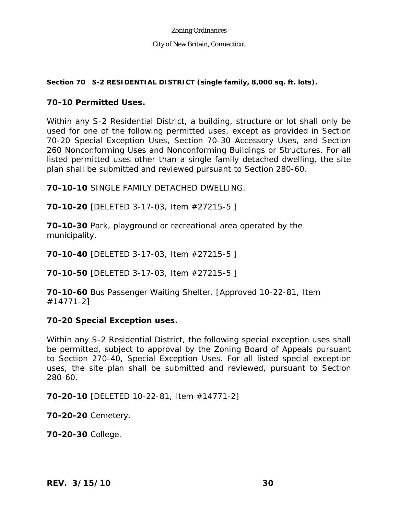## City of New Britain, Connecticut

## **Section 70 S-2 RESIDENTIAL DISTRICT (single family, 8,000 sq. ft. lots).**

# **70-10 Permitted Uses.**

Within any S-2 Residential District, a building, structure or lot shall only be used for one of the following permitted uses, except as provided in Section 70-20 Special Exception Uses, Section 70-30 Accessory Uses, and Section 260 Nonconforming Uses and Nonconforming Buildings or Structures. For all listed permitted uses other than a single family detached dwelling, the site plan shall be submitted and reviewed pursuant to Section 280-60.

**70-10-10** SINGLE FAMILY DETACHED DWELLING.

**70-10-20** [DELETED 3-17-03, Item #27215-5 ]

**70-10-30** Park, playground or recreational area operated by the municipality.

**70-10-40** [DELETED 3-17-03, Item #27215-5 ]

**70-10-50** [DELETED 3-17-03, Item #27215-5 ]

**70-10-60** Bus Passenger Waiting Shelter. [Approved 10-22-81, Item #14771-2]

# **70-20 Special Exception uses.**

Within any S-2 Residential District, the following special exception uses shall be permitted, subject to approval by the Zoning Board of Appeals pursuant to Section 270-40, Special Exception Uses. For all listed special exception uses, the site plan shall be submitted and reviewed, pursuant to Section 280-60.

**70-20-10** [DELETED 10-22-81, Item #14771-2]

**70-20-20** Cemetery.

**70-20-30** College.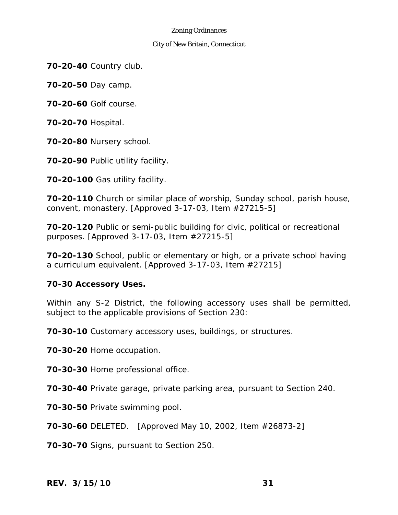## City of New Britain, Connecticut

**70-20-40** Country club.

**70-20-50** Day camp.

**70-20-60** Golf course.

**70-20-70** Hospital.

**70-20-80** Nursery school.

**70-20-90** Public utility facility.

**70-20-100** Gas utility facility.

**70-20-110** Church or similar place of worship, Sunday school, parish house, convent, monastery. [Approved 3-17-03, Item #27215-5]

**70-20-120** Public or semi-public building for civic, political or recreational purposes. [Approved 3-17-03, Item #27215-5]

**70-20-130** School, public or elementary or high, or a private school having a curriculum equivalent. [Approved 3-17-03, Item #27215]

# **70-30 Accessory Uses.**

Within any S-2 District, the following accessory uses shall be permitted, subject to the applicable provisions of Section 230:

**70-30-10** Customary accessory uses, buildings, or structures.

**70-30-20** Home occupation.

**70-30-30** Home professional office.

**70-30-40** Private garage, private parking area, pursuant to Section 240.

**70-30-50** Private swimming pool.

**70-30-60** DELETED. [Approved May 10, 2002, Item #26873-2]

**70-30-70** Signs, pursuant to Section 250.

*REV. 3/15/10* **31**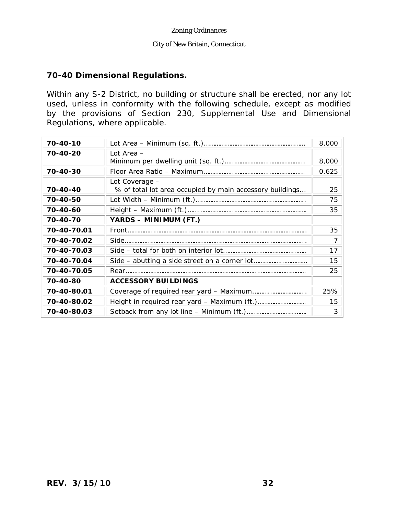## City of New Britain, Connecticut

# **70-40 Dimensional Regulations.**

Within any S-2 District, no building or structure shall be erected, nor any lot used, unless in conformity with the following schedule, except as modified by the provisions of Section 230, Supplemental Use and Dimensional Regulations, where applicable.

| 70-40-10    |                                                                            | 8,000 |
|-------------|----------------------------------------------------------------------------|-------|
| 70-40-20    | Lot Area -                                                                 | 8,000 |
| 70-40-30    |                                                                            | 0.625 |
| 70-40-40    | Lot Coverage -<br>% of total lot area occupied by main accessory buildings | 25    |
| 70-40-50    |                                                                            | 75    |
| 70-40-60    |                                                                            | 35    |
| 70-40-70    | YARDS - MINIMUM (FT.)                                                      |       |
| 70-40-70.01 |                                                                            | 35    |
| 70-40-70.02 |                                                                            | 7     |
| 70-40-70.03 |                                                                            | 17    |
| 70-40-70.04 |                                                                            | 15    |
| 70-40-70.05 |                                                                            | 25    |
| 70-40-80    | <b>ACCESSORY BUILDINGS</b>                                                 |       |
| 70-40-80.01 |                                                                            | 25%   |
| 70-40-80.02 |                                                                            | 15    |
| 70-40-80.03 |                                                                            | 3     |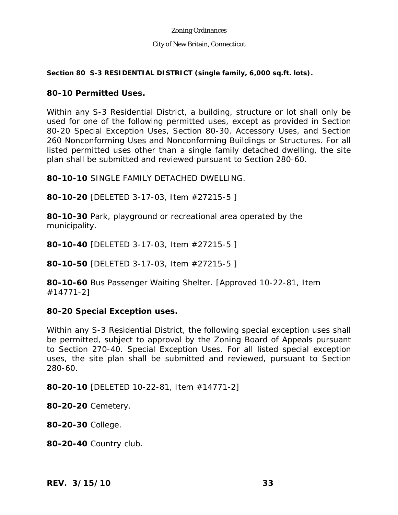## City of New Britain, Connecticut

## **Section 80 S-3 RESIDENTIAL DISTRICT (single family, 6,000 sq.ft. lots).**

# **80-10 Permitted Uses.**

Within any S-3 Residential District, a building, structure or lot shall only be used for one of the following permitted uses, except as provided in Section 80-20 Special Exception Uses, Section 80-30. Accessory Uses, and Section 260 Nonconforming Uses and Nonconforming Buildings or Structures. For all listed permitted uses other than a single family detached dwelling, the site plan shall be submitted and reviewed pursuant to Section 280-60.

**80-10-10** SINGLE FAMILY DETACHED DWELLING.

**80-10-20** [DELETED 3-17-03, Item #27215-5 ]

**80-10-30** Park, playground or recreational area operated by the municipality.

**80-10-40** [DELETED 3-17-03, Item #27215-5 ]

**80-10-50** [DELETED 3-17-03, Item #27215-5 ]

**80-10-60** Bus Passenger Waiting Shelter. [Approved 10-22-81, Item #14771-2]

# **80-20 Special Exception uses.**

Within any S-3 Residential District, the following special exception uses shall be permitted, subject to approval by the Zoning Board of Appeals pursuant to Section 270-40. Special Exception Uses. For all listed special exception uses, the site plan shall be submitted and reviewed, pursuant to Section 280-60.

**80-20-10** [DELETED 10-22-81, Item #14771-2]

**80-20-20** Cemetery.

**80-20-30** College.

**80-20-40** Country club.

*REV. 3/15/10* **33**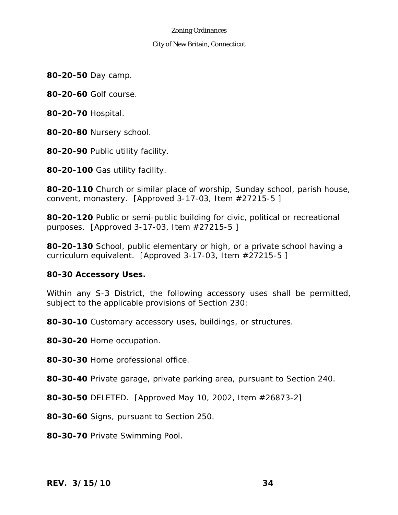## City of New Britain, Connecticut

**80-20-50** Day camp.

**80-20-60** Golf course.

**80-20-70** Hospital.

- **80-20-80** Nursery school.
- **80-20-90** Public utility facility.

**80-20-100** Gas utility facility.

**80-20-110** Church or similar place of worship, Sunday school, parish house, convent, monastery. [Approved 3-17-03, Item #27215-5 ]

**80-20-120** Public or semi-public building for civic, political or recreational purposes. [Approved 3-17-03, Item #27215-5 ]

**80-20-130** School, public elementary or high, or a private school having a curriculum equivalent. [Approved 3-17-03, Item #27215-5 ]

## **80-30 Accessory Uses.**

Within any S-3 District, the following accessory uses shall be permitted, subject to the applicable provisions of Section 230:

**80-30-10** Customary accessory uses, buildings, or structures.

**80-30-20** Home occupation.

**80-30-30** Home professional office.

**80-30-40** Private garage, private parking area, pursuant to Section 240.

**80-30-50** DELETED. [Approved May 10, 2002, Item #26873-2]

**80-30-60** Signs, pursuant to Section 250.

**80-30-70** Private Swimming Pool.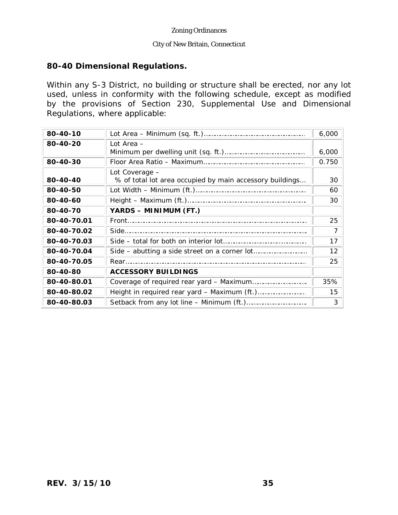## City of New Britain, Connecticut

# **80-40 Dimensional Regulations.**

Within any S-3 District, no building or structure shall be erected, nor any lot used, unless in conformity with the following schedule, except as modified by the provisions of Section 230, Supplemental Use and Dimensional Regulations, where applicable:

| 80-40-10    |                                                                            | 6,000 |
|-------------|----------------------------------------------------------------------------|-------|
| 80-40-20    | Lot Area -                                                                 | 6,000 |
| 80-40-30    |                                                                            | 0.750 |
| 80-40-40    | Lot Coverage -<br>% of total lot area occupied by main accessory buildings | 30    |
| 80-40-50    |                                                                            | 60    |
| 80-40-60    |                                                                            | 30    |
| 80-40-70    | YARDS - MINIMUM (FT.)                                                      |       |
| 80-40-70.01 |                                                                            | 25    |
| 80-40-70.02 |                                                                            | 7     |
| 80-40-70.03 |                                                                            | 17    |
| 80-40-70.04 |                                                                            | 12    |
| 80-40-70.05 |                                                                            | 25    |
| 80-40-80    | <b>ACCESSORY BUILDINGS</b>                                                 |       |
| 80-40-80.01 |                                                                            | 35%   |
| 80-40-80.02 |                                                                            | 15    |
| 80-40-80.03 |                                                                            | 3     |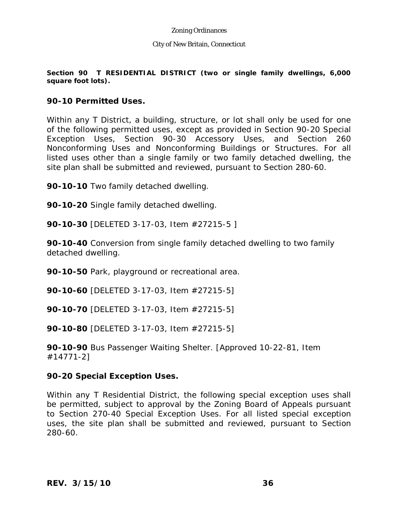## City of New Britain, Connecticut

## **Section 90 T RESIDENTIAL DISTRICT (two or single family dwellings, 6,000 square foot lots).**

## **90-10 Permitted Uses.**

Within any T District, a building, structure, or lot shall only be used for one of the following permitted uses, except as provided in Section 90-20 Special Exception Uses, Section 90-30 Accessory Uses, and Section 260 Nonconforming Uses and Nonconforming Buildings or Structures. For all listed uses other than a single family or two family detached dwelling, the site plan shall be submitted and reviewed, pursuant to Section 280-60.

**90-10-10** Two family detached dwelling.

**90-10-20** Single family detached dwelling.

**90-10-30** [DELETED 3-17-03, Item #27215-5 ]

**90-10-40** Conversion from single family detached dwelling to two family detached dwelling.

**90-10-50** Park, playground or recreational area.

**90-10-60** [DELETED 3-17-03, Item #27215-5]

**90-10-70** [DELETED 3-17-03, Item #27215-5]

**90-10-80** [DELETED 3-17-03, Item #27215-5]

**90-10-90** Bus Passenger Waiting Shelter. [Approved 10-22-81, Item #14771-2]

## **90-20 Special Exception Uses.**

Within any T Residential District, the following special exception uses shall be permitted, subject to approval by the Zoning Board of Appeals pursuant to Section 270-40 Special Exception Uses. For all listed special exception uses, the site plan shall be submitted and reviewed, pursuant to Section 280-60.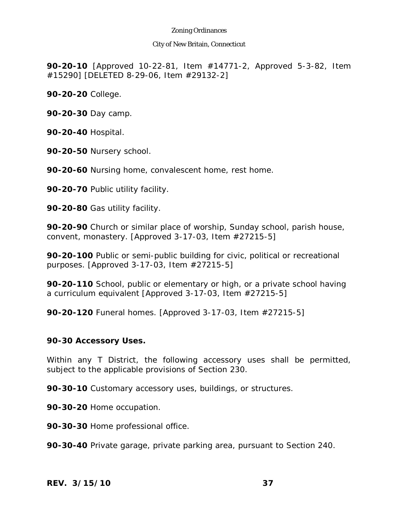### City of New Britain, Connecticut

**90-20-10** [Approved 10-22-81, Item #14771-2, Approved 5-3-82, Item #15290] [DELETED 8-29-06, Item #29132-2]

**90-20-20** College.

**90-20-30** Day camp.

**90-20-40** Hospital.

**90-20-50** Nursery school.

**90-20-60** Nursing home, convalescent home, rest home.

**90-20-70** Public utility facility.

**90-20-80** Gas utility facility.

**90-20-90** Church or similar place of worship, Sunday school, parish house, convent, monastery. [Approved 3-17-03, Item #27215-5]

**90-20-100** Public or semi-public building for civic, political or recreational purposes. [Approved 3-17-03, Item #27215-5]

**90-20-110** School, public or elementary or high, or a private school having a curriculum equivalent [Approved 3-17-03, Item #27215-5]

**90-20-120** Funeral homes. [Approved 3-17-03, Item #27215-5]

## **90-30 Accessory Uses.**

Within any T District, the following accessory uses shall be permitted, subject to the applicable provisions of Section 230.

**90-30-10** Customary accessory uses, buildings, or structures.

**90-30-20** Home occupation.

**90-30-30** Home professional office.

**90-30-40** Private garage, private parking area, pursuant to Section 240.

*REV. 3/15/10* **37**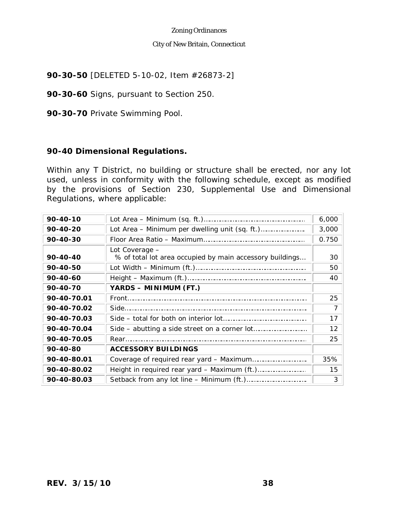### City of New Britain, Connecticut

**90-30-50** [DELETED 5-10-02, Item #26873-2]

**90-30-60** Signs, pursuant to Section 250.

**90-30-70** Private Swimming Pool.

# **90-40 Dimensional Regulations.**

Within any T District, no building or structure shall be erected, nor any lot used, unless in conformity with the following schedule, except as modified by the provisions of Section 230, Supplemental Use and Dimensional Regulations, where applicable:

| 90-40-10    |                                                                            | 6,000 |
|-------------|----------------------------------------------------------------------------|-------|
| 90-40-20    |                                                                            | 3,000 |
| 90-40-30    |                                                                            | 0.750 |
| 90-40-40    | Lot Coverage -<br>% of total lot area occupied by main accessory buildings | 30    |
| 90-40-50    |                                                                            | 50    |
| 90-40-60    |                                                                            | 40    |
| 90-40-70    | YARDS - MINIMUM (FT.)                                                      |       |
| 90-40-70.01 |                                                                            | 25    |
| 90-40-70.02 |                                                                            | 7     |
| 90-40-70.03 |                                                                            | 17    |
| 90-40-70.04 |                                                                            | 12    |
| 90-40-70.05 |                                                                            | 25    |
| 90-40-80    | <b>ACCESSORY BUILDINGS</b>                                                 |       |
| 90-40-80.01 |                                                                            | 35%   |
| 90-40-80.02 |                                                                            | 15    |
| 90-40-80.03 |                                                                            | 3     |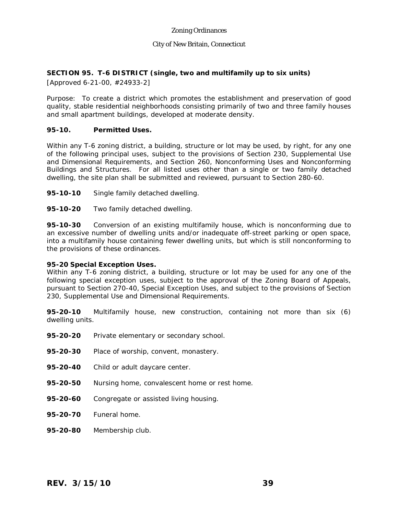### **SECTION 95. T-6 DISTRICT (single, two and multifamily up to six units)**

[Approved 6-21-00, #24933-2]

Purpose: To create a district which promotes the establishment and preservation of good quality, stable residential neighborhoods consisting primarily of two and three family houses and small apartment buildings, developed at moderate density.

#### **95-10. Permitted Uses.**

Within any T-6 zoning district, a building, structure or lot may be used, by right, for any one of the following principal uses, subject to the provisions of Section 230, Supplemental Use and Dimensional Requirements, and Section 260, Nonconforming Uses and Nonconforming Buildings and Structures. For all listed uses other than a single or two family detached dwelling, the site plan shall be submitted and reviewed, pursuant to Section 280-60.

- **95-10-10** Single family detached dwelling.
- **95-10-20** Two family detached dwelling.

**95-10-30** Conversion of an existing multifamily house, which is nonconforming due to an excessive number of dwelling units and/or inadequate off-street parking or open space, into a multifamily house containing fewer dwelling units, but which is still nonconforming to the provisions of these ordinances.

#### **95-20 Special Exception Uses.**

Within any T-6 zoning district, a building, structure or lot may be used for any one of the following special exception uses, subject to the approval of the Zoning Board of Appeals, pursuant to Section 270-40, Special Exception Uses, and subject to the provisions of Section 230, Supplemental Use and Dimensional Requirements.

**95-20-10** Multifamily house, new construction, containing not more than six (6) dwelling units.

- **95-20-20** Private elementary or secondary school.
- **95-20-30** Place of worship, convent, monastery.
- **95-20-40** Child or adult daycare center.
- **95-20-50** Nursing home, convalescent home or rest home.
- **95-20-60** Congregate or assisted living housing.
- **95-20-70** Funeral home.
- **95-20-80** Membership club.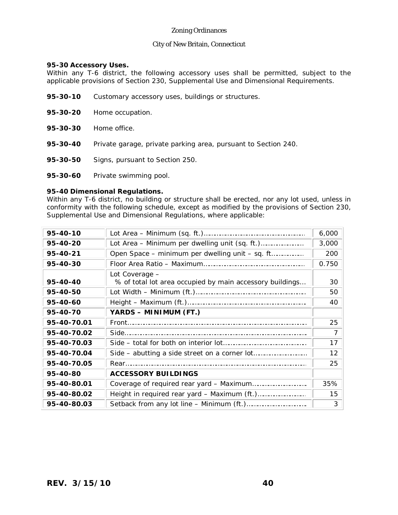#### **95-30 Accessory Uses.**

Within any T-6 district, the following accessory uses shall be permitted, subject to the applicable provisions of Section 230, Supplemental Use and Dimensional Requirements.

- **95-30-10** Customary accessory uses, buildings or structures.
- **95-30-20** Home occupation.
- **95-30-30** Home office.
- **95-30-40** Private garage, private parking area, pursuant to Section 240.
- **95-30-50** Signs, pursuant to Section 250.
- **95-30-60** Private swimming pool.

#### **95-40 Dimensional Regulations.**

Within any T-6 district, no building or structure shall be erected, nor any lot used, unless in conformity with the following schedule, except as modified by the provisions of Section 230, Supplemental Use and Dimensional Regulations, where applicable:

| 95-40-10    |                                                          | 6,000 |
|-------------|----------------------------------------------------------|-------|
| 95-40-20    |                                                          | 3,000 |
| 95-40-21    | Open Space – minimum per dwelling unit – sq. ft          | 200   |
| 95-40-30    |                                                          | 0.750 |
|             | Lot Coverage -                                           |       |
| 95-40-40    | % of total lot area occupied by main accessory buildings | 30    |
| 95-40-50    |                                                          | 50    |
| 95-40-60    |                                                          | 40    |
| 95-40-70    | YARDS - MINIMUM (FT.)                                    |       |
| 95-40-70.01 |                                                          | 25    |
| 95-40-70.02 |                                                          |       |
| 95-40-70.03 |                                                          | 17    |
| 95-40-70.04 |                                                          | 12    |
| 95-40-70.05 |                                                          | 25    |
| 95-40-80    | <b>ACCESSORY BUILDINGS</b>                               |       |
| 95-40-80.01 |                                                          | 35%   |
| 95-40-80.02 |                                                          | 15    |
| 95-40-80.03 |                                                          | 3     |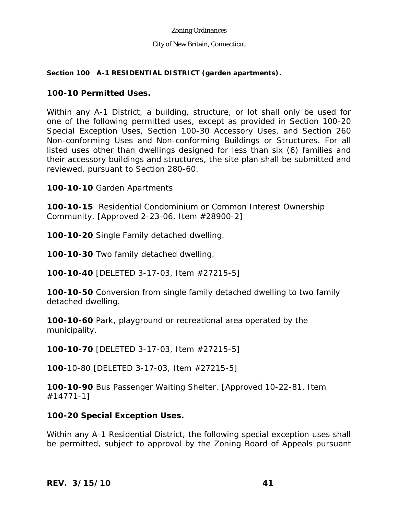#### City of New Britain, Connecticut

### **Section 100 A-1 RESIDENTIAL DISTRICT (garden apartments).**

## **100-10 Permitted Uses.**

Within any A-1 District, a building, structure, or lot shall only be used for one of the following permitted uses, except as provided in Section 100-20 Special Exception Uses, Section 100-30 Accessory Uses, and Section 260 Non-conforming Uses and Non-conforming Buildings or Structures. For all listed uses other than dwellings designed for less than six (6) families and their accessory buildings and structures, the site plan shall be submitted and reviewed, pursuant to Section 280-60.

**100-10-10** Garden Apartments

**100-10-15** Residential Condominium or Common Interest Ownership Community. [Approved 2-23-06, Item #28900-2]

**100-10-20** Single Family detached dwelling.

**100-10-30** Two family detached dwelling.

**100-10-40** [DELETED 3-17-03, Item #27215-5]

**100-10-50** Conversion from single family detached dwelling to two family detached dwelling.

**100-10-60** Park, playground or recreational area operated by the municipality.

**100-10-70** [DELETED 3-17-03, Item #27215-5]

**100-**10-80 [DELETED 3-17-03, Item #27215-5]

**100-10-90** Bus Passenger Waiting Shelter. [Approved 10-22-81, Item #14771-1]

# **100-20 Special Exception Uses.**

Within any A-1 Residential District, the following special exception uses shall be permitted, subject to approval by the Zoning Board of Appeals pursuant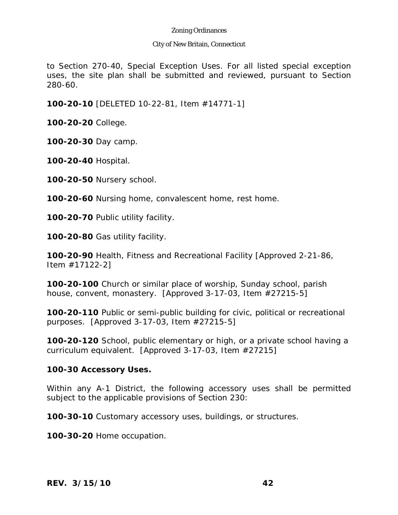### City of New Britain, Connecticut

to Section 270-40, Special Exception Uses. For all listed special exception uses, the site plan shall be submitted and reviewed, pursuant to Section 280-60.

**100-20-10** [DELETED 10-22-81, Item #14771-1]

**100-20-20** College.

**100-20-30** Day camp.

**100-20-40** Hospital.

**100-20-50** Nursery school.

**100-20-60** Nursing home, convalescent home, rest home.

**100-20-70** Public utility facility.

**100-20-80** Gas utility facility.

**100-20-90** Health, Fitness and Recreational Facility [Approved 2-21-86, Item #17122-2]

**100-20-100** Church or similar place of worship, Sunday school, parish house, convent, monastery. [Approved 3-17-03, Item #27215-5]

**100-20-110** Public or semi-public building for civic, political or recreational purposes. [Approved 3-17-03, Item #27215-5]

**100-20-120** School, public elementary or high, or a private school having a curriculum equivalent. [Approved 3-17-03, Item #27215]

## **100-30 Accessory Uses.**

Within any A-1 District, the following accessory uses shall be permitted subject to the applicable provisions of Section 230:

**100-30-10** Customary accessory uses, buildings, or structures.

**100-30-20** Home occupation.

*REV. 3/15/10* **42**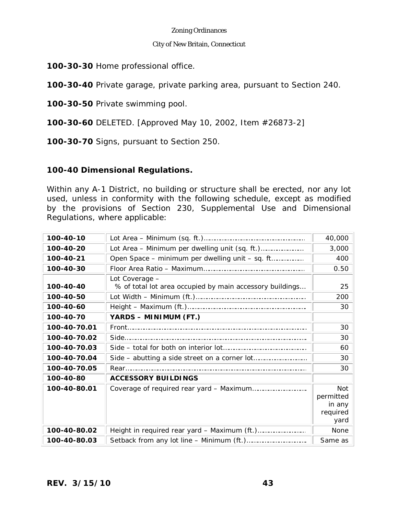#### City of New Britain, Connecticut

**100-30-30** Home professional office.

**100-30-40** Private garage, private parking area, pursuant to Section 240.

**100-30-50** Private swimming pool.

**100-30-60** DELETED. [Approved May 10, 2002, Item #26873-2]

**100-30-70** Signs, pursuant to Section 250.

## **100-40 Dimensional Regulations.**

Within any A-1 District, no building or structure shall be erected, nor any lot used, unless in conformity with the following schedule, except as modified by the provisions of Section 230, Supplemental Use and Dimensional Regulations, where applicable:

| 100-40-10    |                                                                            | 40,000                                                |
|--------------|----------------------------------------------------------------------------|-------------------------------------------------------|
| 100-40-20    |                                                                            | 3,000                                                 |
| 100-40-21    | Open Space – minimum per dwelling unit – sq. ft                            | 400                                                   |
| 100-40-30    |                                                                            | 0.50                                                  |
| 100-40-40    | Lot Coverage -<br>% of total lot area occupied by main accessory buildings | 25                                                    |
| 100-40-50    |                                                                            | 200                                                   |
| 100-40-60    |                                                                            | 30                                                    |
| 100-40-70    | YARDS - MINIMUM (FT.)                                                      |                                                       |
| 100-40-70.01 |                                                                            | 30                                                    |
| 100-40-70.02 |                                                                            | 30                                                    |
| 100-40-70.03 |                                                                            | 60                                                    |
| 100-40-70.04 |                                                                            | 30                                                    |
| 100-40-70.05 |                                                                            | 30                                                    |
| 100-40-80    | <b>ACCESSORY BUILDINGS</b>                                                 |                                                       |
| 100-40-80.01 |                                                                            | <b>Not</b><br>permitted<br>in any<br>required<br>yard |
| 100-40-80.02 |                                                                            | <b>None</b>                                           |
| 100-40-80.03 |                                                                            | Same as                                               |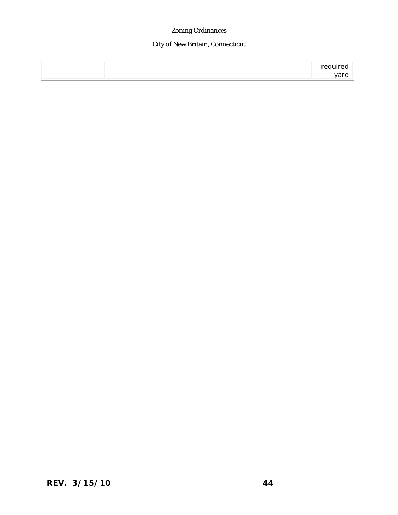# City of New Britain, Connecticut

|  | $-$ |
|--|-----|
|  |     |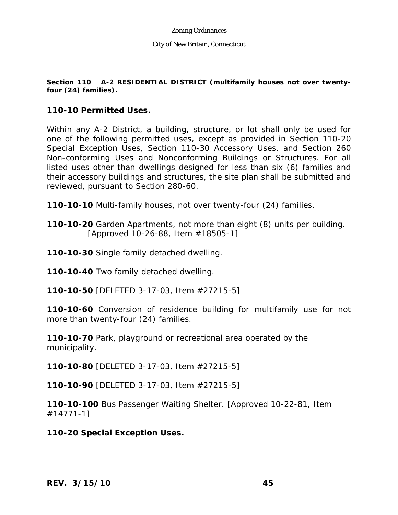### **Section 110 A-2 RESIDENTIAL DISTRICT (multifamily houses not over twentyfour (24) families).**

## **110-10 Permitted Uses.**

Within any A-2 District, a building, structure, or lot shall only be used for one of the following permitted uses, except as provided in Section 110-20 Special Exception Uses, Section 110-30 Accessory Uses, and Section 260 Non-conforming Uses and Nonconforming Buildings or Structures. For all listed uses other than dwellings designed for less than six (6) families and their accessory buildings and structures, the site plan shall be submitted and reviewed, pursuant to Section 280-60.

**110-10-10** Multi-family houses, not over twenty-four (24) families.

**110-10-20** Garden Apartments, not more than eight (8) units per building. [Approved 10-26-88, Item #18505-1]

**110-10-30** Single family detached dwelling.

**110-10-40** Two family detached dwelling.

**110-10-50** [DELETED 3-17-03, Item #27215-5]

**110-10-60** Conversion of residence building for multifamily use for not more than twenty-four (24) families.

**110-10-70** Park, playground or recreational area operated by the municipality.

**110-10-80** [DELETED 3-17-03, Item #27215-5]

**110-10-90** [DELETED 3-17-03, Item #27215-5]

**110-10-100** Bus Passenger Waiting Shelter. [Approved 10-22-81, Item #14771-1]

**110-20 Special Exception Uses.**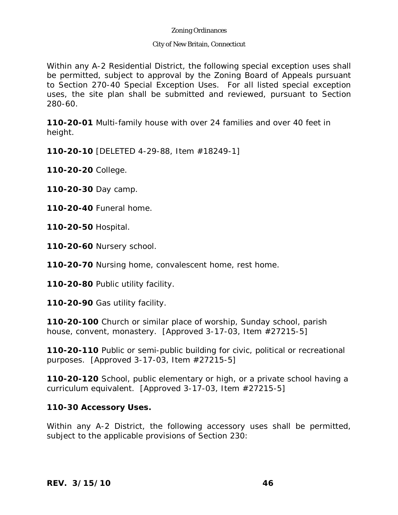### City of New Britain, Connecticut

Within any A-2 Residential District, the following special exception uses shall be permitted, subject to approval by the Zoning Board of Appeals pursuant to Section 270-40 Special Exception Uses. For all listed special exception uses, the site plan shall be submitted and reviewed, pursuant to Section 280-60.

**110-20-01** Multi-family house with over 24 families and over 40 feet in height.

**110-20-10** [DELETED 4-29-88, Item #18249-1]

**110-20-20** College.

**110-20-30** Day camp.

**110-20-40** Funeral home.

**110-20-50** Hospital.

**110-20-60** Nursery school.

**110-20-70** Nursing home, convalescent home, rest home.

**110-20-80** Public utility facility.

**110-20-90** Gas utility facility.

**110-20-100** Church or similar place of worship, Sunday school, parish house, convent, monastery. [Approved 3-17-03, Item #27215-5]

**110-20-110** Public or semi-public building for civic, political or recreational purposes. [Approved 3-17-03, Item #27215-5]

**110-20-120** School, public elementary or high, or a private school having a curriculum equivalent. [Approved 3-17-03, Item #27215-5]

## **110-30 Accessory Uses.**

Within any A-2 District, the following accessory uses shall be permitted, subject to the applicable provisions of Section 230: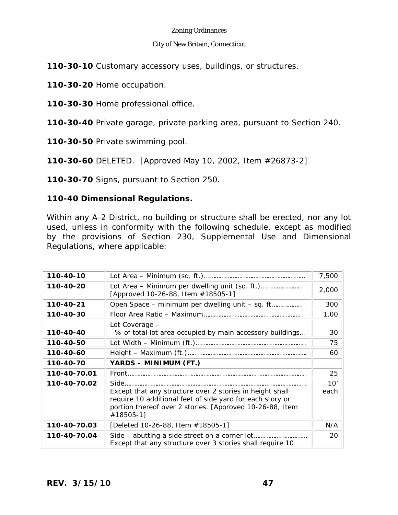### City of New Britain, Connecticut

**110-30-10** Customary accessory uses, buildings, or structures.

**110-30-20** Home occupation.

**110-30-30** Home professional office.

**110-30-40** Private garage, private parking area, pursuant to Section 240.

**110-30-50** Private swimming pool.

**110-30-60** DELETED. [Approved May 10, 2002, Item #26873-2]

**110-30-70** Signs, pursuant to Section 250.

# **110-40 Dimensional Regulations.**

Within any A-2 District, no building or structure shall be erected, nor any lot used, unless in conformity with the following schedule, except as modified by the provisions of Section 230, Supplemental Use and Dimensional Regulations, where applicable:

| 110-40-10    |                                                                                                                                                                                                        | 7,500       |
|--------------|--------------------------------------------------------------------------------------------------------------------------------------------------------------------------------------------------------|-------------|
| 110-40-20    | [Approved 10-26-88, Item #18505-1]                                                                                                                                                                     | 2,000       |
| 110-40-21    | Open Space – minimum per dwelling unit – sq. ft                                                                                                                                                        | 300         |
| 110-40-30    |                                                                                                                                                                                                        | 1.00        |
| 110-40-40    | Lot Coverage -<br>% of total lot area occupied by main accessory buildings                                                                                                                             | 30          |
| 110-40-50    |                                                                                                                                                                                                        | 75          |
| 110-40-60    |                                                                                                                                                                                                        | 60          |
| 110-40-70    | YARDS - MINIMUM (FT.)                                                                                                                                                                                  |             |
| 110-40-70.01 |                                                                                                                                                                                                        | 25          |
| 110-40-70.02 | Side<br>Except that any structure over 2 stories in height shall<br>require 10 additional feet of side yard for each story or<br>portion thereof over 2 stories. [Approved 10-26-88, Item<br>#18505-1] | 10'<br>each |
| 110-40-70.03 | [Deleted 10-26-88, Item #18505-1]                                                                                                                                                                      | N/A         |
| 110-40-70.04 | Except that any structure over 3 stories shall require 10                                                                                                                                              | 20          |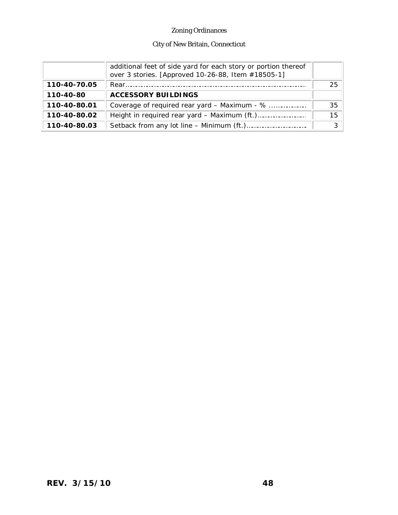# City of New Britain, Connecticut

|              | additional feet of side yard for each story or portion thereof<br>over 3 stories. [Approved 10-26-88, Item #18505-1] |    |
|--------------|----------------------------------------------------------------------------------------------------------------------|----|
| 110-40-70.05 |                                                                                                                      | 25 |
| 110-40-80    | <b>ACCESSORY BUILDINGS</b>                                                                                           |    |
| 110-40-80.01 | Coverage of required rear yard – Maximum - %                                                                         | 35 |
| 110-40-80.02 |                                                                                                                      | 15 |
| 110-40-80.03 |                                                                                                                      |    |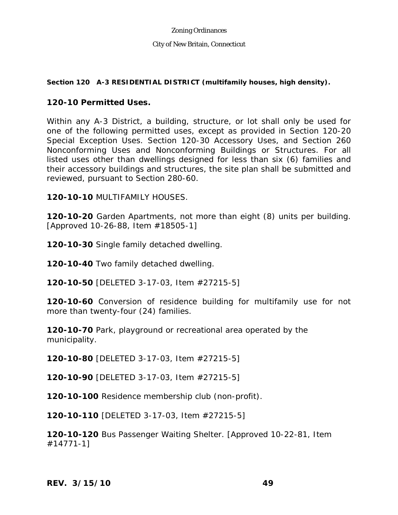## **Section 120 A-3 RESIDENTIAL DISTRICT (multifamily houses, high density).**

## **120-10 Permitted Uses.**

Within any A-3 District, a building, structure, or lot shall only be used for one of the following permitted uses, except as provided in Section 120-20 Special Exception Uses. Section 120-30 Accessory Uses, and Section 260 Nonconforming Uses and Nonconforming Buildings or Structures. For all listed uses other than dwellings designed for less than six (6) families and their accessory buildings and structures, the site plan shall be submitted and reviewed, pursuant to Section 280-60.

**120-10-10** MULTIFAMILY HOUSES.

**120-10-20** Garden Apartments, not more than eight (8) units per building. [Approved 10-26-88, Item #18505-1]

**120-10-30** Single family detached dwelling.

**120-10-40** Two family detached dwelling.

**120-10-50** [DELETED 3-17-03, Item #27215-5]

**120-10-60** Conversion of residence building for multifamily use for not more than twenty-four (24) families.

**120-10-70** Park, playground or recreational area operated by the municipality.

**120-10-80** [DELETED 3-17-03, Item #27215-5]

**120-10-90** [DELETED 3-17-03, Item #27215-5]

**120-10-100** Residence membership club (non-profit).

**120-10-110** [DELETED 3-17-03, Item #27215-5]

**120-10-120** Bus Passenger Waiting Shelter. [Approved 10-22-81, Item #14771-1]

*REV. 3/15/10* **49**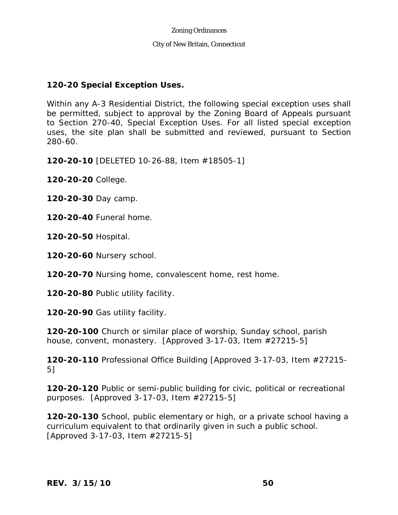## **120-20 Special Exception Uses.**

Within any A-3 Residential District, the following special exception uses shall be permitted, subject to approval by the Zoning Board of Appeals pursuant to Section 270-40, Special Exception Uses. For all listed special exception uses, the site plan shall be submitted and reviewed, pursuant to Section 280-60.

**120-20-10** [DELETED 10-26-88, Item #18505-1]

**120-20-20** College.

**120-20-30** Day camp.

**120-20-40** Funeral home.

**120-20-50** Hospital.

**120-20-60** Nursery school.

**120-20-70** Nursing home, convalescent home, rest home.

**120-20-80** Public utility facility.

**120-20-90** Gas utility facility.

**120-20-100** Church or similar place of worship, Sunday school, parish house, convent, monastery. [Approved 3-17-03, Item #27215-5]

**120-20-110** Professional Office Building [Approved 3-17-03, Item #27215- 5]

**120-20-120** Public or semi-public building for civic, political or recreational purposes. [Approved 3-17-03, Item #27215-5]

**120-20-130** School, public elementary or high, or a private school having a curriculum equivalent to that ordinarily given in such a public school. [Approved 3-17-03, Item #27215-5]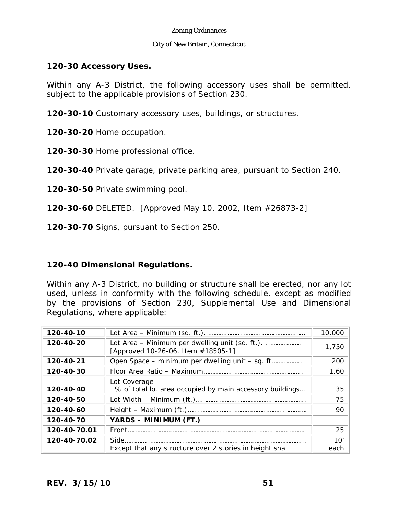### City of New Britain, Connecticut

## **120-30 Accessory Uses.**

Within any A-3 District, the following accessory uses shall be permitted, subject to the applicable provisions of Section 230.

**120-30-10** Customary accessory uses, buildings, or structures.

**120-30-20** Home occupation.

**120-30-30** Home professional office.

**120-30-40** Private garage, private parking area, pursuant to Section 240.

**120-30-50** Private swimming pool.

**120-30-60** DELETED. [Approved May 10, 2002, Item #26873-2]

**120-30-70** Signs, pursuant to Section 250.

# **120-40 Dimensional Regulations.**

Within any A-3 District, no building or structure shall be erected, nor any lot used, unless in conformity with the following schedule, except as modified by the provisions of Section 230, Supplemental Use and Dimensional Regulations, where applicable:

| 120-40-10    |                                                                                 | 10,000      |
|--------------|---------------------------------------------------------------------------------|-------------|
| 120-40-20    | [Approved 10-26-06, Item #18505-1]                                              | 1,750       |
| 120-40-21    | Open Space – minimum per dwelling unit – sq. ft                                 | 200         |
| 120-40-30    |                                                                                 | 1.60        |
| 120-40-40    | Lot Coverage -<br>% of total lot area occupied by main accessory buildings      | 35          |
| 120-40-50    |                                                                                 | 75          |
| 120-40-60    |                                                                                 | 90          |
| 120-40-70    | YARDS - MINIMUM (FT.)                                                           |             |
| 120-40-70.01 | Front                                                                           | 25          |
| 120-40-70.02 | $Side$ <sub>1</sub><br>Except that any structure over 2 stories in height shall | 10'<br>each |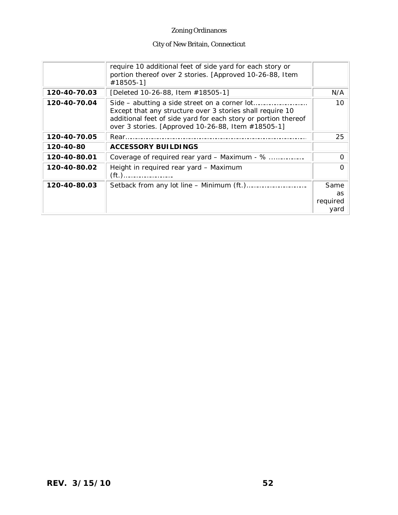# City of New Britain, Connecticut

|              | require 10 additional feet of side yard for each story or<br>portion thereof over 2 stories. [Approved 10-26-88, Item<br>#18505-1]                                                                                                 |                                |
|--------------|------------------------------------------------------------------------------------------------------------------------------------------------------------------------------------------------------------------------------------|--------------------------------|
| 120-40-70.03 | [Deleted 10-26-88, Item #18505-1]                                                                                                                                                                                                  | N/A                            |
| 120-40-70.04 | Side – abutting a side street on a corner lot<br>Except that any structure over 3 stories shall require 10<br>additional feet of side yard for each story or portion thereof<br>over 3 stories. [Approved 10-26-88, Item #18505-1] | 10                             |
| 120-40-70.05 |                                                                                                                                                                                                                                    | 25                             |
| 120-40-80    | <b>ACCESSORY BUILDINGS</b>                                                                                                                                                                                                         |                                |
| 120-40-80.01 | Coverage of required rear yard - Maximum - %                                                                                                                                                                                       |                                |
| 120-40-80.02 | Height in required rear yard - Maximum                                                                                                                                                                                             |                                |
| 120-40-80.03 |                                                                                                                                                                                                                                    | Same<br>as<br>required<br>vard |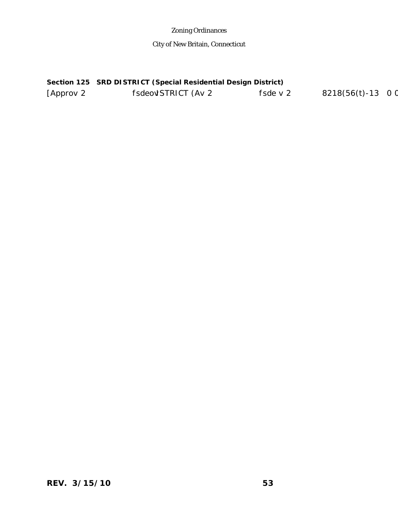City of New Britain, Connecticut

## **Section 125 SRD DISTRICT (Special Residential Design District)**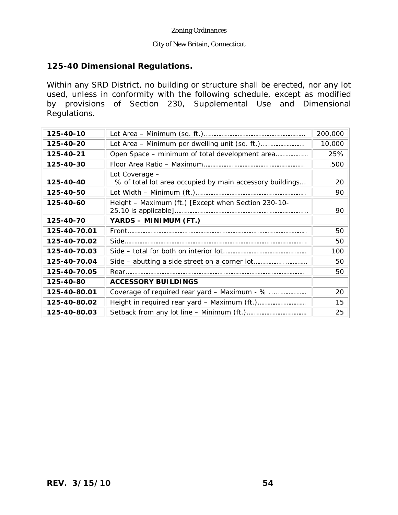# **125-40 Dimensional Regulations.**

Within any SRD District, no building or structure shall be erected, nor any lot used, unless in conformity with the following schedule, except as modified by provisions of Section 230, Supplemental Use and Dimensional Regulations.

| 125-40-10    |                                                                            | 200,000 |
|--------------|----------------------------------------------------------------------------|---------|
| 125-40-20    |                                                                            | 10,000  |
| 125-40-21    | Open Space - minimum of total development area                             | 25%     |
| 125-40-30    |                                                                            | .500    |
| 125-40-40    | Lot Coverage -<br>% of total lot area occupied by main accessory buildings | 20      |
| 125-40-50    |                                                                            | 90      |
| 125-40-60    | Height - Maximum (ft.) [Except when Section 230-10-                        | 90      |
| 125-40-70    | YARDS - MINIMUM (FT.)                                                      |         |
| 125-40-70.01 |                                                                            | 50      |
| 125-40-70.02 |                                                                            | 50      |
| 125-40-70.03 |                                                                            | 100     |
| 125-40-70.04 |                                                                            | 50      |
| 125-40-70.05 |                                                                            | 50      |
| 125-40-80    | <b>ACCESSORY BUILDINGS</b>                                                 |         |
| 125-40-80.01 | Coverage of required rear yard - Maximum - %                               | 20      |
| 125-40-80.02 |                                                                            | 15      |
| 125-40-80.03 |                                                                            | 25      |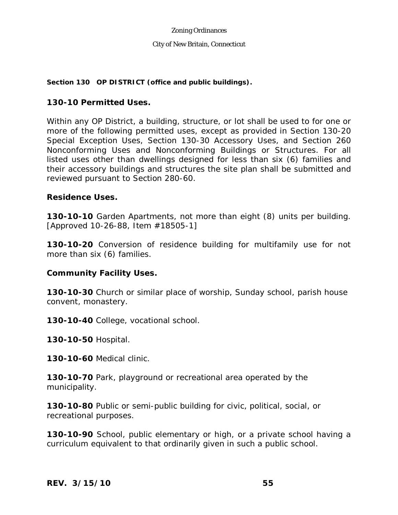## **Section 130 OP DISTRICT (office and public buildings).**

## **130-10 Permitted Uses.**

Within any OP District, a building, structure, or lot shall be used to for one or more of the following permitted uses, except as provided in Section 130-20 Special Exception Uses, Section 130-30 Accessory Uses, and Section 260 Nonconforming Uses and Nonconforming Buildings or Structures. For all listed uses other than dwellings designed for less than six (6) families and their accessory buildings and structures the site plan shall be submitted and reviewed pursuant to Section 280-60.

## **Residence Uses.**

**130-10-10** Garden Apartments, not more than eight (8) units per building. [Approved 10-26-88, Item #18505-1]

**130-10-20** Conversion of residence building for multifamily use for not more than six (6) families.

## **Community Facility Uses.**

**130-10-30** Church or similar place of worship, Sunday school, parish house convent, monastery.

**130-10-40** College, vocational school.

**130-10-50** Hospital.

**130-10-60** Medical clinic.

**130-10-70** Park, playground or recreational area operated by the municipality.

**130-10-80** Public or semi-public building for civic, political, social, or recreational purposes.

**130-10-90** School, public elementary or high, or a private school having a curriculum equivalent to that ordinarily given in such a public school.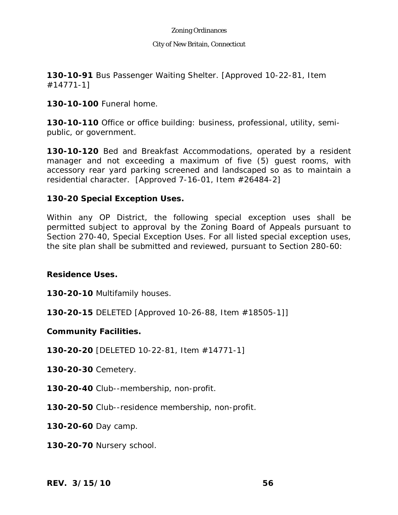#### City of New Britain, Connecticut

**130-10-91** Bus Passenger Waiting Shelter. [Approved 10-22-81, Item #14771-1]

**130-10-100** Funeral home.

**130-10-110** Office or office building: business, professional, utility, semipublic, or government.

**130-10-120** Bed and Breakfast Accommodations, operated by a resident manager and not exceeding a maximum of five (5) guest rooms, with accessory rear yard parking screened and landscaped so as to maintain a residential character. [Approved 7-16-01, Item #26484-2]

# **130-20 Special Exception Uses.**

Within any OP District, the following special exception uses shall be permitted subject to approval by the Zoning Board of Appeals pursuant to Section 270-40, Special Exception Uses. For all listed special exception uses, the site plan shall be submitted and reviewed, pursuant to Section 280-60:

## **Residence Uses.**

**130-20-10** Multifamily houses.

**130-20-15** DELETED [Approved 10-26-88, Item #18505-1]]

**Community Facilities.** 

**130-20-20** [DELETED 10-22-81, Item #14771-1]

**130-20-30** Cemetery.

**130-20-40** Club--membership, non-profit.

**130-20-50** Club--residence membership, non-profit.

**130-20-60** Day camp.

**130-20-70** Nursery school.

*REV. 3/15/10* **56**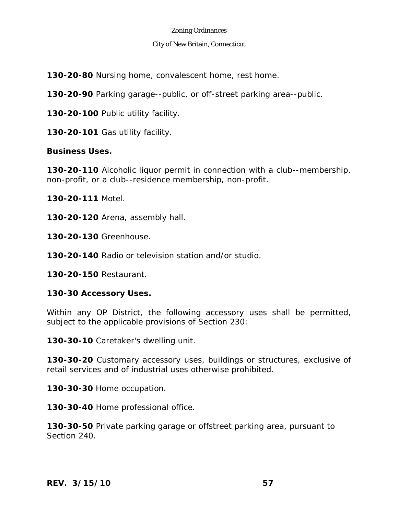### City of New Britain, Connecticut

**130-20-80** Nursing home, convalescent home, rest home.

**130-20-90** Parking garage--public, or off-street parking area--public.

**130-20-100** Public utility facility.

**130-20-101** Gas utility facility.

## **Business Uses.**

**130-20-110** Alcoholic liquor permit in connection with a club--membership, non-profit, or a club--residence membership, non-profit.

**130-20-111** Motel.

**130-20-120** Arena, assembly hall.

**130-20-130** Greenhouse.

**130-20-140** Radio or television station and/or studio.

**130-20-150** Restaurant.

## **130-30 Accessory Uses.**

Within any OP District, the following accessory uses shall be permitted, subject to the applicable provisions of Section 230:

**130-30-10** Caretaker's dwelling unit.

**130-30-20** Customary accessory uses, buildings or structures, exclusive of retail services and of industrial uses otherwise prohibited.

**130-30-30** Home occupation.

**130-30-40** Home professional office.

**130-30-50** Private parking garage or offstreet parking area, pursuant to Section 240.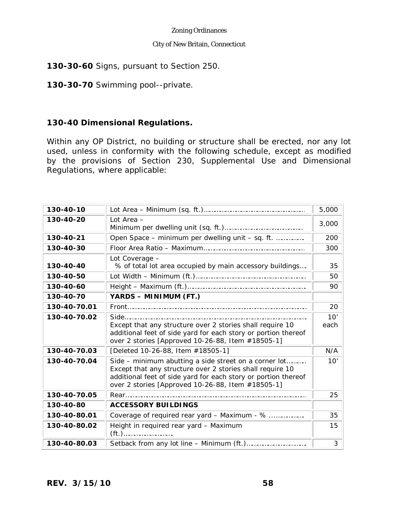#### City of New Britain, Connecticut

## **130-30-60** Signs, pursuant to Section 250.

**130-30-70** Swimming pool--private.

# **130-40 Dimensional Regulations.**

Within any OP District, no building or structure shall be erected, nor any lot used, unless in conformity with the following schedule, except as modified by the provisions of Section 230, Supplemental Use and Dimensional Regulations, where applicable:

| 130-40-10    |                                                                                                                                                                                                                                           | 5,000       |
|--------------|-------------------------------------------------------------------------------------------------------------------------------------------------------------------------------------------------------------------------------------------|-------------|
| 130-40-20    | Lot Area -                                                                                                                                                                                                                                | 3,000       |
| 130-40-21    | Open Space - minimum per dwelling unit - sq. ft.                                                                                                                                                                                          | 200         |
| 130-40-30    |                                                                                                                                                                                                                                           | 300         |
| 130-40-40    | Lot Coverage -<br>% of total lot area occupied by main accessory buildings                                                                                                                                                                | 35          |
| 130-40-50    |                                                                                                                                                                                                                                           | 50          |
| 130-40-60    |                                                                                                                                                                                                                                           | 90          |
| 130-40-70    | YARDS - MINIMUM (FT.)                                                                                                                                                                                                                     |             |
| 130-40-70.01 |                                                                                                                                                                                                                                           | 20          |
| 130-40-70.02 | Except that any structure over 2 stories shall require 10<br>additional feet of side yard for each story or portion thereof<br>over 2 stories [Approved 10-26-88, Item #18505-1]                                                          | 10'<br>each |
| 130-40-70.03 | [Deleted 10-26-88, Item #18505-1]                                                                                                                                                                                                         | N/A         |
| 130-40-70.04 | Side – minimum abutting a side street on a corner lot<br>Except that any structure over 2 stories shall require 10<br>additional feet of side yard for each story or portion thereof<br>over 2 stories [Approved 10-26-88, Item #18505-1] | 10'         |
| 130-40-70.05 |                                                                                                                                                                                                                                           | 25          |
| 130-40-80    | <b>ACCESSORY BUILDINGS</b>                                                                                                                                                                                                                |             |
| 130-40-80.01 | Coverage of required rear yard - Maximum - %                                                                                                                                                                                              | 35          |
| 130-40-80.02 | Height in required rear yard - Maximum                                                                                                                                                                                                    | 15          |
| 130-40-80.03 |                                                                                                                                                                                                                                           | 3           |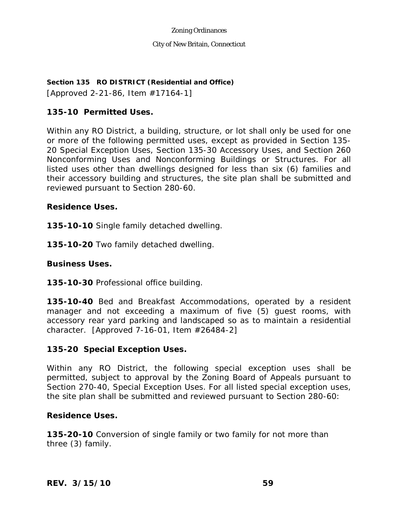# **Section 135 RO DISTRICT (Residential and Office)**

[Approved 2-21-86, Item #17164-1]

# **135-10 Permitted Uses.**

Within any RO District, a building, structure, or lot shall only be used for one or more of the following permitted uses, except as provided in Section 135- 20 Special Exception Uses, Section 135-30 Accessory Uses, and Section 260 Nonconforming Uses and Nonconforming Buildings or Structures. For all listed uses other than dwellings designed for less than six (6) families and their accessory building and structures, the site plan shall be submitted and reviewed pursuant to Section 280-60.

# **Residence Uses.**

**135-10-10** Single family detached dwelling.

**135-10-20** Two family detached dwelling.

## **Business Uses.**

**135-10-30** Professional office building.

**135-10-40** Bed and Breakfast Accommodations, operated by a resident manager and not exceeding a maximum of five (5) guest rooms, with accessory rear yard parking and landscaped so as to maintain a residential character. [Approved 7-16-01, Item #26484-2]

# **135-20 Special Exception Uses.**

Within any RO District, the following special exception uses shall be permitted, subject to approval by the Zoning Board of Appeals pursuant to Section 270-40, Special Exception Uses. For all listed special exception uses, the site plan shall be submitted and reviewed pursuant to Section 280-60:

## **Residence Uses.**

**135-20-10** Conversion of single family or two family for not more than three (3) family.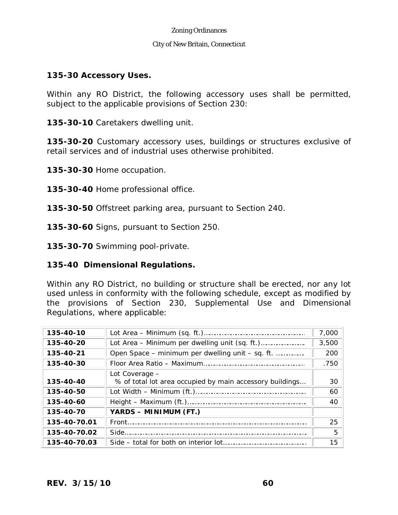### City of New Britain, Connecticut

## **135-30 Accessory Uses.**

Within any RO District, the following accessory uses shall be permitted, subject to the applicable provisions of Section 230:

**135-30-10** Caretakers dwelling unit.

**135-30-20** Customary accessory uses, buildings or structures exclusive of retail services and of industrial uses otherwise prohibited.

**135-30-30** Home occupation.

**135-30-40** Home professional office.

**135-30-50** Offstreet parking area, pursuant to Section 240.

**135-30-60** Signs, pursuant to Section 250.

**135-30-70** Swimming pool-private.

# **135-40 Dimensional Regulations.**

Within any RO District, no building or structure shall be erected, nor any lot used unless in conformity with the following schedule, except as modified by the provisions of Section 230, Supplemental Use and Dimensional Regulations, where applicable:

| 135-40-10    |                                                          | 7,000 |
|--------------|----------------------------------------------------------|-------|
| 135-40-20    |                                                          | 3,500 |
| 135-40-21    | Open Space – minimum per dwelling unit – sq. ft.         | 200   |
| 135-40-30    |                                                          | .750  |
|              | Lot Coverage -                                           |       |
| 135-40-40    | % of total lot area occupied by main accessory buildings | 30    |
| 135-40-50    |                                                          | 60    |
| 135-40-60    |                                                          | 40    |
| 135-40-70    | YARDS - MINIMUM (FT.)                                    |       |
| 135-40-70.01 |                                                          | 25    |
| 135-40-70.02 |                                                          | 5     |
| 135-40-70.03 |                                                          | 15    |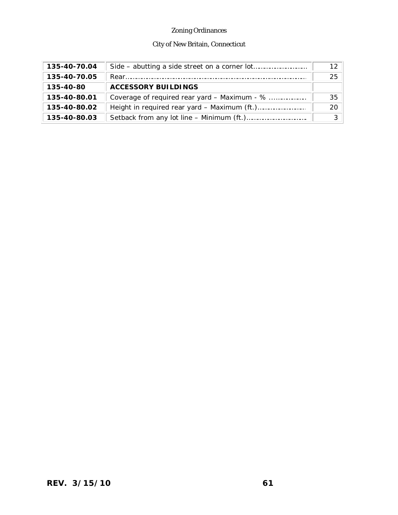# City of New Britain, Connecticut

| 135-40-70.04 |                                              |    |
|--------------|----------------------------------------------|----|
| 135-40-70.05 |                                              | 25 |
| 135-40-80    | <b>ACCESSORY BUILDINGS</b>                   |    |
| 135-40-80.01 | Coverage of required rear yard – Maximum - % | 35 |
| 135-40-80.02 |                                              | 20 |
| 135-40-80.03 |                                              |    |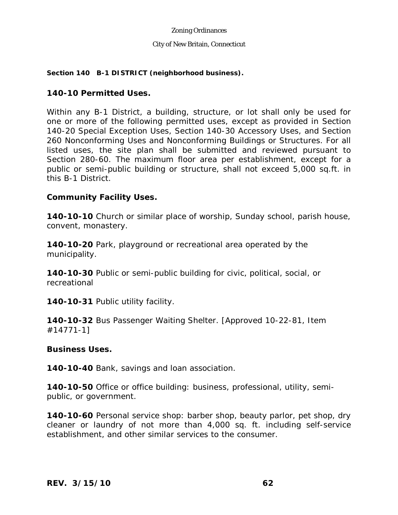#### City of New Britain, Connecticut

### **Section 140 B-1 DISTRICT (neighborhood business).**

## **140-10 Permitted Uses.**

Within any B-1 District, a building, structure, or lot shall only be used for one or more of the following permitted uses, except as provided in Section 140-20 Special Exception Uses, Section 140-30 Accessory Uses, and Section 260 Nonconforming Uses and Nonconforming Buildings or Structures. For all listed uses, the site plan shall be submitted and reviewed pursuant to Section 280-60. The maximum floor area per establishment, except for a public or semi-public building or structure, shall not exceed 5,000 sq.ft. in this B-1 District.

## **Community Facility Uses.**

**140-10-10** Church or similar place of worship, Sunday school, parish house, convent, monastery.

**140-10-20** Park, playground or recreational area operated by the municipality.

**140-10-30** Public or semi-public building for civic, political, social, or recreational

**140-10-31** Public utility facility.

**140-10-32** Bus Passenger Waiting Shelter. [Approved 10-22-81, Item #14771-1]

## **Business Uses.**

**140-10-40** Bank, savings and loan association.

**140-10-50** Office or office building: business, professional, utility, semipublic, or government.

**140-10-60** Personal service shop: barber shop, beauty parlor, pet shop, dry cleaner or laundry of not more than 4,000 sq. ft. including self-service establishment, and other similar services to the consumer.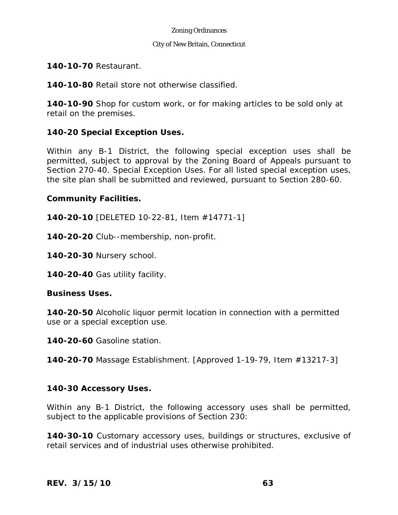### City of New Britain, Connecticut

# **140-10-70** Restaurant.

**140-10-80** Retail store not otherwise classified.

**140-10-90** Shop for custom work, or for making articles to be sold only at retail on the premises.

# **140-20 Special Exception Uses.**

Within any B-1 District, the following special exception uses shall be permitted, subject to approval by the Zoning Board of Appeals pursuant to Section 270-40. Special Exception Uses. For all listed special exception uses, the site plan shall be submitted and reviewed, pursuant to Section 280-60.

# **Community Facilities.**

**140-20-10** [DELETED 10-22-81, Item #14771-1]

**140-20-20** Club--membership, non-profit.

**140-20-30** Nursery school.

**140-20-40** Gas utility facility.

## **Business Uses.**

**140-20-50** Alcoholic liquor permit location in connection with a permitted use or a special exception use.

**140-20-60** Gasoline station.

**140-20-70** Massage Establishment. [Approved 1-19-79, Item #13217-3]

# **140-30 Accessory Uses.**

Within any B-1 District, the following accessory uses shall be permitted, subject to the applicable provisions of Section 230:

**140-30-10** Customary accessory uses, buildings or structures, exclusive of retail services and of industrial uses otherwise prohibited.

*REV. 3/15/10* **63**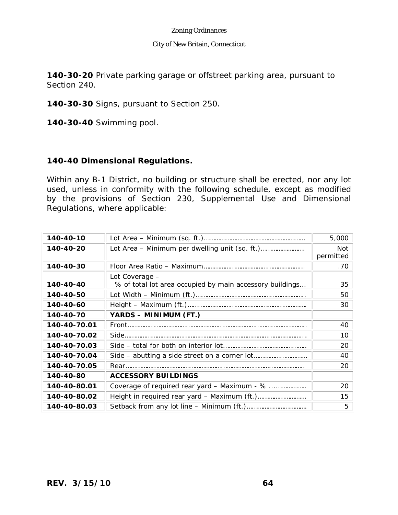### City of New Britain, Connecticut

**140-30-20** Private parking garage or offstreet parking area, pursuant to Section 240.

**140-30-30** Signs, pursuant to Section 250.

**140-30-40** Swimming pool.

# **140-40 Dimensional Regulations.**

Within any B-1 District, no building or structure shall be erected, nor any lot used, unless in conformity with the following schedule, except as modified by the provisions of Section 230, Supplemental Use and Dimensional Regulations, where applicable:

| 140-40-10    |                                                                            | 5,000            |
|--------------|----------------------------------------------------------------------------|------------------|
| 140-40-20    |                                                                            | Not<br>permitted |
| 140-40-30    |                                                                            | .70              |
| 140-40-40    | Lot Coverage -<br>% of total lot area occupied by main accessory buildings | 35               |
| 140-40-50    |                                                                            | 50               |
| 140-40-60    |                                                                            | 30               |
| 140-40-70    | YARDS - MINIMUM (FT.)                                                      |                  |
| 140-40-70.01 |                                                                            | 40               |
| 140-40-70.02 |                                                                            | 10               |
| 140-40-70.03 |                                                                            | 20               |
| 140-40-70.04 |                                                                            | 40               |
| 140-40-70.05 |                                                                            | 20               |
| 140-40-80    | <b>ACCESSORY BUILDINGS</b>                                                 |                  |
| 140-40-80.01 | Coverage of required rear yard - Maximum - %                               | 20               |
| 140-40-80.02 |                                                                            | 15               |
| 140-40-80.03 |                                                                            | 5                |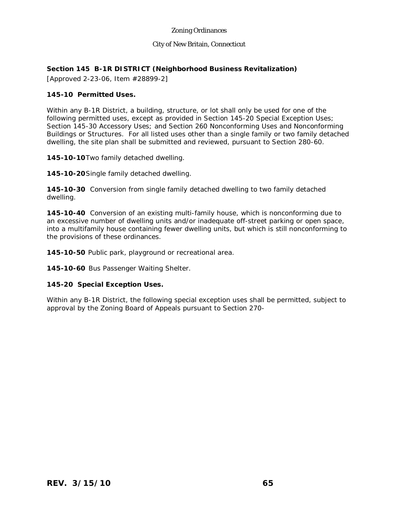#### City of New Britain, Connecticut

#### **Section 145 B-1R DISTRICT (Neighborhood Business Revitalization)**

[Approved 2-23-06, Item #28899-2]

#### **145-10 Permitted Uses.**

Within any B-1R District, a building, structure, or lot shall only be used for one of the following permitted uses, except as provided in Section 145-20 Special Exception Uses; Section 145-30 Accessory Uses; and Section 260 Nonconforming Uses and Nonconforming Buildings or Structures. For all listed uses other than a single family or two family detached dwelling, the site plan shall be submitted and reviewed, pursuant to Section 280-60.

**145-10-10**Two family detached dwelling.

**145-10-20**Single family detached dwelling.

**145-10-30** Conversion from single family detached dwelling to two family detached dwelling.

**145-10-40** Conversion of an existing multi-family house, which is nonconforming due to an excessive number of dwelling units and/or inadequate off-street parking or open space, into a multifamily house containing fewer dwelling units, but which is still nonconforming to the provisions of these ordinances.

**145-10-50** Public park, playground or recreational area.

**145-10-60** Bus Passenger Waiting Shelter.

#### **145-20 Special Exception Uses.**

Within any B-1R District, the following special exception uses shall be permitted, subject to approval by the Zoning Board of Appeals pursuant to Section 270-4d n -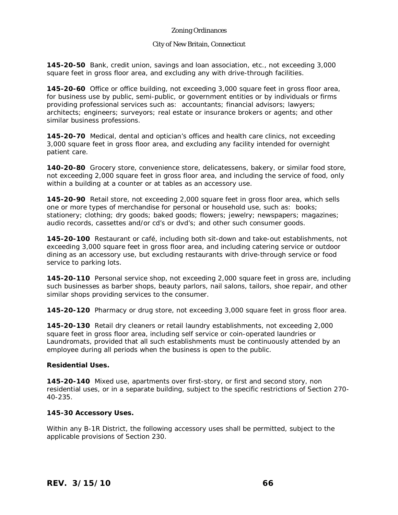#### City of New Britain, Connecticut

**145-20-50** Bank, credit union, savings and loan association, etc., not exceeding 3,000 square feet in gross floor area, and excluding any with drive-through facilities.

**145-20-60** Office or office building, not exceeding 3,000 square feet in gross floor area, for business use by public, semi-public, or government entities or by individuals or firms providing professional services such as: accountants; financial advisors; lawyers; architects; engineers; surveyors; real estate or insurance brokers or agents; and other similar business professions.

**145-20-70** Medical, dental and optician's offices and health care clinics, not exceeding 3,000 square feet in gross floor area, and excluding any facility intended for overnight patient care.

**140-20-80** Grocery store, convenience store, delicatessens, bakery, or similar food store, not exceeding 2,000 square feet in gross floor area, and including the service of food, only within a building at a counter or at tables as an accessory use.

**145-20-90** Retail store, not exceeding 2,000 square feet in gross floor area, which sells one or more types of merchandise for personal or household use, such as: books; stationery; clothing; dry goods; baked goods; flowers; jewelry; newspapers; magazines; audio records, cassettes and/or cd's or dvd's; and other such consumer goods.

**145-20-100** Restaurant or café, including both sit-down and take-out establishments, not exceeding 3,000 square feet in gross floor area, and including catering service or outdoor dining as an accessory use, but excluding restaurants with drive-through service or food service to parking lots.

**145-20-110** Personal service shop, not exceeding 2,000 square feet in gross are, including such businesses as barber shops, beauty parlors, nail salons, tailors, shoe repair, and other similar shops providing services to the consumer.

**145-20-120** Pharmacy or drug store, not exceeding 3,000 square feet in gross floor area.

**145-20-130** Retail dry cleaners or retail laundry establishments, not exceeding 2,000 square feet in gross floor area, including self service or coin-operated laundries or Laundromats, provided that all such establishments must be continuously attended by an employee during all periods when the business is open to the public.

#### **Residential Uses.**

**145-20-140** Mixed use, apartments over first-story, or first and second story, non residential uses, or in a separate building, subject to the specific restrictions of Section 270- 40-235.

#### **145-30 Accessory Uses.**

Within any B-1R District, the following accessory uses shall be permitted, subject to the applicable provisions of Section 230.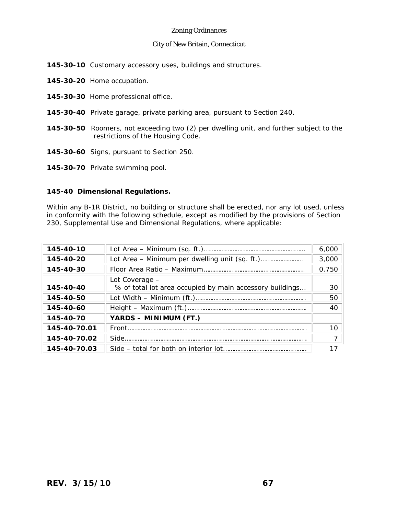#### City of New Britain, Connecticut

- **145-30-10** Customary accessory uses, buildings and structures.
- **145-30-20** Home occupation.
- **145-30-30** Home professional office.
- **145-30-40** Private garage, private parking area, pursuant to Section 240.
- **145-30-50** Roomers, not exceeding two (2) per dwelling unit, and further subject to the restrictions of the Housing Code.
- **145-30-60** Signs, pursuant to Section 250.
- **145-30-70** Private swimming pool.

#### **145-40 Dimensional Regulations.**

Within any B-1R District, no building or structure shall be erected, nor any lot used, unless in conformity with the following schedule, except as modified by the provisions of Section 230, Supplemental Use and Dimensional Regulations, where applicable:

| 145-40-10    |                                                                            | 6,000 |
|--------------|----------------------------------------------------------------------------|-------|
| 145-40-20    |                                                                            | 3,000 |
| 145-40-30    |                                                                            | 0.750 |
| 145-40-40    | Lot Coverage -<br>% of total lot area occupied by main accessory buildings | 30    |
| 145-40-50    |                                                                            | 50    |
| 145-40-60    |                                                                            | 40    |
| 145-40-70    | YARDS - MINIMUM (FT.)                                                      |       |
| 145-40-70.01 |                                                                            | 10    |
| 145-40-70.02 |                                                                            |       |
| $145 - 40$   |                                                                            |       |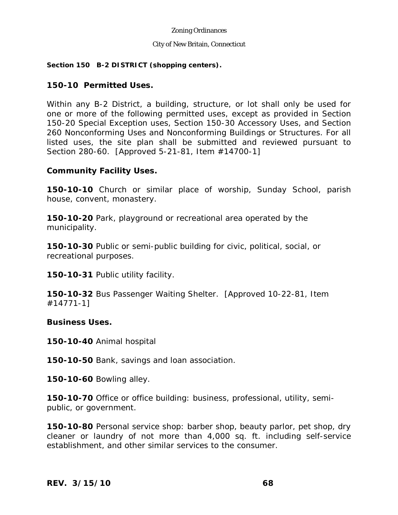#### City of New Britain, Connecticut

### **Section 150 B-2 DISTRICT (shopping centers).**

## **150-10 Permitted Uses.**

Within any B-2 District, a building, structure, or lot shall only be used for one or more of the following permitted uses, except as provided in Section 150-20 Special Exception uses, Section 150-30 Accessory Uses, and Section 260 Nonconforming Uses and Nonconforming Buildings or Structures. For all listed uses, the site plan shall be submitted and reviewed pursuant to Section 280-60. [Approved 5-21-81, Item #14700-1]

## **Community Facility Uses.**

**150-10-10** Church or similar place of worship, Sunday School, parish house, convent, monastery.

**150-10-20** Park, playground or recreational area operated by the municipality.

**150-10-30** Public or semi-public building for civic, political, social, or recreational purposes.

**150-10-31** Public utility facility.

**150-10-32** Bus Passenger Waiting Shelter. [Approved 10-22-81, Item #14771-1]

## **Business Uses.**

**150-10-40** Animal hospital

**150-10-50** Bank, savings and loan association.

**150-10-60** Bowling alley.

**150-10-70** Office or office building: business, professional, utility, semipublic, or government.

**150-10-80** Personal service shop: barber shop, beauty parlor, pet shop, dry cleaner or laundry of not more than 4,000 sq. ft. including self-service establishment, and other similar services to the consumer.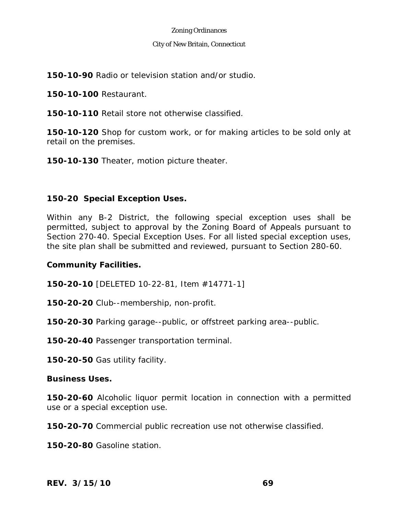#### City of New Britain, Connecticut

**150-10-90** Radio or television station and/or studio.

**150-10-100** Restaurant.

**150-10-110** Retail store not otherwise classified.

**150-10-120** Shop for custom work, or for making articles to be sold only at retail on the premises.

**150-10-130** Theater, motion picture theater.

# **150-20 Special Exception Uses.**

Within any B-2 District, the following special exception uses shall be permitted, subject to approval by the Zoning Board of Appeals pursuant to Section 270-40. Special Exception Uses. For all listed special exception uses, the site plan shall be submitted and reviewed, pursuant to Section 280-60.

## **Community Facilities.**

**150-20-10** [DELETED 10-22-81, Item #14771-1]

**150-20-20** Club--membership, non-profit.

**150-20-30** Parking garage--public, or offstreet parking area--public.

**150-20-40** Passenger transportation terminal.

**150-20-50** Gas utility facility.

## **Business Uses.**

**150-20-60** Alcoholic liquor permit location in connection with a permitted use or a special exception use.

**150-20-70** Commercial public recreation use not otherwise classified.

**150-20-80** Gasoline station.

*REV. 3/15/10* **69**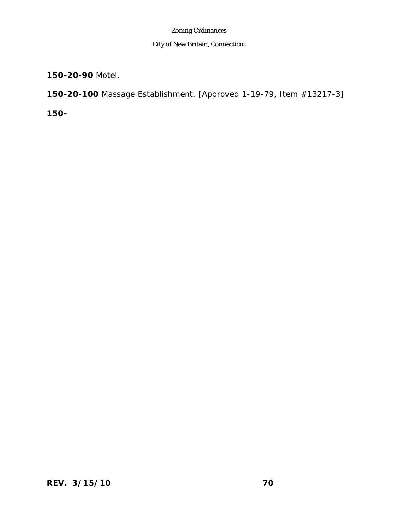# City of New Britain, Connecticut

**150-20-90** Motel.

**150-20-100** Massage Establishment. [Approved 1-19-79, Item #13217-3]

**150-**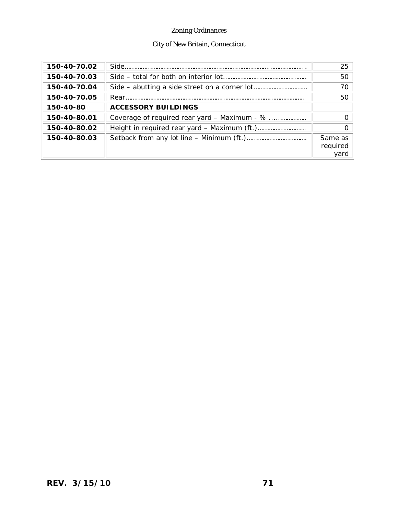# City of New Britain, Connecticut

| 150-40-70.02 |                                              | 25                          |
|--------------|----------------------------------------------|-----------------------------|
| 150-40-70.03 |                                              | 50                          |
| 150-40-70.04 |                                              | 70                          |
| 150-40-70.05 |                                              | 50                          |
| 150-40-80    | <b>ACCESSORY BUILDINGS</b>                   |                             |
| 150-40-80.01 | Coverage of required rear yard – Maximum - % |                             |
| 150-40-80.02 |                                              | $\Omega$                    |
| 150-40-80.03 |                                              | Same as<br>required<br>yard |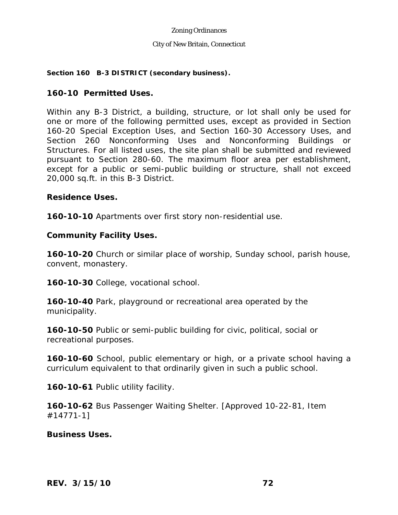### **Section 160 B-3 DISTRICT (secondary business).**

# **160-10 Permitted Uses.**

Within any B-3 District, a building, structure, or lot shall only be used for one or more of the following permitted uses, except as provided in Section 160-20 Special Exception Uses, and Section 160-30 Accessory Uses, and Section 260 Nonconforming Uses and Nonconforming Buildings or Structures. For all listed uses, the site plan shall be submitted and reviewed pursuant to Section 280-60. The maximum floor area per establishment, except for a public or semi-public building or structure, shall not exceed 20,000 sq.ft. in this B-3 District.

## **Residence Uses.**

**160-10-10** Apartments over first story non-residential use.

## **Community Facility Uses.**

**160-10-20** Church or similar place of worship, Sunday school, parish house, convent, monastery.

**160-10-30** College, vocational school.

**160-10-40** Park, playground or recreational area operated by the municipality.

**160-10-50** Public or semi-public building for civic, political, social or recreational purposes.

**160-10-60** School, public elementary or high, or a private school having a curriculum equivalent to that ordinarily given in such a public school.

**160-10-61** Public utility facility.

**160-10-62** Bus Passenger Waiting Shelter. [Approved 10-22-81, Item #14771-1]

## **Business Uses.**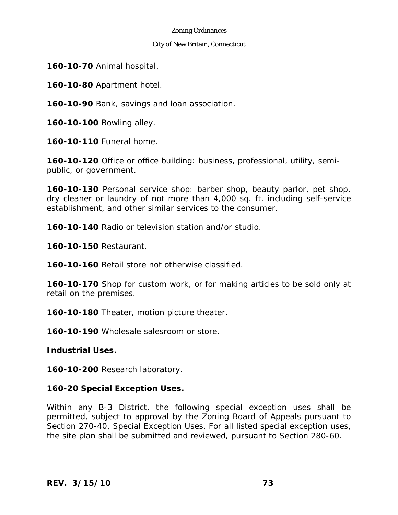### City of New Britain, Connecticut

**160-10-70** Animal hospital.

**160-10-80** Apartment hotel.

**160-10-90** Bank, savings and loan association.

**160-10-100** Bowling alley.

**160-10-110** Funeral home.

**160-10-120** Office or office building: business, professional, utility, semipublic, or government.

**160-10-130** Personal service shop: barber shop, beauty parlor, pet shop, dry cleaner or laundry of not more than 4,000 sq. ft. including self-service establishment, and other similar services to the consumer.

**160-10-140** Radio or television station and/or studio.

**160-10-150** Restaurant.

**160-10-160** Retail store not otherwise classified.

**160-10-170** Shop for custom work, or for making articles to be sold only at retail on the premises.

**160-10-180** Theater, motion picture theater.

**160-10-190** Wholesale salesroom or store.

**Industrial Uses.** 

**160-10-200** Research laboratory.

# **160-20 Special Exception Uses.**

Within any B-3 District, the following special exception uses shall be permitted, subject to approval by the Zoning Board of Appeals pursuant to Section 270-40, Special Exception Uses. For all listed special exception uses, the site plan shall be submitted and reviewed, pursuant to Section 280-60.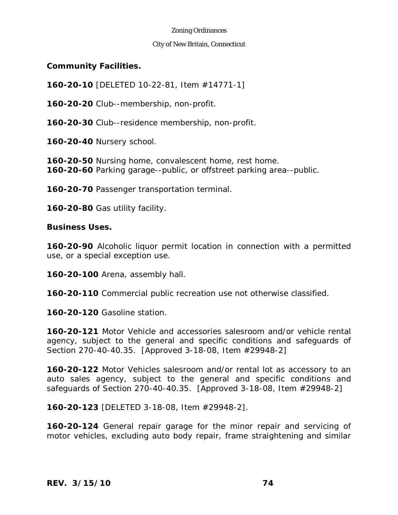### City of New Britain, Connecticut

## **Community Facilities.**

**160-20-10** [DELETED 10-22-81, Item #14771-1]

**160-20-20** Club--membership, non-profit.

**160-20-30** Club--residence membership, non-profit.

**160-20-40** Nursery school.

**160-20-50** Nursing home, convalescent home, rest home. **160-20-60** Parking garage--public, or offstreet parking area--public.

**160-20-70** Passenger transportation terminal.

**160-20-80** Gas utility facility.

**Business Uses.** 

**160-20-90** Alcoholic liquor permit location in connection with a permitted use, or a special exception use.

**160-20-100** Arena, assembly hall.

**160-20-110** Commercial public recreation use not otherwise classified.

**160-20-120** Gasoline station.

**160-20-121** Motor Vehicle and accessories salesroom and/or vehicle rental agency, subject to the general and specific conditions and safeguards of Section 270-40-40.35. [Approved 3-18-08, Item #29948-2]

**160-20-122** Motor Vehicles salesroom and/or rental lot as accessory to an auto sales agency, subject to the general and specific conditions and safeguards of Section 270-40-40.35. [Approved 3-18-08, Item #29948-2]

**160-20-123** [DELETED 3-18-08, Item #29948-2].

**160-20-124** General repair garage for the minor repair and servicing of motor vehicles, excluding auto body repair, frame straightening and similar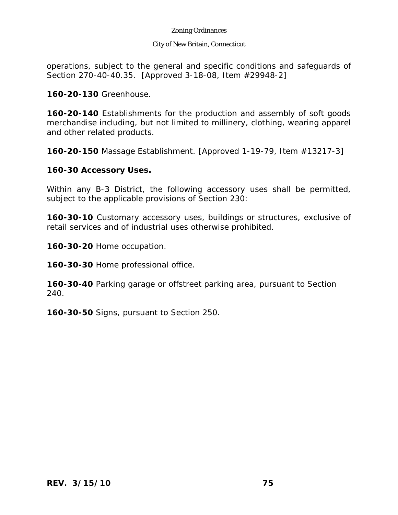### City of New Britain, Connecticut

operations, subject to the general and specific conditions and safeguards of Section 270-40-40.35. [Approved 3-18-08, Item #29948-2]

**160-20-130** Greenhouse.

**160-20-140** Establishments for the production and assembly of soft goods merchandise including, but not limited to millinery, clothing, wearing apparel and other related products.

**160-20-150** Massage Establishment. [Approved 1-19-79, Item #13217-3]

## **160-30 Accessory Uses.**

Within any B-3 District, the following accessory uses shall be permitted, subject to the applicable provisions of Section 230:

**160-30-10** Customary accessory uses, buildings or structures, exclusive of retail services and of industrial uses otherwise prohibited.

**160-30-20** Home occupation.

**160-30-30** Home professional office.

**160-30-40** Parking garage or offstreet parking area, pursuant to Section 240.

**160-30-50** Signs, pursuant to Section 250.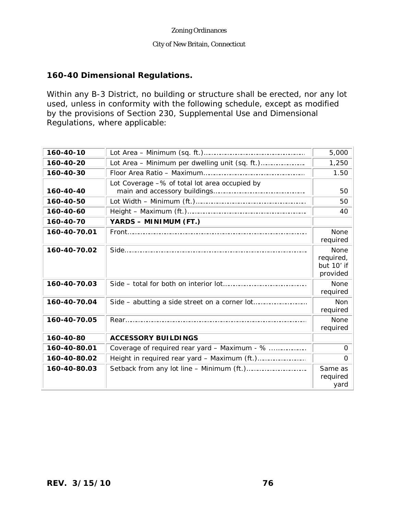### City of New Britain, Connecticut

## **160-40 Dimensional Regulations.**

Within any B-3 District, no building or structure shall be erected, nor any lot used, unless in conformity with the following schedule, except as modified by the provisions of Section 230, Supplemental Use and Dimensional Regulations, where applicable:

| 160-40-10    |                                               | 5,000                                       |
|--------------|-----------------------------------------------|---------------------------------------------|
| 160-40-20    |                                               | 1,250                                       |
| 160-40-30    |                                               | 1.50                                        |
| 160-40-40    | Lot Coverage -% of total lot area occupied by | 50                                          |
| 160-40-50    |                                               | 50                                          |
| 160-40-60    |                                               | 40                                          |
| 160-40-70    | YARDS - MINIMUM (FT.)                         |                                             |
| 160-40-70.01 |                                               | None<br>required                            |
| 160-40-70.02 |                                               | None<br>required,<br>but 10' if<br>provided |
| 160-40-70.03 |                                               | None<br>required                            |
| 160-40-70.04 |                                               | <b>Non</b><br>required                      |
| 160-40-70.05 |                                               | None<br>required                            |
| 160-40-80    | <b>ACCESSORY BUILDINGS</b>                    |                                             |
| 160-40-80.01 | Coverage of required rear yard - Maximum - %  | $\mathbf 0$                                 |
| 160-40-80.02 |                                               | $\Omega$                                    |
| 160-40-80.03 |                                               | Same as<br>required<br>yard                 |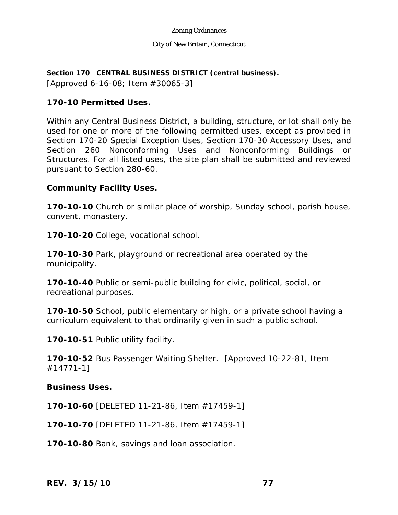### City of New Britain, Connecticut

## **Section 170 CENTRAL BUSINESS DISTRICT (central business).**

[Approved 6-16-08; Item #30065-3]

# **170-10 Permitted Uses.**

Within any Central Business District, a building, structure, or lot shall only be used for one or more of the following permitted uses, except as provided in Section 170-20 Special Exception Uses, Section 170-30 Accessory Uses, and Section 260 Nonconforming Uses and Nonconforming Buildings or Structures. For all listed uses, the site plan shall be submitted and reviewed pursuant to Section 280-60.

## **Community Facility Uses.**

**170-10-10** Church or similar place of worship, Sunday school, parish house, convent, monastery.

**170-10-20** College, vocational school.

**170-10-30** Park, playground or recreational area operated by the municipality.

**170-10-40** Public or semi-public building for civic, political, social, or recreational purposes.

**170-10-50** School, public elementary or high, or a private school having a curriculum equivalent to that ordinarily given in such a public school.

**170-10-51** Public utility facility.

**170-10-52** Bus Passenger Waiting Shelter. [Approved 10-22-81, Item #14771-1]

## **Business Uses.**

**170-10-60** [DELETED 11-21-86, Item #17459-1]

**170-10-70** [DELETED 11-21-86, Item #17459-1]

**170-10-80** Bank, savings and loan association.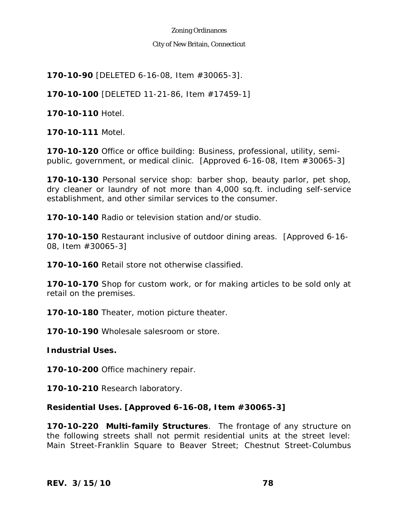### City of New Britain, Connecticut

**170-10-90** [DELETED 6-16-08, Item #30065-3].

**170-10-100** [DELETED 11-21-86, Item #17459-1]

**170-10-110** Hotel.

**170-10-111** Motel.

**170-10-120** Office or office building: Business, professional, utility, semipublic, government, or medical clinic. [Approved 6-16-08, Item #30065-3]

**170-10-130** Personal service shop: barber shop, beauty parlor, pet shop, dry cleaner or laundry of not more than 4,000 sq.ft. including self-service establishment, and other similar services to the consumer.

**170-10-140** Radio or television station and/or studio.

**170-10-150** Restaurant inclusive of outdoor dining areas. [Approved 6-16- 08, Item #30065-3]

**170-10-160** Retail store not otherwise classified.

**170-10-170** Shop for custom work, or for making articles to be sold only at retail on the premises.

**170-10-180** Theater, motion picture theater.

**170-10-190** Wholesale salesroom or store.

**Industrial Uses.** 

**170-10-200** Office machinery repair.

**170-10-210** Research laboratory.

# **Residential Uses. [Approved 6-16-08, Item #30065-3]**

**170-10-220 Multi-family Structures**. The frontage of any structure on the following streets shall not permit residential units at the street level: Main Street-Franklin Square to Beaver Street; Chestnut Street-Columbus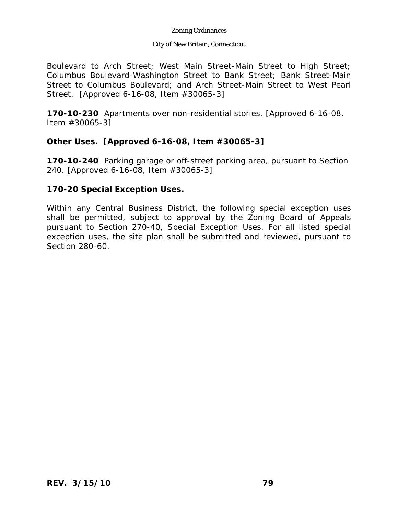### City of New Britain, Connecticut

Boulevard to Arch Street; West Main Street-Main Street to High Street; Columbus Boulevard-Washington Street to Bank Street; Bank Street-Main Street to Columbus Boulevard; and Arch Street-Main Street to West Pearl Street. [Approved 6-16-08, Item #30065-3]

**170-10-230** Apartments over non-residential stories. [Approved 6-16-08, Item #30065-3]

# **Other Uses. [Approved 6-16-08, Item #30065-3]**

**170-10-240** Parking garage or off-street parking area, pursuant to Section 240. [Approved 6-16-08, Item #30065-3]

# **170-20 Special Exception Uses.**

Within any Central Business District, the following special exception uses shall be permitted, subject to approval by the Zoning Board of Appeals pursuant to Section 270-40, Special Exception Uses. For all listed special exception uses, the site plan shall be submitted and reviewed, pursuant to Section 280-60.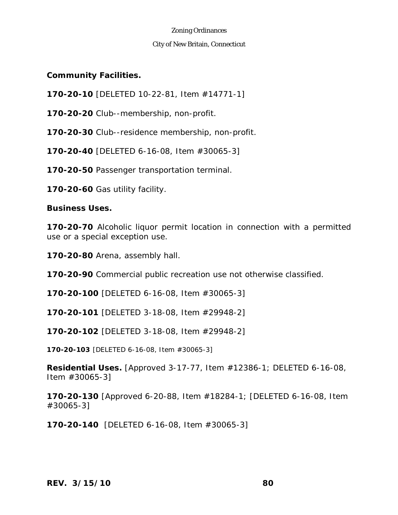### City of New Britain, Connecticut

**Community Facilities.** 

**170-20-10** [DELETED 10-22-81, Item #14771-1]

**170-20-20** Club--membership, non-profit.

**170-20-30** Club--residence membership, non-profit.

**170-20-40** [DELETED 6-16-08, Item #30065-3]

**170-20-50** Passenger transportation terminal.

**170-20-60** Gas utility facility.

**Business Uses.** 

**170-20-70** Alcoholic liquor permit location in connection with a permitted use or a special exception use.

**170-20-80** Arena, assembly hall.

**170-20-90** Commercial public recreation use not otherwise classified.

**170-20-100** [DELETED 6-16-08, Item #30065-3]

**170-20-101** [DELETED 3-18-08, Item #29948-2]

**170-20-102** [DELETED 3-18-08, Item #29948-2]

**170-20-103** [DELETED 6-16-08, Item #30065-3]

**Residential Uses.** [Approved 3-17-77, Item #12386-1; DELETED 6-16-08, Item #30065-3]

**170-20-130** [Approved 6-20-88, Item #18284-1; [DELETED 6-16-08, Item #30065-3]

**170-20-140** [DELETED 6-16-08, Item #30065-3]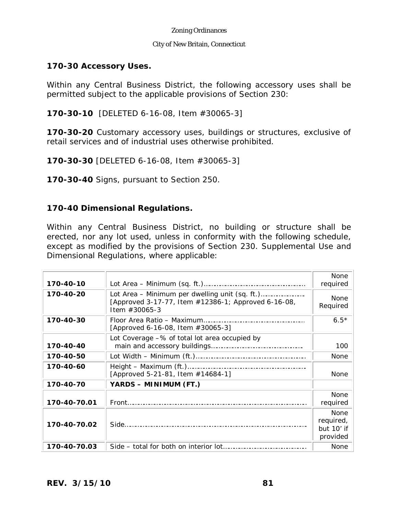### City of New Britain, Connecticut

# **170-30 Accessory Uses.**

Within any Central Business District, the following accessory uses shall be permitted subject to the applicable provisions of Section 230:

**170-30-10** [DELETED 6-16-08, Item #30065-3]

**170-30-20** Customary accessory uses, buildings or structures, exclusive of retail services and of industrial uses otherwise prohibited.

**170-30-30** [DELETED 6-16-08, Item #30065-3]

**170-30-40** Signs, pursuant to Section 250.

## **170-40 Dimensional Regulations.**

Within any Central Business District, no building or structure shall be erected, nor any lot used, unless in conformity with the following schedule, except as modified by the provisions of Section 230. Supplemental Use and Dimensional Regulations, where applicable:

| 170-40-10    |                                                                         | <b>None</b><br>required                            |
|--------------|-------------------------------------------------------------------------|----------------------------------------------------|
| 170-40-20    | [Approved 3-17-77, Item #12386-1; Approved 6-16-08,<br>Item $\#30065-3$ | <b>None</b><br>Required                            |
| 170-40-30    | [Approved 6-16-08, Item $\#30065-3$ ]                                   | $6.5*$                                             |
| 170-40-40    | Lot Coverage -% of total lot area occupied by                           | 100                                                |
| 170-40-50    |                                                                         | <b>None</b>                                        |
| 170-40-60    | [Approved 5-21-81, Item #14684-1]                                       | <b>None</b>                                        |
| 170-40-70    | YARDS - MINIMUM (FT.)                                                   |                                                    |
| 170-40-70.01 |                                                                         | <b>None</b><br>required                            |
| 170-40-70.02 |                                                                         | <b>None</b><br>required,<br>but 10' if<br>provided |
| 170-40-70.03 |                                                                         | <b>None</b>                                        |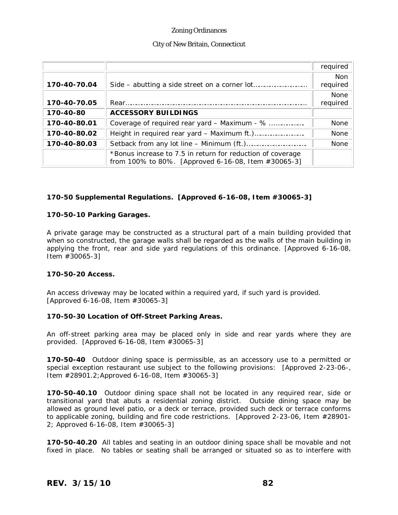#### City of New Britain, Connecticut

|              |                                                                                                                   | required                |
|--------------|-------------------------------------------------------------------------------------------------------------------|-------------------------|
| 170-40-70.04 |                                                                                                                   | <b>Non</b><br>required  |
| 170-40-70.05 |                                                                                                                   | <b>None</b><br>required |
| 170-40-80    | <b>ACCESSORY BUILDINGS</b>                                                                                        |                         |
| 170-40-80.01 | Coverage of required rear yard - Maximum - %                                                                      | None                    |
| 170-40-80.02 |                                                                                                                   | None                    |
| 170-40-80.03 |                                                                                                                   | <b>None</b>             |
|              | *Bonus increase to 7.5 in return for reduction of coverage<br>from 100% to 80%. [Approved 6-16-08, Item #30065-3] |                         |

### **170-50 Supplemental Regulations. [Approved 6-16-08, Item #30065-3]**

#### **170-50-10 Parking Garages.**

A private garage may be constructed as a structural part of a main building provided that when so constructed, the garage walls shall be regarded as the walls of the main building in applying the front, rear and side yard regulations of this ordinance. [Approved 6-16-08, Item #30065-3]

#### **170-50-20 Access.**

An access driveway may be located within a required yard, if such yard is provided. [Approved 6-16-08, Item #30065-3]

#### **170-50-30 Location of Off-Street Parking Areas.**

An off-street parking area may be placed only in side and rear yards where they are provided. [Approved 6-16-08, Item #30065-3]

**170-50-40** Outdoor dining space is permissible, as an accessory use to a permitted or special exception restaurant use subject to the following provisions: [Approved 2-23-06-, Item #28901.2;Approved 6-16-08, Item #30065-3]

**170-50-40.10** Outdoor dining space shall not be located in any required rear, side or transitional yard that abuts a residential zoning district. Outside dining space may be allowed as ground level patio, or a deck or terrace, provided such deck or terrace conforms to applicable zoning, building and fire code restrictions. [Approved 2-23-06, Item #28901- 2; Approved 6-16-08, Item #30065-3]

**170-50-40.20** All tables and seating in an outdoor dining space shall be movable and not fixed in place. No tables or seating shall be arranged or situated so as to interfere with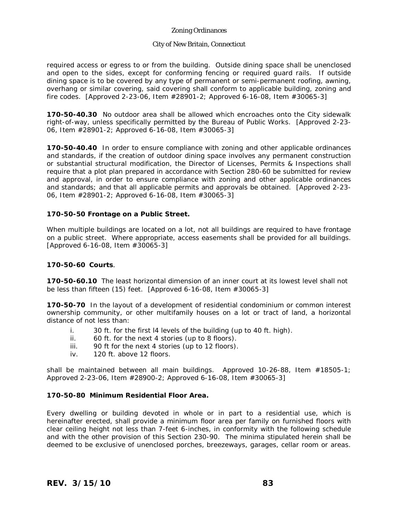#### City of New Britain, Connecticut

required access or egress to or from the building. Outside dining space shall be unenclosed and open to the sides, except for conforming fencing or required guard rails. If outside dining space is to be covered by any type of permanent or semi-permanent roofing, awning, overhang or similar covering, said covering shall conform to applicable building, zoning and fire codes. [Approved 2-23-06, Item #28901-2; Approved 6-16-08, Item #30065-3]

**170-50-40.30** No outdoor area shall be allowed which encroaches onto the City sidewalk right-of-way, unless specifically permitted by the Bureau of Public Works. [Approved 2-23- 06, Item #28901-2; Approved 6-16-08, Item #30065-3]

**170-50-40.40** In order to ensure compliance with zoning and other applicable ordinances and standards, if the creation of outdoor dining space involves any permanent construction or substantial structural modification, the Director of Licenses, Permits & Inspections shall require that a plot plan prepared in accordance with Section 280-60 be submitted for review and approval, in order to ensure compliance with zoning and other applicable ordinances and standards; and that all applicable permits and approvals be obtained. [Approved 2-23- 06, Item #28901-2; Approved 6-16-08, Item #30065-3]

#### **170-50-50 Frontage on a Public Street.**

When multiple buildings are located on a lot, not all buildings are required to have frontage on a public street. Where appropriate, access easements shall be provided for all buildings. [Approved 6-16-08, Item #30065-3]

#### **170-50-60 Courts**.

**170-50-60.10** The least horizontal dimension of an inner court at its lowest level shall not be less than fifteen (15) feet. [Approved 6-16-08, Item #30065-3]

**170-50-70** In the layout of a development of residential condominium or common interest ownership community, or other multifamily houses on a lot or tract of land, a horizontal distance of not less than:

- i. 30 ft. for the first l4 levels of the building (up to 40 ft. high).
- ii. 60 ft. for the next 4 stories (up to 8 floors).
- iii. 90 ft for the next 4 stories (up to 12 floors).
- iv. 120 ft. above 12 floors.

shall be maintained between all main buildings.Approved 10-26-88, Item #18505-1; Approved 2-23-06, Item #28900-2; Approved 6-16-08, Item #30065-3]

#### **170-50-80 Minimum Residential Floor Area.**

Every dwelling or building devoted in whole or in part to a residential use, which is hereinafter erected, shall provide a minimum floor area per family on furnished floors with clear ceiling height not less than 7-feet 6-inches, in conformity with the following schedule and with the other provision of this Section 230-90. The minima stipulated herein shall be deemed to be exclusive of unenclosed porches, breezeways, garages, cellar room or areas.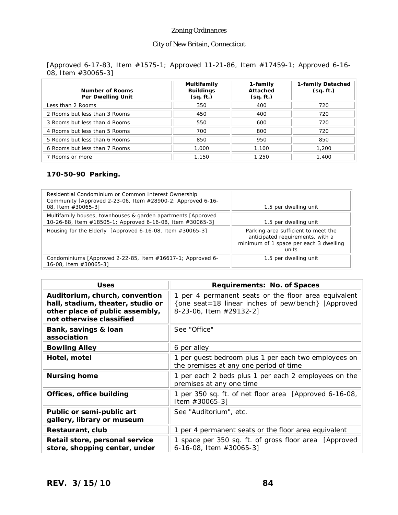### City of New Britain, Connecticut

### [Approved 6-17-83, Item #1575-1; Approved 11-21-86, Item #17459-1; Approved 6-16- 08, Item #30065-3]

| <b>Number of Rooms</b><br>Per Dwelling Unit | Multifamily<br><b>Buildings</b><br>(sq. ft.) | 1-family<br>Attached<br>(sq. ft.) | 1-family Detached<br>(sq. ft.) |
|---------------------------------------------|----------------------------------------------|-----------------------------------|--------------------------------|
| Less than 2 Rooms                           | 350                                          | 400                               | 720                            |
| 2 Rooms but less than 3 Rooms               | 450                                          | 400                               | 720                            |
| 3 Rooms but less than 4 Rooms               | 550                                          | 600                               | 720                            |
| 4 Rooms but less than 5 Rooms               | 700                                          | 800                               | 720                            |
| 5 Rooms but less than 6 Rooms               | 850                                          | 950                               | 850                            |
| 6 Rooms but less than 7 Rooms               | 1,000                                        | 1,100                             | 1,200                          |
| 7 Rooms or more                             | 1.150                                        | 1,250                             | 1,400                          |

### **170-50-90 Parking.**

| Residential Condominium or Common Interest Ownership<br>Community [Approved 2-23-06, Item #28900-2; Approved 6-16-<br>08, Item #30065-3] | 1.5 per dwelling unit                                                                                                      |
|------------------------------------------------------------------------------------------------------------------------------------------|----------------------------------------------------------------------------------------------------------------------------|
| Multifamily houses, townhouses & garden apartments [Approved]<br>10-26-88, Item #18505-1; Approved 6-16-08, Item #30065-3]               | 1.5 per dwelling unit                                                                                                      |
| Housing for the Elderly [Approved 6-16-08, Item #30065-3]                                                                                | Parking area sufficient to meet the<br>anticipated requirements, with a<br>minimum of 1 space per each 3 dwelling<br>units |
| Condominiums [Approved 2-22-85, Item #16617-1; Approved 6-<br>16-08, Item #30065-3]                                                      | 1.5 per dwelling unit                                                                                                      |

| <b>Uses</b>                                                                                                                        | Requirements: No. of Spaces                                                                                                           |
|------------------------------------------------------------------------------------------------------------------------------------|---------------------------------------------------------------------------------------------------------------------------------------|
| Auditorium, church, convention<br>hall, stadium, theater, studio or<br>other place of public assembly,<br>not otherwise classified | 1 per 4 permanent seats or the floor area equivalent<br>{one seat=18 linear inches of pew/bench} [Approved<br>8-23-06, Item #29132-2] |
| Bank, savings & loan<br>association                                                                                                | See "Office"                                                                                                                          |
| <b>Bowling Alley</b>                                                                                                               | 6 per alley                                                                                                                           |
| Hotel, motel                                                                                                                       | 1 per guest bedroom plus 1 per each two employees on<br>the premises at any one period of time                                        |
| <b>Nursing home</b>                                                                                                                | 1 per each 2 beds plus 1 per each 2 employees on the<br>premises at any one time                                                      |
| Offices, office building                                                                                                           | 1 per 350 sq. ft. of net floor area [Approved 6-16-08,<br>Item $#30065-3]$                                                            |
| Public or semi-public art<br>gallery, library or museum                                                                            | See "Auditorium", etc.                                                                                                                |
| Restaurant, club                                                                                                                   | 1 per 4 permanent seats or the floor area equivalent                                                                                  |
| Retail store, personal service<br>store, shopping center, under                                                                    | 1 space per 350 sq. ft. of gross floor area [Approved]<br>6-16-08, Item $\#30065-3$ ]                                                 |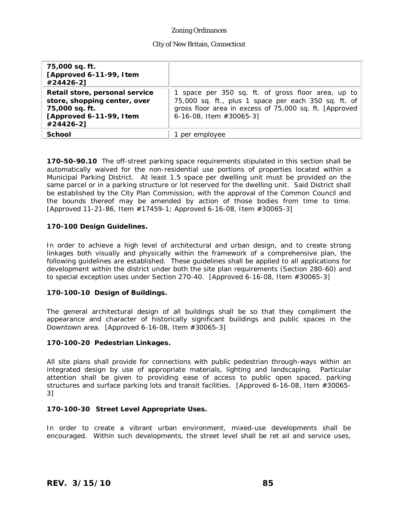#### City of New Britain, Connecticut

| 75,000 sq. ft.<br>[Approved 6-11-99, I tem<br>#24426-2]                                                                   |                                                                                                                                                                                                     |
|---------------------------------------------------------------------------------------------------------------------------|-----------------------------------------------------------------------------------------------------------------------------------------------------------------------------------------------------|
| Retail store, personal service<br>store, shopping center, over<br>75,000 sq. ft.<br>[Approved 6-11-99, I tem<br>#24426-2] | 1 space per 350 sq. ft. of gross floor area, up to<br>75,000 sq. ft., plus 1 space per each 350 sq. ft. of<br>gross floor area in excess of 75,000 sq. ft. [Approved<br>6-16-08, Item $\#30065-3$ ] |
| School                                                                                                                    | per employee                                                                                                                                                                                        |

**170-50-90.10** The off-street parking space requirements stipulated in this section shall be automatically waived for the non-residential use portions of properties located within a Municipal Parking District. At least 1.5 space per dwelling unit must be provided on the same parcel or in a parking structure or lot reserved for the dwelling unit. Said District shall be established by the City Plan Commission, with the approval of the Common Council and the bounds thereof may be amended by action of those bodies from time to time. [Approved 11-21-86, Item #17459-1; Approved 6-16-08, Item #30065-3]

#### **170-100 Design Guidelines.**

In order to achieve a high level of architectural and urban design, and to create strong linkages both visually and physically within the framework of a comprehensive plan, the following guidelines are established. These guidelines shall be applied to all applications for development within the district under both the site plan requirements (Section 280-60) and to special exception uses under Section 270-40. [Approved 6-16-08, Item #30065-3]

#### **170-100-10 Design of Buildings.**

The general architectural design of all buildings shall be so that they compliment the appearance and character of historically significant buildings and public spaces in the Downtown area. [Approved 6-16-08, Item #30065-3]

#### **170-100-20 Pedestrian Linkages.**

All site plans shall provide for connections with public pedestrian through-ways within an integrated design by use of appropriate materials, lighting and landscaping. Particular attention shall be given to providing ease of access to public open spaced, parking structures and surface parking lots and transit facilities. [Approved 6-16-08, Item #30065- 3]

#### **170-100-30 Street Level Appropriate Uses.**

In order to create a vibrant urban environment, mixed-use developments shall be encouraged. Within such developments, the street level shall be ret ail and service uses,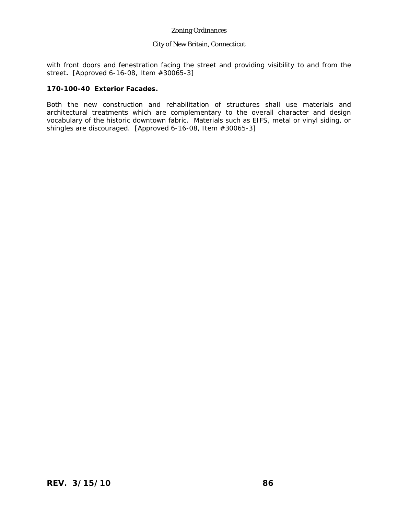#### City of New Britain, Connecticut

with front doors and fenestration facing the street and providing visibility to and from the street**.** [Approved 6-16-08, Item #30065-3]

#### **170-100-40 Exterior Facades.**

Both the new construction and rehabilitation of structures shall use materials and architectural treatments which are complementary to the overall character and design vocabulary of the historic downtown fabric. Materials such as EIFS, metal or vinyl siding, or shingles are discouraged. [Approved 6-16-08, Item #30065-3]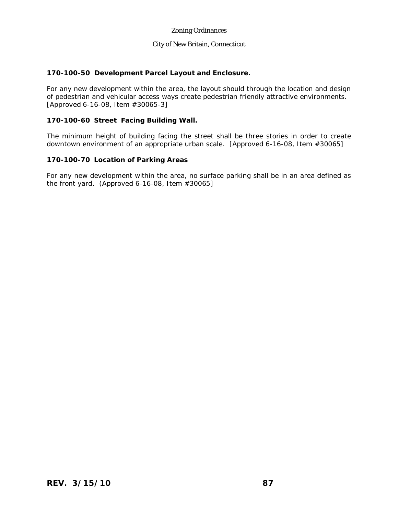#### City of New Britain, Connecticut

### **170-100-50 Development Parcel Layout and Enclosure.**

For any new development within the area, the layout should through the location and design of pedestrian and vehicular access ways create pedestrian friendly attractive environments. [Approved 6-16-08, Item #30065-3]

#### **170-100-60 Street Facing Building Wall.**

The minimum height of building facing the street shall be three stories in order to create downtown environment of an appropriate urban scale. [Approved 6-16-08, Item #30065]

#### **170-100-70 Location of Parking Areas**

For any new development within the area, no surface parking shall be in an area defined as the front yard. (Approved 6-16-08, Item #30065]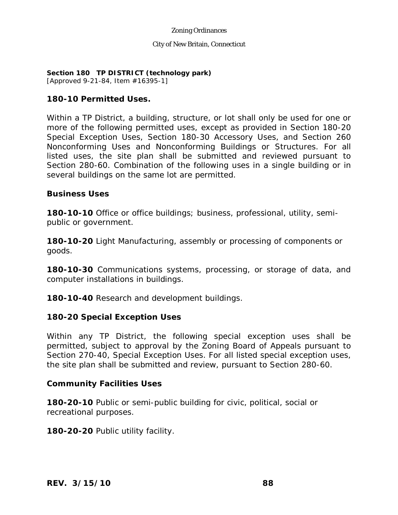#### City of New Britain, Connecticut

# **Section 180 TP DISTRICT (technology park)**

[Approved 9-21-84, Item #16395-1]

# **180-10 Permitted Uses.**

Within a TP District, a building, structure, or lot shall only be used for one or more of the following permitted uses, except as provided in Section 180-20 Special Exception Uses, Section 180-30 Accessory Uses, and Section 260 Nonconforming Uses and Nonconforming Buildings or Structures. For all listed uses, the site plan shall be submitted and reviewed pursuant to Section 280-60. Combination of the following uses in a single building or in several buildings on the same lot are permitted.

# **Business Uses**

**180-10-10** Office or office buildings; business, professional, utility, semipublic or government.

**180-10-20** Light Manufacturing, assembly or processing of components or goods.

**180-10-30** Communications systems, processing, or storage of data, and computer installations in buildings.

**180-10-40** Research and development buildings.

# **180-20 Special Exception Uses**

Within any TP District, the following special exception uses shall be permitted, subject to approval by the Zoning Board of Appeals pursuant to Section 270-40, Special Exception Uses. For all listed special exception uses, the site plan shall be submitted and review, pursuant to Section 280-60.

# **Community Facilities Uses**

**180-20-10** Public or semi-public building for civic, political, social or recreational purposes.

**180-20-20** Public utility facility.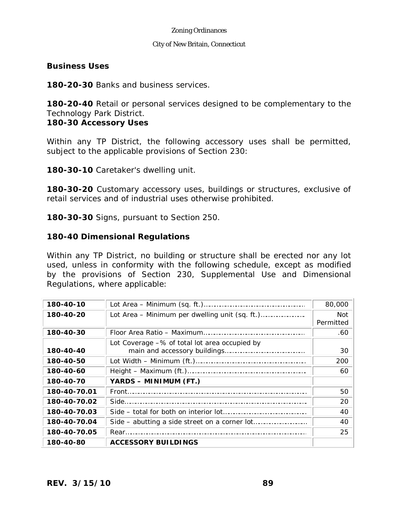### City of New Britain, Connecticut

## **Business Uses**

**180-20-30** Banks and business services.

**180-20-40** Retail or personal services designed to be complementary to the Technology Park District.

## **180-30 Accessory Uses**

Within any TP District, the following accessory uses shall be permitted, subject to the applicable provisions of Section 230:

**180-30-10** Caretaker's dwelling unit.

**180-30-20** Customary accessory uses, buildings or structures, exclusive of retail services and of industrial uses otherwise prohibited.

**180-30-30** Signs, pursuant to Section 250.

## **180-40 Dimensional Regulations**

Within any TP District, no building or structure shall be erected nor any lot used, unless in conformity with the following schedule, except as modified by the provisions of Section 230, Supplemental Use and Dimensional Regulations, where applicable:

| 180-40-10    |                                                  | 80,000                  |
|--------------|--------------------------------------------------|-------------------------|
| 180-40-20    |                                                  | <b>Not</b><br>Permitted |
| 180-40-30    |                                                  | .60                     |
| 180-40-40    | Lot Coverage $-$ % of total lot area occupied by | 30                      |
| 180-40-50    |                                                  | 200                     |
| 180-40-60    |                                                  | 60                      |
| 180-40-70    | YARDS - MINIMUM (FT.)                            |                         |
| 180-40-70.01 |                                                  | 50                      |
| 180-40-70.02 |                                                  | 20                      |
| 180-40-70.03 |                                                  | 40                      |
| 180-40-70.04 |                                                  | 40                      |
| 180-40-70.05 |                                                  | 25                      |
| 180-40-80    | <b>ACCESSORY BUILDINGS</b>                       |                         |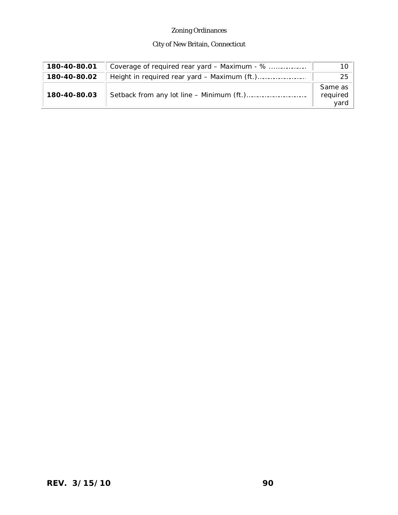# City of New Britain, Connecticut

| 180-40-80.01 | Coverage of required rear yard – Maximum - % | 10                          |
|--------------|----------------------------------------------|-----------------------------|
| 180-40-80.02 |                                              | 25                          |
| 180-40-80.03 |                                              | Same as<br>required<br>yard |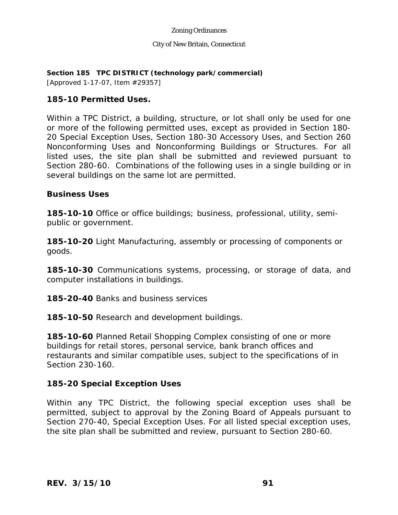### City of New Britain, Connecticut

**Section 185 TPC DISTRICT (technology park/commercial)** 

[Approved 1-17-07, Item #29357]

# **185-10 Permitted Uses.**

Within a TPC District, a building, structure, or lot shall only be used for one or more of the following permitted uses, except as provided in Section 180- 20 Special Exception Uses, Section 180-30 Accessory Uses, and Section 260 Nonconforming Uses and Nonconforming Buildings or Structures. For all listed uses, the site plan shall be submitted and reviewed pursuant to Section 280-60. Combinations of the following uses in a single building or in several buildings on the same lot are permitted.

# **Business Uses**

**185-10-10** Office or office buildings; business, professional, utility, semipublic or government.

**185-10-20** Light Manufacturing, assembly or processing of components or goods.

**185-10-30** Communications systems, processing, or storage of data, and computer installations in buildings.

**185-20-40** Banks and business services

**185-10-50** Research and development buildings.

**185-10-60** Planned Retail Shopping Complex consisting of one or more buildings for retail stores, personal service, bank branch offices and restaurants and similar compatible uses, subject to the specifications of in Section 230-160.

# **185-20 Special Exception Uses**

Within any TPC District, the following special exception uses shall be permitted, subject to approval by the Zoning Board of Appeals pursuant to Section 270-40, Special Exception Uses. For all listed special exception uses, the site plan shall be submitted and review, pursuant to Section 280-60.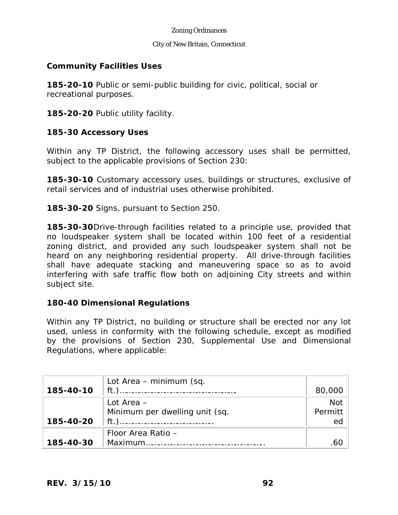#### City of New Britain, Connecticut

## **Community Facilities Uses**

**185-20-10** Public or semi-public building for civic, political, social or recreational purposes.

**185-20-20** Public utility facility.

## **185-30 Accessory Uses**

Within any TP District, the following accessory uses shall be permitted, subject to the applicable provisions of Section 230:

**185-30-10** Customary accessory uses, buildings or structures, exclusive of retail services and of industrial uses otherwise prohibited.

**185-30-20** Signs, pursuant to Section 250.

**185-30-30**Drive-through facilities related to a principle use, provided that no loudspeaker system shall be located within 100 feet of a residential zoning district, and provided any such loudspeaker system shall not be heard on any neighboring residential property. All drive-through facilities shall have adequate stacking and maneuvering space so as to avoid interfering with safe traffic flow both on adjoining City streets and within subject site.

## **180-40 Dimensional Regulations**

Within any TP District, no building or structure shall be erected nor any lot used, unless in conformity with the following schedule, except as modified by the provisions of Section 230, Supplemental Use and Dimensional Regulations, where applicable:

|           | Lot Area – minimum (sq.        |            |
|-----------|--------------------------------|------------|
| 185-40-10 | $ft.$ )                        | 80,000     |
|           | Lot Area $-$                   | <b>Not</b> |
|           | Minimum per dwelling unit (sq. | Permitt    |
| 185-40-20 |                                | ed         |
|           | Floor Area Ratio -             |            |
| 185-40-30 |                                |            |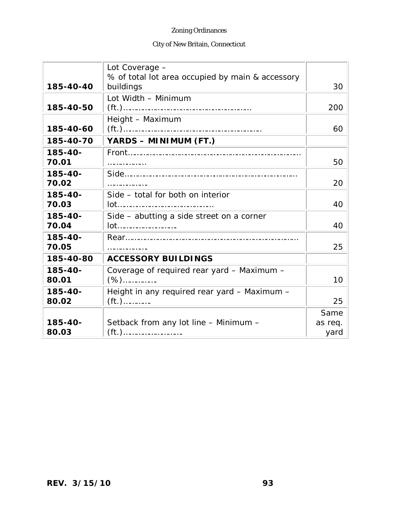# City of New Britain, Connecticut

|              | Lot Coverage -                                                |         |
|--------------|---------------------------------------------------------------|---------|
| 185-40-40    | % of total lot area occupied by main & accessory<br>buildings | 30      |
|              | Lot Width - Minimum                                           |         |
| 185-40-50    |                                                               | 200     |
|              | Height - Maximum                                              |         |
| 185-40-60    |                                                               | 60      |
| 185-40-70    | YARDS - MINIMUM (FT.)                                         |         |
| $185 - 40 -$ |                                                               |         |
| 70.01        | .                                                             | 50      |
| 185-40-      |                                                               |         |
| 70.02        |                                                               | 20      |
| $185 - 40 -$ | Side - total for both on interior                             |         |
| 70.03        |                                                               | 40      |
| $185 - 40 -$ | Side - abutting a side street on a corner                     |         |
| 70.04        | lot                                                           | 40      |
| 185-40-      |                                                               |         |
| 70.05        |                                                               | 25      |
| 185-40-80    | <b>ACCESSORY BUILDINGS</b>                                    |         |
| $185 - 40 -$ | Coverage of required rear yard - Maximum -                    |         |
| 80.01        | $( %)$                                                        | 10      |
| 185-40-      | Height in any required rear yard - Maximum -                  |         |
| 80.02        | $(ft.)$                                                       | 25      |
|              |                                                               | Same    |
| 185-40-      | Setback from any lot line - Minimum -                         | as req. |
| 80.03        |                                                               | yard    |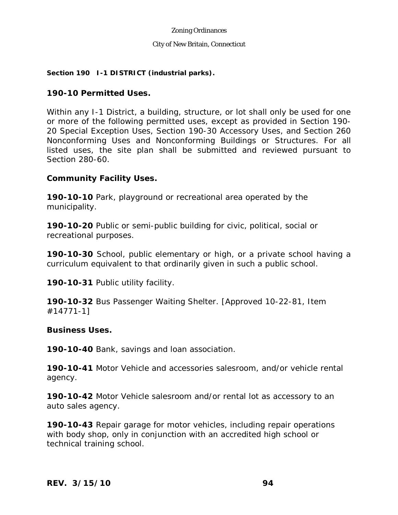### City of New Britain, Connecticut

### **Section 190 I-1 DISTRICT (industrial parks).**

## **190-10 Permitted Uses.**

Within any I-1 District, a building, structure, or lot shall only be used for one or more of the following permitted uses, except as provided in Section 190- 20 Special Exception Uses, Section 190-30 Accessory Uses, and Section 260 Nonconforming Uses and Nonconforming Buildings or Structures. For all listed uses, the site plan shall be submitted and reviewed pursuant to Section 280-60.

## **Community Facility Uses.**

**190-10-10** Park, playground or recreational area operated by the municipality.

**190-10-20** Public or semi-public building for civic, political, social or recreational purposes.

**190-10-30** School, public elementary or high, or a private school having a curriculum equivalent to that ordinarily given in such a public school.

190-10-31 Public utility facility.

**190-10-32** Bus Passenger Waiting Shelter. [Approved 10-22-81, Item #14771-1]

## **Business Uses.**

**190-10-40** Bank, savings and loan association.

**190-10-41** Motor Vehicle and accessories salesroom, and/or vehicle rental agency.

**190-10-42** Motor Vehicle salesroom and/or rental lot as accessory to an auto sales agency.

**190-10-43** Repair garage for motor vehicles, including repair operations with body shop, only in conjunction with an accredited high school or technical training school.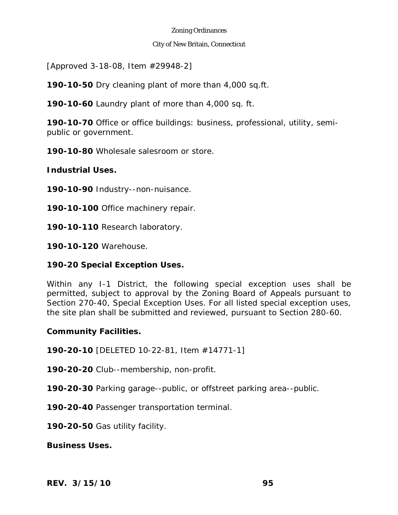### City of New Britain, Connecticut

[Approved 3-18-08, Item #29948-2]

**190-10-50** Dry cleaning plant of more than 4,000 sq.ft.

**190-10-60** Laundry plant of more than 4,000 sq. ft.

**190-10-70** Office or office buildings: business, professional, utility, semipublic or government.

**190-10-80** Wholesale salesroom or store.

**Industrial Uses.** 

**190-10-90** Industry--non-nuisance.

**190-10-100** Office machinery repair.

**190-10-110** Research laboratory.

**190-10-120** Warehouse.

# **190-20 Special Exception Uses.**

Within any I-1 District, the following special exception uses shall be permitted, subject to approval by the Zoning Board of Appeals pursuant to Section 270-40, Special Exception Uses. For all listed special exception uses, the site plan shall be submitted and reviewed, pursuant to Section 280-60.

## **Community Facilities.**

**190-20-10** [DELETED 10-22-81, Item #14771-1]

**190-20-20** Club--membership, non-profit.

**190-20-30** Parking garage--public, or offstreet parking area--public.

**190-20-40** Passenger transportation terminal.

**190-20-50** Gas utility facility.

**Business Uses.**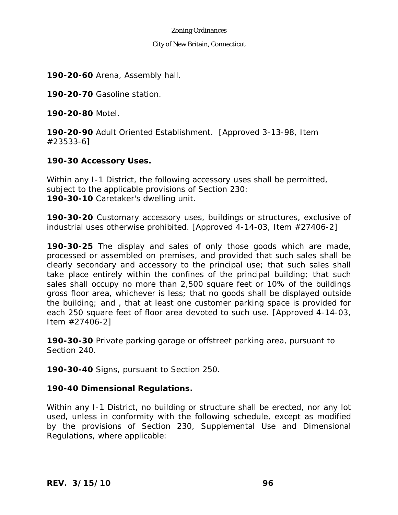#### City of New Britain, Connecticut

**190-20-60** Arena, Assembly hall.

**190-20-70** Gasoline station.

**190-20-80** Motel.

**190-20-90** Adult Oriented Establishment. [Approved 3-13-98, Item #23533-6]

# **190-30 Accessory Uses.**

Within any I-1 District, the following accessory uses shall be permitted, subject to the applicable provisions of Section 230: **190-30-10** Caretaker's dwelling unit.

**190-30-20** Customary accessory uses, buildings or structures, exclusive of industrial uses otherwise prohibited. [Approved 4-14-03, Item #27406-2]

**190-30-25** The display and sales of only those goods which are made, processed or assembled on premises, and provided that such sales shall be clearly secondary and accessory to the principal use; that such sales shall take place entirely within the confines of the principal building; that such sales shall occupy no more than 2,500 square feet or 10% of the buildings gross floor area, whichever is less; that no goods shall be displayed outside the building; and , that at least one customer parking space is provided for each 250 square feet of floor area devoted to such use. [Approved 4-14-03, Item #27406-2]

**190-30-30** Private parking garage or offstreet parking area, pursuant to Section 240.

**190-30-40** Signs, pursuant to Section 250.

# **190-40 Dimensional Regulations.**

Within any I-1 District, no building or structure shall be erected, nor any lot used, unless in conformity with the following schedule, except as modified by the provisions of Section 230, Supplemental Use and Dimensional Regulations, where applicable: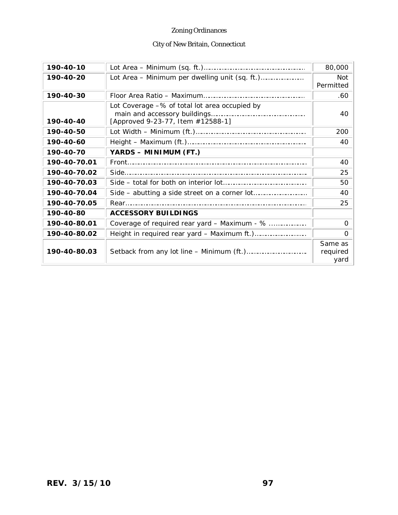# City of New Britain, Connecticut

| 190-40-10    |                                                                                    | 80,000                      |
|--------------|------------------------------------------------------------------------------------|-----------------------------|
| 190-40-20    |                                                                                    | <b>Not</b><br>Permitted     |
| 190-40-30    |                                                                                    | .60                         |
| 190-40-40    | Lot Coverage -% of total lot area occupied by<br>[Approved 9-23-77, Item #12588-1] | 40                          |
| 190-40-50    |                                                                                    | 200                         |
| 190-40-60    |                                                                                    | 40                          |
| 190-40-70    | YARDS - MINIMUM (FT.)                                                              |                             |
| 190-40-70.01 |                                                                                    | 40                          |
| 190-40-70.02 |                                                                                    | 25                          |
| 190-40-70.03 |                                                                                    | 50                          |
| 190-40-70.04 |                                                                                    | 40                          |
| 190-40-70.05 |                                                                                    | 25                          |
| 190-40-80    | <b>ACCESSORY BUILDINGS</b>                                                         |                             |
| 190-40-80.01 | Coverage of required rear yard - Maximum - %                                       | 0                           |
| 190-40-80.02 |                                                                                    | 0                           |
| 190-40-80.03 |                                                                                    | Same as<br>required<br>yard |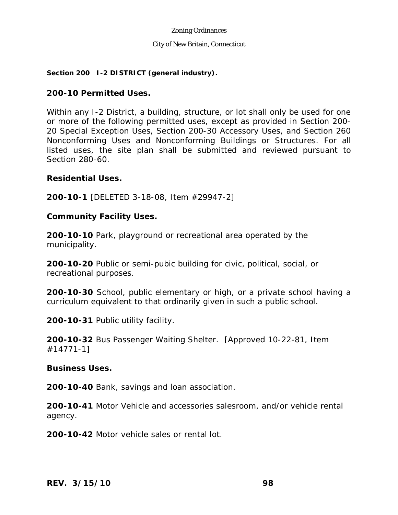### City of New Britain, Connecticut

### **Section 200 I-2 DISTRICT (general industry).**

## **200-10 Permitted Uses.**

Within any I-2 District, a building, structure, or lot shall only be used for one or more of the following permitted uses, except as provided in Section 200- 20 Special Exception Uses, Section 200-30 Accessory Uses, and Section 260 Nonconforming Uses and Nonconforming Buildings or Structures. For all listed uses, the site plan shall be submitted and reviewed pursuant to Section 280-60.

## **Residential Uses.**

**200-10-1** [DELETED 3-18-08, Item #29947-2]

## **Community Facility Uses.**

**200-10-10** Park, playground or recreational area operated by the municipality.

**200-10-20** Public or semi-pubic building for civic, political, social, or recreational purposes.

**200-10-30** School, public elementary or high, or a private school having a curriculum equivalent to that ordinarily given in such a public school.

**200-10-31** Public utility facility.

**200-10-32** Bus Passenger Waiting Shelter. [Approved 10-22-81, Item #14771-1]

## **Business Uses.**

**200-10-40** Bank, savings and loan association.

**200-10-41** Motor Vehicle and accessories salesroom, and/or vehicle rental agency.

**200-10-42** Motor vehicle sales or rental lot.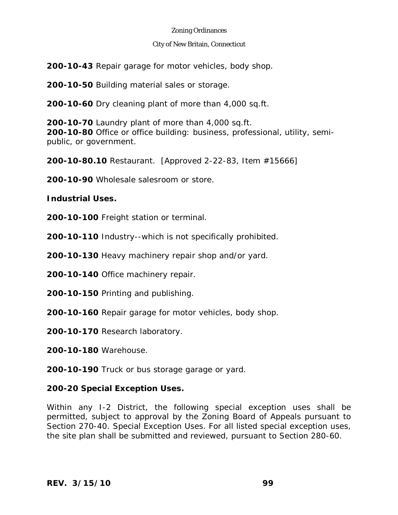### City of New Britain, Connecticut

**200-10-43** Repair garage for motor vehicles, body shop.

**200-10-50** Building material sales or storage.

**200-10-60** Dry cleaning plant of more than 4,000 sq.ft.

**200-10-70** Laundry plant of more than 4,000 sq.ft. **200-10-80** Office or office building: business, professional, utility, semipublic, or government.

**200-10-80.10** Restaurant. [Approved 2-22-83, Item #15666]

**200-10-90** Wholesale salesroom or store.

## **Industrial Uses.**

**200-10-100** Freight station or terminal.

**200-10-110** Industry--which is not specifically prohibited.

**200-10-130** Heavy machinery repair shop and/or yard.

**200-10-140** Office machinery repair.

**200-10-150** Printing and publishing.

**200-10-160** Repair garage for motor vehicles, body shop.

**200-10-170** Research laboratory.

**200-10-180** Warehouse.

**200-10-190** Truck or bus storage garage or yard.

## **200-20 Special Exception Uses.**

Within any I-2 District, the following special exception uses shall be permitted, subject to approval by the Zoning Board of Appeals pursuant to Section 270-40. Special Exception Uses. For all listed special exception uses, the site plan shall be submitted and reviewed, pursuant to Section 280-60.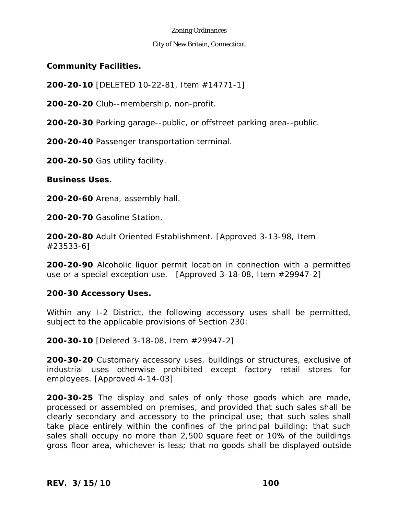### City of New Britain, Connecticut

## **Community Facilities.**

**200-20-10** [DELETED 10-22-81, Item #14771-1]

**200-20-20** Club--membership, non-profit.

**200-20-30** Parking garage--public, or offstreet parking area--public.

**200-20-40** Passenger transportation terminal.

**200-20-50** Gas utility facility.

## **Business Uses.**

**200-20-60** Arena, assembly hall.

**200-20-70** Gasoline Station.

**200-20-80** Adult Oriented Establishment. [Approved 3-13-98, Item #23533-6]

**200-20-90** Alcoholic liquor permit location in connection with a permitted use or a special exception use. [Approved 3-18-08, Item #29947-2]

## **200-30 Accessory Uses.**

Within any I-2 District, the following accessory uses shall be permitted, subject to the applicable provisions of Section 230:

**200-30-10** [Deleted 3-18-08, Item #29947-2]

**200-30-20** Customary accessory uses, buildings or structures, exclusive of industrial uses otherwise prohibited except factory retail stores for employees. [Approved 4-14-03]

**200-30-25** The display and sales of only those goods which are made, processed or assembled on premises, and provided that such sales shall be clearly secondary and accessory to the principal use; that such sales shall take place entirely within the confines of the principal building; that such sales shall occupy no more than 2,500 square feet or 10% of the buildings gross floor area, whichever is less; that no goods shall be displayed outside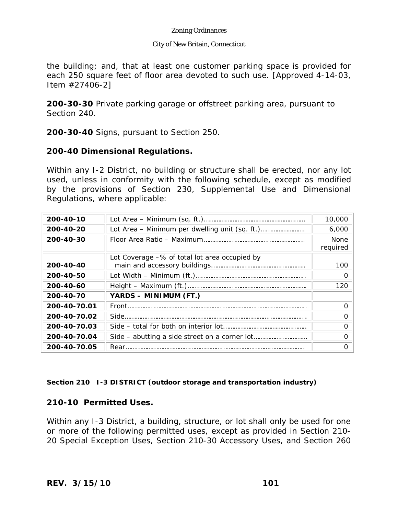### City of New Britain, Connecticut

the building; and, that at least one customer parking space is provided for each 250 square feet of floor area devoted to such use. [Approved 4-14-03, Item #27406-2]

**200-30-30** Private parking garage or offstreet parking area, pursuant to Section 240.

**200-30-40** Signs, pursuant to Section 250.

## **200-40 Dimensional Regulations.**

Within any I-2 District, no building or structure shall be erected, nor any lot used, unless in conformity with the following schedule, except as modified by the provisions of Section 230, Supplemental Use and Dimensional Regulations, where applicable:

| 200-40-10    |                                               | 10,000                  |
|--------------|-----------------------------------------------|-------------------------|
| 200-40-20    |                                               | 6,000                   |
| 200-40-30    |                                               | <b>None</b><br>required |
| 200-40-40    | Lot Coverage -% of total lot area occupied by | 100                     |
| 200-40-50    |                                               | $\Omega$                |
| 200-40-60    |                                               | 120                     |
| 200-40-70    | YARDS - MINIMUM (FT.)                         |                         |
| 200-40-70.01 |                                               | O                       |
| 200-40-70.02 |                                               | $\Omega$                |
| 200-40-70.03 |                                               | റ                       |
| 200-40-70.04 |                                               | $\Omega$                |
| 200-40-70.05 | Rear.                                         | Ω                       |

## **Section 210 I-3 DISTRICT (outdoor storage and transportation industry)**

# **210-10 Permitted Uses.**

Within any I-3 District, a building, structure, or lot shall only be used for one or more of the following permitted uses, except as provided in Section 210- 20 Special Exception Uses, Section 210-30 Accessory Uses, and Section 260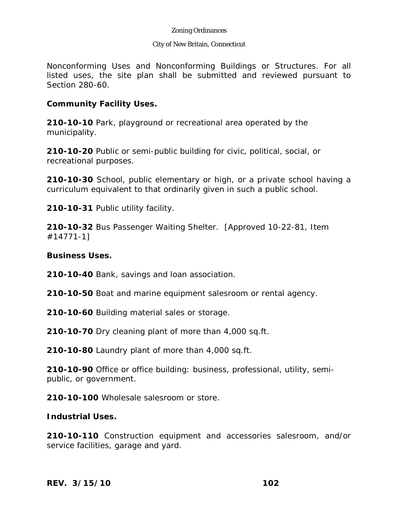### City of New Britain, Connecticut

Nonconforming Uses and Nonconforming Buildings or Structures. For all listed uses, the site plan shall be submitted and reviewed pursuant to Section 280-60.

## **Community Facility Uses.**

**210-10-10** Park, playground or recreational area operated by the municipality.

**210-10-20** Public or semi-public building for civic, political, social, or recreational purposes.

**210-10-30** School, public elementary or high, or a private school having a curriculum equivalent to that ordinarily given in such a public school.

**210-10-31** Public utility facility.

**210-10-32** Bus Passenger Waiting Shelter. [Approved 10-22-81, Item #14771-1]

## **Business Uses.**

**210-10-40** Bank, savings and loan association.

**210-10-50** Boat and marine equipment salesroom or rental agency.

**210-10-60** Building material sales or storage.

**210-10-70** Dry cleaning plant of more than 4,000 sq.ft.

**210-10-80** Laundry plant of more than 4,000 sq.ft.

**210-10-90** Office or office building: business, professional, utility, semipublic, or government.

**210-10-100** Wholesale salesroom or store.

## **Industrial Uses.**

**210-10-110** Construction equipment and accessories salesroom, and/or service facilities, garage and yard.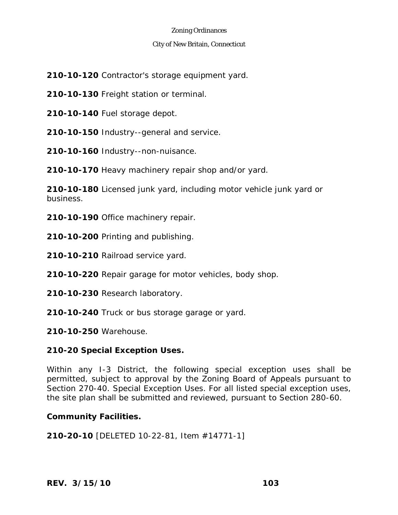### City of New Britain, Connecticut

**210-10-120** Contractor's storage equipment yard.

**210-10-130** Freight station or terminal.

**210-10-140** Fuel storage depot.

**210-10-150** Industry--general and service.

**210-10-160** Industry--non-nuisance.

**210-10-170** Heavy machinery repair shop and/or yard.

**210-10-180** Licensed junk yard, including motor vehicle junk yard or business.

**210-10-190** Office machinery repair.

**210-10-200** Printing and publishing.

**210-10-210** Railroad service yard.

**210-10-220** Repair garage for motor vehicles, body shop.

**210-10-230** Research laboratory.

**210-10-240** Truck or bus storage garage or yard.

**210-10-250** Warehouse.

# **210-20 Special Exception Uses.**

Within any I-3 District, the following special exception uses shall be permitted, subject to approval by the Zoning Board of Appeals pursuant to Section 270-40. Special Exception Uses. For all listed special exception uses, the site plan shall be submitted and reviewed, pursuant to Section 280-60.

# **Community Facilities.**

**210-20-10** [DELETED 10-22-81, Item #14771-1]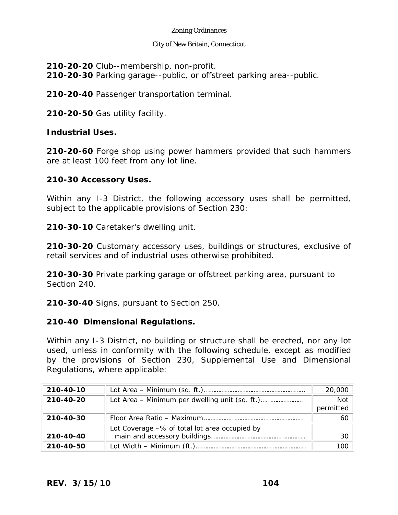### City of New Britain, Connecticut

**210-20-20** Club--membership, non-profit. **210-20-30** Parking garage--public, or offstreet parking area--public.

**210-20-40** Passenger transportation terminal.

**210-20-50** Gas utility facility.

# **Industrial Uses.**

**210-20-60** Forge shop using power hammers provided that such hammers are at least 100 feet from any lot line.

# **210-30 Accessory Uses.**

Within any I-3 District, the following accessory uses shall be permitted, subject to the applicable provisions of Section 230:

**210-30-10** Caretaker's dwelling unit.

**210-30-20** Customary accessory uses, buildings or structures, exclusive of retail services and of industrial uses otherwise prohibited.

**210-30-30** Private parking garage or offstreet parking area, pursuant to Section 240.

**210-30-40** Signs, pursuant to Section 250.

# **210-40 Dimensional Regulations.**

Within any I-3 District, no building or structure shall be erected, nor any lot used, unless in conformity with the following schedule, except as modified by the provisions of Section 230, Supplemental Use and Dimensional Regulations, where applicable:

| 210-40-10 |                                               | 20,000                  |
|-----------|-----------------------------------------------|-------------------------|
| 210-40-20 |                                               | <b>Not</b><br>permitted |
| 210-40-30 |                                               | .60                     |
| 210-40-40 | Lot Coverage -% of total lot area occupied by | 30                      |
| 210-40-50 |                                               |                         |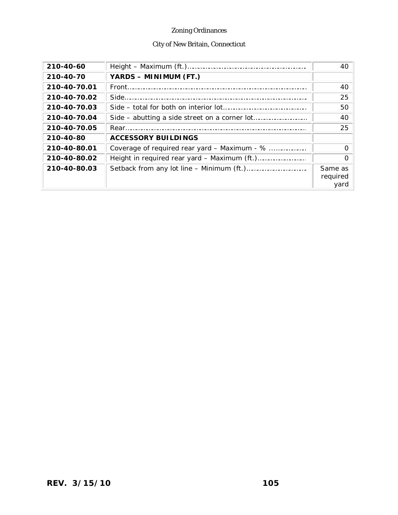# City of New Britain, Connecticut

| 210-40-60    |                                              | 40                          |
|--------------|----------------------------------------------|-----------------------------|
| 210-40-70    | YARDS - MINIMUM (FT.)                        |                             |
| 210-40-70.01 |                                              | 40                          |
| 210-40-70.02 |                                              | 25                          |
| 210-40-70.03 |                                              | 50                          |
| 210-40-70.04 |                                              | 40                          |
| 210-40-70.05 |                                              | 25                          |
| 210-40-80    | <b>ACCESSORY BUILDINGS</b>                   |                             |
| 210-40-80.01 | Coverage of required rear yard – Maximum - % |                             |
| 210-40-80.02 |                                              |                             |
| 210-40-80.03 |                                              | Same as<br>required<br>vard |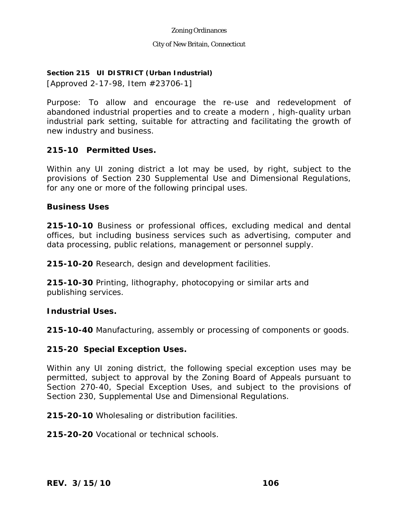### City of New Britain, Connecticut

## **Section 215 UI DISTRICT (Urban Industrial)**

[Approved 2-17-98, Item #23706-1]

Purpose: To allow and encourage the re-use and redevelopment of abandoned industrial properties and to create a modern , high-quality urban industrial park setting, suitable for attracting and facilitating the growth of new industry and business.

# **215-10 Permitted Uses.**

Within any UI zoning district a lot may be used, by right, subject to the provisions of Section 230 Supplemental Use and Dimensional Regulations, for any one or more of the following principal uses.

## **Business Uses**

**215-10-10** Business or professional offices, excluding medical and dental offices, but including business services such as advertising, computer and data processing, public relations, management or personnel supply.

**215-10-20** Research, design and development facilities.

**215-10-30** Printing, lithography, photocopying or similar arts and publishing services.

## **Industrial Uses.**

**215-10-40** Manufacturing, assembly or processing of components or goods.

# **215-20 Special Exception Uses.**

Within any UI zoning district, the following special exception uses may be permitted, subject to approval by the Zoning Board of Appeals pursuant to Section 270-40, Special Exception Uses, and subject to the provisions of Section 230, Supplemental Use and Dimensional Regulations.

**215-20-10** Wholesaling or distribution facilities.

**215-20-20** Vocational or technical schools.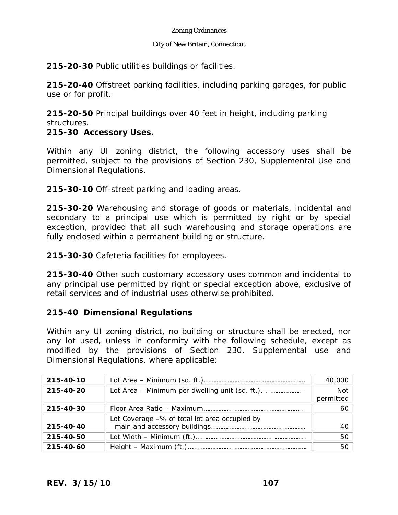### City of New Britain, Connecticut

**215-20-30** Public utilities buildings or facilities.

**215-20-40** Offstreet parking facilities, including parking garages, for public use or for profit.

**215-20-50** Principal buildings over 40 feet in height, including parking structures.

# **215-30 Accessory Uses.**

Within any UI zoning district, the following accessory uses shall be permitted, subject to the provisions of Section 230, Supplemental Use and Dimensional Regulations.

**215-30-10** Off-street parking and loading areas.

**215-30-20** Warehousing and storage of goods or materials, incidental and secondary to a principal use which is permitted by right or by special exception, provided that all such warehousing and storage operations are fully enclosed within a permanent building or structure.

**215-30-30** Cafeteria facilities for employees.

**215-30-40** Other such customary accessory uses common and incidental to any principal use permitted by right or special exception above, exclusive of retail services and of industrial uses otherwise prohibited.

# **215-40 Dimensional Regulations**

Within any UI zoning district, no building or structure shall be erected, nor any lot used, unless in conformity with the following schedule, except as modified by the provisions of Section 230, Supplemental use and Dimensional Regulations, where applicable:

| 215-40-10 |                                               | 40,000                  |
|-----------|-----------------------------------------------|-------------------------|
| 215-40-20 |                                               | <b>Not</b><br>permitted |
| 215-40-30 |                                               | .60                     |
| 215-40-40 | Lot Coverage -% of total lot area occupied by | 40                      |
| 215-40-50 |                                               | 50                      |
| 215-40-60 |                                               | 50                      |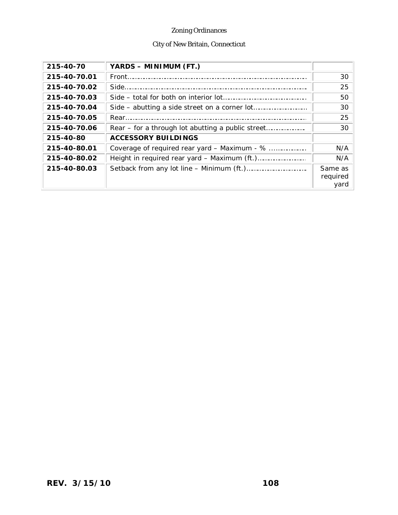# City of New Britain, Connecticut

| 215-40-70    | YARDS - MINIMUM (FT.)                        |                             |
|--------------|----------------------------------------------|-----------------------------|
| 215-40-70.01 | Front                                        | 30                          |
| 215-40-70.02 |                                              | 25                          |
| 215-40-70.03 |                                              | 50                          |
| 215-40-70.04 |                                              | 30                          |
| 215-40-70.05 |                                              | 25                          |
| 215-40-70.06 |                                              | 30                          |
| 215-40-80    | <b>ACCESSORY BUILDINGS</b>                   |                             |
| 215-40-80.01 | Coverage of required rear yard – Maximum - % | N/A                         |
| 215-40-80.02 |                                              | N/A                         |
| 215-40-80.03 |                                              | Same as<br>required<br>vard |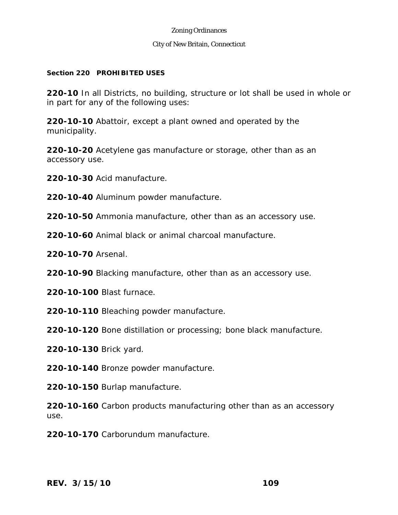#### City of New Britain, Connecticut

### **Section 220 PROHIBITED USES**

**220-10** In all Districts, no building, structure or lot shall be used in whole or in part for any of the following uses:

**220-10-10** Abattoir, except a plant owned and operated by the municipality.

**220-10-20** Acetylene gas manufacture or storage, other than as an accessory use.

**220-10-30** Acid manufacture.

**220-10-40** Aluminum powder manufacture.

**220-10-50** Ammonia manufacture, other than as an accessory use.

**220-10-60** Animal black or animal charcoal manufacture.

**220-10-70** Arsenal.

**220-10-90** Blacking manufacture, other than as an accessory use.

**220-10-100** Blast furnace.

**220-10-110** Bleaching powder manufacture.

**220-10-120** Bone distillation or processing; bone black manufacture.

**220-10-130** Brick yard.

**220-10-140** Bronze powder manufacture.

**220-10-150** Burlap manufacture.

**220-10-160** Carbon products manufacturing other than as an accessory use.

**220-10-170** Carborundum manufacture.

*REV. 3/15/10* **109**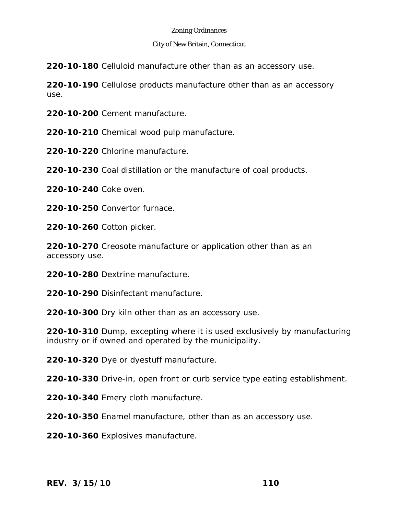#### City of New Britain, Connecticut

**220-10-180** Celluloid manufacture other than as an accessory use.

**220-10-190** Cellulose products manufacture other than as an accessory use.

**220-10-200** Cement manufacture.

**220-10-210** Chemical wood pulp manufacture.

**220-10-220** Chlorine manufacture.

**220-10-230** Coal distillation or the manufacture of coal products.

**220-10-240** Coke oven.

**220-10-250** Convertor furnace.

**220-10-260** Cotton picker.

**220-10-270** Creosote manufacture or application other than as an accessory use.

**220-10-280** Dextrine manufacture.

**220-10-290** Disinfectant manufacture.

**220-10-300** Dry kiln other than as an accessory use.

**220-10-310** Dump, excepting where it is used exclusively by manufacturing industry or if owned and operated by the municipality.

**220-10-320** Dye or dyestuff manufacture.

**220-10-330** Drive-in, open front or curb service type eating establishment.

**220-10-340** Emery cloth manufacture.

**220-10-350** Enamel manufacture, other than as an accessory use.

**220-10-360** Explosives manufacture.

*REV. 3/15/10* **110**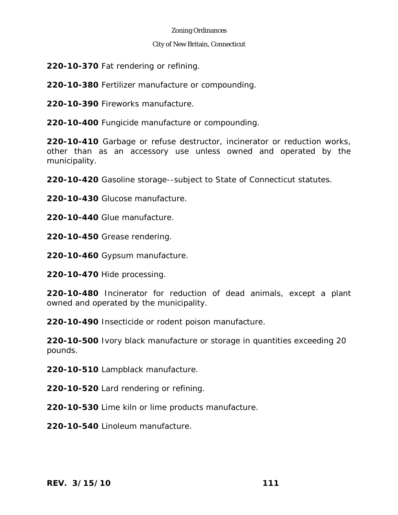### City of New Britain, Connecticut

**220-10-370** Fat rendering or refining.

**220-10-380** Fertilizer manufacture or compounding.

**220-10-390** Fireworks manufacture.

**220-10-400** Fungicide manufacture or compounding.

**220-10-410** Garbage or refuse destructor, incinerator or reduction works, other than as an accessory use unless owned and operated by the municipality.

**220-10-420** Gasoline storage--subject to State of Connecticut statutes.

**220-10-430** Glucose manufacture.

**220-10-440** Glue manufacture.

**220-10-450** Grease rendering.

**220-10-460** Gypsum manufacture.

**220-10-470** Hide processing.

**220-10-480** Incinerator for reduction of dead animals, except a plant owned and operated by the municipality.

**220-10-490** Insecticide or rodent poison manufacture.

**220-10-500** Ivory black manufacture or storage in quantities exceeding 20 pounds.

**220-10-510** Lampblack manufacture.

**220-10-520** Lard rendering or refining.

**220-10-530** Lime kiln or lime products manufacture.

**220-10-540** Linoleum manufacture.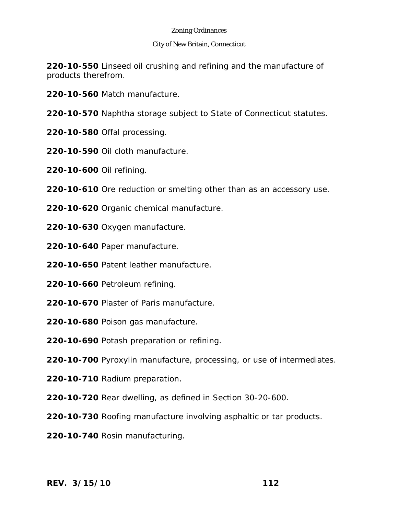### City of New Britain, Connecticut

**220-10-550** Linseed oil crushing and refining and the manufacture of products therefrom.

- **220-10-560** Match manufacture.
- **220-10-570** Naphtha storage subject to State of Connecticut statutes.
- **220-10-580** Offal processing.
- **220-10-590** Oil cloth manufacture.
- **220-10-600** Oil refining.
- **220-10-610** Ore reduction or smelting other than as an accessory use.
- **220-10-620** Organic chemical manufacture.
- **220-10-630** Oxygen manufacture.
- **220-10-640** Paper manufacture.
- **220-10-650** Patent leather manufacture.
- **220-10-660** Petroleum refining.
- **220-10-670** Plaster of Paris manufacture.
- **220-10-680** Poison gas manufacture.
- **220-10-690** Potash preparation or refining.
- **220-10-700** Pyroxylin manufacture, processing, or use of intermediates.
- **220-10-710** Radium preparation.
- **220-10-720** Rear dwelling, as defined in Section 30-20-600.
- **220-10-730** Roofing manufacture involving asphaltic or tar products.
- **220-10-740** Rosin manufacturing.

*REV. 3/15/10* **112**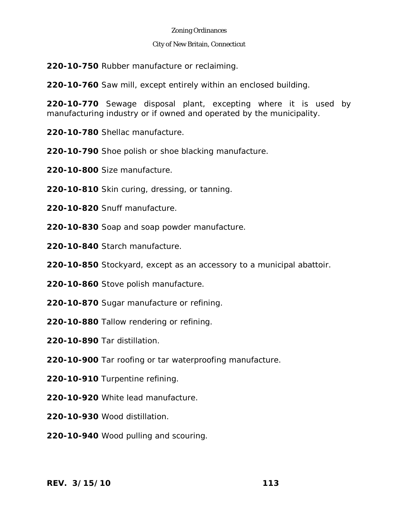#### City of New Britain, Connecticut

**220-10-750** Rubber manufacture or reclaiming.

**220-10-760** Saw mill, except entirely within an enclosed building.

**220-10-770** Sewage disposal plant, excepting where it is used by manufacturing industry or if owned and operated by the municipality.

**220-10-780** Shellac manufacture.

**220-10-790** Shoe polish or shoe blacking manufacture.

**220-10-800** Size manufacture.

- **220-10-810** Skin curing, dressing, or tanning.
- **220-10-820** Snuff manufacture.
- **220-10-830** Soap and soap powder manufacture.
- **220-10-840** Starch manufacture.

**220-10-850** Stockyard, except as an accessory to a municipal abattoir.

- **220-10-860** Stove polish manufacture.
- **220-10-870** Sugar manufacture or refining.
- **220-10-880** Tallow rendering or refining.
- **220-10-890** Tar distillation.
- **220-10-900** Tar roofing or tar waterproofing manufacture.
- **220-10-910** Turpentine refining.
- **220-10-920** White lead manufacture.
- **220-10-930** Wood distillation.
- **220-10-940** Wood pulling and scouring.

*REV. 3/15/10* **113**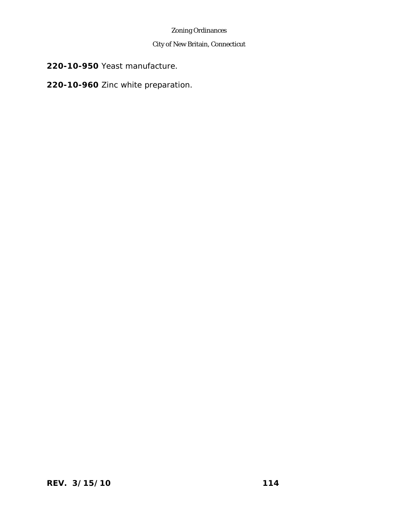# City of New Britain, Connecticut

**220-10-950** Yeast manufacture.

# **220-10-960** Zinc white preparation.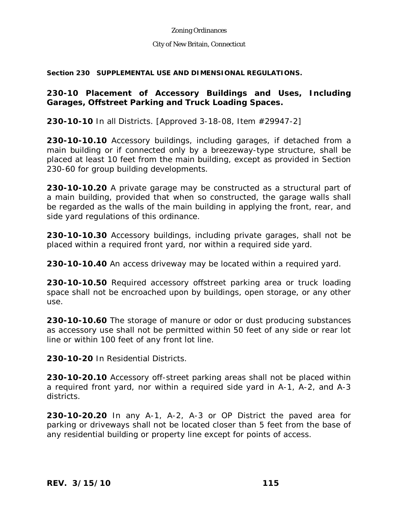#### City of New Britain, Connecticut

**Section 230 SUPPLEMENTAL USE AND DIMENSIONAL REGULATIONS.** 

# **230-10 Placement of Accessory Buildings and Uses, Including Garages, Offstreet Parking and Truck Loading Spaces.**

**230-10-10** In all Districts. [Approved 3-18-08, Item #29947-2]

**230-10-10.10** Accessory buildings, including garages, if detached from a main building or if connected only by a breezeway-type structure, shall be placed at least 10 feet from the main building, except as provided in Section 230-60 for group building developments.

**230-10-10.20** A private garage may be constructed as a structural part of a main building, provided that when so constructed, the garage walls shall be regarded as the walls of the main building in applying the front, rear, and side yard regulations of this ordinance.

**230-10-10.30** Accessory buildings, including private garages, shall not be placed within a required front yard, nor within a required side yard.

**230-10-10.40** An access driveway may be located within a required yard.

**230-10-10.50** Required accessory offstreet parking area or truck loading space shall not be encroached upon by buildings, open storage, or any other use.

**230-10-10.60** The storage of manure or odor or dust producing substances as accessory use shall not be permitted within 50 feet of any side or rear lot line or within 100 feet of any front lot line.

**230-10-20** In Residential Districts.

**230-10-20.10** Accessory off-street parking areas shall not be placed within a required front yard, nor within a required side yard in A-1, A-2, and A-3 districts.

**230-10-20.20** In any A-1, A-2, A-3 or OP District the paved area for parking or driveways shall not be located closer than 5 feet from the base of any residential building or property line except for points of access.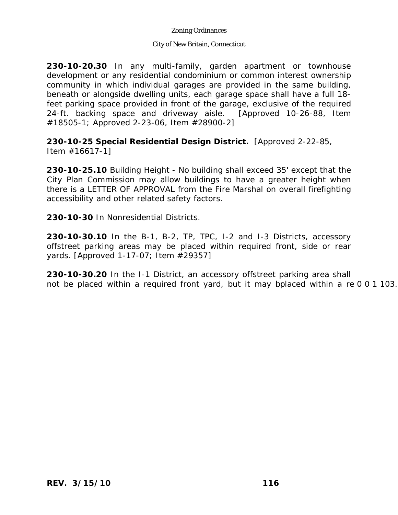### City of New Britain, Connecticut

**230-10-20.30** In any multi-family, garden apartment or townhouse development or any residential condominium or common interest ownership community in which individual garages are provided in the same building, beneath or alongside dwelling units, each garage space shall have a full 18 feet parking space provided in front of the garage, exclusive of the required 24-ft. backing space and driveway aisle. [Approved 10-26-88, Item #18505-1; Approved 2-23-06, Item #28900-2]

**230-10-25 Special Residential Design District.** [Approved 2-22-85, Item #16617-1]

**230-10-25.10** Building Height - No building shall exceed 35' except that the City Plan Commission may allow buildings to have a greater height when there is a LETTER OF APPROVAL from the Fire Marshal on overall firefighting accessibility and other related safety factors.

**230-10-30** In Nonresidential Districts.

**230-10-30.10** In the B-1, B-2, TP, TPC, I-2 and I-3 Districts, accessory offstreet parking areas may be placed within required front, side or rear yards. [Approved 1-17-07; Item #29357]

yards. Approved 1-17-07; Item #29357]<br>230-10-3020 In the I-1 District, an accessory offstreet parking area shall not be placed within a required front yard, but it may bplaced within a re 0 0 1 103.

230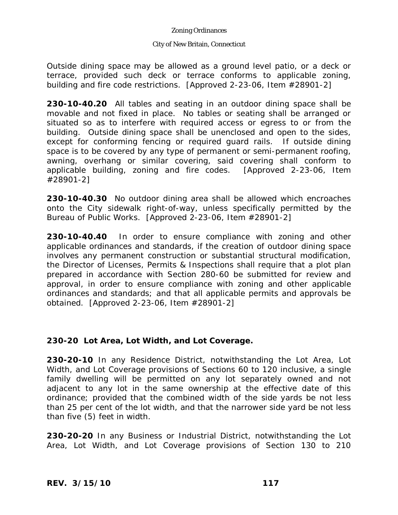#### City of New Britain, Connecticut

Outside dining space may be allowed as a ground level patio, or a deck or terrace, provided such deck or terrace conforms to applicable zoning, building and fire code restrictions. [Approved 2-23-06, Item #28901-2]

**230-10-40.20** All tables and seating in an outdoor dining space shall be movable and not fixed in place. No tables or seating shall be arranged or situated so as to interfere with required access or egress to or from the building. Outside dining space shall be unenclosed and open to the sides, except for conforming fencing or required guard rails. If outside dining space is to be covered by any type of permanent or semi-permanent roofing, awning, overhang or similar covering, said covering shall conform to applicable building, zoning and fire codes. [Approved 2-23-06, Item #28901-2]

**230-10-40.30** No outdoor dining area shall be allowed which encroaches onto the City sidewalk right-of-way, unless specifically permitted by the Bureau of Public Works. [Approved 2-23-06, Item #28901-2]

**230-10-40.40** In order to ensure compliance with zoning and other applicable ordinances and standards, if the creation of outdoor dining space involves any permanent construction or substantial structural modification, the Director of Licenses, Permits & Inspections shall require that a plot plan prepared in accordance with Section 280-60 be submitted for review and approval, in order to ensure compliance with zoning and other applicable ordinances and standards; and that all applicable permits and approvals be obtained. [Approved 2-23-06, Item #28901-2]

# **230-20 Lot Area, Lot Width, and Lot Coverage.**

**230-20-10** In any Residence District, notwithstanding the Lot Area, Lot Width, and Lot Coverage provisions of Sections 60 to 120 inclusive, a single family dwelling will be permitted on any lot separately owned and not adjacent to any lot in the same ownership at the effective date of this ordinance; provided that the combined width of the side yards be not less than 25 per cent of the lot width, and that the narrower side yard be not less than five (5) feet in width.

**230-20-20** In any Business or Industrial District, notwithstanding the Lot Area, Lot Width, and Lot Coverage provisions of Section 130 to 210

*REV. 3/15/10* **117**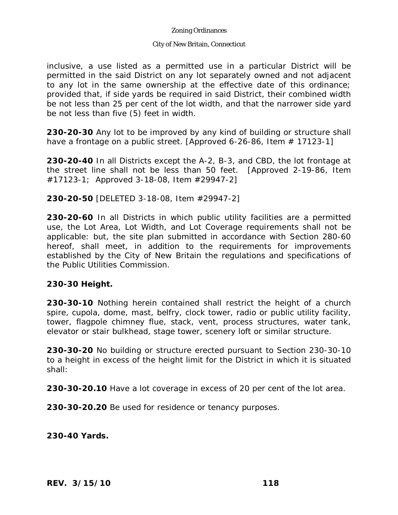#### City of New Britain, Connecticut

inclusive, a use listed as a permitted use in a particular District will be permitted in the said District on any lot separately owned and not adjacent to any lot in the same ownership at the effective date of this ordinance; provided that, if side yards be required in said District, their combined width be not less than 25 per cent of the lot width, and that the narrower side yard be not less than five (5) feet in width.

**230-20-30** Any lot to be improved by any kind of building or structure shall have a frontage on a public street. [Approved 6-26-86, Item  $# 17123-1$ ]

**230-20-40** In all Districts except the A-2, B-3, and CBD, the lot frontage at the street line shall not be less than 50 feet. [Approved 2-19-86, Item #17123-1; Approved 3-18-08, Item #29947-2]

**230-20-50** [DELETED 3-18-08, Item #29947-2]

**230-20-60** In all Districts in which public utility facilities are a permitted use, the Lot Area, Lot Width, and Lot Coverage requirements shall not be applicable: but, the site plan submitted in accordance with Section 280-60 hereof, shall meet, in addition to the requirements for improvements established by the City of New Britain the regulations and specifications of the Public Utilities Commission.

### **230-30 Height.**

**230-30-10** Nothing herein contained shall restrict the height of a church spire, cupola, dome, mast, belfry, clock tower, radio or public utility facility, tower, flagpole chimney flue, stack, vent, process structures, water tank, elevator or stair bulkhead, stage tower, scenery loft or similar structure.

**230-30-20** No building or structure erected pursuant to Section 230-30-10 to a height in excess of the height limit for the District in which it is situated shall:

**230-30-20.10** Have a lot coverage in excess of 20 per cent of the lot area.

**230-30-20.20** Be used for residence or tenancy purposes.

**230-40 Yards.** 

*REV. 3/15/10* **118**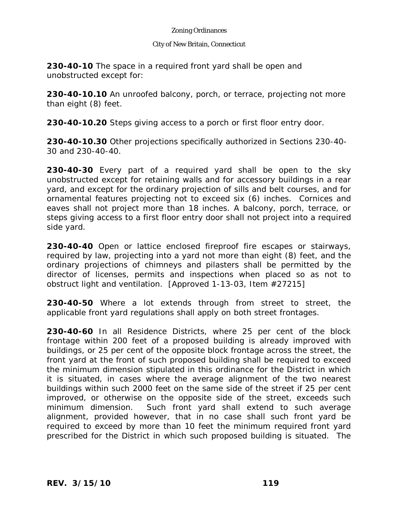#### City of New Britain, Connecticut

**230-40-10** The space in a required front yard shall be open and unobstructed except for:

**230-40-10.10** An unroofed balcony, porch, or terrace, projecting not more than eight (8) feet.

**230-40-10.20** Steps giving access to a porch or first floor entry door.

**230-40-10.30** Other projections specifically authorized in Sections 230-40- 30 and 230-40-40.

**230-40-30** Every part of a required yard shall be open to the sky unobstructed except for retaining walls and for accessory buildings in a rear yard, and except for the ordinary projection of sills and belt courses, and for ornamental features projecting not to exceed six (6) inches. Cornices and eaves shall not project more than 18 inches. A balcony, porch, terrace, or steps giving access to a first floor entry door shall not project into a required side yard.

**230-40-40** Open or lattice enclosed fireproof fire escapes or stairways, required by law, projecting into a yard not more than eight (8) feet, and the ordinary projections of chimneys and pilasters shall be permitted by the director of licenses, permits and inspections when placed so as not to obstruct light and ventilation. [Approved 1-13-03, Item #27215]

**230-40-50** Where a lot extends through from street to street, the applicable front yard regulations shall apply on both street frontages.

**230-40-60** In all Residence Districts, where 25 per cent of the block frontage within 200 feet of a proposed building is already improved with buildings, or 25 per cent of the opposite block frontage across the street, the front yard at the front of such proposed building shall be required to exceed the minimum dimension stipulated in this ordinance for the District in which it is situated, in cases where the average alignment of the two nearest buildings within such 2000 feet on the same side of the street if 25 per cent improved, or otherwise on the opposite side of the street, exceeds such minimum dimension. Such front yard shall extend to such average alignment, provided however, that in no case shall such front yard be required to exceed by more than 10 feet the minimum required front yard prescribed for the District in which such proposed building is situated. The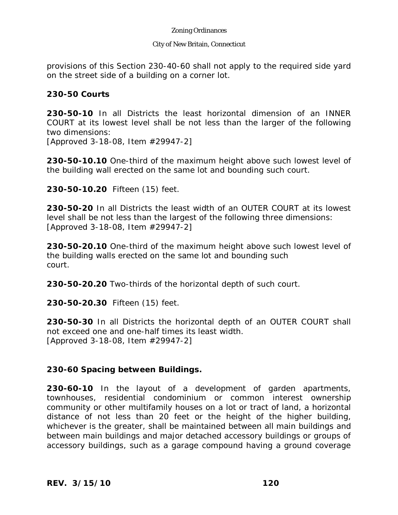#### City of New Britain, Connecticut

provisions of this Section 230-40-60 shall not apply to the required side yard on the street side of a building on a corner lot.

## **230-50 Courts**

**230-50-10** In all Districts the least horizontal dimension of an INNER COURT at its lowest level shall be not less than the larger of the following two dimensions:

[Approved 3-18-08, Item #29947-2]

**230-50-10.10** One-third of the maximum height above such lowest level of the building wall erected on the same lot and bounding such court.

**230-50-10.20** Fifteen (15) feet.

**230-50-20** In all Districts the least width of an OUTER COURT at its lowest level shall be not less than the largest of the following three dimensions: [Approved 3-18-08, Item #29947-2]

**230-50-20.10** One-third of the maximum height above such lowest level of the building walls erected on the same lot and bounding such court.

**230-50-20.20** Two-thirds of the horizontal depth of such court.

**230-50-20.30** Fifteen (15) feet.

**230-50-30** In all Districts the horizontal depth of an OUTER COURT shall not exceed one and one-half times its least width. [Approved 3-18-08, Item #29947-2]

### **230-60 Spacing between Buildings.**

**230-60-10** In the layout of a development of garden apartments, townhouses, residential condominium or common interest ownership community or other multifamily houses on a lot or tract of land, a horizontal distance of not less than 20 feet or the height of the higher building, whichever is the greater, shall be maintained between all main buildings and between main buildings and major detached accessory buildings or groups of accessory buildings, such as a garage compound having a ground coverage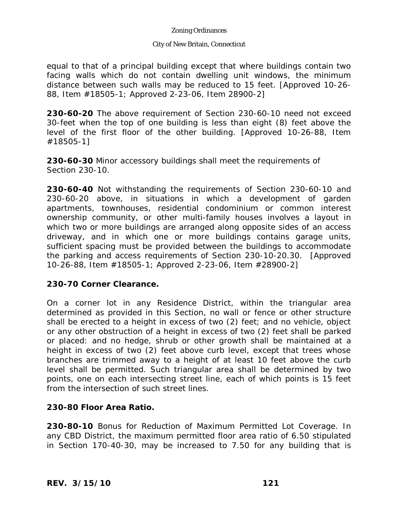### City of New Britain, Connecticut

equal to that of a principal building except that where buildings contain two facing walls which do not contain dwelling unit windows, the minimum distance between such walls may be reduced to 15 feet. [Approved 10-26- 88, Item #18505-1; Approved 2-23-06, Item 28900-2]

**230-60-20** The above requirement of Section 230-60-10 need not exceed 30-feet when the top of one building is less than eight (8) feet above the level of the first floor of the other building. [Approved 10-26-88, Item #18505-1]

**230-60-30** Minor accessory buildings shall meet the requirements of Section 230-10.

**230-60-40** Not withstanding the requirements of Section 230-60-10 and 230-60-20 above, in situations in which a development of garden apartments, townhouses, residential condominium or common interest ownership community, or other multi-family houses involves a layout in which two or more buildings are arranged along opposite sides of an access driveway, and in which one or more buildings contains garage units, sufficient spacing must be provided between the buildings to accommodate the parking and access requirements of Section 230-10-20.30. [Approved 10-26-88, Item #18505-1; Approved 2-23-06, Item #28900-2]

### **230-70 Corner Clearance.**

On a corner lot in any Residence District, within the triangular area determined as provided in this Section, no wall or fence or other structure shall be erected to a height in excess of two (2) feet; and no vehicle, object or any other obstruction of a height in excess of two (2) feet shall be parked or placed: and no hedge, shrub or other growth shall be maintained at a height in excess of two (2) feet above curb level, except that trees whose branches are trimmed away to a height of at least 10 feet above the curb level shall be permitted. Such triangular area shall be determined by two points, one on each intersecting street line, each of which points is 15 feet from the intersection of such street lines.

### **230-80 Floor Area Ratio.**

**230-80-10** Bonus for Reduction of Maximum Permitted Lot Coverage. In any CBD District, the maximum permitted floor area ratio of 6.50 stipulated in Section 170-40-30, may be increased to 7.50 for any building that is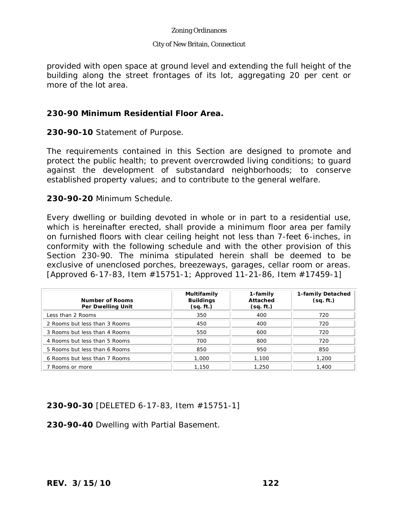#### City of New Britain, Connecticut

provided with open space at ground level and extending the full height of the building along the street frontages of its lot, aggregating 20 per cent or more of the lot area.

## **230-90 Minimum Residential Floor Area.**

**230-90-10** Statement of Purpose.

The requirements contained in this Section are designed to promote and protect the public health; to prevent overcrowded living conditions; to guard against the development of substandard neighborhoods; to conserve established property values; and to contribute to the general welfare.

**230-90-20** Minimum Schedule.

Every dwelling or building devoted in whole or in part to a residential use, which is hereinafter erected, shall provide a minimum floor area per family on furnished floors with clear ceiling height not less than 7-feet 6-inches, in conformity with the following schedule and with the other provision of this Section 230-90. The minima stipulated herein shall be deemed to be exclusive of unenclosed porches, breezeways, garages, cellar room or areas. [Approved 6-17-83, Item #15751-1; Approved 11-21-86, Item #17459-1]

| <b>Number of Rooms</b><br>Per Dwelling Unit | Multifamily<br><b>Buildings</b><br>(sq. ft.) | 1-family<br>Attached<br>(sq. ft.) | 1-family Detached<br>(sq. ft.) |
|---------------------------------------------|----------------------------------------------|-----------------------------------|--------------------------------|
| Less than 2 Rooms                           | 350                                          | 400                               | 720                            |
| 2 Rooms but less than 3 Rooms               | 450                                          | 400                               | 720                            |
| 3 Rooms but less than 4 Rooms               | 550                                          | 600                               | 720                            |
| 4 Rooms but less than 5 Rooms               | 700                                          | 800                               | 720                            |
| 5 Rooms but less than 6 Rooms               | 850                                          | 950                               | 850                            |
| 6 Rooms but less than 7 Rooms               | 1,000                                        | 1,100                             | 1,200                          |
| 7 Rooms or more                             | 1,150                                        | 1,250                             | 1,400                          |

# **230-90-30** [DELETED 6-17-83, Item #15751-1]

**230-90-40** Dwelling with Partial Basement.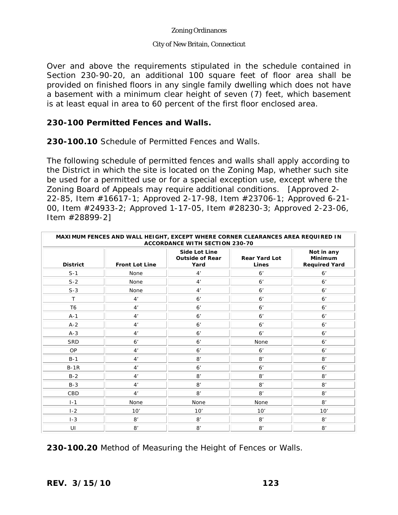### City of New Britain, Connecticut

Over and above the requirements stipulated in the schedule contained in Section 230-90-20, an additional 100 square feet of floor area shall be provided on finished floors in any single family dwelling which does not have a basement with a minimum clear height of seven (7) feet, which basement is at least equal in area to 60 percent of the first floor enclosed area.

## **230-100 Permitted Fences and Walls.**

**230-100.10** Schedule of Permitted Fences and Walls.

The following schedule of permitted fences and walls shall apply according to the District in which the site is located on the Zoning Map, whether such site be used for a permitted use or for a special exception use, except where the Zoning Board of Appeals may require additional conditions. [Approved 2- 22-85, Item #16617-1; Approved 2-17-98, Item #23706-1; Approved 6-21- 00, Item #24933-2; Approved 1-17-05, Item #28230-3; Approved 2-23-06, Item #28899-2]

| MAXIMUM FENCES AND WALL HEIGHT, EXCEPT WHERE CORNER CLEARANCES AREA REQUIRED IN<br><b>ACCORDANCE WITH SECTION 230-70</b> |                       |                                                        |                               |                                                      |  |
|--------------------------------------------------------------------------------------------------------------------------|-----------------------|--------------------------------------------------------|-------------------------------|------------------------------------------------------|--|
| <b>District</b>                                                                                                          | <b>Front Lot Line</b> | <b>Side Lot Line</b><br><b>Outside of Rear</b><br>Yard | <b>Rear Yard Lot</b><br>Lines | Not in any<br><b>Minimum</b><br><b>Required Yard</b> |  |
| $S-1$                                                                                                                    | None                  | 4'                                                     | 6'                            | 6 <sup>'</sup>                                       |  |
| $S-2$                                                                                                                    | None                  | 4'                                                     | 6 <sup>'</sup>                | 6'                                                   |  |
| $S-3$                                                                                                                    | None                  | 4'                                                     | 6'                            | 6'                                                   |  |
| $\mathsf{T}$                                                                                                             | 4'                    | 6 <sup>'</sup>                                         | 6 <sup>'</sup>                | 6'                                                   |  |
| T <sub>6</sub>                                                                                                           | 4'                    | 6 <sup>'</sup>                                         | 6'                            | 6'                                                   |  |
| $A-1$                                                                                                                    | 4'                    | 6 <sup>'</sup>                                         | 6 <sup>'</sup>                | 6'                                                   |  |
| $A-2$                                                                                                                    | 4'                    | 6 <sup>'</sup>                                         | 6 <sup>'</sup>                | 6'                                                   |  |
| $A-3$                                                                                                                    | 4'                    | 6 <sup>'</sup>                                         | 6 <sup>'</sup>                | 6'                                                   |  |
| <b>SRD</b>                                                                                                               | 6 <sup>'</sup>        | 6 <sup>'</sup>                                         | None                          | 6'                                                   |  |
| OP                                                                                                                       | 4'                    | 6'                                                     | 6'                            | 6 <sup>'</sup>                                       |  |
| $B-1$                                                                                                                    | 4'                    | 8'                                                     | 8'                            | 8'                                                   |  |
| $B-1R$                                                                                                                   | 4'                    | 6 <sup>'</sup>                                         | 6 <sup>'</sup>                | 6'                                                   |  |
| $B-2$                                                                                                                    | 4'                    | 8'                                                     | 8'                            | 8'                                                   |  |
| $B-3$                                                                                                                    | 4'                    | 8'                                                     | 8'                            | 8'                                                   |  |
| CBD                                                                                                                      | 4'                    | 8'                                                     | 8'                            | 8'                                                   |  |
| $I-1$                                                                                                                    | None                  | None                                                   | None                          | 8'                                                   |  |
| $1-2$                                                                                                                    | 10'                   | 10'                                                    | 10'                           | 10'                                                  |  |
| $I-3$                                                                                                                    | 8'                    | 8'                                                     | 8'                            | 8'                                                   |  |
| UI                                                                                                                       | 8'                    | 8'                                                     | 8'                            | 8'                                                   |  |

**230-100.20** Method of Measuring the Height of Fences or Walls.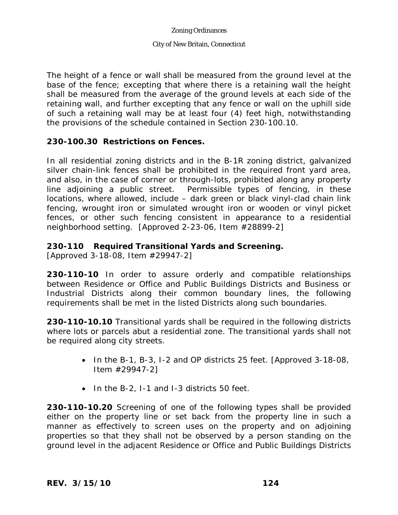#### City of New Britain, Connecticut

The height of a fence or wall shall be measured from the ground level at the base of the fence; excepting that where there is a retaining wall the height shall be measured from the average of the ground levels at each side of the retaining wall, and further excepting that any fence or wall on the uphill side of such a retaining wall may be at least four (4) feet high, notwithstanding the provisions of the schedule contained in Section 230-100.10.

## **230-100.30 Restrictions on Fences.**

In all residential zoning districts and in the B-1R zoning district, galvanized silver chain-link fences shall be prohibited in the required front yard area, and also, in the case of corner or through-lots, prohibited along any property line adjoining a public street. Permissible types of fencing, in these locations, where allowed, include – dark green or black vinyl-clad chain link fencing, wrought iron or simulated wrought iron or wooden or vinyl picket fences, or other such fencing consistent in appearance to a residential neighborhood setting. [Approved 2-23-06, Item #28899-2]

## **230-110 Required Transitional Yards and Screening.**

[Approved 3-18-08, Item #29947-2]

**230-110-10** In order to assure orderly and compatible relationships between Residence or Office and Public Buildings Districts and Business or Industrial Districts along their common boundary lines, the following requirements shall be met in the listed Districts along such boundaries.

**230-110-10.10** Transitional yards shall be required in the following districts where lots or parcels abut a residential zone. The transitional yards shall not be required along city streets.

- In the B-1, B-3, I-2 and OP districts 25 feet. [Approved 3-18-08, Item #29947-2]
- $\bullet$  In the B-2, I-1 and I-3 districts 50 feet.

**230-110-10.20** Screening of one of the following types shall be provided either on the property line or set back from the property line in such a manner as effectively to screen uses on the property and on adjoining properties so that they shall not be observed by a person standing on the ground level in the adjacent Residence or Office and Public Buildings Districts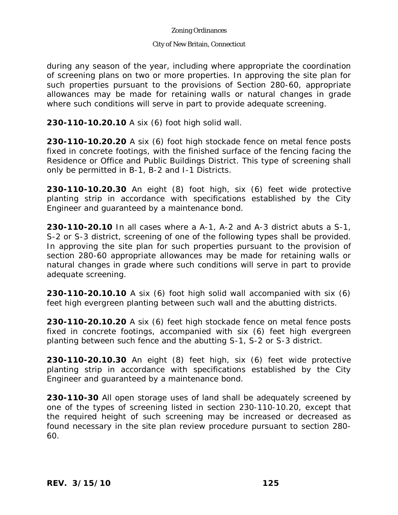### City of New Britain, Connecticut

during any season of the year, including where appropriate the coordination of screening plans on two or more properties. In approving the site plan for such properties pursuant to the provisions of Section 280-60, appropriate allowances may be made for retaining walls or natural changes in grade where such conditions will serve in part to provide adequate screening.

**230-110-10.20.10** A six (6) foot high solid wall.

**230-110-10.20.20** A six (6) foot high stockade fence on metal fence posts fixed in concrete footings, with the finished surface of the fencing facing the Residence or Office and Public Buildings District. This type of screening shall only be permitted in B-1, B-2 and I-1 Districts.

**230-110-10.20.30** An eight (8) foot high, six (6) feet wide protective planting strip in accordance with specifications established by the City Engineer and guaranteed by a maintenance bond.

**230-110-20.10** In all cases where a A-1, A-2 and A-3 district abuts a S-1, S-2 or S-3 district, screening of one of the following types shall be provided. In approving the site plan for such properties pursuant to the provision of section 280-60 appropriate allowances may be made for retaining walls or natural changes in grade where such conditions will serve in part to provide adequate screening.

**230-110-20.10.10** A six (6) foot high solid wall accompanied with six (6) feet high evergreen planting between such wall and the abutting districts.

**230-110-20.10.20** A six (6) feet high stockade fence on metal fence posts fixed in concrete footings, accompanied with six (6) feet high evergreen planting between such fence and the abutting S-1, S-2 or S-3 district.

**230-110-20.10.30** An eight (8) feet high, six (6) feet wide protective planting strip in accordance with specifications established by the City Engineer and guaranteed by a maintenance bond.

**230-110-30** All open storage uses of land shall be adequately screened by one of the types of screening listed in section 230-110-10.20, except that the required height of such screening may be increased or decreased as found necessary in the site plan review procedure pursuant to section 280- 60.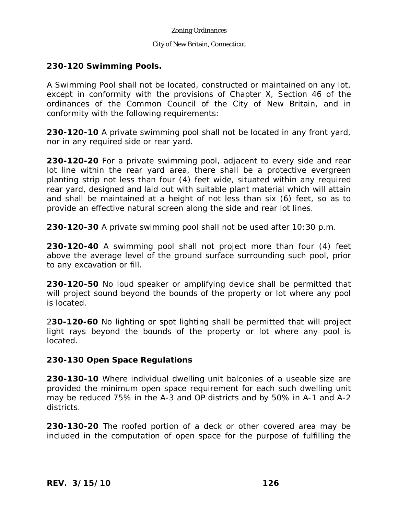#### City of New Britain, Connecticut

## **230-120 Swimming Pools.**

A Swimming Pool shall not be located, constructed or maintained on any lot, except in conformity with the provisions of Chapter X, Section 46 of the ordinances of the Common Council of the City of New Britain, and in conformity with the following requirements:

**230-120-10** A private swimming pool shall not be located in any front yard, nor in any required side or rear yard.

**230-120-20** For a private swimming pool, adjacent to every side and rear lot line within the rear yard area, there shall be a protective evergreen planting strip not less than four (4) feet wide, situated within any required rear yard, designed and laid out with suitable plant material which will attain and shall be maintained at a height of not less than six (6) feet, so as to provide an effective natural screen along the side and rear lot lines.

**230-120-30** A private swimming pool shall not be used after 10:30 p.m.

**230-120-40** A swimming pool shall not project more than four (4) feet above the average level of the ground surface surrounding such pool, prior to any excavation or fill.

**230-120-50** No loud speaker or amplifying device shall be permitted that will project sound beyond the bounds of the property or lot where any pool is located.

2**30-120-60** No lighting or spot lighting shall be permitted that will project light rays beyond the bounds of the property or lot where any pool is located.

### **230-130 Open Space Regulations**

**230-130-10** Where individual dwelling unit balconies of a useable size are provided the minimum open space requirement for each such dwelling unit may be reduced 75% in the A-3 and OP districts and by 50% in A-1 and A-2 districts.

**230-130-20** The roofed portion of a deck or other covered area may be included in the computation of open space for the purpose of fulfilling the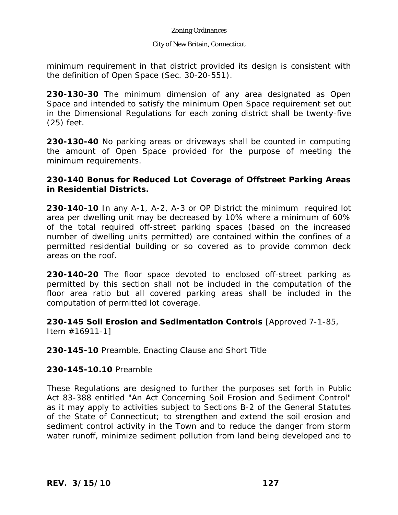### City of New Britain, Connecticut

minimum requirement in that district provided its design is consistent with the definition of Open Space (Sec. 30-20-551).

**230-130-30** The minimum dimension of any area designated as Open Space and intended to satisfy the minimum Open Space requirement set out in the Dimensional Regulations for each zoning district shall be twenty-five (25) feet.

**230-130-40** No parking areas or driveways shall be counted in computing the amount of Open Space provided for the purpose of meeting the minimum requirements.

# **230-140 Bonus for Reduced Lot Coverage of Offstreet Parking Areas in Residential Districts.**

**230-140-10** In any A-1, A-2, A-3 or OP District the minimum required lot area per dwelling unit may be decreased by 10% where a minimum of 60% of the total required off-street parking spaces (based on the increased number of dwelling units permitted) are contained within the confines of a permitted residential building or so covered as to provide common deck areas on the roof.

**230-140-20** The floor space devoted to enclosed off-street parking as permitted by this section shall not be included in the computation of the floor area ratio but all covered parking areas shall be included in the computation of permitted lot coverage.

**230-145 Soil Erosion and Sedimentation Controls** [Approved 7-1-85, Item #16911-1]

**230-145-10** Preamble, Enacting Clause and Short Title

# **230-145-10.10** Preamble

These Regulations are designed to further the purposes set forth in Public Act 83-388 entitled "An Act Concerning Soil Erosion and Sediment Control" as it may apply to activities subject to Sections B-2 of the General Statutes of the State of Connecticut; to strengthen and extend the soil erosion and sediment control activity in the Town and to reduce the danger from storm water runoff, minimize sediment pollution from land being developed and to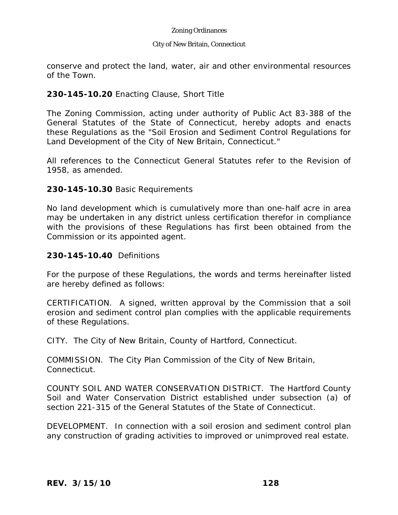#### City of New Britain, Connecticut

conserve and protect the land, water, air and other environmental resources of the Town.

## **230-145-10.20** Enacting Clause, Short Title

The Zoning Commission, acting under authority of Public Act 83-388 of the General Statutes of the State of Connecticut, hereby adopts and enacts these Regulations as the "Soil Erosion and Sediment Control Regulations for Land Development of the City of New Britain, Connecticut."

All references to the Connecticut General Statutes refer to the Revision of 1958, as amended.

## **230-145-10.30** Basic Requirements

No land development which is cumulatively more than one-half acre in area may be undertaken in any district unless certification therefor in compliance with the provisions of these Regulations has first been obtained from the Commission or its appointed agent.

## **230-145-10.40** Definitions

For the purpose of these Regulations, the words and terms hereinafter listed are hereby defined as follows:

CERTIFICATION. A signed, written approval by the Commission that a soil erosion and sediment control plan complies with the applicable requirements of these Regulations.

CITY. The City of New Britain, County of Hartford, Connecticut.

COMMISSION. The City Plan Commission of the City of New Britain, Connecticut.

COUNTY SOIL AND WATER CONSERVATION DISTRICT. The Hartford County Soil and Water Conservation District established under subsection (a) of section 221-315 of the General Statutes of the State of Connecticut.

DEVELOPMENT. In connection with a soil erosion and sediment control plan any construction of grading activities to improved or unimproved real estate.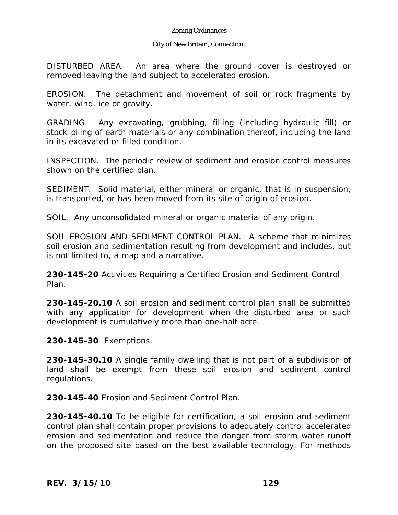#### City of New Britain, Connecticut

DISTURBED AREA. An area where the ground cover is destroyed or removed leaving the land subject to accelerated erosion.

EROSION. The detachment and movement of soil or rock fragments by water, wind, ice or gravity.

GRADING. Any excavating, grubbing, filling (including hydraulic fill) or stock-piling of earth materials or any combination thereof, including the land in its excavated or filled condition.

INSPECTION. The periodic review of sediment and erosion control measures shown on the certified plan.

SEDIMENT. Solid material, either mineral or organic, that is in suspension, is transported, or has been moved from its site of origin of erosion.

SOIL. Any unconsolidated mineral or organic material of any origin.

SOIL EROSION AND SEDIMENT CONTROL PLAN. A scheme that minimizes soil erosion and sedimentation resulting from development and includes, but is not limited to, a map and a narrative.

**230-145-20** Activities Requiring a Certified Erosion and Sediment Control Plan.

**230-145-20.10** A soil erosion and sediment control plan shall be submitted with any application for development when the disturbed area or such development is cumulatively more than one-half acre.

**230-145-30** Exemptions.

**230-145-30.10** A single family dwelling that is not part of a subdivision of land shall be exempt from these soil erosion and sediment control regulations.

**230-145-40** Erosion and Sediment Control Plan.

**230-145-40.10** To be eligible for certification, a soil erosion and sediment control plan shall contain proper provisions to adequately control accelerated erosion and sedimentation and reduce the danger from storm water runoff on the proposed site based on the best available technology. For methods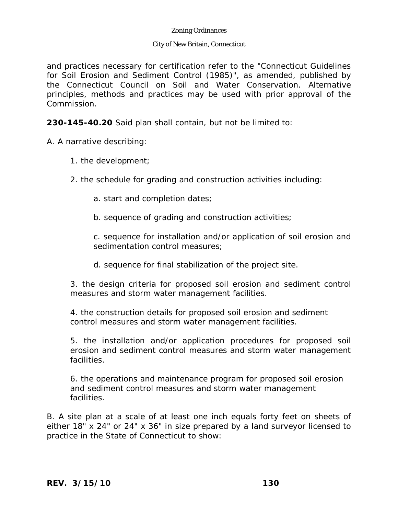#### City of New Britain, Connecticut

and practices necessary for certification refer to the "Connecticut Guidelines for Soil Erosion and Sediment Control (1985)", as amended, published by the Connecticut Council on Soil and Water Conservation. Alternative principles, methods and practices may be used with prior approval of the Commission.

**230-145-40.20** Said plan shall contain, but not be limited to:

A. A narrative describing:

- 1. the development;
- 2. the schedule for grading and construction activities including:
	- a. start and completion dates;
	- b. sequence of grading and construction activities;

c. sequence for installation and/or application of soil erosion and sedimentation control measures;

d. sequence for final stabilization of the project site.

3. the design criteria for proposed soil erosion and sediment control measures and storm water management facilities.

4. the construction details for proposed soil erosion and sediment control measures and storm water management facilities.

5. the installation and/or application procedures for proposed soil erosion and sediment control measures and storm water management facilities.

6. the operations and maintenance program for proposed soil erosion and sediment control measures and storm water management facilities.

B. A site plan at a scale of at least one inch equals forty feet on sheets of either 18" x 24" or 24" x 36" in size prepared by a land surveyor licensed to practice in the State of Connecticut to show: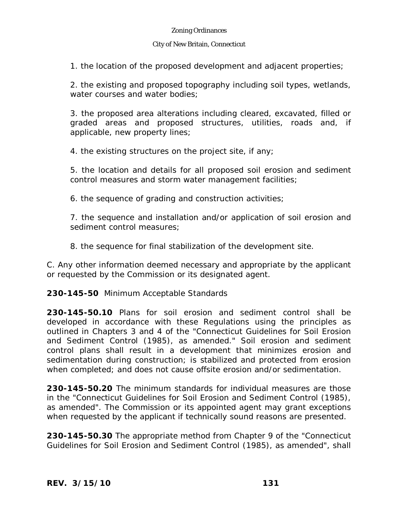#### City of New Britain, Connecticut

1. the location of the proposed development and adjacent properties;

2. the existing and proposed topography including soil types, wetlands, water courses and water bodies:

3. the proposed area alterations including cleared, excavated, filled or graded areas and proposed structures, utilities, roads and, if applicable, new property lines;

4. the existing structures on the project site, if any;

5. the location and details for all proposed soil erosion and sediment control measures and storm water management facilities;

6. the sequence of grading and construction activities;

7. the sequence and installation and/or application of soil erosion and sediment control measures;

8. the sequence for final stabilization of the development site.

C. Any other information deemed necessary and appropriate by the applicant or requested by the Commission or its designated agent.

### **230-145-50** Minimum Acceptable Standards

**230-145-50.10** Plans for soil erosion and sediment control shall be developed in accordance with these Regulations using the principles as outlined in Chapters 3 and 4 of the "Connecticut Guidelines for Soil Erosion and Sediment Control (1985), as amended." Soil erosion and sediment control plans shall result in a development that minimizes erosion and sedimentation during construction; is stabilized and protected from erosion when completed; and does not cause offsite erosion and/or sedimentation.

**230-145-50.20** The minimum standards for individual measures are those in the "Connecticut Guidelines for Soil Erosion and Sediment Control (1985), as amended". The Commission or its appointed agent may grant exceptions when requested by the applicant if technically sound reasons are presented.

**230-145-50.30** The appropriate method from Chapter 9 of the "Connecticut Guidelines for Soil Erosion and Sediment Control (1985), as amended", shall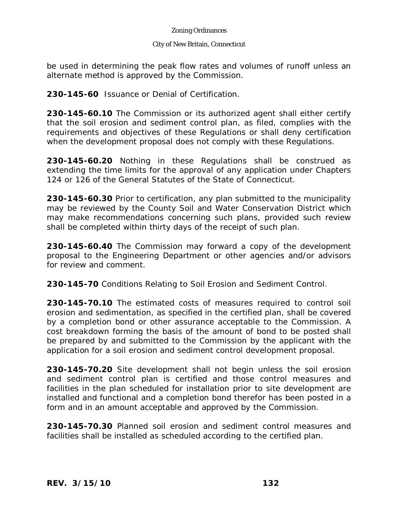#### City of New Britain, Connecticut

be used in determining the peak flow rates and volumes of runoff unless an alternate method is approved by the Commission.

**230-145-60** Issuance or Denial of Certification.

**230-145-60.10** The Commission or its authorized agent shall either certify that the soil erosion and sediment control plan, as filed, complies with the requirements and objectives of these Regulations or shall deny certification when the development proposal does not comply with these Regulations.

**230-145-60.20** Nothing in these Regulations shall be construed as extending the time limits for the approval of any application under Chapters 124 or 126 of the General Statutes of the State of Connecticut.

**230-145-60.30** Prior to certification, any plan submitted to the municipality may be reviewed by the County Soil and Water Conservation District which may make recommendations concerning such plans, provided such review shall be completed within thirty days of the receipt of such plan.

**230-145-60.40** The Commission may forward a copy of the development proposal to the Engineering Department or other agencies and/or advisors for review and comment.

**230-145-70** Conditions Relating to Soil Erosion and Sediment Control.

**230-145-70.10** The estimated costs of measures required to control soil erosion and sedimentation, as specified in the certified plan, shall be covered by a completion bond or other assurance acceptable to the Commission. A cost breakdown forming the basis of the amount of bond to be posted shall be prepared by and submitted to the Commission by the applicant with the application for a soil erosion and sediment control development proposal.

**230-145-70.20** Site development shall not begin unless the soil erosion and sediment control plan is certified and those control measures and facilities in the plan scheduled for installation prior to site development are installed and functional and a completion bond therefor has been posted in a form and in an amount acceptable and approved by the Commission.

**230-145-70.30** Planned soil erosion and sediment control measures and facilities shall be installed as scheduled according to the certified plan.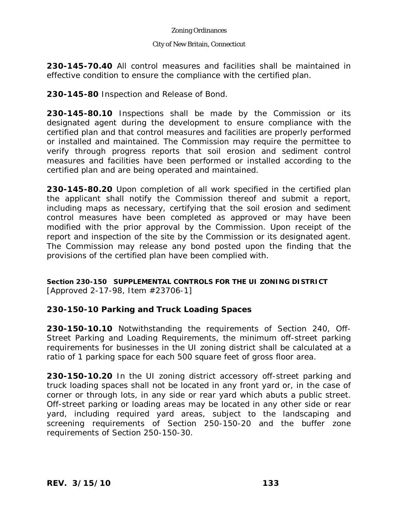#### City of New Britain, Connecticut

**230-145-70.40** All control measures and facilities shall be maintained in effective condition to ensure the compliance with the certified plan.

**230-145-80** Inspection and Release of Bond.

**230-145-80.10** Inspections shall be made by the Commission or its designated agent during the development to ensure compliance with the certified plan and that control measures and facilities are properly performed or installed and maintained. The Commission may require the permittee to verify through progress reports that soil erosion and sediment control measures and facilities have been performed or installed according to the certified plan and are being operated and maintained.

**230-145-80.20** Upon completion of all work specified in the certified plan the applicant shall notify the Commission thereof and submit a report, including maps as necessary, certifying that the soil erosion and sediment control measures have been completed as approved or may have been modified with the prior approval by the Commission. Upon receipt of the report and inspection of the site by the Commission or its designated agent. The Commission may release any bond posted upon the finding that the provisions of the certified plan have been complied with.

### **Section 230-150 SUPPLEMENTAL CONTROLS FOR THE UI ZONING DISTRICT** [Approved 2-17-98, Item #23706-1]

# **230-150-10 Parking and Truck Loading Spaces**

**230-150-10.10** Notwithstanding the requirements of Section 240, Off-Street Parking and Loading Requirements, the minimum off-street parking requirements for businesses in the UI zoning district shall be calculated at a ratio of 1 parking space for each 500 square feet of gross floor area.

**230-150-10.20** In the UI zoning district accessory off-street parking and truck loading spaces shall not be located in any front yard or, in the case of corner or through lots, in any side or rear yard which abuts a public street. Off-street parking or loading areas may be located in any other side or rear yard, including required yard areas, subject to the landscaping and screening requirements of Section 250-150-20 and the buffer zone requirements of Section 250-150-30.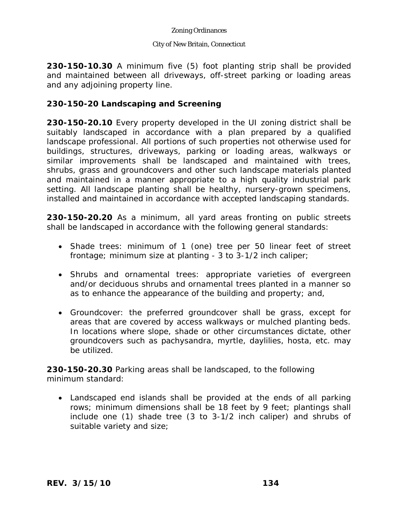#### City of New Britain, Connecticut

**230-150-10.30** A minimum five (5) foot planting strip shall be provided and maintained between all driveways, off-street parking or loading areas and any adjoining property line.

# **230-150-20 Landscaping and Screening**

**230-150-20.10** Every property developed in the UI zoning district shall be suitably landscaped in accordance with a plan prepared by a qualified landscape professional. All portions of such properties not otherwise used for buildings, structures, driveways, parking or loading areas, walkways or similar improvements shall be landscaped and maintained with trees, shrubs, grass and groundcovers and other such landscape materials planted and maintained in a manner appropriate to a high quality industrial park setting. All landscape planting shall be healthy, nursery-grown specimens, installed and maintained in accordance with accepted landscaping standards.

**230-150-20.20** As a minimum, all yard areas fronting on public streets shall be landscaped in accordance with the following general standards:

- Shade trees: minimum of 1 (one) tree per 50 linear feet of street frontage; minimum size at planting - 3 to 3-1/2 inch caliper;
- Shrubs and ornamental trees: appropriate varieties of evergreen and/or deciduous shrubs and ornamental trees planted in a manner so as to enhance the appearance of the building and property; and,
- Groundcover: the preferred groundcover shall be grass, except for areas that are covered by access walkways or mulched planting beds. In locations where slope, shade or other circumstances dictate, other groundcovers such as pachysandra, myrtle, daylilies, hosta, etc. may be utilized.

**230-150-20.30** Parking areas shall be landscaped, to the following minimum standard:

 Landscaped end islands shall be provided at the ends of all parking rows; minimum dimensions shall be 18 feet by 9 feet; plantings shall include one (1) shade tree (3 to 3-1/2 inch caliper) and shrubs of suitable variety and size;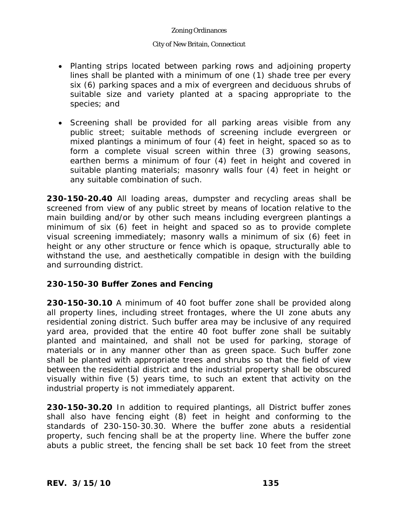### City of New Britain, Connecticut

- Planting strips located between parking rows and adjoining property lines shall be planted with a minimum of one (1) shade tree per every six (6) parking spaces and a mix of evergreen and deciduous shrubs of suitable size and variety planted at a spacing appropriate to the species; and
- Screening shall be provided for all parking areas visible from any public street; suitable methods of screening include evergreen or mixed plantings a minimum of four (4) feet in height, spaced so as to form a complete visual screen within three (3) growing seasons, earthen berms a minimum of four (4) feet in height and covered in suitable planting materials; masonry walls four (4) feet in height or any suitable combination of such.

**230-150-20.40** All loading areas, dumpster and recycling areas shall be screened from view of any public street by means of location relative to the main building and/or by other such means including evergreen plantings a minimum of six (6) feet in height and spaced so as to provide complete visual screening immediately; masonry walls a minimum of six (6) feet in height or any other structure or fence which is opaque, structurally able to withstand the use, and aesthetically compatible in design with the building and surrounding district.

# **230-150-30 Buffer Zones and Fencing**

**230-150-30.10** A minimum of 40 foot buffer zone shall be provided along all property lines, including street frontages, where the UI zone abuts any residential zoning district. Such buffer area may be inclusive of any required yard area, provided that the entire 40 foot buffer zone shall be suitably planted and maintained, and shall not be used for parking, storage of materials or in any manner other than as green space. Such buffer zone shall be planted with appropriate trees and shrubs so that the field of view between the residential district and the industrial property shall be obscured visually within five (5) years time, to such an extent that activity on the industrial property is not immediately apparent.

**230-150-30.20** In addition to required plantings, all District buffer zones shall also have fencing eight (8) feet in height and conforming to the standards of 230-150-30.30. Where the buffer zone abuts a residential property, such fencing shall be at the property line. Where the buffer zone abuts a public street, the fencing shall be set back 10 feet from the street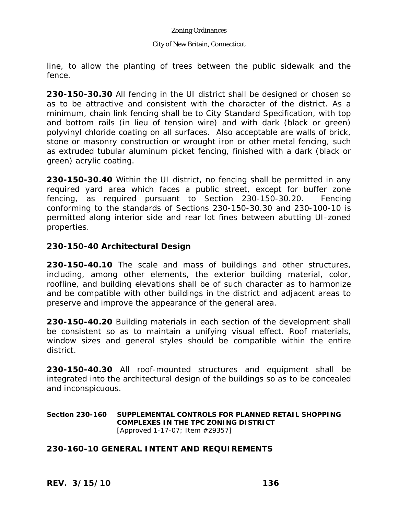#### City of New Britain, Connecticut

line, to allow the planting of trees between the public sidewalk and the fence.

**230-150-30.30** All fencing in the UI district shall be designed or chosen so as to be attractive and consistent with the character of the district. As a minimum, chain link fencing shall be to City Standard Specification, with top and bottom rails (in lieu of tension wire) and with dark (black or green) polyvinyl chloride coating on all surfaces. Also acceptable are walls of brick, stone or masonry construction or wrought iron or other metal fencing, such as extruded tubular aluminum picket fencing, finished with a dark (black or green) acrylic coating.

**230-150-30.40** Within the UI district, no fencing shall be permitted in any required yard area which faces a public street, except for buffer zone fencing, as required pursuant to Section 230-150-30.20. Fencing conforming to the standards of Sections 230-150-30.30 and 230-100-10 is permitted along interior side and rear lot fines between abutting UI-zoned properties.

## **230-150-40 Architectural Design**

**230-150-40.10** The scale and mass of buildings and other structures, including, among other elements, the exterior building material, color, roofline, and building elevations shall be of such character as to harmonize and be compatible with other buildings in the district and adjacent areas to preserve and improve the appearance of the general area.

**230-150-40.20** Building materials in each section of the development shall be consistent so as to maintain a unifying visual effect. Roof materials, window sizes and general styles should be compatible within the entire district.

**230-150-40.30** All roof-mounted structures and equipment shall be integrated into the architectural design of the buildings so as to be concealed and inconspicuous.

#### **Section 230-160 SUPPLEMENTAL CONTROLS FOR PLANNED RETAIL SHOPPING COMPLEXES IN THE TPC ZONING DISTRICT** [Approved 1-17-07; Item #29357]

# **230-160-10 GENERAL INTENT AND REQUIREMENTS**

*REV. 3/15/10* **136**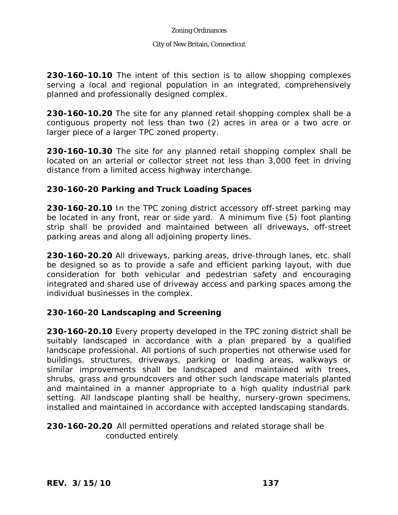### City of New Britain, Connecticut

**230-160-10.10** The intent of this section is to allow shopping complexes serving a local and regional population in an integrated, comprehensively planned and professionally designed complex.

**230-160-10.20** The site for any planned retail shopping complex shall be a contiguous property not less than two (2) acres in area or a two acre or larger piece of a larger TPC zoned property.

**230-160-10.30** The site for any planned retail shopping complex shall be located on an arterial or collector street not less than 3,000 feet in driving distance from a limited access highway interchange.

# **230-160-20 Parking and Truck Loading Spaces**

**230-160-20.10** In the TPC zoning district accessory off-street parking may be located in any front, rear or side yard. A minimum five (5) foot planting strip shall be provided and maintained between all driveways, off-street parking areas and along all adjoining property lines.

**230-160-20.20** All driveways, parking areas, drive-through lanes, etc. shall be designed so as to provide a safe and efficient parking layout, with due consideration for both vehicular and pedestrian safety and encouraging integrated and shared use of driveway access and parking spaces among the individual businesses in the complex.

# **230-160-20 Landscaping and Screening**

**230-160-20.10** Every property developed in the TPC zoning district shall be suitably landscaped in accordance with a plan prepared by a qualified landscape professional. All portions of such properties not otherwise used for buildings, structures, driveways, parking or loading areas, walkways or similar improvements shall be landscaped and maintained with trees, shrubs, grass and groundcovers and other such landscape materials planted and maintained in a manner appropriate to a high quality industrial park setting. All landscape planting shall be healthy, nursery-grown specimens, installed and maintained in accordance with accepted landscaping standards.

## **230-160-20.20** All permitted operations and related storage shall be conducted entirely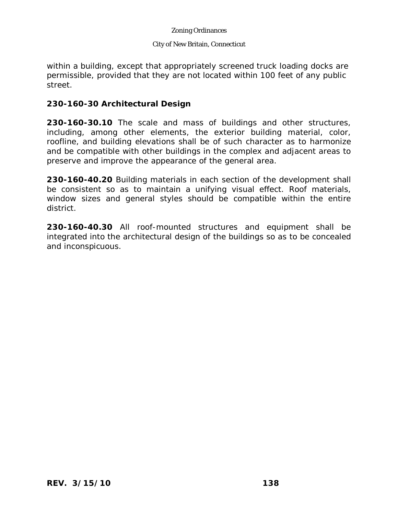### City of New Britain, Connecticut

within a building, except that appropriately screened truck loading docks are permissible, provided that they are not located within 100 feet of any public street.

## **230-160-30 Architectural Design**

**230-160-30.10** The scale and mass of buildings and other structures, including, among other elements, the exterior building material, color, roofline, and building elevations shall be of such character as to harmonize and be compatible with other buildings in the complex and adjacent areas to preserve and improve the appearance of the general area.

**230-160-40.20** Building materials in each section of the development shall be consistent so as to maintain a unifying visual effect. Roof materials, window sizes and general styles should be compatible within the entire district.

**230-160-40.30** All roof-mounted structures and equipment shall be integrated into the architectural design of the buildings so as to be concealed and inconspicuous.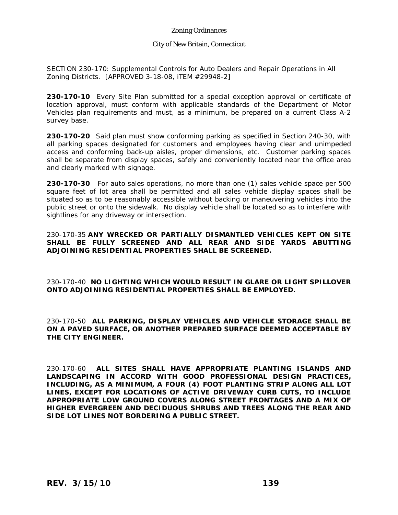#### City of New Britain, Connecticut

SECTION 230-170: Supplemental Controls for Auto Dealers and Repair Operations in All Zoning Districts. [APPROVED 3-18-08, iTEM #29948-2]

**230-170-10** Every Site Plan submitted for a special exception approval or certificate of location approval, must conform with applicable standards of the Department of Motor Vehicles plan requirements and must, as a minimum, be prepared on a current Class A-2 survey base.

**230-170-20** Said plan must show conforming parking as specified in Section 240-30, with all parking spaces designated for customers and employees having clear and unimpeded access and conforming back-up aisles, proper dimensions, etc. Customer parking spaces shall be separate from display spaces, safely and conveniently located near the office area and clearly marked with signage.

**230-170-30** For auto sales operations, no more than one (1) sales vehicle space per 500 square feet of lot area shall be permitted and all sales vehicle display spaces shall be situated so as to be reasonably accessible without backing or maneuvering vehicles into the public street or onto the sidewalk. No display vehicle shall be located so as to interfere with sightlines for any driveway or intersection.

230-170-35 **ANY WRECKED OR PARTIALLY DISMANTLED VEHICLES KEPT ON SITE SHALL BE FULLY SCREENED AND ALL REAR AND SIDE YARDS ABUTTING ADJOINING RESIDENTIAL PROPERTIES SHALL BE SCREENED.**

230-170-40 **NO LIGHTING WHICH WOULD RESULT IN GLARE OR LIGHT SPILLOVER ONTO ADJOINING RESIDENTIAL PROPERTIES SHALL BE EMPLOYED.**

230-170-50 **ALL PARKING, DISPLAY VEHICLES AND VEHICLE STORAGE SHALL BE ON A PAVED SURFACE, OR ANOTHER PREPARED SURFACE DEEMED ACCEPTABLE BY THE CITY ENGINEER.** 

230-170-60 **ALL SITES SHALL HAVE APPROPRIATE PLANTING ISLANDS AND LANDSCAPING IN ACCORD WITH GOOD PROFESSIONAL DESIGN PRACTICES, INCLUDING, AS A MINIMUM, A FOUR (4) FOOT PLANTING STRIP ALONG ALL LOT LINES, EXCEPT FOR LOCATIONS OF ACTIVE DRIVEWAY CURB CUTS, TO INCLUDE APPROPRIATE LOW GROUND COVERS ALONG STREET FRONTAGES AND A MIX OF HIGHER EVERGREEN AND DECIDUOUS SHRUBS AND TREES ALONG THE REAR AND SIDE LOT LINES NOT BORDERING A PUBLIC STREET.**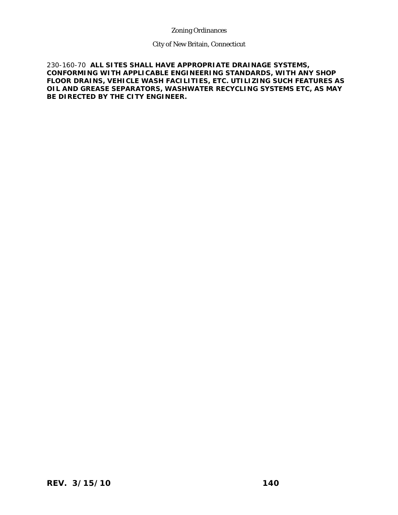City of New Britain, Connecticut

230-160-70 **ALL SITES SHALL HAVE APPROPRIATE DRAINAGE SYSTEMS, CONFORMING WITH APPLICABLE ENGINEERING STANDARDS, WITH ANY SHOP FLOOR DRAINS, VEHICLE WASH FACILITIES, ETC. UTILIZING SUCH FEATURES AS OIL AND GREASE SEPARATORS, WASHWATER RECYCLING SYSTEMS ETC, AS MAY BE DIRECTED BY THE CITY ENGINEER.**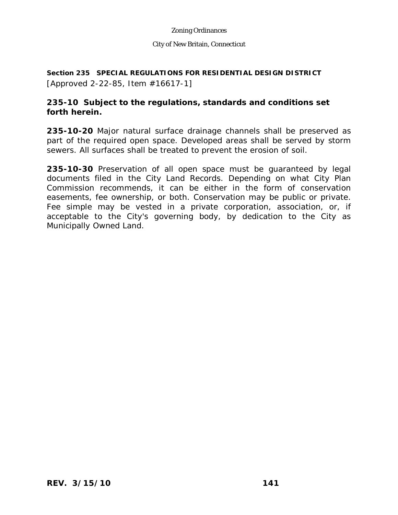#### City of New Britain, Connecticut

**Section 235 SPECIAL REGULATIONS FOR RESIDENTIAL DESIGN DISTRICT**  [Approved 2-22-85, Item #16617-1]

# **235-10 Subject to the regulations, standards and conditions set forth herein.**

**235-10-20** Major natural surface drainage channels shall be preserved as part of the required open space. Developed areas shall be served by storm sewers. All surfaces shall be treated to prevent the erosion of soil.

**235-10-30** Preservation of all open space must be guaranteed by legal documents filed in the City Land Records. Depending on what City Plan Commission recommends, it can be either in the form of conservation easements, fee ownership, or both. Conservation may be public or private. Fee simple may be vested in a private corporation, association, or, if acceptable to the City's governing body, by dedication to the City as Municipally Owned Land.

**F 0 1 q BT m [(F 0)** 5.04 Tm [(acce)-5(p) 1(t)-6(ab) 1(l)-6(e)-5()-409(t)-6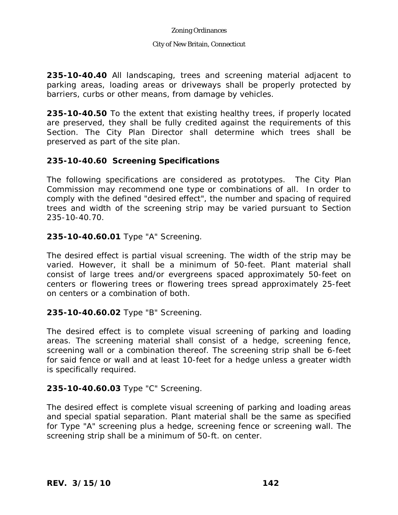#### City of New Britain, Connecticut

**235-10-40.40** All landscaping, trees and screening material adjacent to parking areas, loading areas or driveways shall be properly protected by barriers, curbs or other means, from damage by vehicles.

**235-10-40.50** To the extent that existing healthy trees, if properly located are preserved, they shall be fully credited against the requirements of this Section. The City Plan Director shall determine which trees shall be preserved as part of the site plan.

# **235-10-40.60 Screening Specifications**

The following specifications are considered as prototypes. The City Plan Commission may recommend one type or combinations of all. In order to comply with the defined "desired effect", the number and spacing of required trees and width of the screening strip may be varied pursuant to Section 235-10-40.70.

### **235-10-40.60.01** Type "A" Screening.

The desired effect is partial visual screening. The width of the strip may be varied. However, it shall be a minimum of 50-feet. Plant material shall consist of large trees and/or evergreens spaced approximately 50-feet on centers or flowering trees or flowering trees spread approximately 25-feet on centers or a combination of both.

### **235-10-40.60.02** Type "B" Screening.

The desired effect is to complete visual screening of parking and loading areas. The screening material shall consist of a hedge, screening fence, screening wall or a combination thereof. The screening strip shall be 6-feet for said fence or wall and at least 10-feet for a hedge unless a greater width is specifically required.

### **235-10-40.60.03** Type "C" Screening.

The desired effect is complete visual screening of parking and loading areas and special spatial separation. Plant material shall be the same as specified for Type "A" screening plus a hedge, screening fence or screening wall. The screening strip shall be a minimum of 50-ft. on center.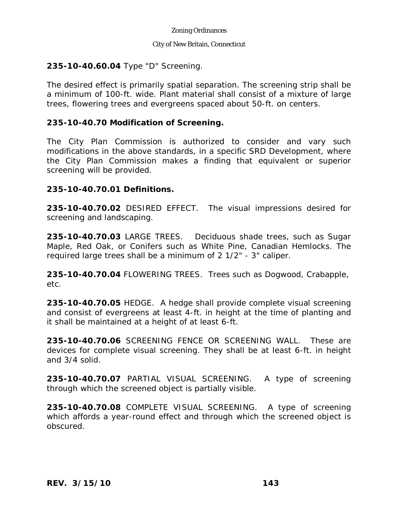#### City of New Britain, Connecticut

# **235-10-40.60.04** Type "D" Screening.

The desired effect is primarily spatial separation. The screening strip shall be a minimum of 100-ft. wide. Plant material shall consist of a mixture of large trees, flowering trees and evergreens spaced about 50-ft. on centers.

# **235-10-40.70 Modification of Screening.**

The City Plan Commission is authorized to consider and vary such modifications in the above standards, in a specific SRD Development, where the City Plan Commission makes a finding that equivalent or superior screening will be provided.

# **235-10-40.70.01 Definitions.**

**235-10-40.70.02** DESIRED EFFECT. The visual impressions desired for screening and landscaping.

**235-10-40.70.03** LARGE TREES. Deciduous shade trees, such as Sugar Maple, Red Oak, or Conifers such as White Pine, Canadian Hemlocks. The required large trees shall be a minimum of 2 1/2" - 3" caliper.

**235-10-40.70.04** FLOWERING TREES. Trees such as Dogwood, Crabapple, etc.

**235-10-40.70.05** HEDGE. A hedge shall provide complete visual screening and consist of evergreens at least 4-ft. in height at the time of planting and it shall be maintained at a height of at least 6-ft.

**235-10-40.70.06** SCREENING FENCE OR SCREENING WALL. These are devices for complete visual screening. They shall be at least 6-ft. in height and 3/4 solid.

**235-10-40.70.07** PARTIAL VISUAL SCREENING. A type of screening through which the screened object is partially visible.

**235-10-40.70.08** COMPLETE VISUAL SCREENING. A type of screening which affords a year-round effect and through which the screened object is obscured.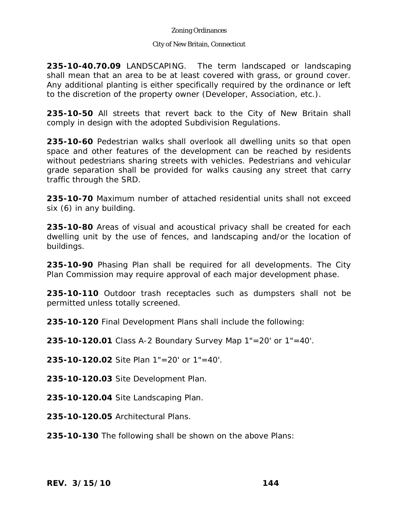### City of New Britain, Connecticut

**235-10-40.70.09** LANDSCAPING. The term landscaped or landscaping shall mean that an area to be at least covered with grass, or ground cover. Any additional planting is either specifically required by the ordinance or left to the discretion of the property owner (Developer, Association, etc.).

**235-10-50** All streets that revert back to the City of New Britain shall comply in design with the adopted Subdivision Regulations.

**235-10-60** Pedestrian walks shall overlook all dwelling units so that open space and other features of the development can be reached by residents without pedestrians sharing streets with vehicles. Pedestrians and vehicular grade separation shall be provided for walks causing any street that carry traffic through the SRD.

**235-10-70** Maximum number of attached residential units shall not exceed six (6) in any building.

**235-10-80** Areas of visual and acoustical privacy shall be created for each dwelling unit by the use of fences, and landscaping and/or the location of buildings.

**235-10-90** Phasing Plan shall be required for all developments. The City Plan Commission may require approval of each major development phase.

**235-10-110** Outdoor trash receptacles such as dumpsters shall not be permitted unless totally screened.

**235-10-120** Final Development Plans shall include the following:

**235-10-120.01** Class A-2 Boundary Survey Map 1"=20' or 1"=40'.

**235-10-120.02** Site Plan 1"=20' or 1"=40'.

**235-10-120.03** Site Development Plan.

**235-10-120.04** Site Landscaping Plan.

**235-10-120.05** Architectural Plans.

**235-10-130** The following shall be shown on the above Plans: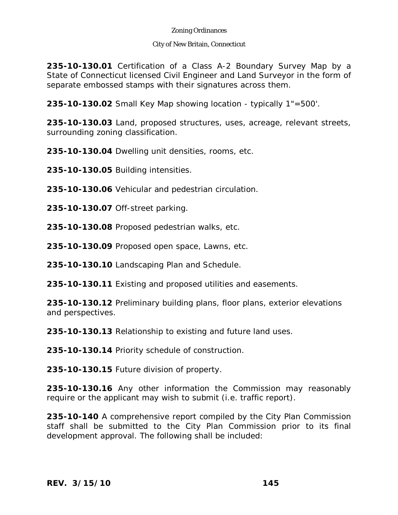### City of New Britain, Connecticut

**235-10-130.01** Certification of a Class A-2 Boundary Survey Map by a State of Connecticut licensed Civil Engineer and Land Surveyor in the form of separate embossed stamps with their signatures across them.

**235-10-130.02** Small Key Map showing location - typically 1"=500'.

**235-10-130.03** Land, proposed structures, uses, acreage, relevant streets, surrounding zoning classification.

**235-10-130.04** Dwelling unit densities, rooms, etc.

**235-10-130.05** Building intensities.

**235-10-130.06** Vehicular and pedestrian circulation.

**235-10-130.07** Off-street parking.

**235-10-130.08** Proposed pedestrian walks, etc.

**235-10-130.09** Proposed open space, Lawns, etc.

**235-10-130.10** Landscaping Plan and Schedule.

**235-10-130.11** Existing and proposed utilities and easements.

**235-10-130.12** Preliminary building plans, floor plans, exterior elevations and perspectives.

**235-10-130.13** Relationship to existing and future land uses.

**235-10-130.14** Priority schedule of construction.

**235-10-130.15** Future division of property.

**235-10-130.16** Any other information the Commission may reasonably require or the applicant may wish to submit (i.e. traffic report).

**235-10-140** A comprehensive report compiled by the City Plan Commission staff shall be submitted to the City Plan Commission prior to its final development approval. The following shall be included: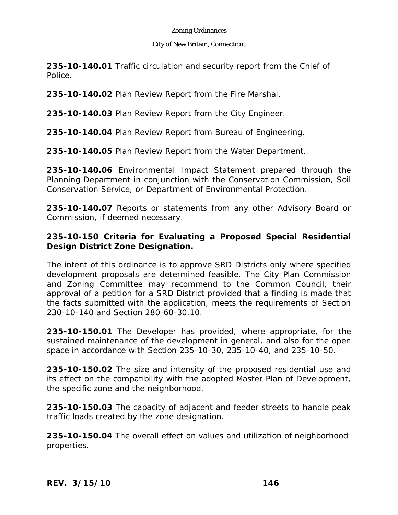## City of New Britain, Connecticut

**235-10-140.01** Traffic circulation and security report from the Chief of Police.

**235-10-140.02** Plan Review Report from the Fire Marshal.

**235-10-140.03** Plan Review Report from the City Engineer.

**235-10-140.04** Plan Review Report from Bureau of Engineering.

**235-10-140.05** Plan Review Report from the Water Department.

**235-10-140.06** Environmental Impact Statement prepared through the Planning Department in conjunction with the Conservation Commission, Soil Conservation Service, or Department of Environmental Protection.

**235-10-140.07** Reports or statements from any other Advisory Board or Commission, if deemed necessary.

# **235-10-150 Criteria for Evaluating a Proposed Special Residential Design District Zone Designation.**

The intent of this ordinance is to approve SRD Districts only where specified development proposals are determined feasible. The City Plan Commission and Zoning Committee may recommend to the Common Council, their approval of a petition for a SRD District provided that a finding is made that the facts submitted with the application, meets the requirements of Section 230-10-140 and Section 280-60-30.10.

**235-10-150.01** The Developer has provided, where appropriate, for the sustained maintenance of the development in general, and also for the open space in accordance with Section 235-10-30, 235-10-40, and 235-10-50.

**235-10-150.02** The size and intensity of the proposed residential use and its effect on the compatibility with the adopted Master Plan of Development, the specific zone and the neighborhood.

**235-10-150.03** The capacity of adjacent and feeder streets to handle peak traffic loads created by the zone designation.

**235-10-150.04** The overall effect on values and utilization of neighborhood properties.

*REV. 3/15/10* **146**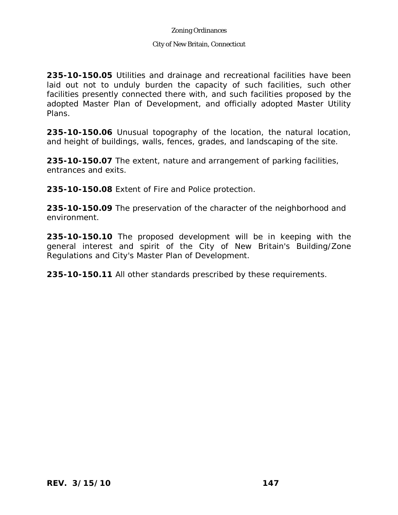### City of New Britain, Connecticut

**235-10-150.05** Utilities and drainage and recreational facilities have been laid out not to unduly burden the capacity of such facilities, such other facilities presently connected there with, and such facilities proposed by the adopted Master Plan of Development, and officially adopted Master Utility Plans.

**235-10-150.06** Unusual topography of the location, the natural location, and height of buildings, walls, fences, grades, and landscaping of the site.

**235-10-150.07** The extent, nature and arrangement of parking facilities, entrances and exits.

**235-10-150.08** Extent of Fire and Police protection.

**235-10-150.09** The preservation of the character of the neighborhood and environment.

**235-10-150.10** The proposed development will be in keeping with the general interest and spirit of the City of New Britain's Building/Zone Regulations and City's Master Plan of Development.

**235-10-150.11** All other standards prescribed by these requirements.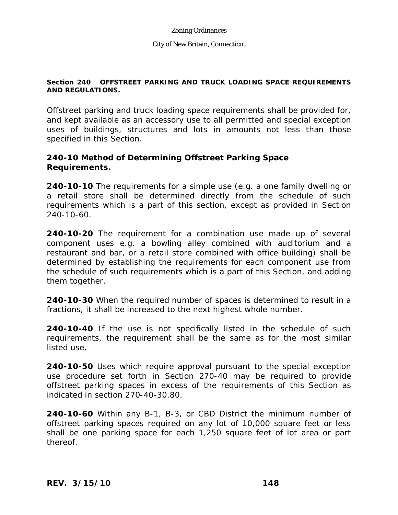## **Section 240 OFFSTREET PARKING AND TRUCK LOADING SPACE REQUIREMENTS AND REGULATIONS.**

Offstreet parking and truck loading space requirements shall be provided for, and kept available as an accessory use to all permitted and special exception uses of buildings, structures and lots in amounts not less than those specified in this Section.

## **240-10 Method of Determining Offstreet Parking Space Requirements.**

**240-10-10** The requirements for a simple use (e.g. a one family dwelling or a retail store shall be determined directly from the schedule of such requirements which is a part of this section, except as provided in Section 240-10-60.

**240-10-20** The requirement for a combination use made up of several component uses e.g. a bowling alley combined with auditorium and a restaurant and bar, or a retail store combined with office building) shall be determined by establishing the requirements for each component use from the schedule of such requirements which is a part of this Section, and adding them together.

**240-10-30** When the required number of spaces is determined to result in a fractions, it shall be increased to the next highest whole number.

**240-10-40** If the use is not specifically listed in the schedule of such requirements, the requirement shall be the same as for the most similar listed use.

**240-10-50** Uses which require approval pursuant to the special exception use procedure set forth in Section 270-40 may be required to provide offstreet parking spaces in excess of the requirements of this Section as indicated in section 270-40-30.80.

**240-10-60** Within any B-1, B-3, or CBD District the minimum number of offstreet parking spaces required on any lot of 10,000 square feet or less shall be one parking space for each 1,250 square feet of lot area or part thereof.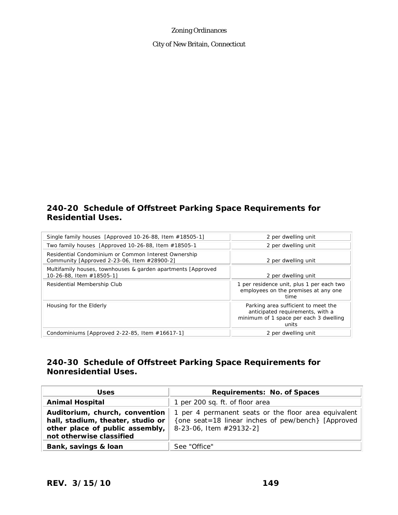City of New Britain, Connecticut

## **240-20 Schedule of Offstreet Parking Space Requirements for Residential Uses.**

| Single family houses [Approved 10-26-88, Item #18505-1]                                             | 2 per dwelling unit                                                                                                        |
|-----------------------------------------------------------------------------------------------------|----------------------------------------------------------------------------------------------------------------------------|
| Two family houses [Approved 10-26-88, Item #18505-1                                                 | 2 per dwelling unit                                                                                                        |
| Residential Condominium or Common Interest Ownership<br>Community [Approved 2-23-06, Item #28900-2] | 2 per dwelling unit                                                                                                        |
| Multifamily houses, townhouses & garden apartments [Approved]<br>10-26-88, Item #18505-1]           | 2 per dwelling unit                                                                                                        |
| Residential Membership Club                                                                         | 1 per residence unit, plus 1 per each two<br>employees on the premises at any one<br>time                                  |
| Housing for the Elderly                                                                             | Parking area sufficient to meet the<br>anticipated requirements, with a<br>minimum of 1 space per each 3 dwelling<br>units |
| Condominiums [Approved 2-22-85, Item $#16617-1$ ]                                                   | 2 per dwelling unit                                                                                                        |

# **240-30 Schedule of Offstreet Parking Space Requirements for Nonresidential Uses.**

| <b>Uses</b>                                                                                                                        | Requirements: No. of Spaces                                                                                                            |
|------------------------------------------------------------------------------------------------------------------------------------|----------------------------------------------------------------------------------------------------------------------------------------|
| <b>Animal Hospital</b>                                                                                                             | 1 per 200 sq. ft. of floor area                                                                                                        |
| Auditorium, church, convention<br>hall, stadium, theater, studio or<br>other place of public assembly,<br>not otherwise classified | 1 per 4 permanent seats or the floor area equivalent<br>{one seat=18 linear inches of pew/bench} [Approved]<br>8-23-06, Item #29132-2] |
| Bank, savings & loan                                                                                                               | See "Office"                                                                                                                           |

*REV. 3/15/10* **149**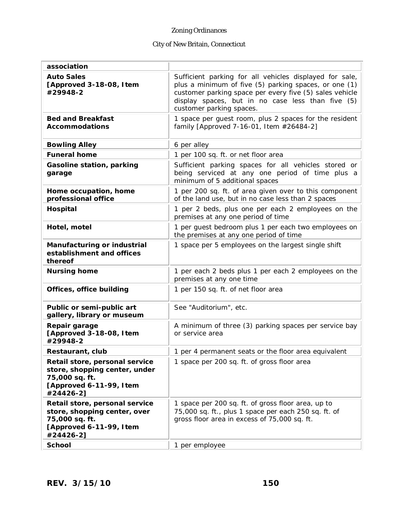# City of New Britain, Connecticut

| association                                                                                                               |                                                                                                                                                                                                                                                              |
|---------------------------------------------------------------------------------------------------------------------------|--------------------------------------------------------------------------------------------------------------------------------------------------------------------------------------------------------------------------------------------------------------|
| <b>Auto Sales</b><br>[Approved 3-18-08, I tem<br>#29948-2                                                                 | Sufficient parking for all vehicles displayed for sale,<br>plus a minimum of five (5) parking spaces, or one (1)<br>customer parking space per every five (5) sales vehicle<br>display spaces, but in no case less than five (5)<br>customer parking spaces. |
| <b>Bed and Breakfast</b><br><b>Accommodations</b>                                                                         | 1 space per guest room, plus 2 spaces for the resident<br>family [Approved 7-16-01, Item #26484-2]                                                                                                                                                           |
| <b>Bowling Alley</b>                                                                                                      | 6 per alley                                                                                                                                                                                                                                                  |
| <b>Funeral home</b>                                                                                                       | 1 per 100 sq. ft. or net floor area                                                                                                                                                                                                                          |
| Gasoline station, parking<br>garage                                                                                       | Sufficient parking spaces for all vehicles stored or<br>being serviced at any one period of time plus a<br>minimum of 5 additional spaces                                                                                                                    |
| Home occupation, home<br>professional office                                                                              | 1 per 200 sq. ft. of area given over to this component<br>of the land use, but in no case less than 2 spaces                                                                                                                                                 |
| Hospital                                                                                                                  | 1 per 2 beds, plus one per each 2 employees on the<br>premises at any one period of time                                                                                                                                                                     |
| Hotel, motel                                                                                                              | 1 per quest bedroom plus 1 per each two employees on<br>the premises at any one period of time                                                                                                                                                               |
| Manufacturing or industrial<br>establishment and offices<br>thereof                                                       | 1 space per 5 employees on the largest single shift                                                                                                                                                                                                          |
| <b>Nursing home</b>                                                                                                       | 1 per each 2 beds plus 1 per each 2 employees on the<br>premises at any one time                                                                                                                                                                             |
| Offices, office building                                                                                                  | 1 per 150 sq. ft. of net floor area                                                                                                                                                                                                                          |
| Public or semi-public art<br>gallery, library or museum                                                                   | See "Auditorium", etc.                                                                                                                                                                                                                                       |
| Repair garage<br>[Approved 3-18-08, I tem<br>#29948-2                                                                     | A minimum of three (3) parking spaces per service bay<br>or service area                                                                                                                                                                                     |
| Restaurant, club                                                                                                          | 1 per 4 permanent seats or the floor area equivalent                                                                                                                                                                                                         |
| Retail store, personal service<br>store, shopping center, under<br>75,000 sq. ft.<br>[Approved 6-11-99, Item<br>#24426-2] | 1 space per 200 sq. ft. of gross floor area                                                                                                                                                                                                                  |
| Retail store, personal service<br>store, shopping center, over<br>75,000 sq. ft.<br>[Approved 6-11-99, Item<br>#24426-2]  | 1 space per 200 sq. ft. of gross floor area, up to<br>75,000 sq. ft., plus 1 space per each 250 sq. ft. of<br>gross floor area in excess of 75,000 sq. ft.                                                                                                   |
| <b>School</b>                                                                                                             | 1 per employee                                                                                                                                                                                                                                               |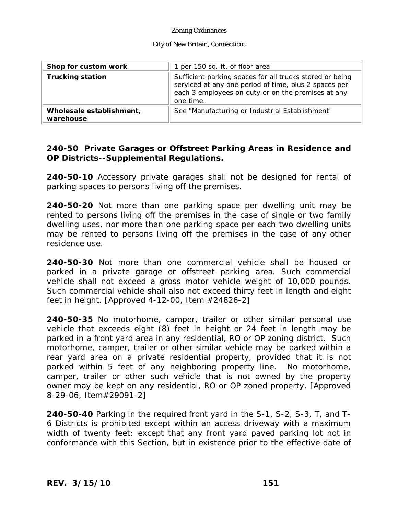#### City of New Britain, Connecticut

| Shop for custom work                  | 1 per 150 sq. ft. of floor area                                                                                                                                                      |
|---------------------------------------|--------------------------------------------------------------------------------------------------------------------------------------------------------------------------------------|
| <b>Trucking station</b>               | Sufficient parking spaces for all trucks stored or being<br>serviced at any one period of time, plus 2 spaces per<br>each 3 employees on duty or on the premises at any<br>one time. |
| Wholesale establishment,<br>warehouse | See "Manufacturing or Industrial Establishment"                                                                                                                                      |

# **240-50 Private Garages or Offstreet Parking Areas in Residence and OP Districts--Supplemental Regulations.**

**240-50-10** Accessory private garages shall not be designed for rental of parking spaces to persons living off the premises.

**240-50-20** Not more than one parking space per dwelling unit may be rented to persons living off the premises in the case of single or two family dwelling uses, nor more than one parking space per each two dwelling units may be rented to persons living off the premises in the case of any other residence use.

**240-50-30** Not more than one commercial vehicle shall be housed or parked in a private garage or offstreet parking area. Such commercial vehicle shall not exceed a gross motor vehicle weight of 10,000 pounds. Such commercial vehicle shall also not exceed thirty feet in length and eight feet in height. [Approved  $4-12-00$ , Item  $\#24826-2$ ]

**240-50-35** No motorhome, camper, trailer or other similar personal use vehicle that exceeds eight (8) feet in height or 24 feet in length may be parked in a front yard area in any residential, RO or OP zoning district. Such motorhome, camper, trailer or other similar vehicle may be parked within a rear yard area on a private residential property, provided that it is not parked within 5 feet of any neighboring property line. No motorhome, camper, trailer or other such vehicle that is not owned by the property owner may be kept on any residential, RO or OP zoned property. [Approved 8-29-06, Item#29091-2]

**240-50-40** Parking in the required front yard in the S-1, S-2, S-3, T, and T-6 Districts is prohibited except within an access driveway with a maximum width of twenty feet; except that any front yard paved parking lot not in conformance with this Section, but in existence prior to the effective date of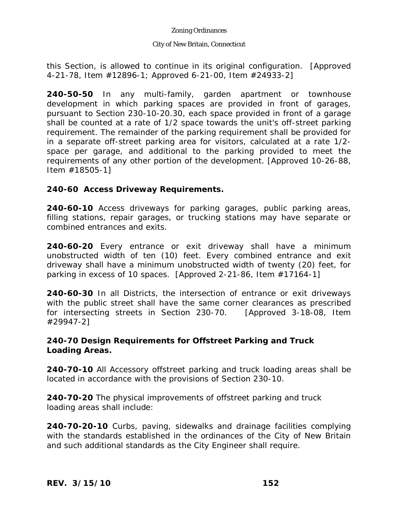### City of New Britain, Connecticut

this Section, is allowed to continue in its original configuration. [Approved 4-21-78, Item #12896-1; Approved 6-21-00, Item #24933-2]

**240-50-50** In any multi-family, garden apartment or townhouse development in which parking spaces are provided in front of garages, pursuant to Section 230-10-20.30, each space provided in front of a garage shall be counted at a rate of 1/2 space towards the unit's off-street parking requirement. The remainder of the parking requirement shall be provided for in a separate off-street parking area for visitors, calculated at a rate 1/2 space per garage, and additional to the parking provided to meet the requirements of any other portion of the development. [Approved 10-26-88, Item #18505-1]

## **240-60 Access Driveway Requirements.**

**240-60-10** Access driveways for parking garages, public parking areas, filling stations, repair garages, or trucking stations may have separate or combined entrances and exits.

**240-60-20** Every entrance or exit driveway shall have a minimum unobstructed width of ten (10) feet. Every combined entrance and exit driveway shall have a minimum unobstructed width of twenty (20) feet, for parking in excess of 10 spaces. [Approved 2-21-86, Item #17164-1]

**240-60-30** In all Districts, the intersection of entrance or exit driveways with the public street shall have the same corner clearances as prescribed for intersecting streets in Section 230-70. [Approved 3-18-08, Item #29947-2]

## **240-70 Design Requirements for Offstreet Parking and Truck Loading Areas.**

**240-70-10** All Accessory offstreet parking and truck loading areas shall be located in accordance with the provisions of Section 230-10.

**240-70-20** The physical improvements of offstreet parking and truck loading areas shall include:

**240-70-20-10** Curbs, paving, sidewalks and drainage facilities complying with the standards established in the ordinances of the City of New Britain and such additional standards as the City Engineer shall require.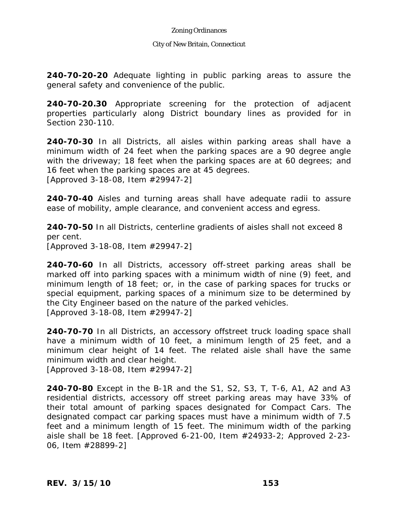#### City of New Britain, Connecticut

**240-70-20-20** Adequate lighting in public parking areas to assure the general safety and convenience of the public.

**240-70-20.30** Appropriate screening for the protection of adjacent properties particularly along District boundary lines as provided for in Section 230-110.

**240-70-30** In all Districts, all aisles within parking areas shall have a minimum width of 24 feet when the parking spaces are a 90 degree angle with the driveway; 18 feet when the parking spaces are at 60 degrees; and 16 feet when the parking spaces are at 45 degrees. [Approved 3-18-08, Item #29947-2]

**240-70-40** Aisles and turning areas shall have adequate radii to assure ease of mobility, ample clearance, and convenient access and egress.

**240-70-50** In all Districts, centerline gradients of aisles shall not exceed 8 per cent. [Approved 3-18-08, Item #29947-2]

**240-70-60** In all Districts, accessory off-street parking areas shall be marked off into parking spaces with a minimum width of nine (9) feet, and minimum length of 18 feet; or, in the case of parking spaces for trucks or special equipment, parking spaces of a minimum size to be determined by the City Engineer based on the nature of the parked vehicles. [Approved 3-18-08, Item #29947-2]

**240-70-70** In all Districts, an accessory offstreet truck loading space shall have a minimum width of 10 feet, a minimum length of 25 feet, and a minimum clear height of 14 feet. The related aisle shall have the same minimum width and clear height.

[Approved 3-18-08, Item #29947-2]

**240-70-80** Except in the B-1R and the S1, S2, S3, T, T-6, A1, A2 and A3 residential districts, accessory off street parking areas may have 33% of their total amount of parking spaces designated for Compact Cars. The designated compact car parking spaces must have a minimum width of 7.5 feet and a minimum length of 15 feet. The minimum width of the parking aisle shall be 18 feet. [Approved 6-21-00, Item #24933-2; Approved 2-23- 06, Item #28899-2]

*REV. 3/15/10* **153**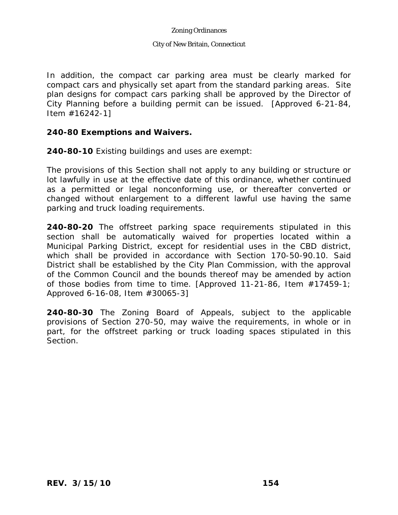#### City of New Britain, Connecticut

In addition, the compact car parking area must be clearly marked for compact cars and physically set apart from the standard parking areas. Site plan designs for compact cars parking shall be approved by the Director of City Planning before a building permit can be issued. [Approved 6-21-84, Item #16242-1]

## **240-80 Exemptions and Waivers.**

**240-80-10** Existing buildings and uses are exempt:

The provisions of this Section shall not apply to any building or structure or lot lawfully in use at the effective date of this ordinance, whether continued as a permitted or legal nonconforming use, or thereafter converted or changed without enlargement to a different lawful use having the same parking and truck loading requirements.

**240-80-20** The offstreet parking space requirements stipulated in this section shall be automatically waived for properties located within a Municipal Parking District, except for residential uses in the CBD district, which shall be provided in accordance with Section 170-50-90.10. Said District shall be established by the City Plan Commission, with the approval of the Common Council and the bounds thereof may be amended by action of those bodies from time to time. [Approved 11-21-86, Item #17459-1; Approved 6-16-08, Item #30065-3]

**240-80-30** The Zoning Board of Appeals, subject to the applicable provisions of Section 270-50, may waive the requirements, in whole or in part, for the offstreet parking or truck loading spaces stipulated in this Section.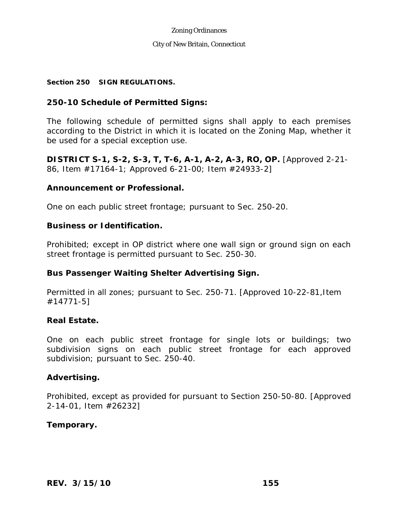#### City of New Britain, Connecticut

### **Section 250 SIGN REGULATIONS.**

## **250-10 Schedule of Permitted Signs:**

The following schedule of permitted signs shall apply to each premises according to the District in which it is located on the Zoning Map, whether it be used for a special exception use.

**DISTRICT S-1, S-2, S-3, T, T-6, A-1, A-2, A-3, RO, OP.** [Approved 2-21- 86, Item #17164-1; Approved 6-21-00; Item #24933-2]

## **Announcement or Professional.**

One on each public street frontage; pursuant to Sec. 250-20.

## **Business or Identification.**

Prohibited; except in OP district where one wall sign or ground sign on each street frontage is permitted pursuant to Sec. 250-30.

## **Bus Passenger Waiting Shelter Advertising Sign.**

Permitted in all zones; pursuant to Sec. 250-71. [Approved 10-22-81,Item #14771-5]

### **Real Estate.**

One on each public street frontage for single lots or buildings; two subdivision signs on each public street frontage for each approved subdivision; pursuant to Sec. 250-40.

### **Advertising.**

Prohibited, except as provided for pursuant to Section 250-50-80. [Approved 2-14-01, Item #26232]

## **Temporary.**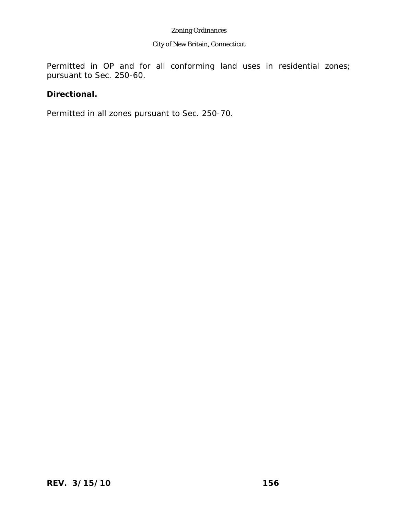## City of New Britain, Connecticut

Permitted in OP and for all conforming land uses in residential zones; pursuant to Sec. 250-60.

# **Directional.**

Permitted in all zones pursuant to Sec. 250-70.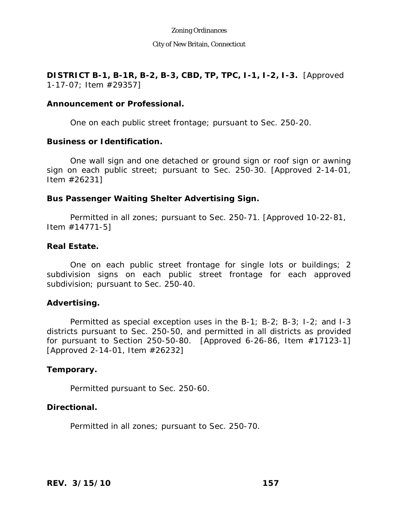City of New Britain, Connecticut

**DISTRICT B-1, B-1R, B-2, B-3, CBD, TP, TPC, I-1, I-2, I-3.** [Approved 1-17-07; Item #29357]

## **Announcement or Professional.**

One on each public street frontage; pursuant to Sec. 250-20.

### **Business or Identification.**

One wall sign and one detached or ground sign or roof sign or awning sign on each public street; pursuant to Sec. 250-30. [Approved 2-14-01, Item #26231]

## **Bus Passenger Waiting Shelter Advertising Sign.**

Permitted in all zones; pursuant to Sec. 250-71. [Approved 10-22-81, Item #14771-5]

## **Real Estate.**

One on each public street frontage for single lots or buildings; 2 subdivision signs on each public street frontage for each approved subdivision; pursuant to Sec. 250-40.

## **Advertising.**

Permitted as special exception uses in the B-1; B-2; B-3; I-2; and I-3 districts pursuant to Sec. 250-50, and permitted in all districts as provided for pursuant to Section 250-50-80. [Approved 6-26-86, Item #17123-1] [Approved 2-14-01, Item #26232]

## **Temporary.**

Permitted pursuant to Sec. 250-60.

## **Directional.**

Permitted in all zones; pursuant to Sec. 250-70.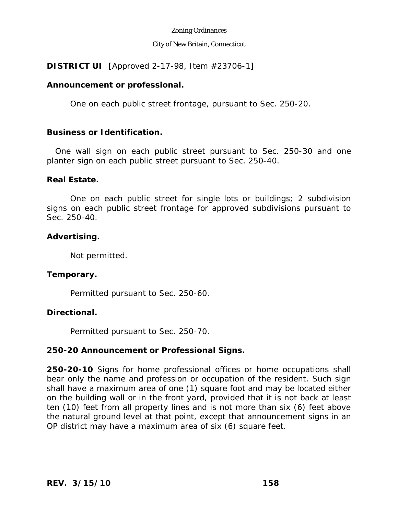### City of New Britain, Connecticut

## **DISTRICT UI** [Approved 2-17-98, Item #23706-1]

## **Announcement or professional.**

One on each public street frontage, pursuant to Sec. 250-20.

## **Business or Identification.**

 One wall sign on each public street pursuant to Sec. 250-30 and one planter sign on each public street pursuant to Sec. 250-40.

## **Real Estate.**

One on each public street for single lots or buildings; 2 subdivision signs on each public street frontage for approved subdivisions pursuant to Sec. 250-40.

## **Advertising.**

Not permitted.

## **Temporary.**

Permitted pursuant to Sec. 250-60.

## **Directional.**

Permitted pursuant to Sec. 250-70.

# **250-20 Announcement or Professional Signs.**

**250-20-10** Signs for home professional offices or home occupations shall bear only the name and profession or occupation of the resident. Such sign shall have a maximum area of one (1) square foot and may be located either on the building wall or in the front yard, provided that it is not back at least ten (10) feet from all property lines and is not more than six (6) feet above the natural ground level at that point, except that announcement signs in an OP district may have a maximum area of six (6) square feet.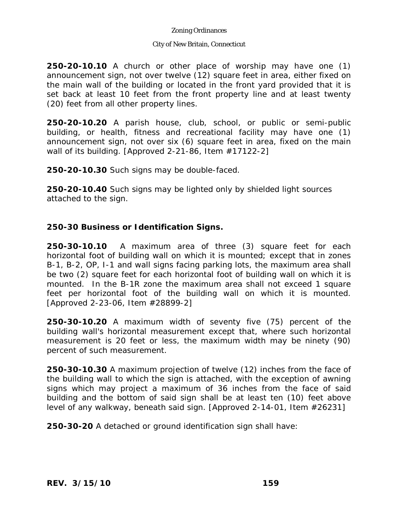### City of New Britain, Connecticut

**250-20-10.10** A church or other place of worship may have one (1) announcement sign, not over twelve (12) square feet in area, either fixed on the main wall of the building or located in the front yard provided that it is set back at least 10 feet from the front property line and at least twenty (20) feet from all other property lines.

**250-20-10.20** A parish house, club, school, or public or semi-public building, or health, fitness and recreational facility may have one (1) announcement sign, not over six (6) square feet in area, fixed on the main wall of its building. [Approved 2-21-86, Item #17122-2]

**250-20-10.30** Such signs may be double-faced.

**250-20-10.40** Such signs may be lighted only by shielded light sources attached to the sign.

# **250-30 Business or Identification Signs.**

**250-30-10.10** A maximum area of three (3) square feet for each horizontal foot of building wall on which it is mounted; except that in zones B-1, B-2, OP, I-1 and wall signs facing parking lots, the maximum area shall be two (2) square feet for each horizontal foot of building wall on which it is mounted. In the B-1R zone the maximum area shall not exceed 1 square feet per horizontal foot of the building wall on which it is mounted. [Approved 2-23-06, Item #28899-2]

**250-30-10.20** A maximum width of seventy five (75) percent of the building wall's horizontal measurement except that, where such horizontal measurement is 20 feet or less, the maximum width may be ninety (90) percent of such measurement.

**250-30-10.30** A maximum projection of twelve (12) inches from the face of the building wall to which the sign is attached, with the exception of awning signs which may project a maximum of 36 inches from the face of said building and the bottom of said sign shall be at least ten (10) feet above level of any walkway, beneath said sign. [Approved 2-14-01, Item #26231]

**250-30-20** A detached or ground identification sign shall have: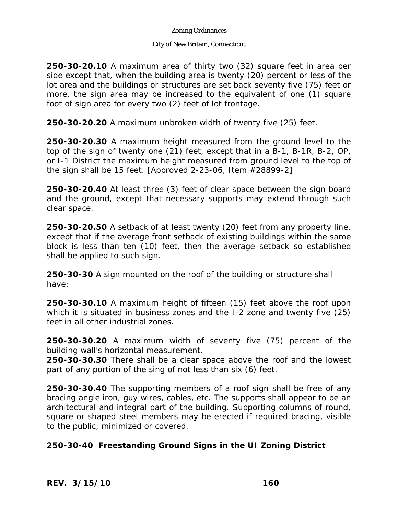### City of New Britain, Connecticut

**250-30-20.10** A maximum area of thirty two (32) square feet in area per side except that, when the building area is twenty (20) percent or less of the lot area and the buildings or structures are set back seventy five (75) feet or more, the sign area may be increased to the equivalent of one (1) square foot of sign area for every two (2) feet of lot frontage.

**250-30-20.20** A maximum unbroken width of twenty five (25) feet.

**250-30-20.30** A maximum height measured from the ground level to the top of the sign of twenty one (21) feet, except that in a B-1, B-1R, B-2, OP, or I-1 District the maximum height measured from ground level to the top of the sign shall be 15 feet. [Approved 2-23-06, Item #28899-2]

**250-30-20.40** At least three (3) feet of clear space between the sign board and the ground, except that necessary supports may extend through such clear space.

**250-30-20.50** A setback of at least twenty (20) feet from any property line, except that if the average front setback of existing buildings within the same block is less than ten (10) feet, then the average setback so established shall be applied to such sign.

**250-30-30** A sign mounted on the roof of the building or structure shall have:

**250-30-30.10** A maximum height of fifteen (15) feet above the roof upon which it is situated in business zones and the I-2 zone and twenty five (25) feet in all other industrial zones.

**250-30-30.20** A maximum width of seventy five (75) percent of the building wall's horizontal measurement.

**250-30-30.30** There shall be a clear space above the roof and the lowest part of any portion of the sing of not less than six (6) feet.

**250-30-30.40** The supporting members of a roof sign shall be free of any bracing angle iron, guy wires, cables, etc. The supports shall appear to be an architectural and integral part of the building. Supporting columns of round, square or shaped steel members may be erected if required bracing, visible to the public, minimized or covered.

# **250-30-40 Freestanding Ground Signs in the UI Zoning District**

*REV. 3/15/10* **160**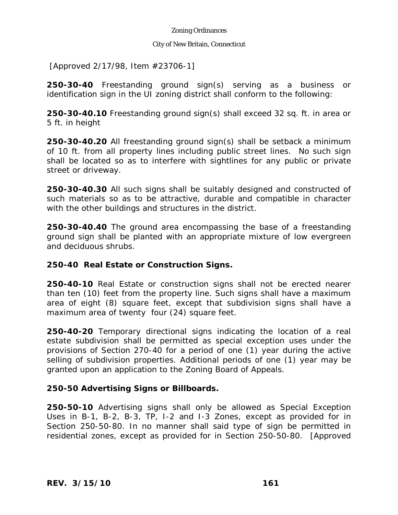### City of New Britain, Connecticut

[Approved 2/17/98, Item #23706-1]

**250-30-40** Freestanding ground sign(s) serving as a business or identification sign in the UI zoning district shall conform to the following:

**250-30-40.10** Freestanding ground sign(s) shall exceed 32 sq. ft. in area or 5 ft. in height

**250-30-40.20** All freestanding ground sign(s) shall be setback a minimum of 10 ft. from all property lines including public street lines. No such sign shall be located so as to interfere with sightlines for any public or private street or driveway.

**250-30-40.30** All such signs shall be suitably designed and constructed of such materials so as to be attractive, durable and compatible in character with the other buildings and structures in the district.

**250-30-40.40** The ground area encompassing the base of a freestanding ground sign shall be planted with an appropriate mixture of low evergreen and deciduous shrubs.

# **250-40 Real Estate or Construction Signs.**

**250-40-10** Real Estate or construction signs shall not be erected nearer than ten (10) feet from the property line. Such signs shall have a maximum area of eight (8) square feet, except that subdivision signs shall have a maximum area of twenty four (24) square feet.

**250-40-20** Temporary directional signs indicating the location of a real estate subdivision shall be permitted as special exception uses under the provisions of Section 270-40 for a period of one (1) year during the active selling of subdivision properties. Additional periods of one (1) year may be granted upon an application to the Zoning Board of Appeals.

# **250-50 Advertising Signs or Billboards.**

**250-50-10** Advertising signs shall only be allowed as Special Exception Uses in B-1, B-2, B-3, TP, I-2 and I-3 Zones, except as provided for in Section 250-50-80. In no manner shall said type of sign be permitted in residential zones, except as provided for in Section 250-50-80. [Approved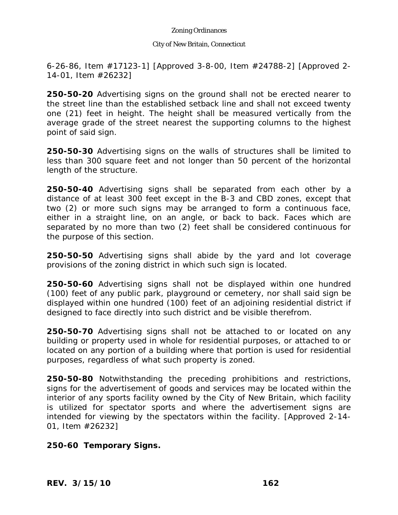### City of New Britain, Connecticut

6-26-86, Item #17123-1] [Approved 3-8-00, Item #24788-2] [Approved 2- 14-01, Item #26232]

**250-50-20** Advertising signs on the ground shall not be erected nearer to the street line than the established setback line and shall not exceed twenty one (21) feet in height. The height shall be measured vertically from the average grade of the street nearest the supporting columns to the highest point of said sign.

**250-50-30** Advertising signs on the walls of structures shall be limited to less than 300 square feet and not longer than 50 percent of the horizontal length of the structure.

**250-50-40** Advertising signs shall be separated from each other by a distance of at least 300 feet except in the B-3 and CBD zones, except that two (2) or more such signs may be arranged to form a continuous face, either in a straight line, on an angle, or back to back. Faces which are separated by no more than two (2) feet shall be considered continuous for the purpose of this section.

**250-50-50** Advertising signs shall abide by the yard and lot coverage provisions of the zoning district in which such sign is located.

**250-50-60** Advertising signs shall not be displayed within one hundred (100) feet of any public park, playground or cemetery, nor shall said sign be displayed within one hundred (100) feet of an adjoining residential district if designed to face directly into such district and be visible therefrom.

**250-50-70** Advertising signs shall not be attached to or located on any building or property used in whole for residential purposes, or attached to or located on any portion of a building where that portion is used for residential purposes, regardless of what such property is zoned.

**250-50-80** Notwithstanding the preceding prohibitions and restrictions, signs for the advertisement of goods and services may be located within the interior of any sports facility owned by the City of New Britain, which facility is utilized for spectator sports and where the advertisement signs are intended for viewing by the spectators within the facility. [Approved 2-14- 01, Item #26232]

**250-60 Temporary Signs.** 

*REV. 3/15/10* **162**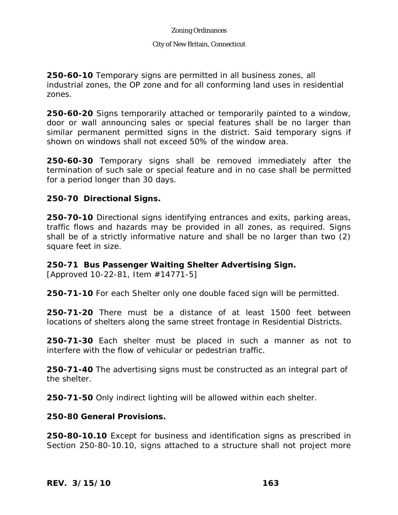#### City of New Britain, Connecticut

**250-60-10** Temporary signs are permitted in all business zones, all industrial zones, the OP zone and for all conforming land uses in residential zones.

**250-60-20** Signs temporarily attached or temporarily painted to a window, door or wall announcing sales or special features shall be no larger than similar permanent permitted signs in the district. Said temporary signs if shown on windows shall not exceed 50% of the window area.

**250-60-30** Temporary signs shall be removed immediately after the termination of such sale or special feature and in no case shall be permitted for a period longer than 30 days.

## **250-70 Directional Signs.**

**250-70-10** Directional signs identifying entrances and exits, parking areas, traffic flows and hazards may be provided in all zones, as required. Signs shall be of a strictly informative nature and shall be no larger than two (2) square feet in size.

## **250-71 Bus Passenger Waiting Shelter Advertising Sign.**

[Approved 10-22-81, Item #14771-5]

**250-71-10** For each Shelter only one double faced sign will be permitted.

**250-71-20** There must be a distance of at least 1500 feet between locations of shelters along the same street frontage in Residential Districts.

**250-71-30** Each shelter must be placed in such a manner as not to interfere with the flow of vehicular or pedestrian traffic.

**250-71-40** The advertising signs must be constructed as an integral part of the shelter.

**250-71-50** Only indirect lighting will be allowed within each shelter.

**250-80 General Provisions.** 

**250-80-10.10** Except for business and identification signs as prescribed in Section 250-80-10.10, signs attached to a structure shall not project more

*REV. 3/15/10* **163**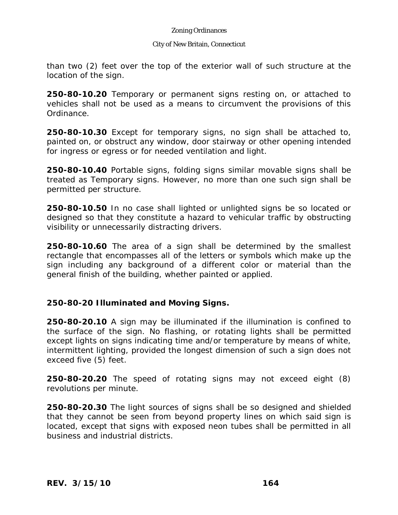#### City of New Britain, Connecticut

than two (2) feet over the top of the exterior wall of such structure at the location of the sign.

**250-80-10.20** Temporary or permanent signs resting on, or attached to vehicles shall not be used as a means to circumvent the provisions of this Ordinance.

**250-80-10.30** Except for temporary signs, no sign shall be attached to, painted on, or obstruct any window, door stairway or other opening intended for ingress or egress or for needed ventilation and light.

**250-80-10.40** Portable signs, folding signs similar movable signs shall be treated as Temporary signs. However, no more than one such sign shall be permitted per structure.

**250-80-10.50** In no case shall lighted or unlighted signs be so located or designed so that they constitute a hazard to vehicular traffic by obstructing visibility or unnecessarily distracting drivers.

**250-80-10.60** The area of a sign shall be determined by the smallest rectangle that encompasses all of the letters or symbols which make up the sign including any background of a different color or material than the general finish of the building, whether painted or applied.

# **250-80-20 Illuminated and Moving Signs.**

**250-80-20.10** A sign may be illuminated if the illumination is confined to the surface of the sign. No flashing, or rotating lights shall be permitted except lights on signs indicating time and/or temperature by means of white, intermittent lighting, provided the longest dimension of such a sign does not exceed five (5) feet.

**250-80-20.20** The speed of rotating signs may not exceed eight (8) revolutions per minute.

**250-80-20.30** The light sources of signs shall be so designed and shielded that they cannot be seen from beyond property lines on which said sign is located, except that signs with exposed neon tubes shall be permitted in all business and industrial districts.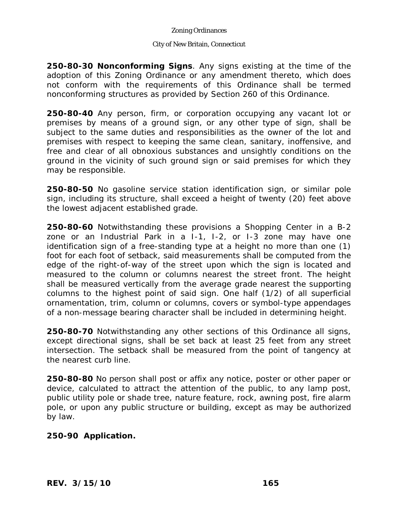### City of New Britain, Connecticut

**250-80-30 Nonconforming Signs**. Any signs existing at the time of the adoption of this Zoning Ordinance or any amendment thereto, which does not conform with the requirements of this Ordinance shall be termed nonconforming structures as provided by Section 260 of this Ordinance.

**250-80-40** Any person, firm, or corporation occupying any vacant lot or premises by means of a ground sign, or any other type of sign, shall be subject to the same duties and responsibilities as the owner of the lot and premises with respect to keeping the same clean, sanitary, inoffensive, and free and clear of all obnoxious substances and unsightly conditions on the ground in the vicinity of such ground sign or said premises for which they may be responsible.

**250-80-50** No gasoline service station identification sign, or similar pole sign, including its structure, shall exceed a height of twenty (20) feet above the lowest adjacent established grade.

**250-80-60** Notwithstanding these provisions a Shopping Center in a B-2 zone or an Industrial Park in a I-1, I-2, or I-3 zone may have one identification sign of a free-standing type at a height no more than one (1) foot for each foot of setback, said measurements shall be computed from the edge of the right-of-way of the street upon which the sign is located and measured to the column or columns nearest the street front. The height shall be measured vertically from the average grade nearest the supporting columns to the highest point of said sign. One half (1/2) of all superficial ornamentation, trim, column or columns, covers or symbol-type appendages of a non-message bearing character shall be included in determining height.

**250-80-70** Notwithstanding any other sections of this Ordinance all signs, except directional signs, shall be set back at least 25 feet from any street intersection. The setback shall be measured from the point of tangency at the nearest curb line.

**250-80-80** No person shall post or affix any notice, poster or other paper or device, calculated to attract the attention of the public, to any lamp post, public utility pole or shade tree, nature feature, rock, awning post, fire alarm pole, or upon any public structure or building, except as may be authorized by law.

# **250-90 Application.**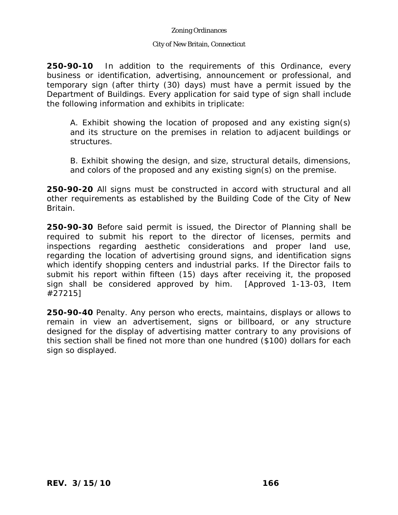### City of New Britain, Connecticut

**250-90-10** In addition to the requirements of this Ordinance, every business or identification, advertising, announcement or professional, and temporary sign (after thirty (30) days) must have a permit issued by the Department of Buildings. Every application for said type of sign shall include the following information and exhibits in triplicate:

A. Exhibit showing the location of proposed and any existing sign(s) and its structure on the premises in relation to adjacent buildings or structures.

B. Exhibit showing the design, and size, structural details, dimensions, and colors of the proposed and any existing sign(s) on the premise.

**250-90-20** All signs must be constructed in accord with structural and all other requirements as established by the Building Code of the City of New Britain.

**250-90-30** Before said permit is issued, the Director of Planning shall be required to submit his report to the director of licenses, permits and inspections regarding aesthetic considerations and proper land use, regarding the location of advertising ground signs, and identification signs which identify shopping centers and industrial parks. If the Director fails to submit his report within fifteen (15) days after receiving it, the proposed sign shall be considered approved by him. [Approved 1-13-03, Item #27215]

**250-90-40** Penalty. Any person who erects, maintains, displays or allows to remain in view an advertisement, signs or billboard, or any structure designed for the display of advertising matter contrary to any provisions of this section shall be fined not more than one hundred (\$100) dollars for each sign so displayed.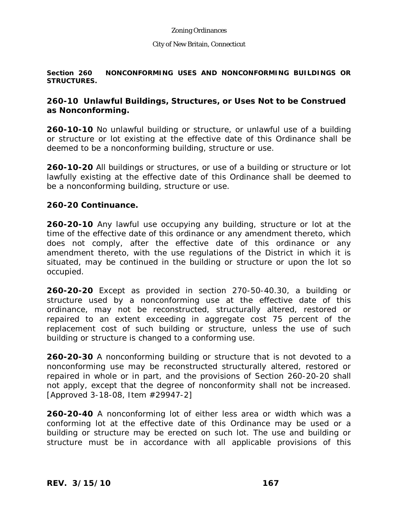#### City of New Britain, Connecticut

### **Section 260 NONCONFORMING USES AND NONCONFORMING BUILDINGS OR STRUCTURES.**

## **260-10 Unlawful Buildings, Structures, or Uses Not to be Construed as Nonconforming.**

**260-10-10** No unlawful building or structure, or unlawful use of a building or structure or lot existing at the effective date of this Ordinance shall be deemed to be a nonconforming building, structure or use.

**260-10-20** All buildings or structures, or use of a building or structure or lot lawfully existing at the effective date of this Ordinance shall be deemed to be a nonconforming building, structure or use.

## **260-20 Continuance.**

**260-20-10** Any lawful use occupying any building, structure or lot at the time of the effective date of this ordinance or any amendment thereto, which does not comply, after the effective date of this ordinance or any amendment thereto, with the use regulations of the District in which it is situated, may be continued in the building or structure or upon the lot so occupied.

**260-20-20** Except as provided in section 270-50-40.30, a building or structure used by a nonconforming use at the effective date of this ordinance, may not be reconstructed, structurally altered, restored or repaired to an extent exceeding in aggregate cost 75 percent of the replacement cost of such building or structure, unless the use of such building or structure is changed to a conforming use.

**260-20-30** A nonconforming building or structure that is not devoted to a nonconforming use may be reconstructed structurally altered, restored or repaired in whole or in part, and the provisions of Section 260-20-20 shall not apply, except that the degree of nonconformity shall not be increased. [Approved 3-18-08, Item #29947-2]

**260-20-40** A nonconforming lot of either less area or width which was a conforming lot at the effective date of this Ordinance may be used or a building or structure may be erected on such lot. The use and building or structure must be in accordance with all applicable provisions of this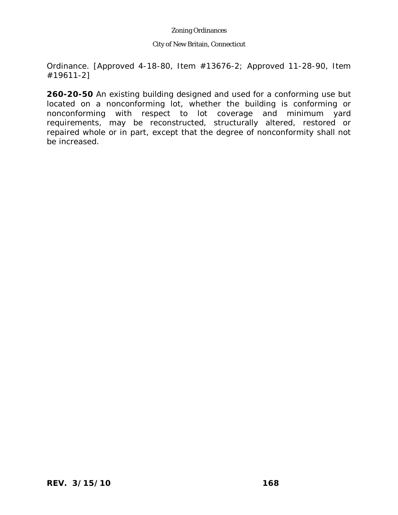#### City of New Britain, Connecticut

Ordinance. [Approved 4-18-80, Item #13676-2; Approved 11-28-90, Item #19611-2]

**260-20-50** An existing building designed and used for a conforming use but located on a nonconforming lot, whether the building is conforming or nonconforming with respect to lot coverage and minimum yard requirements, may be reconstructed, structurally altered, restored or repaired whole or in part, except that the degree of nonconformity shall not be increased.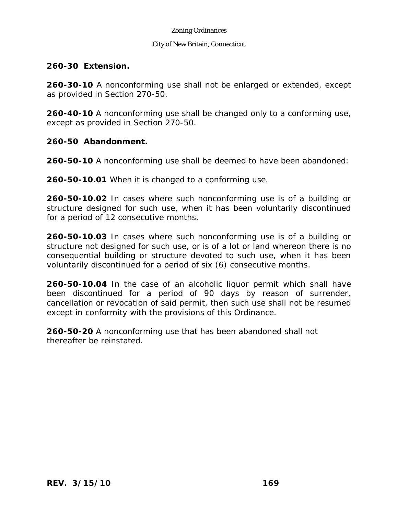### City of New Britain, Connecticut

## **260-30 Extension.**

**260-30-10** A nonconforming use shall not be enlarged or extended, except as provided in Section 270-50.

**260-40-10** A nonconforming use shall be changed only to a conforming use, except as provided in Section 270-50.

## **260-50 Abandonment.**

**260-50-10** A nonconforming use shall be deemed to have been abandoned:

**260-50-10.01** When it is changed to a conforming use.

**260-50-10.02** In cases where such nonconforming use is of a building or structure designed for such use, when it has been voluntarily discontinued for a period of 12 consecutive months.

**260-50-10.03** In cases where such nonconforming use is of a building or structure not designed for such use, or is of a lot or land whereon there is no consequential building or structure devoted to such use, when it has been voluntarily discontinued for a period of six (6) consecutive months.

**260-50-10.04** In the case of an alcoholic liquor permit which shall have been discontinued for a period of 90 days by reason of surrender, cancellation or revocation of said permit, then such use shall not be resumed except in conformity with the provisions of this Ordinance.

**260-50-20** A nonconforming use that has been abandoned shall not thereafter be reinstated.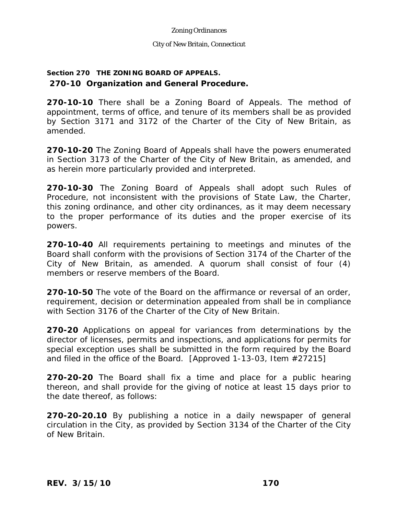### City of New Britain, Connecticut

# **Section 270 THE ZONING BOARD OF APPEALS. 270-10 Organization and General Procedure.**

**270-10-10** There shall be a Zoning Board of Appeals. The method of appointment, terms of office, and tenure of its members shall be as provided by Section 3171 and 3172 of the Charter of the City of New Britain, as amended.

**270-10-20** The Zoning Board of Appeals shall have the powers enumerated in Section 3173 of the Charter of the City of New Britain, as amended, and as herein more particularly provided and interpreted.

**270-10-30** The Zoning Board of Appeals shall adopt such Rules of Procedure, not inconsistent with the provisions of State Law, the Charter, this zoning ordinance, and other city ordinances, as it may deem necessary to the proper performance of its duties and the proper exercise of its powers.

**270-10-40** All requirements pertaining to meetings and minutes of the Board shall conform with the provisions of Section 3174 of the Charter of the City of New Britain, as amended. A quorum shall consist of four (4) members or reserve members of the Board.

**270-10-50** The vote of the Board on the affirmance or reversal of an order, requirement, decision or determination appealed from shall be in compliance with Section 3176 of the Charter of the City of New Britain.

**270-20** Applications on appeal for variances from determinations by the director of licenses, permits and inspections, and applications for permits for special exception uses shall be submitted in the form required by the Board and filed in the office of the Board. [Approved 1-13-03, Item #27215]

**270-20-20** The Board shall fix a time and place for a public hearing thereon, and shall provide for the giving of notice at least 15 days prior to the date thereof, as follows:

**270-20-20.10** By publishing a notice in a daily newspaper of general circulation in the City, as provided by Section 3134 of the Charter of the City of New Britain.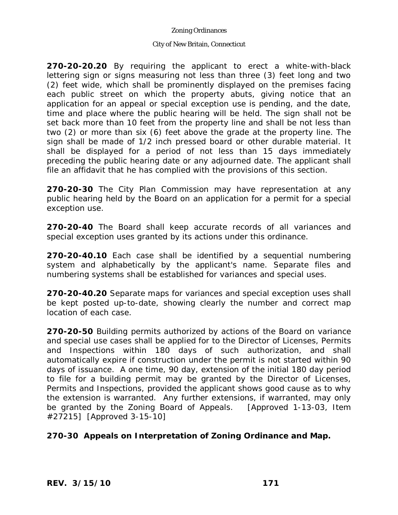### City of New Britain, Connecticut

**270-20-20.20** By requiring the applicant to erect a white-with-black lettering sign or signs measuring not less than three (3) feet long and two (2) feet wide, which shall be prominently displayed on the premises facing each public street on which the property abuts, giving notice that an application for an appeal or special exception use is pending, and the date, time and place where the public hearing will be held. The sign shall not be set back more than 10 feet from the property line and shall be not less than two (2) or more than six (6) feet above the grade at the property line. The sign shall be made of 1/2 inch pressed board or other durable material. It shall be displayed for a period of not less than 15 days immediately preceding the public hearing date or any adjourned date. The applicant shall file an affidavit that he has complied with the provisions of this section.

**270-20-30** The City Plan Commission may have representation at any public hearing held by the Board on an application for a permit for a special exception use.

**270-20-40** The Board shall keep accurate records of all variances and special exception uses granted by its actions under this ordinance.

**270-20-40.10** Each case shall be identified by a sequential numbering system and alphabetically by the applicant's name. Separate files and numbering systems shall be established for variances and special uses.

**270-20-40.20** Separate maps for variances and special exception uses shall be kept posted up-to-date, showing clearly the number and correct map location of each case.

**270-20-50** Building permits authorized by actions of the Board on variance and special use cases shall be applied for to the Director of Licenses, Permits and Inspections within 180 days of such authorization, and shall automatically expire if construction under the permit is not started within 90 days of issuance. A one time, 90 day, extension of the initial 180 day period to file for a building permit may be granted by the Director of Licenses, Permits and Inspections, provided the applicant shows good cause as to why the extension is warranted. Any further extensions, if warranted, may only be granted by the Zoning Board of Appeals. [Approved 1-13-03, Item #27215] [Approved 3-15-10]

# **270-30 Appeals on Interpretation of Zoning Ordinance and Map.**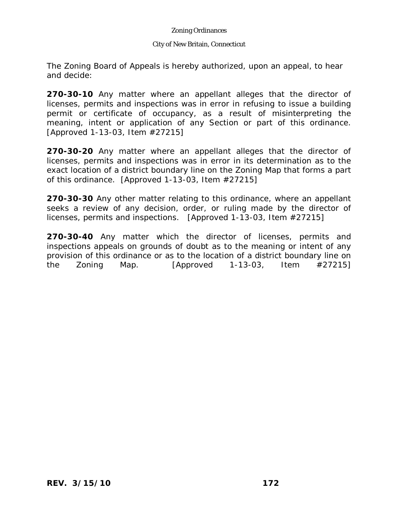### City of New Britain, Connecticut

The Zoning Board of Appeals is hereby authorized, upon an appeal, to hear and decide:

**270-30-10** Any matter where an appellant alleges that the director of licenses, permits and inspections was in error in refusing to issue a building permit or certificate of occupancy, as a result of misinterpreting the meaning, intent or application of any Section or part of this ordinance. [Approved 1-13-03, Item #27215]

**270-30-20** Any matter where an appellant alleges that the director of licenses, permits and inspections was in error in its determination as to the exact location of a district boundary line on the Zoning Map that forms a part of this ordinance. [Approved 1-13-03, Item #27215]

**270-30-30** Any other matter relating to this ordinance, where an appellant seeks a review of any decision, order, or ruling made by the director of licenses, permits and inspections. [Approved 1-13-03, Item #27215]

**270-30-40** Any matter which the director of licenses, permits and inspections appeals on grounds of doubt as to the meaning or intent of any provision of this ordinance or as to the location of a district boundary line on the Zoning Map.  $[Approved \ 1-13-03, \ 11$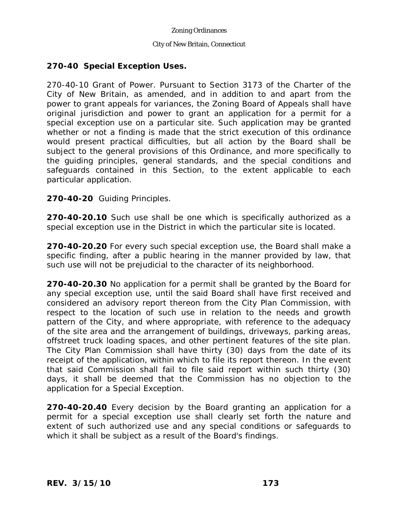#### City of New Britain, Connecticut

# **270-40 Special Exception Uses.**

270-40-10 Grant of Power. Pursuant to Section 3173 of the Charter of the City of New Britain, as amended, and in addition to and apart from the power to grant appeals for variances, the Zoning Board of Appeals shall have original jurisdiction and power to grant an application for a permit for a special exception use on a particular site. Such application may be granted whether or not a finding is made that the strict execution of this ordinance would present practical difficulties, but all action by the Board shall be subject to the general provisions of this Ordinance, and more specifically to the guiding principles, general standards, and the special conditions and safeguards contained in this Section, to the extent applicable to each particular application.

## **270-40-20** Guiding Principles.

**270-40-20.10** Such use shall be one which is specifically authorized as a special exception use in the District in which the particular site is located.

**270-40-20.20** For every such special exception use, the Board shall make a specific finding, after a public hearing in the manner provided by law, that such use will not be prejudicial to the character of its neighborhood.

**270-40-20.30** No application for a permit shall be granted by the Board for any special exception use, until the said Board shall have first received and considered an advisory report thereon from the City Plan Commission, with respect to the location of such use in relation to the needs and growth pattern of the City, and where appropriate, with reference to the adequacy of the site area and the arrangement of buildings, driveways, parking areas, offstreet truck loading spaces, and other pertinent features of the site plan. The City Plan Commission shall have thirty (30) days from the date of its receipt of the application, within which to file its report thereon. In the event that said Commission shall fail to file said report within such thirty (30) days, it shall be deemed that the Commission has no objection to the application for a Special Exception.

**270-40-20.40** Every decision by the Board granting an application for a permit for a special exception use shall clearly set forth the nature and extent of such authorized use and any special conditions or safeguards to which it shall be subject as a result of the Board's findings.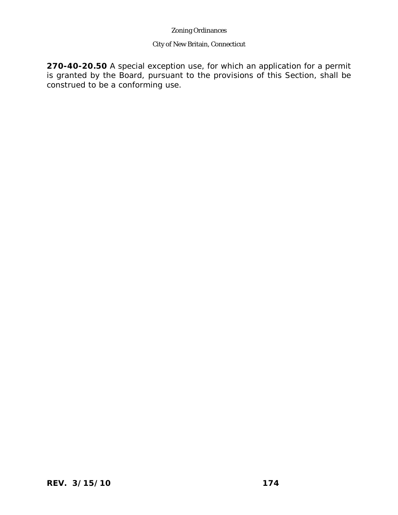# City of New Britain, Connecticut

**270-40-20.50** A special exception use, for which an application for a permit is granted by the Board, pursuant to the provisions of this Section, shall be construed to be a conforming use.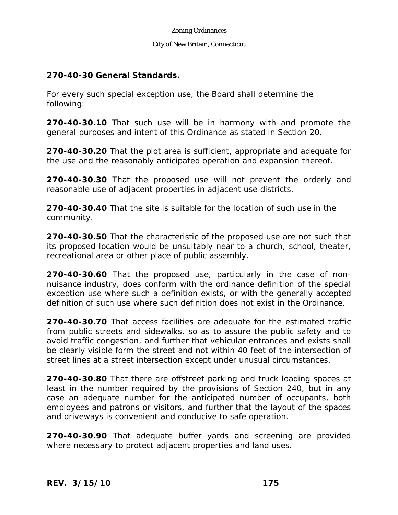### City of New Britain, Connecticut

## **270-40-30 General Standards.**

For every such special exception use, the Board shall determine the following:

**270-40-30.10** That such use will be in harmony with and promote the general purposes and intent of this Ordinance as stated in Section 20.

**270-40-30.20** That the plot area is sufficient, appropriate and adequate for the use and the reasonably anticipated operation and expansion thereof.

**270-40-30.30** That the proposed use will not prevent the orderly and reasonable use of adjacent properties in adjacent use districts.

**270-40-30.40** That the site is suitable for the location of such use in the community.

**270-40-30.50** That the characteristic of the proposed use are not such that its proposed location would be unsuitably near to a church, school, theater, recreational area or other place of public assembly.

**270-40-30.60** That the proposed use, particularly in the case of nonnuisance industry, does conform with the ordinance definition of the special exception use where such a definition exists, or with the generally accepted definition of such use where such definition does not exist in the Ordinance.

**270-40-30.70** That access facilities are adequate for the estimated traffic from public streets and sidewalks, so as to assure the public safety and to avoid traffic congestion, and further that vehicular entrances and exists shall be clearly visible form the street and not within 40 feet of the intersection of street lines at a street intersection except under unusual circumstances.

**270-40-30.80** That there are offstreet parking and truck loading spaces at least in the number required by the provisions of Section 240, but in any case an adequate number for the anticipated number of occupants, both employees and patrons or visitors, and further that the layout of the spaces and driveways is convenient and conducive to safe operation.

**270-40-30.90** That adequate buffer yards and screening are provided where necessary to protect adjacent properties and land uses.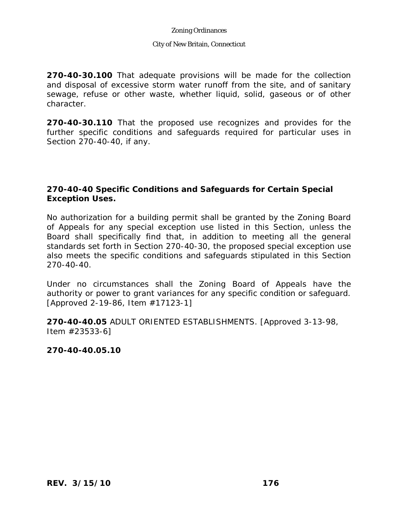#### City of New Britain, Connecticut

**270-40-30.100** That adequate provisions will be made for the collection and disposal of excessive storm water runoff from the site, and of sanitary sewage, refuse or other waste, whether liquid, solid, gaseous or of other character.

**270-40-30.110** That the proposed use recognizes and provides for the further specific conditions and safeguards required for particular uses in Section 270-40-40, if any.

## **270-40-40 Specific Conditions and Safeguards for Certain Special Exception Uses.**

No authorization for a building permit shall be granted by the Zoning Board of Appeals for any special exception use listed in this Section, unless the Board shall specifically find that, in addition to meeting all the general standards set forth in Section 270-40-30, the proposed special exception use also meets the specific conditions and safeguards stipulated in this Section 270-40-40.

Under no circumstances shall the Zoning Board of Appeals have the authority or power to grant variances for any specific condition or safeguard. [Approved 2-19-86, Item #17123-1]

**270-40-40.05** ADULT ORIENTED ESTABLISHMENTS. [Approved 3-13-98, Item #23533-6]

**270-40-40.05.10**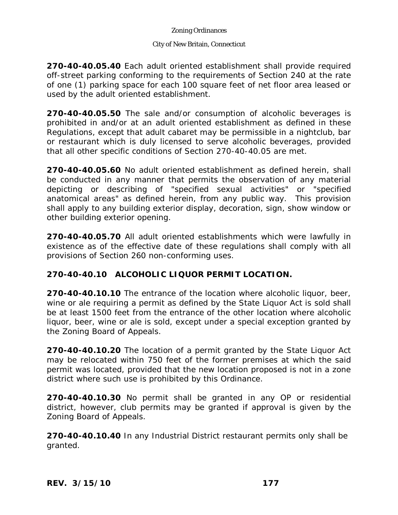### City of New Britain, Connecticut

**270-40-40.05.40** Each adult oriented establishment shall provide required off-street parking conforming to the requirements of Section 240 at the rate of one (1) parking space for each 100 square feet of net floor area leased or used by the adult oriented establishment.

**270-40-40.05.50** The sale and/or consumption of alcoholic beverages is prohibited in and/or at an adult oriented establishment as defined in these Regulations, except that adult cabaret may be permissible in a nightclub, bar or restaurant which is duly licensed to serve alcoholic beverages, provided that all other specific conditions of Section 270-40-40.05 are met.

**270-40-40.05.60** No adult oriented establishment as defined herein, shall be conducted in any manner that permits the observation of any material depicting or describing of "specified sexual activities" or "specified anatomical areas" as defined herein, from any public way. This provision shall apply to any building exterior display, decoration, sign, show window or other building exterior opening.

**270-40-40.05.70** All adult oriented establishments which were lawfully in existence as of the effective date of these regulations shall comply with all provisions of Section 260 non-conforming uses.

# **270-40-40.10 ALCOHOLIC LIQUOR PERMIT LOCATION.**

**270-40-40.10.10** The entrance of the location where alcoholic liquor, beer, wine or ale requiring a permit as defined by the State Liquor Act is sold shall be at least 1500 feet from the entrance of the other location where alcoholic liquor, beer, wine or ale is sold, except under a special exception granted by the Zoning Board of Appeals.

**270-40-40.10.20** The location of a permit granted by the State Liquor Act may be relocated within 750 feet of the former premises at which the said permit was located, provided that the new location proposed is not in a zone district where such use is prohibited by this Ordinance.

**270-40-40.10.30** No permit shall be granted in any OP or residential district, however, club permits may be granted if approval is given by the Zoning Board of Appeals.

**270-40-40.10.40** In any Industrial District restaurant permits only shall be granted.

*REV. 3/15/10* **177**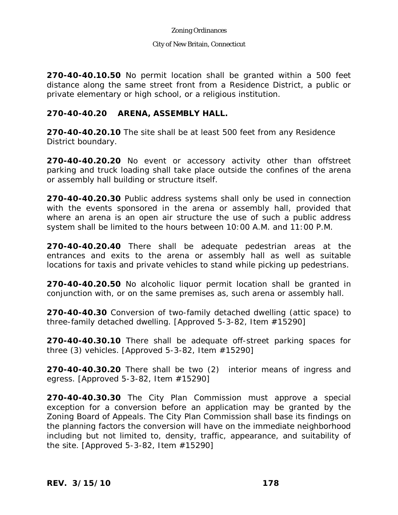### City of New Britain, Connecticut

**270-40-40.10.50** No permit location shall be granted within a 500 feet distance along the same street front from a Residence District, a public or private elementary or high school, or a religious institution.

## **270-40-40.20 ARENA, ASSEMBLY HALL.**

**270-40-40.20.10** The site shall be at least 500 feet from any Residence District boundary.

**270-40-40.20.20** No event or accessory activity other than offstreet parking and truck loading shall take place outside the confines of the arena or assembly hall building or structure itself.

**270-40-40.20.30** Public address systems shall only be used in connection with the events sponsored in the arena or assembly hall, provided that where an arena is an open air structure the use of such a public address system shall be limited to the hours between 10:00 A.M. and 11:00 P.M.

**270-40-40.20.40** There shall be adequate pedestrian areas at the entrances and exits to the arena or assembly hall as well as suitable locations for taxis and private vehicles to stand while picking up pedestrians.

**270-40-40.20.50** No alcoholic liquor permit location shall be granted in conjunction with, or on the same premises as, such arena or assembly hall.

**270-40-40.30** Conversion of two-family detached dwelling (attic space) to three-family detached dwelling. [Approved 5-3-82, Item #15290]

**270-40-40.30.10** There shall be adequate off-street parking spaces for three (3) vehicles. [Approved 5-3-82, Item #15290]

**270-40-40.30.20** There shall be two (2) interior means of ingress and egress. [Approved 5-3-82, Item #15290]

**270-40-40.30.30** The City Plan Commission must approve a special exception for a conversion before an application may be granted by the Zoning Board of Appeals. The City Plan Commission shall base its findings on the planning factors the conversion will have on the immediate neighborhood including but not limited to, density, traffic, appearance, and suitability of the site. [Approved 5-3-82, Item #15290]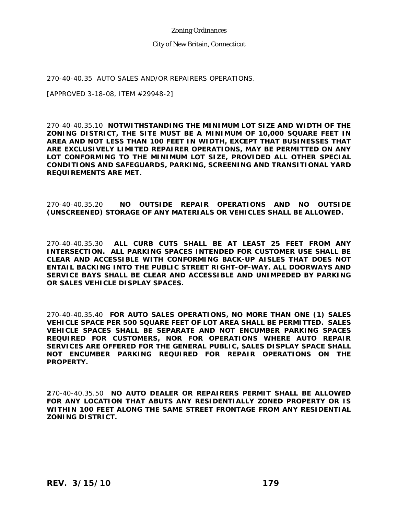#### City of New Britain, Connecticut

270-40-40.35 AUTO SALES AND/OR REPAIRERS OPERATIONS.

[APPROVED 3-18-08, ITEM #29948-2]

270-40-40.35.10 **NOTWITHSTANDING THE MINIMUM LOT SIZE AND WIDTH OF THE ZONING DISTRICT, THE SITE MUST BE A MINIMUM OF 10,000 SQUARE FEET IN AREA AND NOT LESS THAN 100 FEET IN WIDTH, EXCEPT THAT BUSINESSES THAT ARE EXCLUSIVELY LIMITED REPAIRER OPERATIONS, MAY BE PERMITTED ON ANY LOT CONFORMING TO THE MINIMUM LOT SIZE, PROVIDED ALL OTHER SPECIAL CONDITIONS AND SAFEGUARDS, PARKING, SCREENING AND TRANSITIONAL YARD REQUIREMENTS ARE MET.** 

270-40-40.35.20 **NO OUTSIDE REPAIR OPERATIONS AND NO OUTSIDE (UNSCREENED) STORAGE OF ANY MATERIALS OR VEHICLES SHALL BE ALLOWED.**

270-40-40.35.30 **ALL CURB CUTS SHALL BE AT LEAST 25 FEET FROM ANY INTERSECTION. ALL PARKING SPACES INTENDED FOR CUSTOMER USE SHALL BE CLEAR AND ACCESSIBLE WITH CONFORMING BACK-UP AISLES THAT DOES NOT ENTAIL BACKING INTO THE PUBLIC STREET RIGHT-OF-WAY. ALL DOORWAYS AND SERVICE BAYS SHALL BE CLEAR AND ACCESSIBLE AND UNIMPEDED BY PARKING OR SALES VEHICLE DISPLAY SPACES.**

270-40-40.35.40 **FOR AUTO SALES OPERATIONS, NO MORE THAN ONE (1) SALES VEHICLE SPACE PER 500 SQUARE FEET OF LOT AREA SHALL BE PERMITTED. SALES VEHICLE SPACES SHALL BE SEPARATE AND NOT ENCUMBER PARKING SPACES REQUIRED FOR CUSTOMERS, NOR FOR OPERATIONS WHERE AUTO REPAIR SERVICES ARE OFFERED FOR THE GENERAL PUBLIC, SALES DISPLAY SPACE SHALL NOT ENCUMBER PARKING REQUIRED FOR REPAIR OPERATIONS ON THE PROPERTY.**

**2**70-40-40.35.50 **NO AUTO DEALER OR REPAIRERS PERMIT SHALL BE ALLOWED FOR ANY LOCATION THAT ABUTS ANY RESIDENTIALLY ZONED PROPERTY OR IS WITHIN 100 FEET ALONG THE SAME STREET FRONTAGE FROM ANY RESIDENTIAL ZONING DISTRICT.**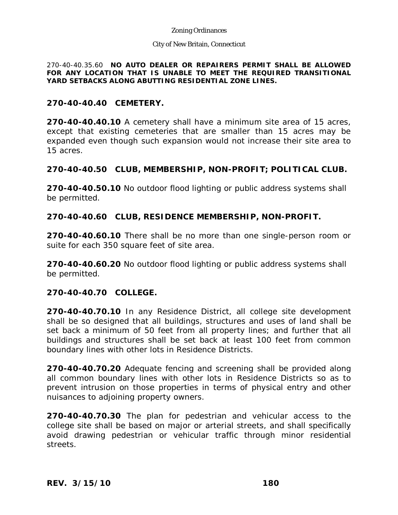#### City of New Britain, Connecticut

270-40-40.35.60 **NO AUTO DEALER OR REPAIRERS PERMIT SHALL BE ALLOWED FOR ANY LOCATION THAT IS UNABLE TO MEET THE REQUIRED TRANSITIONAL YARD SETBACKS ALONG ABUTTING RESIDENTIAL ZONE LINES.** 

## **270-40-40.40 CEMETERY.**

**270-40-40.40.10** A cemetery shall have a minimum site area of 15 acres, except that existing cemeteries that are smaller than 15 acres may be expanded even though such expansion would not increase their site area to 15 acres.

## **270-40-40.50 CLUB, MEMBERSHIP, NON-PROFIT; POLITICAL CLUB.**

**270-40-40.50.10** No outdoor flood lighting or public address systems shall be permitted.

## **270-40-40.60 CLUB, RESIDENCE MEMBERSHIP, NON-PROFIT.**

**270-40-40.60.10** There shall be no more than one single-person room or suite for each 350 square feet of site area.

**270-40-40.60.20** No outdoor flood lighting or public address systems shall be permitted.

# **270-40-40.70 COLLEGE.**

**270-40-40.70.10** In any Residence District, all college site development shall be so designed that all buildings, structures and uses of land shall be set back a minimum of 50 feet from all property lines; and further that all buildings and structures shall be set back at least 100 feet from common boundary lines with other lots in Residence Districts.

**270-40-40.70.20** Adequate fencing and screening shall be provided along all common boundary lines with other lots in Residence Districts so as to prevent intrusion on those properties in terms of physical entry and other nuisances to adjoining property owners.

**270-40-40.70.30** The plan for pedestrian and vehicular access to the college site shall be based on major or arterial streets, and shall specifically avoid drawing pedestrian or vehicular traffic through minor residential streets.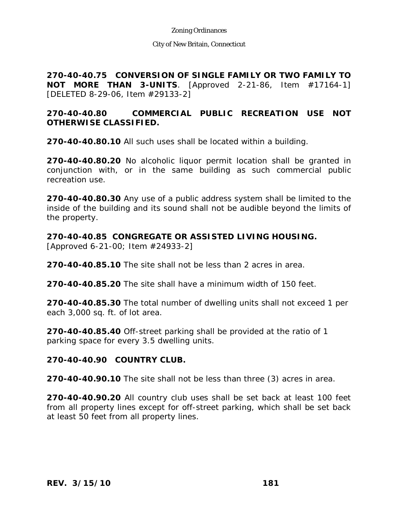City of New Britain, Connecticut

**270-40-40.75 CONVERSION OF SINGLE FAMILY OR TWO FAMILY TO NOT MORE THAN 3-UNITS**. [Approved 2-21-86, Item #17164-1] [DELETED 8-29-06, Item #29133-2]

# **270-40-40.80 COMMERCIAL PUBLIC RECREATION USE NOT OTHERWISE CLASSIFIED.**

**270-40-40.80.10** All such uses shall be located within a building.

**270-40-40.80.20** No alcoholic liquor permit location shall be granted in conjunction with, or in the same building as such commercial public recreation use.

**270-40-40.80.30** Any use of a public address system shall be limited to the inside of the building and its sound shall not be audible beyond the limits of the property.

**270-40-40.85 CONGREGATE OR ASSISTED LIVING HOUSING.** [Approved 6-21-00; Item #24933-2]

**270-40-40.85.10** The site shall not be less than 2 acres in area.

**270-40-40.85.20** The site shall have a minimum width of 150 feet.

**270-40-40.85.30** The total number of dwelling units shall not exceed 1 per each 3,000 sq. ft. of lot area.

**270-40-40.85.40** Off-street parking shall be provided at the ratio of 1 parking space for every 3.5 dwelling units.

### **270-40-40.90 COUNTRY CLUB.**

**270-40-40.90.10** The site shall not be less than three (3) acres in area.

**270-40-40.90.20** All country club uses shall be set back at least 100 feet from all property lines except for off-street parking, which shall be set back at least 50 feet from all property lines.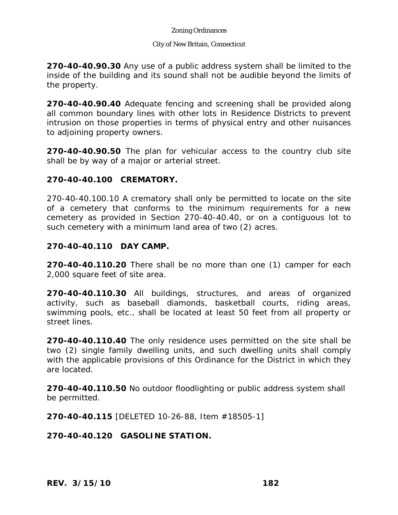#### City of New Britain, Connecticut

**270-40-40.90.30** Any use of a public address system shall be limited to the inside of the building and its sound shall not be audible beyond the limits of the property.

**270-40-40.90.40** Adequate fencing and screening shall be provided along all common boundary lines with other lots in Residence Districts to prevent intrusion on those properties in terms of physical entry and other nuisances to adjoining property owners.

**270-40-40.90.50** The plan for vehicular access to the country club site shall be by way of a major or arterial street.

### **270-40-40.100 CREMATORY.**

270-40-40.100.10 A crematory shall only be permitted to locate on the site of a cemetery that conforms to the minimum requirements for a new cemetery as provided in Section 270-40-40.40, or on a contiguous lot to such cemetery with a minimum land area of two (2) acres.

### **270-40-40.110 DAY CAMP.**

**270-40-40.110.20** There shall be no more than one (1) camper for each 2,000 square feet of site area.

**270-40-40.110.30** All buildings, structures, and areas of organized activity, such as baseball diamonds, basketball courts, riding areas, swimming pools, etc., shall be located at least 50 feet from all property or street lines.

**270-40-40.110.40** The only residence uses permitted on the site shall be two (2) single family dwelling units, and such dwelling units shall comply with the applicable provisions of this Ordinance for the District in which they are located.

**270-40-40.110.50** No outdoor floodlighting or public address system shall be permitted.

**270-40-40.115** [DELETED 10-26-88, Item #18505-1]

**270-40-40.120 GASOLINE STATION.**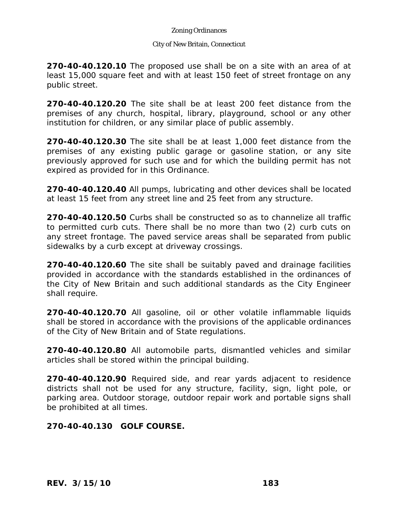#### City of New Britain, Connecticut

**270-40-40.120.10** The proposed use shall be on a site with an area of at least 15,000 square feet and with at least 150 feet of street frontage on any public street.

**270-40-40.120.20** The site shall be at least 200 feet distance from the premises of any church, hospital, library, playground, school or any other institution for children, or any similar place of public assembly.

**270-40-40.120.30** The site shall be at least 1,000 feet distance from the premises of any existing public garage or gasoline station, or any site previously approved for such use and for which the building permit has not expired as provided for in this Ordinance.

**270-40-40.120.40** All pumps, lubricating and other devices shall be located at least 15 feet from any street line and 25 feet from any structure.

**270-40-40.120.50** Curbs shall be constructed so as to channelize all traffic to permitted curb cuts. There shall be no more than two (2) curb cuts on any street frontage. The paved service areas shall be separated from public sidewalks by a curb except at driveway crossings.

**270-40-40.120.60** The site shall be suitably paved and drainage facilities provided in accordance with the standards established in the ordinances of the City of New Britain and such additional standards as the City Engineer shall require.

**270-40-40.120.70** All gasoline, oil or other volatile inflammable liquids shall be stored in accordance with the provisions of the applicable ordinances of the City of New Britain and of State regulations.

**270-40-40.120.80** All automobile parts, dismantled vehicles and similar articles shall be stored within the principal building.

**270-40-40.120.90** Required side, and rear yards adjacent to residence districts shall not be used for any structure, facility, sign, light pole, or parking area. Outdoor storage, outdoor repair work and portable signs shall be prohibited at all times.

**270-40-40.130 GOLF COURSE.**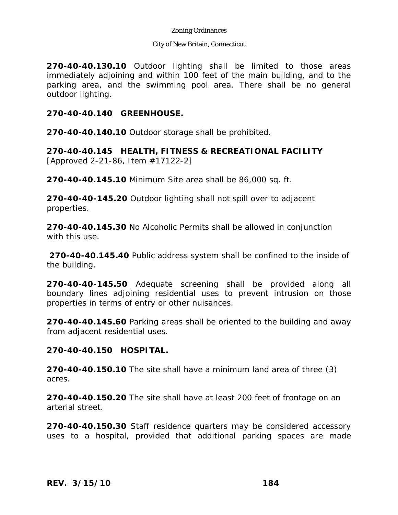#### City of New Britain, Connecticut

**270-40-40.130.10** Outdoor lighting shall be limited to those areas immediately adjoining and within 100 feet of the main building, and to the parking area, and the swimming pool area. There shall be no general outdoor lighting.

### **270-40-40.140 GREENHOUSE.**

**270-40-40.140.10** Outdoor storage shall be prohibited.

**270-40-40.145 HEALTH, FITNESS & RECREATIONAL FACILITY**  [Approved 2-21-86, Item #17122-2]

**270-40-40.145.10** Minimum Site area shall be 86,000 sq. ft.

**270-40-40-145.20** Outdoor lighting shall not spill over to adjacent properties.

**270-40-40.145.30** No Alcoholic Permits shall be allowed in conjunction with this use.

**270-40-40.145.40** Public address system shall be confined to the inside of the building.

**270-40-40-145.50** Adequate screening shall be provided along all boundary lines adjoining residential uses to prevent intrusion on those properties in terms of entry or other nuisances.

**270-40-40.145.60** Parking areas shall be oriented to the building and away from adjacent residential uses.

### **270-40-40.150 HOSPITAL.**

**270-40-40.150.10** The site shall have a minimum land area of three (3) acres.

**270-40-40.150.20** The site shall have at least 200 feet of frontage on an arterial street.

**270-40-40.150.30** Staff residence quarters may be considered accessory uses to a hospital, provided that additional parking spaces are made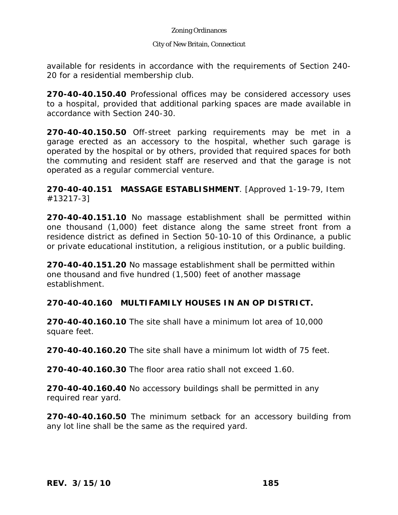#### City of New Britain, Connecticut

available for residents in accordance with the requirements of Section 240- 20 for a residential membership club.

**270-40-40.150.40** Professional offices may be considered accessory uses to a hospital, provided that additional parking spaces are made available in accordance with Section 240-30.

**270-40-40.150.50** Off-street parking requirements may be met in a garage erected as an accessory to the hospital, whether such garage is operated by the hospital or by others, provided that required spaces for both the commuting and resident staff are reserved and that the garage is not operated as a regular commercial venture.

**270-40-40.151 MASSAGE ESTABLISHMENT**. [Approved 1-19-79, Item #13217-3]

**270-40-40.151.10** No massage establishment shall be permitted within one thousand (1,000) feet distance along the same street front from a residence district as defined in Section 50-10-10 of this Ordinance, a public or private educational institution, a religious institution, or a public building.

**270-40-40.151.20** No massage establishment shall be permitted within one thousand and five hundred (1,500) feet of another massage establishment.

## **270-40-40.160 MULTIFAMILY HOUSES IN AN OP DISTRICT.**

**270-40-40.160.10** The site shall have a minimum lot area of 10,000 square feet.

**270-40-40.160.20** The site shall have a minimum lot width of 75 feet.

**270-40-40.160.30** The floor area ratio shall not exceed 1.60.

**270-40-40.160.40** No accessory buildings shall be permitted in any required rear yard.

**270-40-40.160.50** The minimum setback for an accessory building from any lot line shall be the same as the required yard.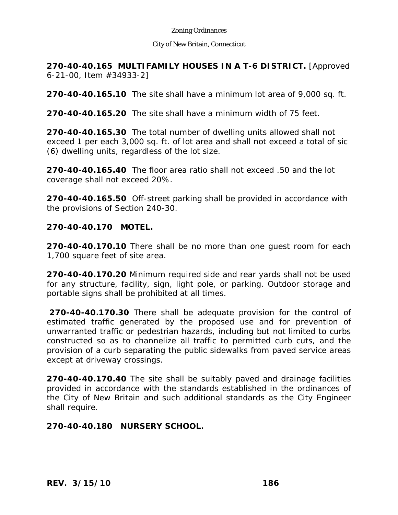#### City of New Britain, Connecticut

**270-40-40.165 MULTIFAMILY HOUSES IN A T-6 DISTRICT.** [Approved 6-21-00, Item #34933-2]

**270-40-40.165.10** The site shall have a minimum lot area of 9,000 sq. ft.

**270-40-40.165.20** The site shall have a minimum width of 75 feet.

**270-40-40.165.30** The total number of dwelling units allowed shall not exceed 1 per each 3,000 sq. ft. of lot area and shall not exceed a total of sic (6) dwelling units, regardless of the lot size.

**270-40-40.165.40** The floor area ratio shall not exceed .50 and the lot coverage shall not exceed 20%.

**270-40-40.165.50** Off-street parking shall be provided in accordance with the provisions of Section 240-30.

### **270-40-40.170 MOTEL.**

**270-40-40.170.10** There shall be no more than one guest room for each 1,700 square feet of site area.

**270-40-40.170.20** Minimum required side and rear yards shall not be used for any structure, facility, sign, light pole, or parking. Outdoor storage and portable signs shall be prohibited at all times.

**270-40-40.170.30** There shall be adequate provision for the control of estimated traffic generated by the proposed use and for prevention of unwarranted traffic or pedestrian hazards, including but not limited to curbs constructed so as to channelize all traffic to permitted curb cuts, and the provision of a curb separating the public sidewalks from paved service areas except at driveway crossings.

**270-40-40.170.40** The site shall be suitably paved and drainage facilities provided in accordance with the standards established in the ordinances of the City of New Britain and such additional standards as the City Engineer shall require.

## **270-40-40.180 NURSERY SCHOOL.**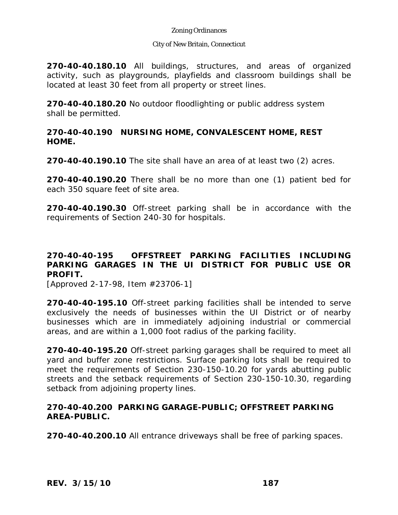#### City of New Britain, Connecticut

**270-40-40.180.10** All buildings, structures, and areas of organized activity, such as playgrounds, playfields and classroom buildings shall be located at least 30 feet from all property or street lines.

**270-40-40.180.20** No outdoor floodlighting or public address system shall be permitted.

### **270-40-40.190 NURSING HOME, CONVALESCENT HOME, REST HOME.**

**270-40-40.190.10** The site shall have an area of at least two (2) acres.

**270-40-40.190.20** There shall be no more than one (1) patient bed for each 350 square feet of site area.

**270-40-40.190.30** Off-street parking shall be in accordance with the requirements of Section 240-30 for hospitals.

# **270-40-40-195 OFFSTREET PARKING FACILITIES INCLUDING PARKING GARAGES IN THE UI DISTRICT FOR PUBLIC USE OR PROFIT.**

[Approved 2-17-98, Item #23706-1]

**270-40-40-195.10** Off-street parking facilities shall be intended to serve exclusively the needs of businesses within the UI District or of nearby businesses which are in immediately adjoining industrial or commercial areas, and are within a 1,000 foot radius of the parking facility.

**270-40-40-195.20** Off-street parking garages shall be required to meet all yard and buffer zone restrictions. Surface parking lots shall be required to meet the requirements of Section 230-150-10.20 for yards abutting public streets and the setback requirements of Section 230-150-10.30, regarding setback from adjoining property lines.

### **270-40-40.200 PARKING GARAGE-PUBLIC; OFFSTREET PARKING AREA-PUBLIC.**

**270-40-40.200.10** All entrance driveways shall be free of parking spaces.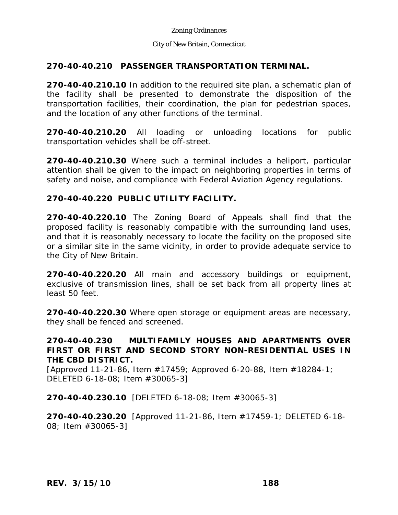### City of New Britain, Connecticut

# **270-40-40.210 PASSENGER TRANSPORTATION TERMINAL.**

**270-40-40.210.10** In addition to the required site plan, a schematic plan of the facility shall be presented to demonstrate the disposition of the transportation facilities, their coordination, the plan for pedestrian spaces, and the location of any other functions of the terminal.

**270-40-40.210.20** All loading or unloading locations for public transportation vehicles shall be off-street.

**270-40-40.210.30** Where such a terminal includes a heliport, particular attention shall be given to the impact on neighboring properties in terms of safety and noise, and compliance with Federal Aviation Agency regulations.

# **270-40-40.220 PUBLIC UTILITY FACILITY.**

**270-40-40.220.10** The Zoning Board of Appeals shall find that the proposed facility is reasonably compatible with the surrounding land uses, and that it is reasonably necessary to locate the facility on the proposed site or a similar site in the same vicinity, in order to provide adequate service to the City of New Britain.

**270-40-40.220.20** All main and accessory buildings or equipment, exclusive of transmission lines, shall be set back from all property lines at least 50 feet.

**270-40-40.220.30** Where open storage or equipment areas are necessary, they shall be fenced and screened.

## **270-40-40.230 MULTIFAMILY HOUSES AND APARTMENTS OVER FIRST OR FIRST AND SECOND STORY NON-RESIDENTIAL USES IN THE CBD DISTRICT.**

[Approved 11-21-86, Item #17459; Approved 6-20-88, Item #18284-1; DELETED 6-18-08; Item #30065-3]

**270-40-40.230.10** [DELETED 6-18-08; Item #30065-3]

**270-40-40.230.20** [Approved 11-21-86, Item #17459-1; DELETED 6-18- 08; Item #30065-3]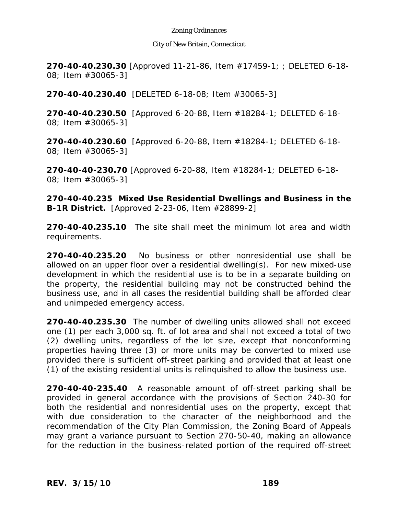#### City of New Britain, Connecticut

**270-40-40.230.30** [Approved 11-21-86, Item #17459-1; ; DELETED 6-18- 08; Item #30065-3]

**270-40-40.230.40** [DELETED 6-18-08; Item #30065-3]

**270-40-40.230.50** [Approved 6-20-88, Item #18284-1; DELETED 6-18- 08; Item #30065-3]

**270-40-40.230.60** [Approved 6-20-88, Item #18284-1; DELETED 6-18- 08; Item #30065-3]

**270-40-40-230.70** [Approved 6-20-88, Item #18284-1; DELETED 6-18- 08; Item #30065-3]

**270-40-40.235 Mixed Use Residential Dwellings and Business in the B-1R District.** [Approved 2-23-06, Item #28899-2]

**270-40-40.235.10** The site shall meet the minimum lot area and width requirements.

**270-40-40.235.20** No business or other nonresidential use shall be allowed on an upper floor over a residential dwelling(s). For new mixed-use development in which the residential use is to be in a separate building on the property, the residential building may not be constructed behind the business use, and in all cases the residential building shall be afforded clear and unimpeded emergency access.

**270-40-40.235.30** The number of dwelling units allowed shall not exceed one (1) per each 3,000 sq. ft. of lot area and shall not exceed a total of two (2) dwelling units, regardless of the lot size, except that nonconforming properties having three (3) or more units may be converted to mixed use provided there is sufficient off-street parking and provided that at least one (1) of the existing residential units is relinquished to allow the business use.

**270-40-40-235.40** A reasonable amount of off-street parking shall be provided in general accordance with the provisions of Section 240-30 for both the residential and nonresidential uses on the property, except that with due consideration to the character of the neighborhood and the recommendation of the City Plan Commission, the Zoning Board of Appeals may grant a variance pursuant to Section 270-50-40, making an allowance for the reduction in the business-related portion of the required off-street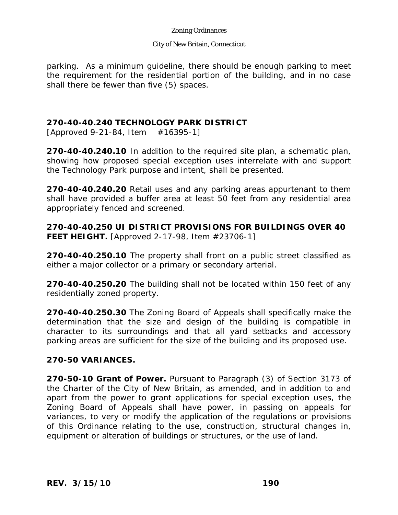#### City of New Britain, Connecticut

parking. As a minimum guideline, there should be enough parking to meet the requirement for the residential portion of the building, and in no case shall there be fewer than five (5) spaces.

## **270-40-40.240 TECHNOLOGY PARK DISTRICT**

 $[Approxed 9-21-84, Item #16395-1]$ 

**270-40-40.240.10** In addition to the required site plan, a schematic plan, showing how proposed special exception uses interrelate with and support the Technology Park purpose and intent, shall be presented.

**270-40-40.240.20** Retail uses and any parking areas appurtenant to them shall have provided a buffer area at least 50 feet from any residential area appropriately fenced and screened.

**270-40-40.250 UI DISTRICT PROVISIONS FOR BUILDINGS OVER 40 FEET HEIGHT.** [Approved 2-17-98, Item #23706-1]

**270-40-40.250.10** The property shall front on a public street classified as either a major collector or a primary or secondary arterial.

**270-40-40.250.20** The building shall not be located within 150 feet of any residentially zoned property.

**270-40-40.250.30** The Zoning Board of Appeals shall specifically make the determination that the size and design of the building is compatible in character to its surroundings and that all yard setbacks and accessory parking areas are sufficient for the size of the building and its proposed use.

### **270-50 VARIANCES.**

**270-50-10 Grant of Power.** Pursuant to Paragraph (3) of Section 3173 of the Charter of the City of New Britain, as amended, and in addition to and apart from the power to grant applications for special exception uses, the Zoning Board of Appeals shall have power, in passing on appeals for variances, to very or modify the application of the regulations or provisions of this Ordinance relating to the use, construction, structural changes in, equipment or alteration of buildings or structures, or the use of land.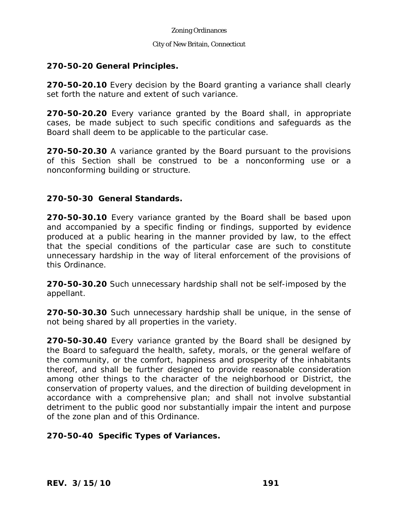#### City of New Britain, Connecticut

### **270-50-20 General Principles.**

**270-50-20.10** Every decision by the Board granting a variance shall clearly set forth the nature and extent of such variance.

**270-50-20.20** Every variance granted by the Board shall, in appropriate cases, be made subject to such specific conditions and safeguards as the Board shall deem to be applicable to the particular case.

**270-50-20.30** A variance granted by the Board pursuant to the provisions of this Section shall be construed to be a nonconforming use or a nonconforming building or structure.

### **270-50-30 General Standards.**

**270-50-30.10** Every variance granted by the Board shall be based upon and accompanied by a specific finding or findings, supported by evidence produced at a public hearing in the manner provided by law, to the effect that the special conditions of the particular case are such to constitute unnecessary hardship in the way of literal enforcement of the provisions of this Ordinance.

**270-50-30.20** Such unnecessary hardship shall not be self-imposed by the appellant.

**270-50-30.30** Such unnecessary hardship shall be unique, in the sense of not being shared by all properties in the variety.

**270-50-30.40** Every variance granted by the Board shall be designed by the Board to safeguard the health, safety, morals, or the general welfare of the community, or the comfort, happiness and prosperity of the inhabitants thereof, and shall be further designed to provide reasonable consideration among other things to the character of the neighborhood or District, the conservation of property values, and the direction of building development in accordance with a comprehensive plan; and shall not involve substantial detriment to the public good nor substantially impair the intent and purpose of the zone plan and of this Ordinance.

## **270-50-40 Specific Types of Variances.**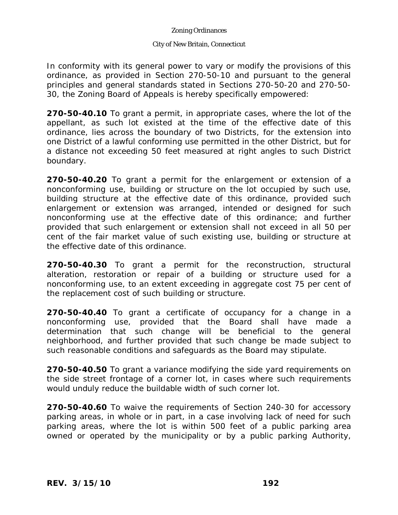#### City of New Britain, Connecticut

In conformity with its general power to vary or modify the provisions of this ordinance, as provided in Section 270-50-10 and pursuant to the general principles and general standards stated in Sections 270-50-20 and 270-50- 30, the Zoning Board of Appeals is hereby specifically empowered:

**270-50-40.10** To grant a permit, in appropriate cases, where the lot of the appellant, as such lot existed at the time of the effective date of this ordinance, lies across the boundary of two Districts, for the extension into one District of a lawful conforming use permitted in the other District, but for a distance not exceeding 50 feet measured at right angles to such District boundary.

**270-50-40.20** To grant a permit for the enlargement or extension of a nonconforming use, building or structure on the lot occupied by such use, building structure at the effective date of this ordinance, provided such enlargement or extension was arranged, intended or designed for such nonconforming use at the effective date of this ordinance; and further provided that such enlargement or extension shall not exceed in all 50 per cent of the fair market value of such existing use, building or structure at the effective date of this ordinance.

**270-50-40.30** To grant a permit for the reconstruction, structural alteration, restoration or repair of a building or structure used for a nonconforming use, to an extent exceeding in aggregate cost 75 per cent of the replacement cost of such building or structure.

**270-50-40.40** To grant a certificate of occupancy for a change in a nonconforming use, provided that the Board shall have made a determination that such change will be beneficial to the general neighborhood, and further provided that such change be made subject to such reasonable conditions and safeguards as the Board may stipulate.

**270-50-40.50** To grant a variance modifying the side yard requirements on the side street frontage of a corner lot, in cases where such requirements would unduly reduce the buildable width of such corner lot.

**270-50-40.60** To waive the requirements of Section 240-30 for accessory parking areas, in whole or in part, in a case involving lack of need for such parking areas, where the lot is within 500 feet of a public parking area owned or operated by the municipality or by a public parking Authority,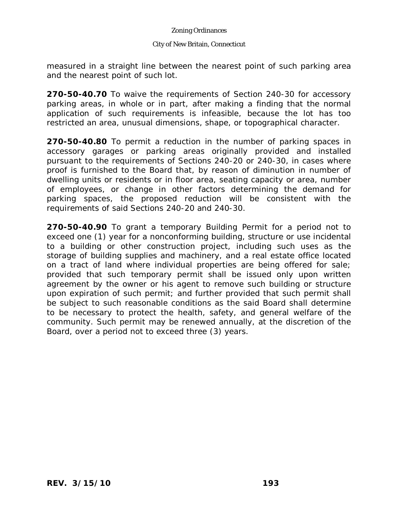#### City of New Britain, Connecticut

measured in a straight line between the nearest point of such parking area and the nearest point of such lot.

**270-50-40.70** To waive the requirements of Section 240-30 for accessory parking areas, in whole or in part, after making a finding that the normal application of such requirements is infeasible, because the lot has too restricted an area, unusual dimensions, shape, or topographical character.

**270-50-40.80** To permit a reduction in the number of parking spaces in accessory garages or parking areas originally provided and installed pursuant to the requirements of Sections 240-20 or 240-30, in cases where proof is furnished to the Board that, by reason of diminution in number of dwelling units or residents or in floor area, seating capacity or area, number of employees, or change in other factors determining the demand for parking spaces, the proposed reduction will be consistent with the requirements of said Sections 240-20 and 240-30.

**270-50-40.90** To grant a temporary Building Permit for a period not to exceed one (1) year for a nonconforming building, structure or use incidental to a building or other construction project, including such uses as the storage of building supplies and machinery, and a real estate office located on a tract of land where individual properties are being offered for sale; provided that such temporary permit shall be issued only upon written agreement by the owner or his agent to remove such building or structure upon expiration of such permit; and further provided that such permit shall be subject to such reasonable conditions as the said Board shall determine to be necessary to protect the health, safety, and general welfare of the community. Such permit may be renewed annually, at the discretion of the Board, over a period not to exceed three (3) years.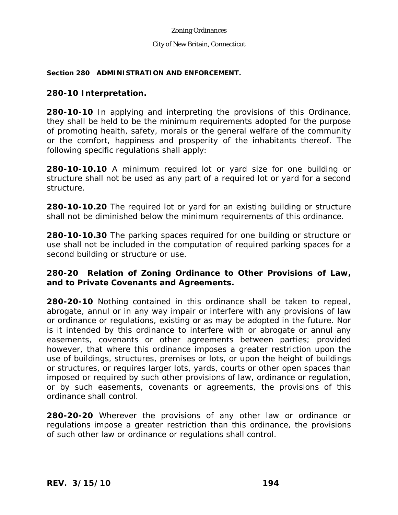#### City of New Britain, Connecticut

#### **Section 280 ADMINISTRATION AND ENFORCEMENT.**

### **280-10 Interpretation.**

**280-10-10** In applying and interpreting the provisions of this Ordinance, they shall be held to be the minimum requirements adopted for the purpose of promoting health, safety, morals or the general welfare of the community or the comfort, happiness and prosperity of the inhabitants thereof. The following specific regulations shall apply:

**280-10-10.10** A minimum required lot or yard size for one building or structure shall not be used as any part of a required lot or yard for a second structure.

**280-10-10.20** The required lot or yard for an existing building or structure shall not be diminished below the minimum requirements of this ordinance.

**280-10-10.30** The parking spaces required for one building or structure or use shall not be included in the computation of required parking spaces for a second building or structure or use.

## **280-20 Relation of Zoning Ordinance to Other Provisions of Law, and to Private Covenants and Agreements.**

**280-20-10** Nothing contained in this ordinance shall be taken to repeal, abrogate, annul or in any way impair or interfere with any provisions of law or ordinance or regulations, existing or as may be adopted in the future. Nor is it intended by this ordinance to interfere with or abrogate or annul any easements, covenants or other agreements between parties; provided however, that where this ordinance imposes a greater restriction upon the use of buildings, structures, premises or lots, or upon the height of buildings or structures, or requires larger lots, yards, courts or other open spaces than imposed or required by such other provisions of law, ordinance or regulation, or by such easements, covenants or agreements, the provisions of this ordinance shall control.

**280-20-20** Wherever the provisions of any other law or ordinance or regulations impose a greater restriction than this ordinance, the provisions of such other law or ordinance or regulations shall control.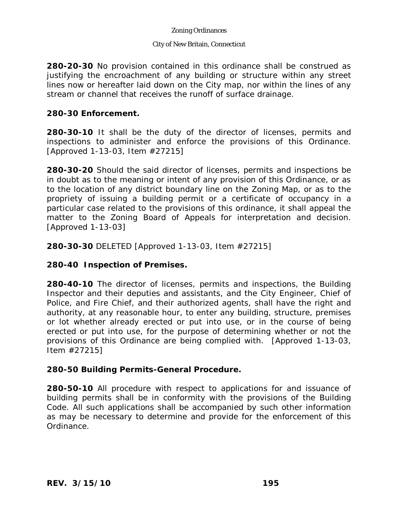#### City of New Britain, Connecticut

**280-20-30** No provision contained in this ordinance shall be construed as justifying the encroachment of any building or structure within any street lines now or hereafter laid down on the City map, nor within the lines of any stream or channel that receives the runoff of surface drainage.

### **280-30 Enforcement.**

**280-30-10** It shall be the duty of the director of licenses, permits and inspections to administer and enforce the provisions of this Ordinance. [Approved 1-13-03, Item #27215]

**280-30-20** Should the said director of licenses, permits and inspections be in doubt as to the meaning or intent of any provision of this Ordinance, or as to the location of any district boundary line on the Zoning Map, or as to the propriety of issuing a building permit or a certificate of occupancy in a particular case related to the provisions of this ordinance, it shall appeal the matter to the Zoning Board of Appeals for interpretation and decision. [Approved 1-13-03]

**280-30-30** DELETED [Approved 1-13-03, Item #27215]

## **280-40 Inspection of Premises.**

**280-40-10** The director of licenses, permits and inspections, the Building Inspector and their deputies and assistants, and the City Engineer, Chief of Police, and Fire Chief, and their authorized agents, shall have the right and authority, at any reasonable hour, to enter any building, structure, premises or lot whether already erected or put into use, or in the course of being erected or put into use, for the purpose of determining whether or not the provisions of this Ordinance are being complied with. [Approved 1-13-03, Item #27215]

### **280-50 Building Permits-General Procedure.**

**280-50-10** All procedure with respect to applications for and issuance of building permits shall be in conformity with the provisions of the Building Code. All such applications shall be accompanied by such other information as may be necessary to determine and provide for the enforcement of this Ordinance.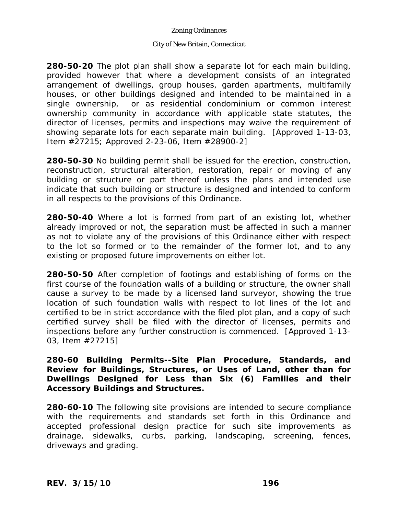#### City of New Britain, Connecticut

**280-50-20** The plot plan shall show a separate lot for each main building, provided however that where a development consists of an integrated arrangement of dwellings, group houses, garden apartments, multifamily houses, or other buildings designed and intended to be maintained in a single ownership, or as residential condominium or common interest ownership community in accordance with applicable state statutes, the director of licenses, permits and inspections may waive the requirement of showing separate lots for each separate main building. [Approved 1-13-03, Item #27215; Approved 2-23-06, Item #28900-2]

**280-50-30** No building permit shall be issued for the erection, construction, reconstruction, structural alteration, restoration, repair or moving of any building or structure or part thereof unless the plans and intended use indicate that such building or structure is designed and intended to conform in all respects to the provisions of this Ordinance.

**280-50-40** Where a lot is formed from part of an existing lot, whether already improved or not, the separation must be affected in such a manner as not to violate any of the provisions of this Ordinance either with respect to the lot so formed or to the remainder of the former lot, and to any existing or proposed future improvements on either lot.

**280-50-50** After completion of footings and establishing of forms on the first course of the foundation walls of a building or structure, the owner shall cause a survey to be made by a licensed land surveyor, showing the true location of such foundation walls with respect to lot lines of the lot and certified to be in strict accordance with the filed plot plan, and a copy of such certified survey shall be filed with the director of licenses, permits and inspections before any further construction is commenced. [Approved 1-13- 03, Item #27215]

**280-60 Building Permits--Site Plan Procedure, Standards, and Review for Buildings, Structures, or Uses of Land, other than for Dwellings Designed for Less than Six (6) Families and their Accessory Buildings and Structures.** 

**280-60-10** The following site provisions are intended to secure compliance with the requirements and standards set forth in this Ordinance and accepted professional design practice for such site improvements as drainage, sidewalks, curbs, parking, landscaping, screening, fences, driveways and grading.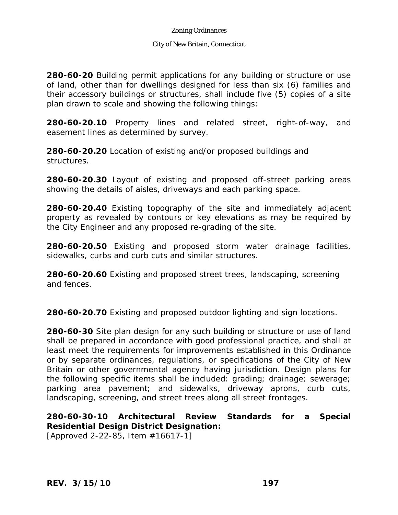#### City of New Britain, Connecticut

**280-60-20** Building permit applications for any building or structure or use of land, other than for dwellings designed for less than six (6) families and their accessory buildings or structures, shall include five (5) copies of a site plan drawn to scale and showing the following things:

**280-60-20.10** Property lines and related street, right-of-way, and easement lines as determined by survey.

**280-60-20.20** Location of existing and/or proposed buildings and structures.

**280-60-20.30** Layout of existing and proposed off-street parking areas showing the details of aisles, driveways and each parking space.

**280-60-20.40** Existing topography of the site and immediately adjacent property as revealed by contours or key elevations as may be required by the City Engineer and any proposed re-grading of the site.

**280-60-20.50** Existing and proposed storm water drainage facilities, sidewalks, curbs and curb cuts and similar structures.

**280-60-20.60** Existing and proposed street trees, landscaping, screening and fences.

**280-60-20.70** Existing and proposed outdoor lighting and sign locations.

**280-60-30** Site plan design for any such building or structure or use of land shall be prepared in accordance with good professional practice, and shall at least meet the requirements for improvements established in this Ordinance or by separate ordinances, regulations, or specifications of the City of New Britain or other governmental agency having jurisdiction. Design plans for the following specific items shall be included: grading; drainage; sewerage; parking area pavement; and sidewalks, driveway aprons, curb cuts, landscaping, screening, and street trees along all street frontages.

**280-60-30-10 Architectural Review Standards for a Special Residential Design District Designation:**  [Approved 2-22-85, Item #16617-1]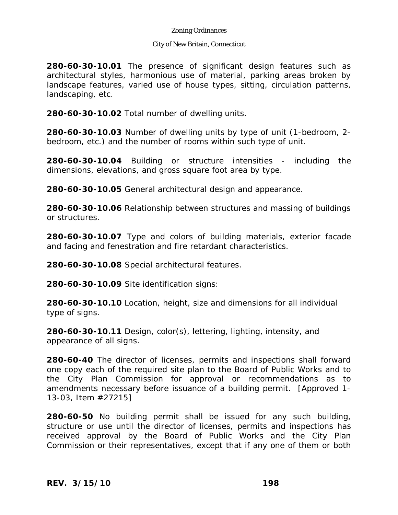#### City of New Britain, Connecticut

**280-60-30-10.01** The presence of significant design features such as architectural styles, harmonious use of material, parking areas broken by landscape features, varied use of house types, sitting, circulation patterns, landscaping, etc.

**280-60-30-10.02** Total number of dwelling units.

**280-60-30-10.03** Number of dwelling units by type of unit (1-bedroom, 2 bedroom, etc.) and the number of rooms within such type of unit.

**280-60-30-10.04** Building or structure intensities - including the dimensions, elevations, and gross square foot area by type.

**280-60-30-10.05** General architectural design and appearance.

**280-60-30-10.06** Relationship between structures and massing of buildings or structures.

**280-60-30-10.07** Type and colors of building materials, exterior facade and facing and fenestration and fire retardant characteristics.

**280-60-30-10.08** Special architectural features.

**280-60-30-10.09** Site identification signs:

**280-60-30-10.10** Location, height, size and dimensions for all individual type of signs.

**280-60-30-10.11** Design, color(s), lettering, lighting, intensity, and appearance of all signs.

**280-60-40** The director of licenses, permits and inspections shall forward one copy each of the required site plan to the Board of Public Works and to the City Plan Commission for approval or recommendations as to amendments necessary before issuance of a building permit. [Approved 1- 13-03, Item #27215]

**280-60-50** No building permit shall be issued for any such building, structure or use until the director of licenses, permits and inspections has received approval by the Board of Public Works and the City Plan Commission or their representatives, except that if any one of them or both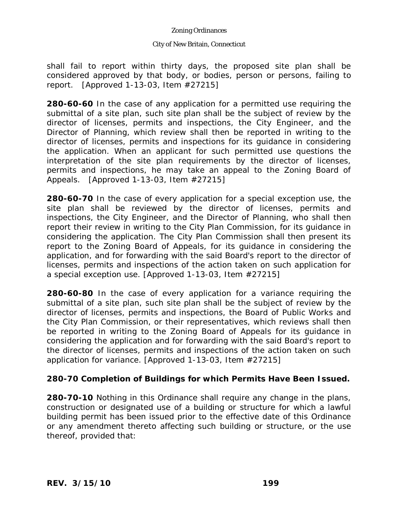#### City of New Britain, Connecticut

shall fail to report within thirty days, the proposed site plan shall be considered approved by that body, or bodies, person or persons, failing to report. [Approved 1-13-03, Item #27215]

**280-60-60** In the case of any application for a permitted use requiring the submittal of a site plan, such site plan shall be the subject of review by the director of licenses, permits and inspections, the City Engineer, and the Director of Planning, which review shall then be reported in writing to the director of licenses, permits and inspections for its guidance in considering the application. When an applicant for such permitted use questions the interpretation of the site plan requirements by the director of licenses, permits and inspections, he may take an appeal to the Zoning Board of Appeals. [Approved 1-13-03, Item #27215]

**280-60-70** In the case of every application for a special exception use, the site plan shall be reviewed by the director of licenses, permits and inspections, the City Engineer, and the Director of Planning, who shall then report their review in writing to the City Plan Commission, for its guidance in considering the application. The City Plan Commission shall then present its report to the Zoning Board of Appeals, for its guidance in considering the application, and for forwarding with the said Board's report to the director of licenses, permits and inspections of the action taken on such application for a special exception use. [Approved 1-13-03, Item #27215]

**280-60-80** In the case of every application for a variance requiring the submittal of a site plan, such site plan shall be the subject of review by the director of licenses, permits and inspections, the Board of Public Works and the City Plan Commission, or their representatives, which reviews shall then be reported in writing to the Zoning Board of Appeals for its guidance in considering the application and for forwarding with the said Board's report to the director of licenses, permits and inspections of the action taken on such application for variance. [Approved 1-13-03, Item #27215]

## **280-70 Completion of Buildings for which Permits Have Been Issued.**

**280-70-10** Nothing in this Ordinance shall require any change in the plans, construction or designated use of a building or structure for which a lawful building permit has been issued prior to the effective date of this Ordinance or any amendment thereto affecting such building or structure, or the use thereof, provided that: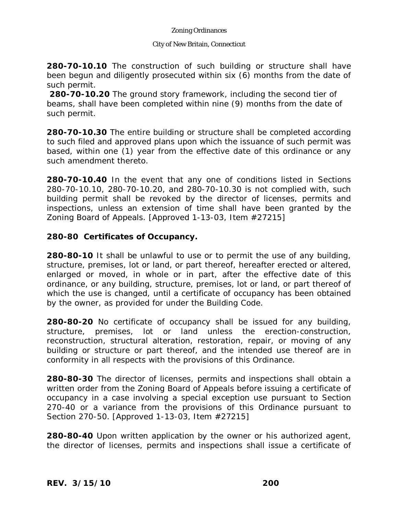### City of New Britain, Connecticut

**280-70-10.10** The construction of such building or structure shall have been begun and diligently prosecuted within six (6) months from the date of such permit.

**280-70-10.20** The ground story framework, including the second tier of beams, shall have been completed within nine (9) months from the date of such permit.

**280-70-10.30** The entire building or structure shall be completed according to such filed and approved plans upon which the issuance of such permit was based, within one (1) year from the effective date of this ordinance or any such amendment thereto.

**280-70-10.40** In the event that any one of conditions listed in Sections 280-70-10.10, 280-70-10.20, and 280-70-10.30 is not complied with, such building permit shall be revoked by the director of licenses, permits and inspections, unless an extension of time shall have been granted by the Zoning Board of Appeals. [Approved 1-13-03, Item #27215]

## **280-80 Certificates of Occupancy.**

**280-80-10** It shall be unlawful to use or to permit the use of any building, structure, premises, lot or land, or part thereof, hereafter erected or altered, enlarged or moved, in whole or in part, after the effective date of this ordinance, or any building, structure, premises, lot or land, or part thereof of which the use is changed, until a certificate of occupancy has been obtained by the owner, as provided for under the Building Code.

**280-80-20** No certificate of occupancy shall be issued for any building, structure, premises, lot or land unless the erection-construction, reconstruction, structural alteration, restoration, repair, or moving of any building or structure or part thereof, and the intended use thereof are in conformity in all respects with the provisions of this Ordinance.

**280-80-30** The director of licenses, permits and inspections shall obtain a written order from the Zoning Board of Appeals before issuing a certificate of occupancy in a case involving a special exception use pursuant to Section 270-40 or a variance from the provisions of this Ordinance pursuant to Section 270-50. [Approved 1-13-03, Item #27215]

**280-80-40** Upon written application by the owner or his authorized agent, the director of licenses, permits and inspections shall issue a certificate of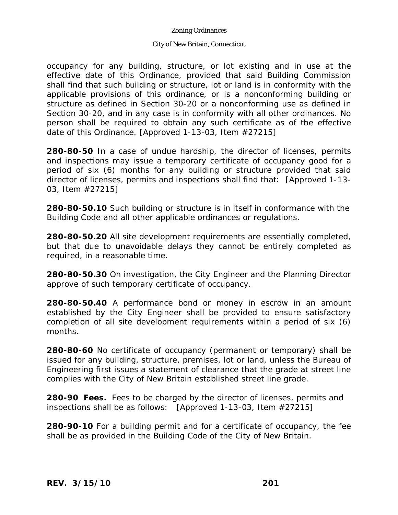#### City of New Britain, Connecticut

occupancy for any building, structure, or lot existing and in use at the effective date of this Ordinance, provided that said Building Commission shall find that such building or structure, lot or land is in conformity with the applicable provisions of this ordinance, or is a nonconforming building or structure as defined in Section 30-20 or a nonconforming use as defined in Section 30-20, and in any case is in conformity with all other ordinances. No person shall be required to obtain any such certificate as of the effective date of this Ordinance. [Approved 1-13-03, Item #27215]

**280-80-50** In a case of undue hardship, the director of licenses, permits and inspections may issue a temporary certificate of occupancy good for a period of six (6) months for any building or structure provided that said director of licenses, permits and inspections shall find that: [Approved 1-13- 03, Item #27215]

**280-80-50.10** Such building or structure is in itself in conformance with the Building Code and all other applicable ordinances or regulations.

**280-80-50.20** All site development requirements are essentially completed, but that due to unavoidable delays they cannot be entirely completed as required, in a reasonable time.

**280-80-50.30** On investigation, the City Engineer and the Planning Director approve of such temporary certificate of occupancy.

**280-80-50.40** A performance bond or money in escrow in an amount established by the City Engineer shall be provided to ensure satisfactory completion of all site development requirements within a period of six (6) months.

**280-80-60** No certificate of occupancy (permanent or temporary) shall be issued for any building, structure, premises, lot or land, unless the Bureau of Engineering first issues a statement of clearance that the grade at street line complies with the City of New Britain established street line grade.

**280-90 Fees.** Fees to be charged by the director of licenses, permits and inspections shall be as follows: [Approved 1-13-03, Item #27215]

**280-90-10** For a building permit and for a certificate of occupancy, the fee shall be as provided in the Building Code of the City of New Britain.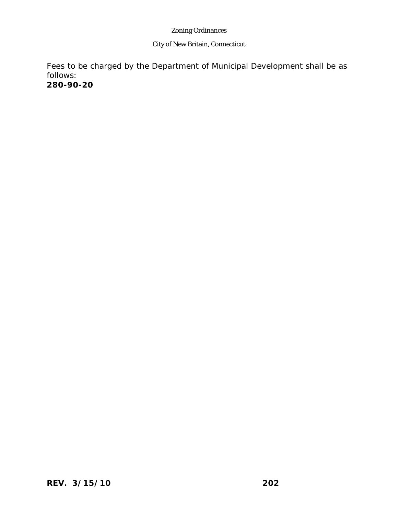### City of New Britain, Connecticut

Fees to be charged by the Department of Municipal Development shall be as follows:

**280-90-20** Fees for applications made I thltio(cat)1-26(og)1( )1()-2B3(i)pd io()-2A5((7)

*REV. 3/15/10* **202**

**Ri11p6(l)l1(e-0ar( Tm [(-)] TJ ET Q q BT /F2 12 Tf 0 0 0 rg 0.99817494.290 561 720.i11p6(l)n0(e)s1(82, )1(P8(t)132)n0(e)-0arl1(ei)-4.i11p132)s1(82, )1(-0arn0(e)d)3(e)51(R132)m)-4.132ei11p13282.25 Tm**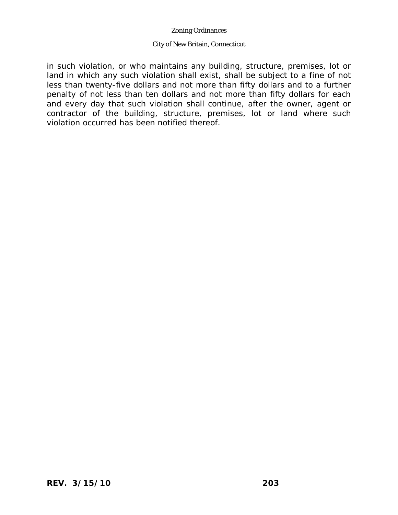#### City of New Britain, Connecticut

in such violation, or who maintains any building, structure, premises, lot or land in which any such violation shall exist, shall be subject to a fine of not less than twenty-five dollars and not more than fifty dollars and to a further penalty of not less than ten dollars and not more than fifty dollars for each and every day that such violation shall continue, after the owner, agent or contractor of the building, structure, premises, lot or land where such violation occurred has been notified thereof.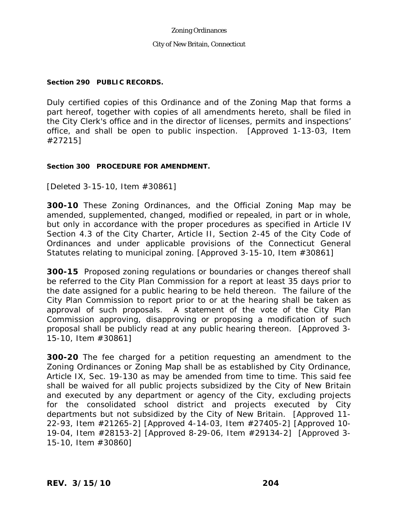City of New Britain, Connecticut

### **Section 290 PUBLIC RECORDS.**

Duly certified copies of this Ordinance and of the Zoning Map that forms a part hereof, together with copies of all amendments hereto, shall be filed in the City Clerk's office and in the director of licenses, permits and inspections' office, and shall be open to public inspection. [Approved 1-13-03, Item #27215]

### **Section 300 PROCEDURE FOR AMENDMENT.**

[Deleted 3-15-10, Item #30861]

**300-10** These Zoning Ordinances, and the Official Zoning Map may be amended, supplemented, changed, modified or repealed, in part or in whole, but only in accordance with the proper procedures as specified in Article IV Section 4.3 of the City Charter, Article II, Section 2-45 of the City Code of Ordinances and under applicable provisions of the Connecticut General Statutes relating to municipal zoning. [Approved 3-15-10, Item #30861]

**300-15** Proposed zoning regulations or boundaries or changes thereof shall be referred to the City Plan Commission for a report at least 35 days prior to the date assigned for a public hearing to be held thereon. The failure of the City Plan Commission to report prior to or at the hearing shall be taken as approval of such proposals. A statement of the vote of the City Plan Commission approving, disapproving or proposing a modification of such proposal shall be publicly read at any public hearing thereon. [Approved 3- 15-10, Item #30861]

**300-20** The fee charged for a petition requesting an amendment to the Zoning Ordinances or Zoning Map shall be as established by City Ordinance, Article IX, Sec. 19-130 as may be amended from time to time. This said fee shall be waived for all public projects subsidized by the City of New Britain and executed by any department or agency of the City, excluding projects for the consolidated school district and projects executed by City departments but not subsidized by the City of New Britain. [Approved 11- 22-93, Item #21265-2] [Approved 4-14-03, Item #27405-2] [Approved 10- 19-04, Item #28153-2] [Approved 8-29-06, Item #29134-2] [Approved 3- 15-10, Item #30860]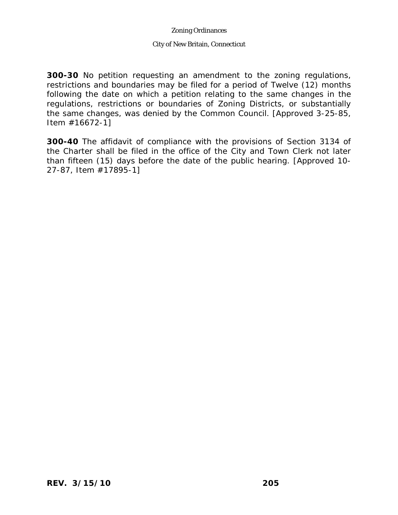#### City of New Britain, Connecticut

**300-30** No petition requesting an amendment to the zoning regulations, restrictions and boundaries may be filed for a period of Twelve (12) months following the date on which a petition relating to the same changes in the regulations, restrictions or boundaries of Zoning Districts, or substantially the same changes, was denied by the Common Council. [Approved 3-25-85, Item #16672-1]

**300-40** The affidavit of compliance with the provisions of Section 3134 of the Charter shall be filed in the office of the City and Town Clerk not later than fifteen (15) days before the date of the public hearing. [Approved 10- 27-87, Item #17895-1]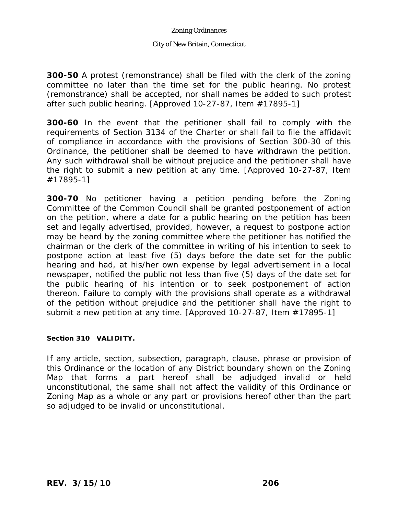#### City of New Britain, Connecticut

**300-50** A protest (remonstrance) shall be filed with the clerk of the zoning committee no later than the time set for the public hearing. No protest (remonstrance) shall be accepted, nor shall names be added to such protest after such public hearing. [Approved 10-27-87, Item #17895-1]

**300-60** In the event that the petitioner shall fail to comply with the requirements of Section 3134 of the Charter or shall fail to file the affidavit of compliance in accordance with the provisions of Section 300-30 of this Ordinance, the petitioner shall be deemed to have withdrawn the petition. Any such withdrawal shall be without prejudice and the petitioner shall have the right to submit a new petition at any time. [Approved 10-27-87, Item #17895-1]

**300-70** No petitioner having a petition pending before the Zoning Committee of the Common Council shall be granted postponement of action on the petition, where a date for a public hearing on the petition has been set and legally advertised, provided, however, a request to postpone action may be heard by the zoning committee where the petitioner has notified the chairman or the clerk of the committee in writing of his intention to seek to postpone action at least five (5) days before the date set for the public hearing and had, at his/her own expense by legal advertisement in a local newspaper, notified the public not less than five (5) days of the date set for the public hearing of his intention or to seek postponement of action thereon. Failure to comply with the provisions shall operate as a withdrawal of the petition without prejudice and the petitioner shall have the right to submit a new petition at any time. [Approved 10-27-87, Item #17895-1]

#### **Section 310 VALIDITY.**

If any article, section, subsection, paragraph, clause, phrase or provision of this Ordinance or the location of any District boundary shown on the Zoning Map that forms a part hereof shall be adjudged invalid or held unconstitutional, the same shall not affect the validity of this Ordinance or Zoning Map as a whole or any part or provisions hereof other than the part so adjudged to be invalid or unconstitutional.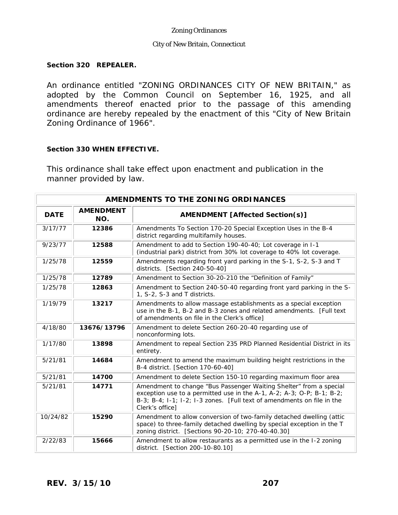#### City of New Britain, Connecticut

#### **Section 320 REPEALER.**

An ordinance entitled "ZONING ORDINANCES CITY OF NEW BRITAIN," as adopted by the Common Council on September 16, 1925, and all amendments thereof enacted prior to the passage of this amending ordinance are hereby repealed by the enactment of this "City of New Britain Zoning Ordinance of 1966".

#### **Section 330 WHEN EFFECTIVE.**

This ordinance shall take effect upon enactment and publication in the manner provided by law.

| AMENDMENTS TO THE ZONING ORDINANCES |                         |                                                                                                                                                                                                                                          |  |
|-------------------------------------|-------------------------|------------------------------------------------------------------------------------------------------------------------------------------------------------------------------------------------------------------------------------------|--|
| <b>DATE</b>                         | <b>AMENDMENT</b><br>NO. | <b>AMENDMENT [Affected Section(s)]</b>                                                                                                                                                                                                   |  |
| 3/17/77                             | 12386                   | Amendments To Section 170-20 Special Exception Uses in the B-4<br>district regarding multifamily houses.                                                                                                                                 |  |
| 9/23/77                             | 12588                   | Amendment to add to Section 190-40-40; Lot coverage in I-1<br>(industrial park) district from 30% lot coverage to 40% lot coverage.                                                                                                      |  |
| 1/25/78                             | 12559                   | Amendments regarding front yard parking in the S-1, S-2, S-3 and T<br>districts. [Section 240-50-40]                                                                                                                                     |  |
| 1/25/78                             | 12789                   | Amendment to Section 30-20-210 the "Definition of Family"                                                                                                                                                                                |  |
| 1/25/78                             | 12863                   | Amendment to Section 240-50-40 regarding front yard parking in the S-<br>1, S-2, S-3 and T districts.                                                                                                                                    |  |
| 1/19/79                             | 13217                   | Amendments to allow massage establishments as a special exception<br>use in the B-1, B-2 and B-3 zones and related amendments. [Full text]<br>of amendments on file in the Clerk's office]                                               |  |
| 4/18/80                             | 13676/13796             | Amendment to delete Section 260-20-40 regarding use of<br>nonconforming lots.                                                                                                                                                            |  |
| 1/17/80                             | 13898                   | Amendment to repeal Section 235 PRD Planned Residential District in its<br>entirety.                                                                                                                                                     |  |
| 5/21/81                             | 14684                   | Amendment to amend the maximum building height restrictions in the<br>B-4 district. [Section 170-60-40]                                                                                                                                  |  |
| 5/21/81                             | 14700                   | Amendment to delete Section 150-10 regarding maximum floor area                                                                                                                                                                          |  |
| 5/21/81                             | 14771                   | Amendment to change "Bus Passenger Waiting Shelter" from a special<br>exception use to a permitted use in the A-1, A-2; A-3; O-P; B-1; B-2;<br>B-3; B-4; I-1; I-2; I-3 zones. [Full text of amendments on file in the<br>Clerk's office] |  |
| 10/24/82                            | 15290                   | Amendment to allow conversion of two-family detached dwelling (attic<br>space) to three-family detached dwelling by special exception in the T<br>zoning district. [Sections 90-20-10; 270-40-40.30]                                     |  |
| 2/22/83                             | 15666                   | Amendment to allow restaurants as a permitted use in the I-2 zoning<br>district. [Section 200-10-80.10]                                                                                                                                  |  |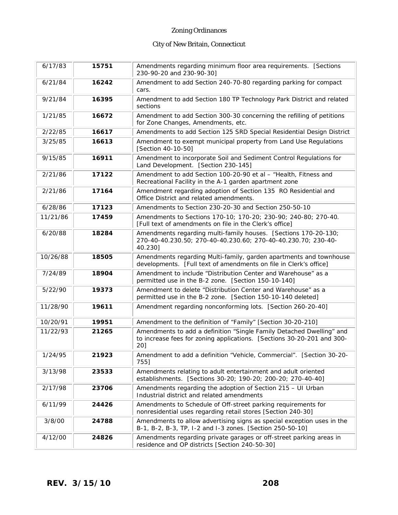| 6/17/83  | 15751 | Amendments regarding minimum floor area requirements. [Sections<br>230-90-20 and 230-90-30]                                                           |
|----------|-------|-------------------------------------------------------------------------------------------------------------------------------------------------------|
| 6/21/84  | 16242 | Amendment to add Section 240-70-80 regarding parking for compact<br>cars.                                                                             |
| 9/21/84  | 16395 | Amendment to add Section 180 TP Technology Park District and related<br>sections                                                                      |
| 1/21/85  | 16672 | Amendment to add Section 300-30 concerning the refilling of petitions<br>for Zone Changes, Amendments, etc.                                           |
| 2/22/85  | 16617 | Amendments to add Section 125 SRD Special Residential Design District                                                                                 |
| 3/25/85  | 16613 | Amendment to exempt municipal property from Land Use Regulations<br>[Section 40-10-50]                                                                |
| 9/15/85  | 16911 | Amendment to incorporate Soil and Sediment Control Regulations for<br>Land Development. [Section 230-145]                                             |
| 2/21/86  | 17122 | Amendment to add Section 100-20-90 et al - "Health, Fitness and<br>Recreational Facility in the A-1 garden apartment zone                             |
| 2/21/86  | 17164 | Amendment regarding adoption of Section 135 RO Residential and<br>Office District and related amendments.                                             |
| 6/28/86  | 17123 | Amendments to Section 230-20-30 and Section 250-50-10                                                                                                 |
| 11/21/86 | 17459 | Amendments to Sections 170-10; 170-20; 230-90; 240-80; 270-40.<br>[Full text of amendments on file in the Clerk's office]                             |
| 6/20/88  | 18284 | Amendments regarding multi-family houses. [Sections 170-20-130;<br>270-40-40.230.50; 270-40-40.230.60; 270-40-40.230.70; 230-40-<br>40.230]           |
| 10/26/88 | 18505 | Amendments regarding Multi-family, garden apartments and townhouse<br>developments. [Full text of amendments on file in Clerk's office]               |
| 7/24/89  | 18904 | Amendment to include "Distribution Center and Warehouse" as a<br>permitted use in the B-2 zone. [Section 150-10-140]                                  |
| 5/22/90  | 19373 | Amendment to delete "Distribution Center and Warehouse" as a<br>permitted use in the B-2 zone. [Section 150-10-140 deleted]                           |
| 11/28/90 | 19611 | Amendment regarding nonconforming lots. [Section 260-20-40]                                                                                           |
| 10/20/91 | 19951 | Amendment to the definition of "Family" [Section 30-20-210]                                                                                           |
| 11/22/93 | 21265 | Amendments to add a definition "Single Family Detached Dwelling" and<br>to increase fees for zoning applications. [Sections 30-20-201 and 300-<br>20] |
| 1/24/95  | 21923 | Amendment to add a definition "Vehicle, Commercial". [Section 30-20-<br>755]                                                                          |
| 3/13/98  | 23533 | Amendments relating to adult entertainment and adult oriented<br>establishments. [Sections 30-20; 190-20; 200-20; 270-40-40]                          |
| 2/17/98  | 23706 | Amendments regarding the adoption of Section 215 - UI Urban<br>Industrial district and related amendments                                             |
| 6/11/99  | 24426 | Amendments to Schedule of Off-street parking requirements for<br>nonresidential uses regarding retail stores [Section 240-30]                         |
| 3/8/00   | 24788 | Amendments to allow advertising signs as special exception uses in the<br>B-1, B-2, B-3, TP, I-2 and I-3 zones. [Section 250-50-10]                   |
| 4/12/00  | 24826 | Amendments regarding private garages or off-street parking areas in<br>residence and OP districts [Section 240-50-30]                                 |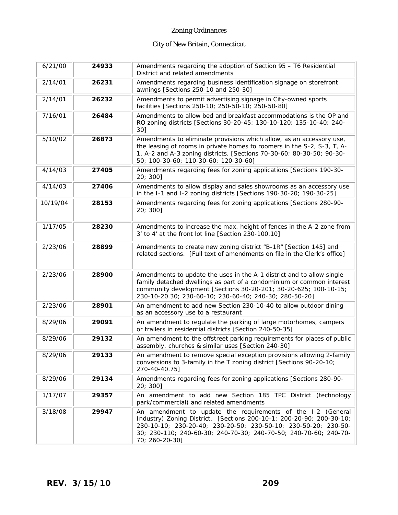| 6/21/00  | 24933 | Amendments regarding the adoption of Section 95 - T6 Residential<br>District and related amendments                                                                                                                                                                                         |  |
|----------|-------|---------------------------------------------------------------------------------------------------------------------------------------------------------------------------------------------------------------------------------------------------------------------------------------------|--|
| 2/14/01  | 26231 | Amendments regarding business identification signage on storefront<br>awnings [Sections 250-10 and 250-30]                                                                                                                                                                                  |  |
| 2/14/01  | 26232 | Amendments to permit advertising signage in City-owned sports<br>facilities [Sections 250-10; 250-50-10; 250-50-80]                                                                                                                                                                         |  |
| 7/16/01  | 26484 | Amendments to allow bed and breakfast accommodations is the OP and<br>RO zoning districts [Sections 30-20-45; 130-10-120; 135-10-40; 240-<br>30]                                                                                                                                            |  |
| 5/10/02  | 26873 | Amendments to eliminate provisions which allow, as an accessory use,<br>the leasing of rooms in private homes to roomers in the S-2, S-3, T, A-<br>1, A-2 and A-3 zoning districts. [Sections 70-30-60; 80-30-50; 90-30-<br>50; 100-30-60; 110-30-60; 120-30-60]                            |  |
| 4/14/03  | 27405 | Amendments regarding fees for zoning applications [Sections 190-30-<br>20; 300]                                                                                                                                                                                                             |  |
| 4/14/03  | 27406 | Amendments to allow display and sales showrooms as an accessory use<br>in the I-1 and I-2 zoning districts [Sections 190-30-20; 190-30-25]                                                                                                                                                  |  |
| 10/19/04 | 28153 | Amendments regarding fees for zoning applications [Sections 280-90-<br>20; 300]                                                                                                                                                                                                             |  |
| 1/17/05  | 28230 | Amendments to increase the max. height of fences in the A-2 zone from<br>3' to 4' at the front lot line [Section 230-100.10]                                                                                                                                                                |  |
| 2/23/06  | 28899 | Amendments to create new zoning district "B-1R" [Section 145] and<br>related sections. [Full text of amendments on file in the Clerk's office]                                                                                                                                              |  |
| 2/23/06  | 28900 | Amendments to update the uses in the A-1 district and to allow single<br>family detached dwellings as part of a condominium or common interest<br>community development [Sections 30-20-201; 30-20-625; 100-10-15;<br>230-10-20.30; 230-60-10; 230-60-40; 240-30; 280-50-20]                |  |
| 2/23/06  | 28901 | An amendment to add new Section 230-10-40 to allow outdoor dining<br>as an accessory use to a restaurant                                                                                                                                                                                    |  |
| 8/29/06  | 29091 | An amendment to regulate the parking of large motorhomes, campers<br>or trailers in residential districts [Section 240-50-35]                                                                                                                                                               |  |
| 8/29/06  | 29132 | An amendment to the offstreet parking requirements for places of public<br>assembly, churches & similar uses [Section 240-30]                                                                                                                                                               |  |
| 8/29/06  | 29133 | An amendment to remove special exception provisions allowing 2-family<br>conversions to 3-family in the T zoning district [Sections 90-20-10;<br>270-40-40.75]                                                                                                                              |  |
| 8/29/06  | 29134 | Amendments regarding fees for zoning applications [Sections 280-90-<br>20; 300]                                                                                                                                                                                                             |  |
| 1/17/07  | 29357 | An amendment to add new Section 185 TPC District (technology<br>park/commercial) and related amendments                                                                                                                                                                                     |  |
| 3/18/08  | 29947 | An amendment to update the requirements of the I-2 (General<br>Industry) Zoning District. [Sections 200-10-1; 200-20-90; 200-30-10;<br>230-10-10; 230-20-40; 230-20-50; 230-50-10; 230-50-20; 230-50-<br>30; 230-110; 240-60-30; 240-70-30; 240-70-50; 240-70-60; 240-70-<br>70; 260-20-30] |  |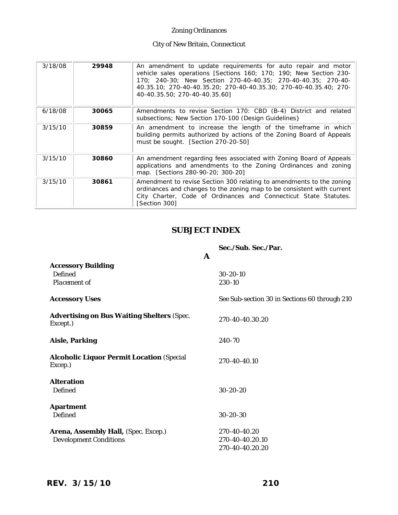### City of New Britain, Connecticut

| 3/18/08 | 29948 | An amendment to update requirements for auto repair and motor<br>vehicle sales operations [Sections 160; 170; 190; New Section 230-<br>170; 240-30; New Section 270-40-40.35; 270-40-40.35; 270-40-<br>40.35.10; 270-40-40.35.20; 270-40-40.35.30; 270-40-40.35.40; 270-<br>40-40.35.50; 270-40-40.35.60] |
|---------|-------|-----------------------------------------------------------------------------------------------------------------------------------------------------------------------------------------------------------------------------------------------------------------------------------------------------------|
| 6/18/08 | 30065 | Amendments to revise Section 170: CBD (B-4) District and related<br>subsections; New Section 170-100 (Design Guidelines)                                                                                                                                                                                  |
| 3/15/10 | 30859 | An amendment to increase the length of the timeframe in which<br>building permits authorized by actions of the Zoning Board of Appeals<br>must be sought. [Section 270-20-50]                                                                                                                             |
| 3/15/10 | 30860 | An amendment regarding fees associated with Zoning Board of Appeals<br>applications and amendments to the Zoning Ordinances and zoning<br>map. [Sections 280-90-20; 300-20]                                                                                                                               |
| 3/15/10 | 30861 | Amendment to revise Section 300 relating to amendments to the zoning<br>ordinances and changes to the zoning map to be consistent with current<br>City Charter, Code of Ordinances and Connecticut State Statutes.<br>[Section 300]                                                                       |

# **SUBJECT INDEX**

|                                                               | A | Sec./Sub. Sec./Par.                           |
|---------------------------------------------------------------|---|-----------------------------------------------|
| <b>Accessory Building</b><br>Defined<br>Placement of          |   | $30 - 20 - 10$<br>230-10                      |
| <b>Accessory Uses</b>                                         |   | See Sub-section 30 in Sections 60 through 210 |
| <b>Advertising on Bus Waiting Shelters (Spec.</b><br>Except.) |   | 270-40-40.30.20                               |
| Aisle, Parking                                                |   | 240-70                                        |
| <b>Alcoholic Liquor Permit Location (Special</b><br>Excep.)   |   | 270-40-40.10                                  |
| Alteration<br>Defined                                         |   | $30 - 20 - 20$                                |
| Apartment<br><b>Defined</b>                                   |   | $30 - 20 - 30$                                |
|                                                               |   |                                               |

Arena, Assembly Hall, (Spec. Excep.) 270-40-40.20  *Development Conditions* 270-40-40.20.10 270-40-40.20.20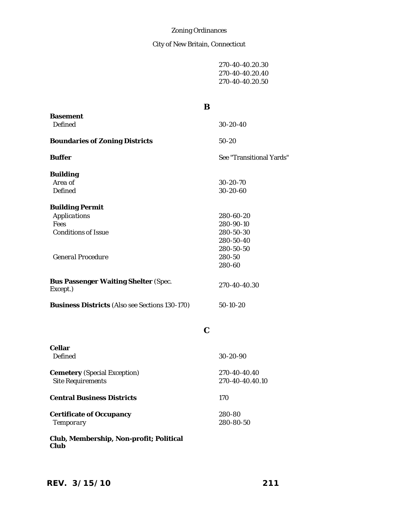# City of New Britain, Connecticut

| 270-40-40.20.30 |  |
|-----------------|--|
| 270-40-40.20.40 |  |
| 270-40-40.20.50 |  |

|                                                                                                   | B                                                                                 |
|---------------------------------------------------------------------------------------------------|-----------------------------------------------------------------------------------|
| <b>Basement</b><br>Defined                                                                        | $30-20-40$                                                                        |
| <b>Boundaries of Zoning Districts</b>                                                             | $50 - 20$                                                                         |
| <b>Buffer</b>                                                                                     | See "Transitional Yards"                                                          |
| <b>Building</b><br>Area of<br>Defined                                                             | $30 - 20 - 70$<br>$30 - 20 - 60$                                                  |
| <b>Building Permit</b><br>Applications<br>Fees<br><b>Conditions of Issue</b><br>General Procedure | 280-60-20<br>280-90-10<br>280-50-30<br>280-50-40<br>280-50-50<br>280-50<br>280-60 |
| <b>Bus Passenger Waiting Shelter (Spec.</b><br>Except.)                                           | 270-40-40.30                                                                      |
| <b>Business Districts (Also see Sections 130-170)</b>                                             | $50-10-20$                                                                        |

**C**

| Cellar<br>Defined                                               | $30-20-90$                      |
|-----------------------------------------------------------------|---------------------------------|
| <b>Cemetery</b> (Special Exception)<br><b>Site Requirements</b> | 270-40-40.40<br>270-40-40.40.10 |
| <b>Central Business Districts</b>                               | 170                             |
| Certificate of Occupancy<br>Temporary                           | 280-80<br>280-80-50             |
| Club, Membership, Non-profit; Political<br>Club                 |                                 |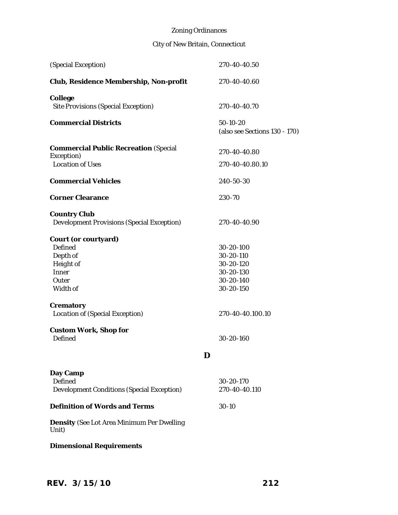| (Special Exception)                                                                                  |   | 270-40-40.50                                                               |
|------------------------------------------------------------------------------------------------------|---|----------------------------------------------------------------------------|
| Club, Residence Membership, Non-profit                                                               |   | 270-40-40.60                                                               |
| College<br>Site Provisions (Special Exception)                                                       |   | 270-40-40.70                                                               |
| <b>Commercial Districts</b>                                                                          |   | 50-10-20<br>(also see Sections 130 - 170)                                  |
| <b>Commercial Public Recreation (Special</b><br>Exception)                                           |   | 270-40-40.80                                                               |
| <b>Location of Uses</b>                                                                              |   | 270-40-40.80.10                                                            |
| <b>Commercial Vehicles</b>                                                                           |   | 240-50-30                                                                  |
| <b>Corner Clearance</b>                                                                              |   | 230-70                                                                     |
| <b>Country Club</b><br>Development Provisions (Special Exception)                                    |   | 270-40-40.90                                                               |
| Court (or courtyard)<br><b>Defined</b><br>Depth of<br>Height of<br><b>Inner</b><br>Outer<br>Width of |   | 30-20-100<br>30-20-110<br>30-20-120<br>30-20-130<br>30-20-140<br>30-20-150 |
| Crematory<br>Location of (Special Exception)                                                         |   | 270-40-40.100.10                                                           |
| Custom Work, Shop for<br><b>Defined</b>                                                              |   | 30-20-160                                                                  |
|                                                                                                      | D |                                                                            |
| Day Camp<br><b>Defined</b><br>Development Conditions (Special Exception)                             |   | 30-20-170<br>270-40-40.110                                                 |
| <b>Definition of Words and Terms</b>                                                                 |   | $30-10$                                                                    |
| <b>Density</b> (See Lot Area Minimum Per Dwelling<br>Unit)                                           |   |                                                                            |
| <b>Dimensional Requirements</b>                                                                      |   |                                                                            |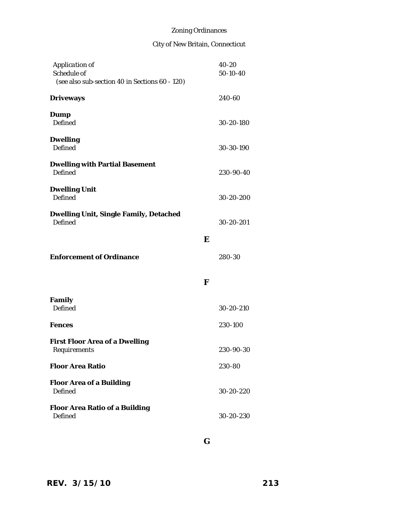| Application of<br>Schedule of<br>(see also sub-section 40 in Sections 60 - 120) |   | 40-20<br>50-10-40 |
|---------------------------------------------------------------------------------|---|-------------------|
| <b>Driveways</b>                                                                |   | 240-60            |
| Dump<br><b>Defined</b>                                                          |   | 30-20-180         |
| <b>Dwelling</b><br><b>Defined</b>                                               |   | 30-30-190         |
| <b>Dwelling with Partial Basement</b><br><b>Defined</b>                         |   | 230-90-40         |
| <b>Dwelling Unit</b><br><b>Defined</b>                                          |   | 30-20-200         |
| Dwelling Unit, Single Family, Detached<br><b>Defined</b>                        |   | 30-20-201         |
|                                                                                 | E |                   |
| <b>Enforcement of Ordinance</b>                                                 |   | 280-30            |
|                                                                                 | F |                   |
| Family<br><b>Defined</b>                                                        |   | 30-20-210         |
| <b>Fences</b>                                                                   |   | 230-100           |
| <b>First Floor Area of a Dwelling</b><br>Requirements                           |   | 230-90-30         |
| <b>Floor Area Ratio</b>                                                         |   | 230-80            |
| <b>Floor Area of a Building</b><br><b>Defined</b>                               |   | 30-20-220         |
| <b>Floor Area Ratio of a Building</b><br><b>Defined</b>                         |   | 30-20-230         |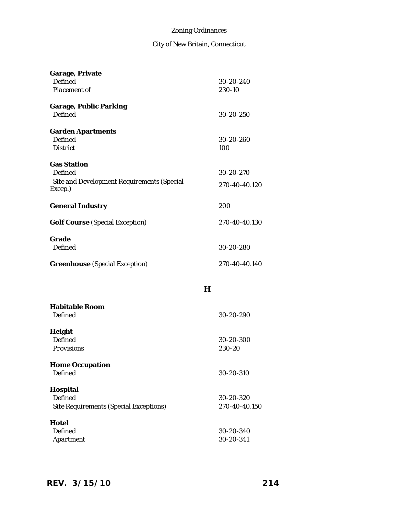| Garage, Private                            |   |                     |
|--------------------------------------------|---|---------------------|
| Defined<br>Placement of                    |   | 30-20-240<br>230-10 |
|                                            |   |                     |
| Garage, Public Parking                     |   |                     |
| <b>Defined</b>                             |   | 30-20-250           |
| <b>Garden Apartments</b>                   |   |                     |
| <b>Defined</b>                             |   | 30-20-260           |
| <b>District</b>                            |   | 100                 |
| <b>Gas Station</b>                         |   |                     |
| Defined                                    |   | 30-20-270           |
| Site and Development Requirements (Special |   | 270-40-40.120       |
| Excep.)                                    |   |                     |
| <b>General Industry</b>                    |   | 200                 |
|                                            |   |                     |
| <b>Golf Course</b> (Special Exception)     |   | 270-40-40.130       |
| Grade                                      |   |                     |
| Defined                                    |   | 30-20-280           |
|                                            |   | 270-40-40.140       |
| <b>Greenhouse</b> (Special Exception)      |   |                     |
|                                            |   |                     |
|                                            | н |                     |
| <b>Habitable Room</b>                      |   |                     |
| <b>Defined</b>                             |   | 30-20-290           |
|                                            |   |                     |
| Height<br><b>Defined</b>                   |   | 30-20-300           |
| Provisions                                 |   | 230-20              |
|                                            |   |                     |
| <b>Home Occupation</b>                     |   |                     |
| <b>Defined</b>                             |   | 30-20-310           |
| Hospital                                   |   |                     |
| <b>Defined</b>                             |   | 30-20-320           |
| Site Requirements (Special Exceptions)     |   | 270-40-40.150       |
| <b>Hotel</b>                               |   |                     |
| Defined                                    |   | 30-20-340           |
| Apartment                                  |   | 30-20-341           |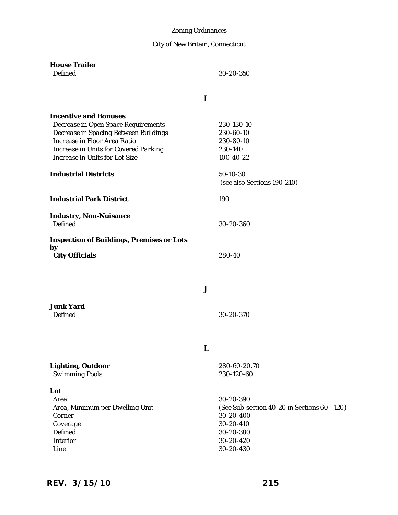City of New Britain, Connecticut

| <b>House Trailer</b><br><b>Defined</b>                                                                                                                                                                                  | 30-20-350<br>ı                                                                                                             |
|-------------------------------------------------------------------------------------------------------------------------------------------------------------------------------------------------------------------------|----------------------------------------------------------------------------------------------------------------------------|
| <b>Incentive and Bonuses</b><br>Decrease in Open Space Requirements<br>Decrease in Spacing Between Buildings<br>Increase in Floor Area Ratio<br>Increase in Units for Covered Parking<br>Increase in Units for Lot Size | 230-130-10<br>230-60-10<br>230-80-10<br>230-140<br>100-40-22                                                               |
| <b>Industrial Districts</b>                                                                                                                                                                                             | 50-10-30<br>(see also Sections 190-210)                                                                                    |
| <b>Industrial Park District</b>                                                                                                                                                                                         | 190                                                                                                                        |
| <b>Industry, Non-Nuisance</b><br>Defined                                                                                                                                                                                | 30-20-360                                                                                                                  |
| <b>Inspection of Buildings, Premises or Lots</b><br>by<br><b>City Officials</b>                                                                                                                                         | 280-40                                                                                                                     |
|                                                                                                                                                                                                                         | J                                                                                                                          |
| <b>Junk Yard</b><br>Defined                                                                                                                                                                                             | 30-20-370                                                                                                                  |
|                                                                                                                                                                                                                         | н                                                                                                                          |
| <b>Lighting, Outdoor</b><br><b>Swimming Pools</b>                                                                                                                                                                       | 280-60-20.70<br>230-120-60                                                                                                 |
| Lot<br>Area<br>Area, Minimum per Dwelling Unit<br>Corner<br>Coverage<br>Defined<br>Interior<br>Line                                                                                                                     | 30-20-390<br>(See Sub-section 40-20 in Sections 60 - 120)<br>30-20-400<br>30-20-410<br>30-20-380<br>30-20-420<br>30-20-430 |

# *REV. 3/15/10* **215**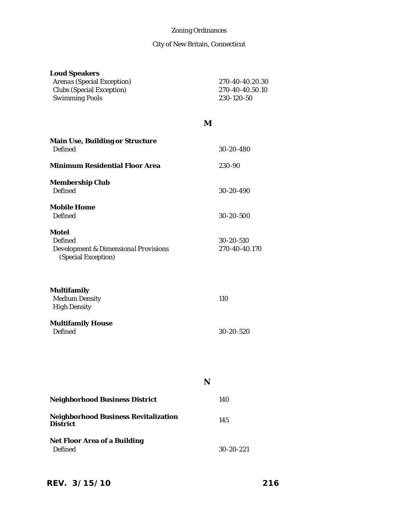| <b>Loud Speakers</b><br>Arenas (Special Exception)<br>Clubs (Special Exception)<br><b>Swimming Pools</b> |   | 270-40-40.20.30<br>270-40-40.50.10<br>230-120-50 |
|----------------------------------------------------------------------------------------------------------|---|--------------------------------------------------|
|                                                                                                          | M |                                                  |
| Main Use, Building or Structure<br><b>Defined</b>                                                        |   | 30-20-480                                        |
| <b>Minimum Residential Floor Area</b>                                                                    |   | 230-90                                           |
| <b>Membership Club</b><br><b>Defined</b>                                                                 |   | 30-20-490                                        |
| <b>Mobile Home</b><br><b>Defined</b>                                                                     |   | 30-20-500                                        |
| <b>Motel</b><br>Defined<br>Development & Dimensional Provisions<br>(Special Exception)                   |   | 30-20-510<br>270-40-40.170                       |
| Multifamily<br><b>Medium Density</b><br><b>High Density</b>                                              |   | 110                                              |
| <b>Multifamily House</b><br><b>Defined</b>                                                               |   | 30-20-520                                        |
|                                                                                                          | N |                                                  |
| <b>Neighborhood Business District</b>                                                                    |   | 140                                              |
| <b>Neighborhood Business Revitalization</b><br><b>District</b>                                           |   | 145                                              |
| Net Floor Area of a Building<br><b>Defined</b>                                                           |   | 30-20-221                                        |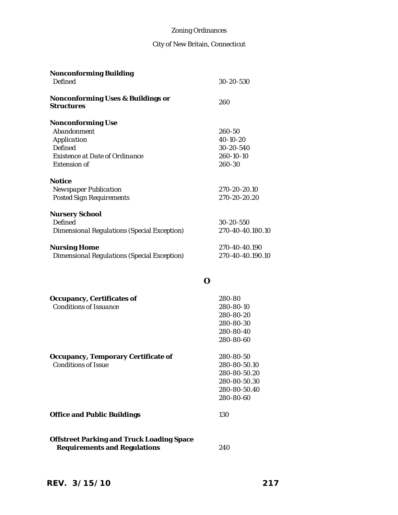| <b>Nonconforming Building</b><br><b>Defined</b>                                                                                   | 30-20-530                                                                              |
|-----------------------------------------------------------------------------------------------------------------------------------|----------------------------------------------------------------------------------------|
| <b>Nonconforming Uses &amp; Buildings or</b><br><b>Structures</b>                                                                 | 260                                                                                    |
| <b>Nonconforming Use</b><br>Abandonment<br>Application<br>Defined<br><b>Existence at Date of Ordinance</b><br><b>Extension of</b> | 260-50<br>40-10-20<br>30-20-540<br>260-10-10<br>260-30                                 |
| <b>Notice</b><br><b>Newspaper Publication</b><br><b>Posted Sign Requirements</b>                                                  | 270-20-20.10<br>270-20-20.20                                                           |
| <b>Nursery School</b><br>Defined<br>Dimensional Regulations (Special Exception)                                                   | 30-20-550<br>270-40-40.180.10                                                          |
| <b>Nursing Home</b><br>Dimensional Regulations (Special Exception)                                                                | 270-40-40.190<br>270-40-40.190.10                                                      |
|                                                                                                                                   | O                                                                                      |
| Occupancy, Certificates of<br><b>Conditions of Issuance</b>                                                                       | 280-80<br>280-80-10<br>280-80-20<br>280-80-30<br>280-80-40<br>280-80-60                |
| Occupancy, Temporary Certificate of<br><b>Conditions of Issue</b>                                                                 | 280-80-50<br>280-80-50.10<br>280-80-50.20<br>280-80-50.30<br>280-80-50.40<br>280-80-60 |
| <b>Office and Public Buildings</b>                                                                                                | 130                                                                                    |
| <b>Offstreet Parking and Truck Loading Space</b><br><b>Requirements and Regulations</b>                                           | 240                                                                                    |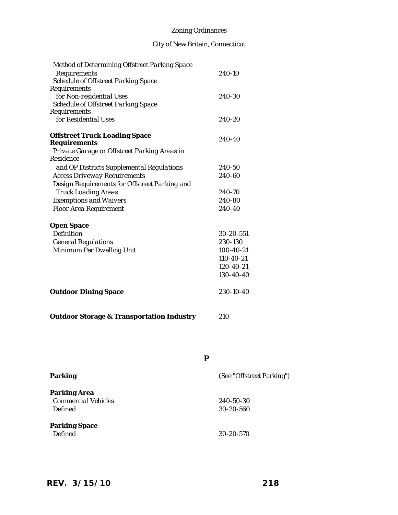# City of New Britain, Connecticut

| Method of Determining Offstreet Parking Space |           |
|-----------------------------------------------|-----------|
| Requirements                                  | 240-10    |
| Schedule of Offstreet Parking Space           |           |
| Requirements                                  |           |
| for Non-residential Uses                      | 240-30    |
| Schedule of Offstreet Parking Space           |           |
| Requirements                                  |           |
| for Residential Uses                          | 240-20    |
| <b>Offstreet Truck Loading Space</b>          | 240-40    |
| <b>Requirements</b>                           |           |
| Private Garage or Offstreet Parking Areas in  |           |
| Residence                                     |           |
| and OP Districts Supplemental Regulations     | 240-50    |
| <b>Access Driveway Requirements</b>           | 240-60    |
| Design Requirements for Offstreet Parking and |           |
| <b>Truck Loading Areas</b>                    | 240-70    |
| <b>Exemptions and Waivers</b>                 | 240-80    |
| Floor Area Requirement                        | 240-40    |
| <b>Open Space</b>                             |           |
| Definition                                    | 30-20-551 |
| <b>General Regulations</b>                    | 230-130   |
| Minimum Per Dwelling Unit                     | 100-40-21 |
|                                               | 110-40-21 |
|                                               | 120-40-21 |
|                                               | 130-40-40 |
|                                               |           |
| <b>Outdoor Dining Space</b>                   | 230-10-40 |
|                                               |           |

| <b>Outdoor Storage &amp; Transportation Industry</b> | 210 |
|------------------------------------------------------|-----|
|------------------------------------------------------|-----|

| Parking                                               | (See "Offstreet Parking")    |
|-------------------------------------------------------|------------------------------|
| Parking Area<br><b>Commercial Vehicles</b><br>Defined | 240-50-30<br>$30 - 20 - 560$ |
| <b>Parking Space</b><br><b>Defined</b>                | 30-20-570                    |

**P**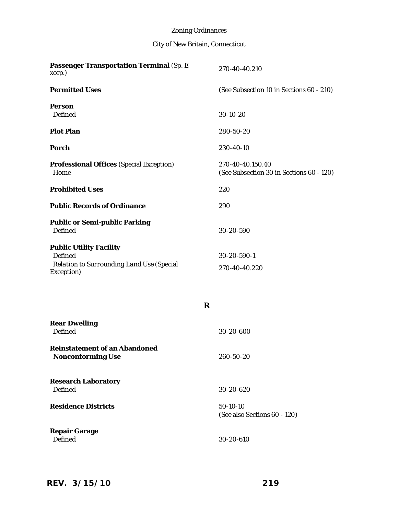| Passenger Transportation Terminal (Sp. E<br>xcep.)                                                   | 270-40-40.210                                                |
|------------------------------------------------------------------------------------------------------|--------------------------------------------------------------|
| <b>Permitted Uses</b>                                                                                | (See Subsection 10 in Sections 60 - 210)                     |
| Person<br>Defined                                                                                    | 30-10-20                                                     |
| <b>Plot Plan</b>                                                                                     | 280-50-20                                                    |
| Porch                                                                                                | 230-40-10                                                    |
| <b>Professional Offices (Special Exception)</b><br>Home                                              | 270-40-40.150.40<br>(See Subsection 30 in Sections 60 - 120) |
| <b>Prohibited Uses</b>                                                                               | 220                                                          |
| <b>Public Records of Ordinance</b>                                                                   | 290                                                          |
| <b>Public or Semi-public Parking</b><br><b>Defined</b>                                               | 30-20-590                                                    |
| <b>Public Utility Facility</b><br>Defined<br>Relation to Surrounding Land Use (Special<br>Exception) | 30-20-590-1<br>270-40-40.220                                 |
| R                                                                                                    |                                                              |
| <b>Rear Dwelling</b><br>Defined                                                                      | 30-20-600                                                    |
| <b>Reinstatement of an Abandoned</b><br><b>Nonconforming Use</b>                                     | 260-50-20                                                    |
| <b>Research Laboratory</b><br><b>Defined</b>                                                         | 30-20-620                                                    |
| <b>Residence Districts</b>                                                                           | $50-10-10$<br>(See also Sections 60 - 120)                   |
| <b>Repair Garage</b><br><b>Defined</b>                                                               | 30-20-610                                                    |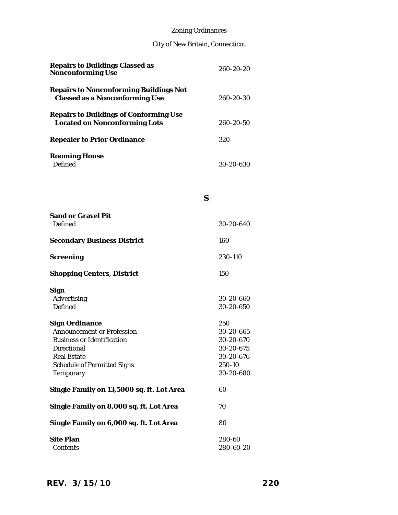# City of New Britain, Connecticut

| <b>Repairs to Buildings Classed as</b><br><b>Nonconforming Use</b>              | 260-20-20       |
|---------------------------------------------------------------------------------|-----------------|
| Repairs to Nonconforming Buildings Not<br><b>Classed as a Nonconforming Use</b> | 260-20-30       |
| Repairs to Buildings of Conforming Use<br><b>Located on Nonconforming Lots</b>  | $260 - 20 - 50$ |
| <b>Repealer to Prior Ordinance</b>                                              | 320             |
| <b>Rooming House</b><br>Defined                                                 | 30-20-630       |

### **S**

| <b>Sand or Gravel Pit</b><br>Defined                                                                                                                                      | 30-20-640                                                                      |
|---------------------------------------------------------------------------------------------------------------------------------------------------------------------------|--------------------------------------------------------------------------------|
| <b>Secondary Business District</b>                                                                                                                                        | 160                                                                            |
| Screening                                                                                                                                                                 | 230-110                                                                        |
| <b>Shopping Centers, District</b>                                                                                                                                         | 150                                                                            |
| Sign<br>Advertising<br><b>Defined</b>                                                                                                                                     | 30-20-660<br>30-20-650                                                         |
| <b>Sign Ordinance</b><br>Announcement or Profession<br><b>Business or Identification</b><br>Directional<br><b>Real Estate</b><br>Schedule of Permitted Signs<br>Temporary | 250<br>30-20-665<br>30-20-670<br>30-20-675<br>30-20-676<br>250-10<br>30-20-680 |
| Single Family on 13,5000 sq. ft. Lot Area                                                                                                                                 | 60                                                                             |
| Single Family on 8,000 sq. ft. Lot Area                                                                                                                                   | 70                                                                             |
| Single Family on 6,000 sq. ft. Lot Area                                                                                                                                   | 80                                                                             |
| <b>Site Plan</b><br>Contents                                                                                                                                              | 280-60<br>280-60-20                                                            |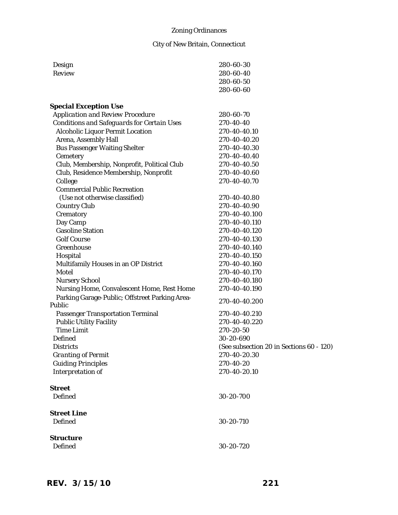| Design                                         | 280-60-30                                |
|------------------------------------------------|------------------------------------------|
| Review                                         | 280-60-40                                |
|                                                | 280-60-50                                |
|                                                | 280-60-60                                |
| <b>Special Exception Use</b>                   |                                          |
| Application and Review Procedure               | 280-60-70                                |
| Conditions and Safeguards for Certain Uses     | 270-40-40                                |
| Alcoholic Liquor Permit Location               | 270-40-40.10                             |
| Arena, Assembly Hall                           | 270-40-40.20                             |
| <b>Bus Passenger Waiting Shelter</b>           | 270-40-40.30                             |
| Cemetery                                       | 270-40-40.40                             |
| Club, Membership, Nonprofit, Political Club    | 270-40-40.50                             |
| Club, Residence Membership, Nonprofit          | 270-40-40.60                             |
| College                                        | 270-40-40.70                             |
| <b>Commercial Public Recreation</b>            |                                          |
| (Use not otherwise classified)                 | 270-40-40.80                             |
| Country Club                                   | 270-40-40.90                             |
| Crematory                                      | 270-40-40.100                            |
| Day Camp                                       | 270-40-40.110                            |
| <b>Gasoline Station</b>                        | 270-40-40.120                            |
| <b>Golf Course</b>                             | 270-40-40.130                            |
| Greenhouse                                     | 270-40-40.140                            |
| Hospital                                       | 270-40-40.150                            |
| Multifamily Houses in an OP District           | 270-40-40.160                            |
| Motel                                          | 270-40-40.170                            |
| Nursery School                                 | 270-40-40.180                            |
| Nursing Home, Convalescent Home, Rest Home     | 270-40-40.190                            |
| Parking Garage-Public; Offstreet Parking Area- | 270-40-40.200                            |
| Public                                         |                                          |
| Passenger Transportation Terminal              | 270-40-40.210                            |
| <b>Public Utility Facility</b>                 | 270-40-40.220                            |
| <b>Time Limit</b>                              | 270-20-50                                |
| <b>Defined</b>                                 | 30-20-690                                |
| <i>Districts</i>                               | (See subsection 20 in Sections 60 - 120) |
| <b>Granting of Permit</b>                      | 270-40-20.30                             |
| <b>Guiding Principles</b>                      | 270-40-20                                |
| Interpretation of                              | 270-40-20.10                             |
| <b>Street</b>                                  |                                          |
| <b>Defined</b>                                 | 30-20-700                                |
| <b>Street Line</b>                             |                                          |
| <b>Defined</b>                                 | 30-20-710                                |
| <b>Structure</b>                               |                                          |
| <b>Defined</b>                                 | 30-20-720                                |
|                                                |                                          |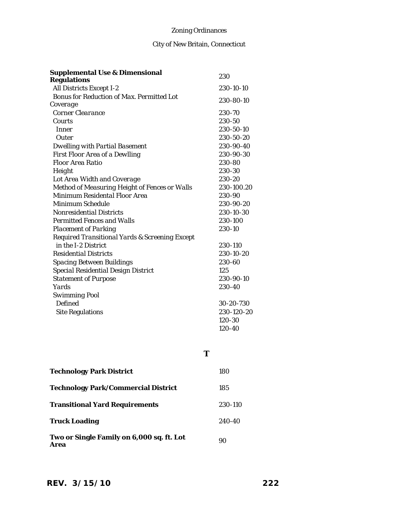# City of New Britain, Connecticut

| <b>Supplemental Use &amp; Dimensional</b>                                                                                                                                                                                                                                                                                                                                                                                                                                                                                                                                                                                                                                          |   | 230                                                                                                                                                                                                                                                                            |
|------------------------------------------------------------------------------------------------------------------------------------------------------------------------------------------------------------------------------------------------------------------------------------------------------------------------------------------------------------------------------------------------------------------------------------------------------------------------------------------------------------------------------------------------------------------------------------------------------------------------------------------------------------------------------------|---|--------------------------------------------------------------------------------------------------------------------------------------------------------------------------------------------------------------------------------------------------------------------------------|
| <b>Regulations</b>                                                                                                                                                                                                                                                                                                                                                                                                                                                                                                                                                                                                                                                                 |   |                                                                                                                                                                                                                                                                                |
| All Districts Except I-2                                                                                                                                                                                                                                                                                                                                                                                                                                                                                                                                                                                                                                                           |   | 230-10-10                                                                                                                                                                                                                                                                      |
| Bonus for Reduction of Max. Permitted Lot                                                                                                                                                                                                                                                                                                                                                                                                                                                                                                                                                                                                                                          |   | 230-80-10                                                                                                                                                                                                                                                                      |
| Coverage<br>Corner Clearance<br>Courts<br>Inner<br>Outer<br><b>Dwelling with Partial Basement</b><br>First Floor Area of a Dewlling<br>Floor Area Ratio<br>Height<br>Lot Area Width and Coverage<br>Method of Measuring Height of Fences or Walls<br>Minimum Residental Floor Area<br>Minimum Schedule<br>Nonresidential Districts<br><b>Permitted Fences and Walls</b><br>Placement of Parking<br>Required Transitional Yards & Screening Except<br>in the I-2 District<br><b>Residential Districts</b><br>Spacing Between Buildings<br>Special Residential Design District<br><b>Statement of Purpose</b><br>Yards<br><b>Swimming Pool</b><br>Defined<br><b>Site Regulations</b> |   | 230-70<br>230-50<br>230-50-10<br>230-50-20<br>230-90-40<br>230-90-30<br>230-80<br>230-30<br>230-20<br>230-100.20<br>230-90<br>230-90-20<br>230-10-30<br>230-100<br>230-10<br>230-110<br>230-10-20<br>230-60<br>125<br>230-90-10<br>230-40<br>30-20-730<br>230-120-20<br>120-30 |
|                                                                                                                                                                                                                                                                                                                                                                                                                                                                                                                                                                                                                                                                                    | Т | 120-40                                                                                                                                                                                                                                                                         |
| <b>Technology Park District</b>                                                                                                                                                                                                                                                                                                                                                                                                                                                                                                                                                                                                                                                    |   | 180                                                                                                                                                                                                                                                                            |
| <b>Technology Park/Commercial District</b>                                                                                                                                                                                                                                                                                                                                                                                                                                                                                                                                                                                                                                         |   | 185                                                                                                                                                                                                                                                                            |
| <b>Transitional Yard Requirements</b>                                                                                                                                                                                                                                                                                                                                                                                                                                                                                                                                                                                                                                              |   | 230-110                                                                                                                                                                                                                                                                        |
| <b>Truck Loading</b>                                                                                                                                                                                                                                                                                                                                                                                                                                                                                                                                                                                                                                                               |   | 240-40                                                                                                                                                                                                                                                                         |

Two or Single Family on 6,000 sq. ft. Lot <sub>90</sub><br>Area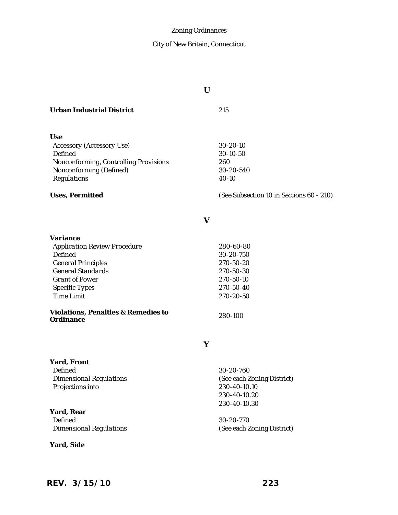# City of New Britain, Connecticut

|                                                                                                                                                                                                                                         | U |                                                                                                    |
|-----------------------------------------------------------------------------------------------------------------------------------------------------------------------------------------------------------------------------------------|---|----------------------------------------------------------------------------------------------------|
| <b>Urban Industrial District</b>                                                                                                                                                                                                        |   | 215                                                                                                |
| <b>Use</b><br>Accessory (Accessory Use)<br>Defined<br>Nonconforming, Controlling Provisions<br>Nonconforming (Defined)<br>Regulations                                                                                                   |   | 30-20-10<br>30-10-50<br>260<br>30-20-540<br>40-10                                                  |
| Uses, Permitted                                                                                                                                                                                                                         |   | (See Subsection 10 in Sections 60 - 210)                                                           |
|                                                                                                                                                                                                                                         | V |                                                                                                    |
| Variance<br><b>Application Review Procedure</b><br>Defined<br><b>General Principles</b><br><b>General Standards</b><br><b>Grant of Power</b><br>Specific Types<br><b>Time Limit</b><br>Violations, Penalties & Remedies to<br>Ordinance |   | 280-60-80<br>30-20-750<br>270-50-20<br>270-50-30<br>270-50-10<br>270-50-40<br>270-20-50<br>280-100 |
|                                                                                                                                                                                                                                         | Υ |                                                                                                    |
| Yard, Front<br>Defined<br><b>Dimensional Regulations</b><br>Projections into                                                                                                                                                            |   | 30-20-760<br>(See each Zoning District)<br>230-40-10.10<br>230-40-10.20<br>230-40-10.30            |
| Yard, Rear<br><b>Defined</b><br><b>Dimensional Regulations</b>                                                                                                                                                                          |   | 30-20-770<br>(See each Zoning District)                                                            |

**Yard, Side**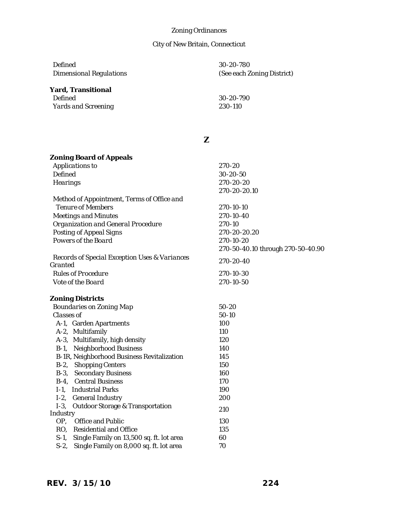# City of New Britain, Connecticut

| Defined<br><b>Dimensional Regulations</b> | 30-20-780<br>(See each Zoning District) |
|-------------------------------------------|-----------------------------------------|
| <b>Yard, Transitional</b>                 |                                         |
| Defined                                   | 30-20-790                               |
| Yards and Screening                       | 230-110                                 |
|                                           |                                         |
|                                           |                                         |

### **Z**

| <b>Zoning Board of Appeals</b>                           |                                   |
|----------------------------------------------------------|-----------------------------------|
| Applications to                                          | 270-20                            |
| <b>Defined</b>                                           | 30-20-50                          |
| Hearings                                                 | 270-20-20                         |
|                                                          | 270-20-20.10                      |
| Method of Appointment, Terms of Office and               |                                   |
| <b>Tenure of Members</b>                                 | 270-10-10                         |
| <b>Meetings and Minutes</b>                              | 270-10-40                         |
| Organization and General Procedure                       | 270-10                            |
| Posting of Appeal Signs                                  | 270-20-20.20                      |
| Powers of the Board                                      | 270-10-20                         |
|                                                          | 270-50-40.10 through 270-50-40.90 |
| Records of Special Exception Uses & Variances<br>Granted | 270-20-40                         |
| <b>Rules of Procedure</b>                                | 270-10-30                         |
| Vote of the Board                                        | 270-10-50                         |
| <b>Zoning Districts</b>                                  |                                   |
| Boundaries on Zoning Map                                 | $50 - 20$                         |
| Classes of                                               | $50-10$                           |
| A-1, Garden Apartments                                   | 100                               |
| A-2, Multifamily                                         | 110                               |
| A-3, Multifamily, high density                           | 120                               |
| Neighborhood Business<br>$B-1$ ,                         | 140                               |
| B-1R, Neighborhood Business Revitalization               | 145                               |
| B-2, Shopping Centers                                    | 150                               |
| B-3, Secondary Business                                  | 160                               |
| B-4, Central Business                                    | 170                               |
| I-1, Industrial Parks                                    | 190                               |
| I-2, General Industry                                    | 200                               |
| $1-3$ ,<br>Outdoor Storage & Transportation              |                                   |
| Industry                                                 | 210                               |
| OP, Office and Public                                    | 130                               |
| RO, Residential and Office                               | 135                               |
| S-1, Single Family on 13,500 sq. ft. lot area            | 60                                |
| $S-2$<br>Single Family on 8,000 sq. ft. lot area         | 70                                |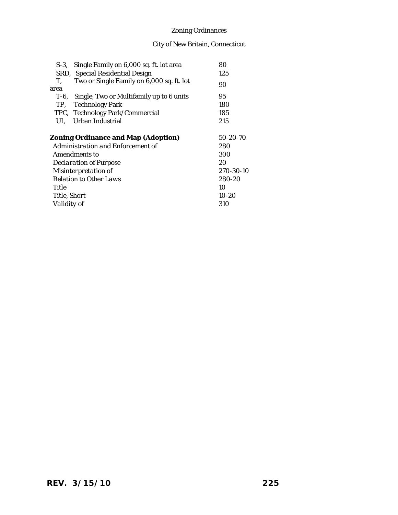|       | S-3, Single Family on 6,000 sq. ft. lot area  | 80        |
|-------|-----------------------------------------------|-----------|
|       | SRD, Special Residential Design               | 125       |
| Τ.    | Two or Single Family on 6,000 sq. ft. lot     | 90        |
| area  |                                               |           |
|       | T-6, Single, Two or Multifamily up to 6 units | 95        |
|       | TP, Technology Park                           | 180       |
|       | TPC, Technology Park/Commercial               | 185       |
| UI.   | Urban Industrial                              | 215       |
|       |                                               |           |
|       | <b>Zoning Ordinance and Map (Adoption)</b>    | 50-20-70  |
|       | Administration and Enforcement of             | 280       |
|       | Amendments to                                 | 300       |
|       | Declaration of Purpose                        | 20        |
|       | Misinterpretation of                          | 270-30-10 |
|       | <b>Relation to Other Laws</b>                 | 280-20    |
| Title |                                               | 10        |
|       | Title, Short                                  | $10 - 20$ |
|       | Validity of                                   | 310       |
|       |                                               |           |